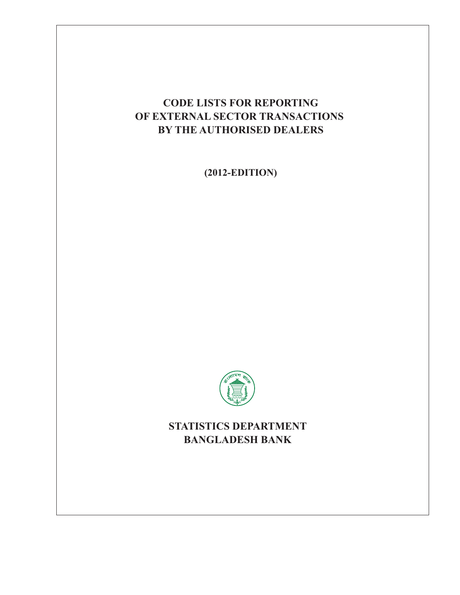# **CODE LISTS FOR REPORTING OF EXTERNAL SECTOR TRANSACTIONS BY THE AUTHORISED DEALERS**

**(2012-EDITION)**



**STATISTICS DEPARTMENT BANGLADESH BANK**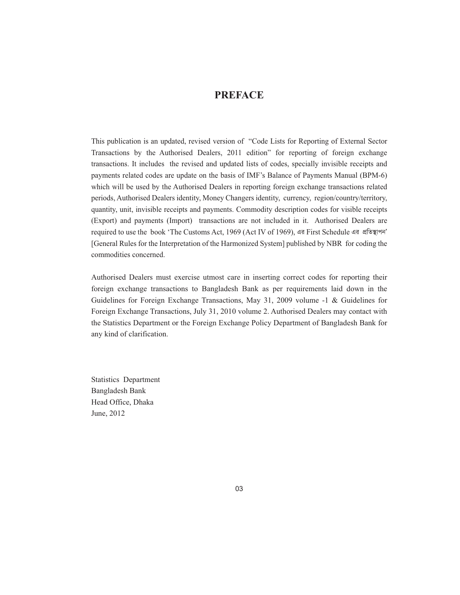### **PREFACE**

This publication is an updated, revised version of "Code Lists for Reporting of External Sector Transactions by the Authorised Dealers, 2011 edition" for reporting of foreign exchange transactions. It includes the revised and updated lists of codes, specially invisible receipts and payments related codes are update on the basis of IMF's Balance of Payments Manual (BPM-6) which will be used by the Authorised Dealers in reporting foreign exchange transactions related periods, Authorised Dealers identity, Money Changers identity, currency, region/country/territory, quantity, unit, invisible receipts and payments. Commodity description codes for visible receipts (Export) and payments (Import) transactions are not included in it. Authorised Dealers are required to use the book 'The Customs Act, 1969 (Act IV of 1969), এর First Schedule এর প্রতিষ্থাপন' [General Rules for the Interpretation of the Harmonized System] published by NBR for coding the commodities concerned.

Authorised Dealers must exercise utmost care in inserting correct codes for reporting their foreign exchange transactions to Bangladesh Bank as per requirements laid down in the Guidelines for Foreign Exchange Transactions, May 31, 2009 volume -1 & Guidelines for Foreign Exchange Transactions, July 31, 2010 volume 2. Authorised Dealers may contact with the Statistics Department or the Foreign Exchange Policy Department of Bangladesh Bank for any kind of clarification.

Statistics Department Bangladesh Bank Head Office, Dhaka June, 2012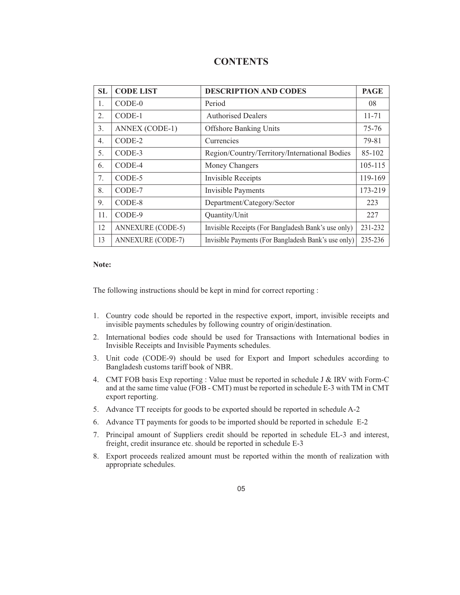| <b>SL</b> | <b>CODE LIST</b>         | <b>DESCRIPTION AND CODES</b>                        | <b>PAGE</b> |
|-----------|--------------------------|-----------------------------------------------------|-------------|
| 1.        | CODE-0                   | Period                                              | 08          |
| 2.        | CODE-1                   | <b>Authorised Dealers</b>                           | $11 - 71$   |
| 3.        | <b>ANNEX (CODE-1)</b>    | <b>Offshore Banking Units</b>                       | 75-76       |
| 4.        | CODE-2                   | Currencies                                          | 79-81       |
| 5.        | CODE-3                   | Region/Country/Territory/International Bodies       | 85-102      |
| 6.        | CODE-4                   | Money Changers                                      | 105-115     |
| 7.        | CODE-5                   | <b>Invisible Receipts</b>                           | 119-169     |
| 8.        | CODE-7                   | Invisible Payments                                  | 173-219     |
| 9.        | CODE-8                   | Department/Category/Sector                          | 223         |
| 11.       | CODE-9                   | Quantity/Unit                                       | 227         |
| 12        | <b>ANNEXURE (CODE-5)</b> | Invisible Receipts (For Bangladesh Bank's use only) | 231-232     |
| 13        | ANNEXURE (CODE-7)        | Invisible Payments (For Bangladesh Bank's use only) | 235-236     |

### **CONTENTS**

#### **Note:**

The following instructions should be kept in mind for correct reporting :

- 1. Country code should be reported in the respective export, import, invisible receipts and invisible payments schedules by following country of origin/destination.
- 2. International bodies code should be used for Transactions with International bodies in Invisible Receipts and Invisible Payments schedules.
- 3. Unit code (CODE-9) should be used for Export and Import schedules according to Bangladesh customs tariff book of NBR.
- 4. CMT FOB basis Exp reporting : Value must be reported in schedule J & IRV with Form-C and at the same time value (FOB - CMT) must be reported in schedule E-3 with TM in CMT export reporting.
- 5. Advance TT receipts for goods to be exported should be reported in schedule A-2
- 6. Advance TT payments for goods to be imported should be reported in schedule E-2
- 7. Principal amount of Suppliers credit should be reported in schedule EL-3 and interest, freight, credit insurance etc. should be reported in schedule E-3
- 8. Export proceeds realized amount must be reported within the month of realization with appropriate schedules.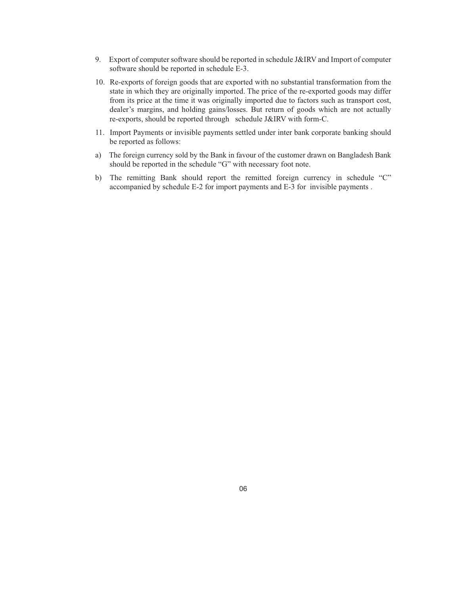- 9. Export of computer software should be reported in schedule J&IRV and Import of computer software should be reported in schedule E-3.
- 10. Re-exports of foreign goods that are exported with no substantial transformation from the state in which they are originally imported. The price of the re-exported goods may differ from its price at the time it was originally imported due to factors such as transport cost, dealer's margins, and holding gains/losses. But return of goods which are not actually re-exports, should be reported through schedule J&IRV with form-C.
- 11. Import Payments or invisible payments settled under inter bank corporate banking should be reported as follows:
- a) The foreign currency sold by the Bank in favour of the customer drawn on Bangladesh Bank should be reported in the schedule "G" with necessary foot note.
- b) The remitting Bank should report the remitted foreign currency in schedule "C" accompanied by schedule E-2 for import payments and E-3 for invisible payments .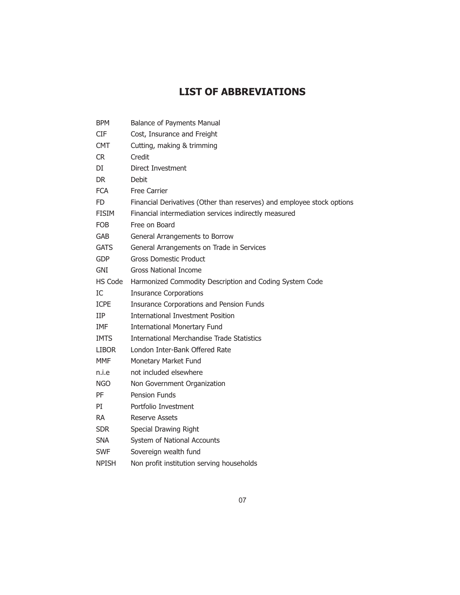# **LIST OF ABBREVIATIONS**

| <b>BPM</b>     | Balance of Payments Manual                                             |
|----------------|------------------------------------------------------------------------|
| CIF            | Cost, Insurance and Freight                                            |
| <b>CMT</b>     | Cutting, making & trimming                                             |
| CR.            | Credit                                                                 |
| DI             | Direct Investment                                                      |
| DR.            | <b>Debit</b>                                                           |
| <b>FCA</b>     | <b>Free Carrier</b>                                                    |
| FD.            | Financial Derivatives (Other than reserves) and employee stock options |
| <b>FISIM</b>   | Financial intermediation services indirectly measured                  |
| FOB            | Free on Board                                                          |
| GAB            | General Arrangements to Borrow                                         |
| <b>GATS</b>    | General Arrangements on Trade in Services                              |
| <b>GDP</b>     | Gross Domestic Product                                                 |
| GNT            | <b>Gross National Income</b>                                           |
| <b>HS Code</b> | Harmonized Commodity Description and Coding System Code                |
| IC             | <b>Insurance Corporations</b>                                          |
| <b>ICPE</b>    | Insurance Corporations and Pension Funds                               |
| IIP            | <b>International Investment Position</b>                               |
| <b>IMF</b>     | <b>International Monertary Fund</b>                                    |
| <b>IMTS</b>    | <b>International Merchandise Trade Statistics</b>                      |
| LIBOR          | London Inter-Bank Offered Rate                                         |
| <b>MMF</b>     | Monetary Market Fund                                                   |
| n.i.e          | not included elsewhere                                                 |
| NGO.           | Non Government Organization                                            |
| PF.            | <b>Pension Funds</b>                                                   |
| PT             | Portfolio Investment                                                   |
| <b>RA</b>      | <b>Reserve Assets</b>                                                  |
| <b>SDR</b>     | Special Drawing Right                                                  |
| SNA.           | System of National Accounts                                            |
| <b>SWF</b>     | Sovereign wealth fund                                                  |
| <b>NPISH</b>   | Non profit institution serving households                              |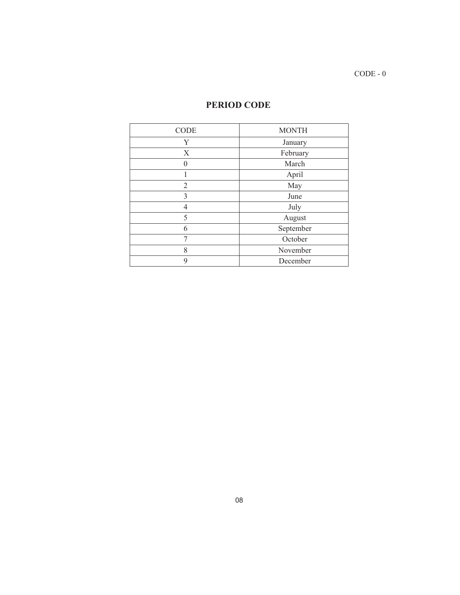| <b>CODE</b>    | <b>MONTH</b> |
|----------------|--------------|
| Y              | January      |
| X              | February     |
| ∩              | March        |
|                | April        |
| $\overline{2}$ | May          |
| 3              | June         |
| $\overline{4}$ | July         |
| 5              | August       |
| 6              | September    |
| $\overline{7}$ | October      |
| 8              | November     |
| 9              | December     |

# **PERIOD CODE**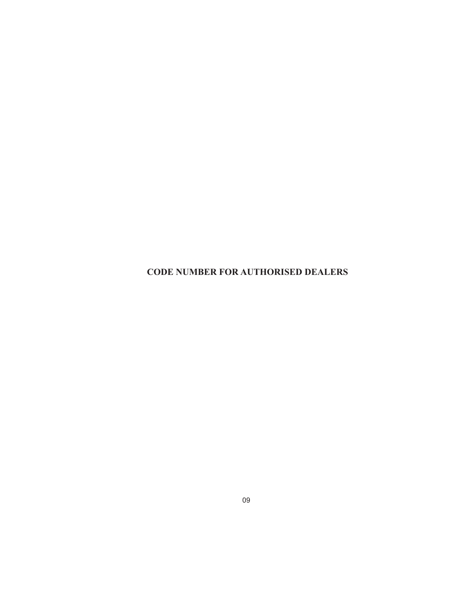**CODE NUMBER FOR AUTHORISED DEALERS**

09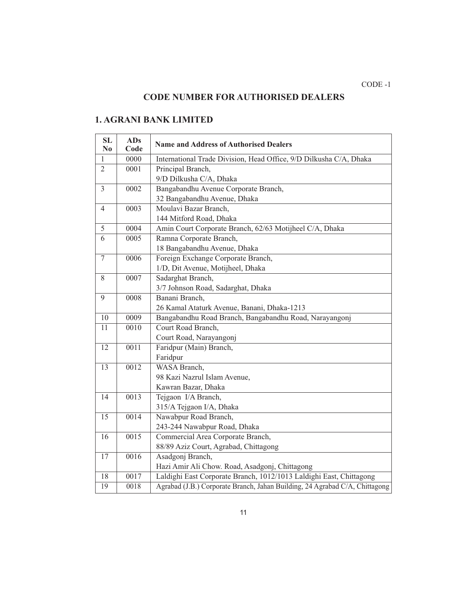# **CODE NUMBER FOR AUTHORISED DEALERS**

## **1. AGRANI BANK LIMITED**

| <b>SL</b><br>No. | <b>ADs</b><br>Code | <b>Name and Address of Authorised Dealers</b>                               |
|------------------|--------------------|-----------------------------------------------------------------------------|
| 1                | 0000               | International Trade Division, Head Office, 9/D Dilkusha C/A, Dhaka          |
| $\overline{2}$   | 0001               | Principal Branch,                                                           |
|                  |                    | 9/D Dilkusha C/A, Dhaka                                                     |
| $\overline{3}$   | 0002               | Bangabandhu Avenue Corporate Branch,                                        |
|                  |                    | 32 Bangabandhu Avenue, Dhaka                                                |
| 4                | 0003               | Moulavi Bazar Branch,                                                       |
|                  |                    | 144 Mitford Road, Dhaka                                                     |
| 5                | 0004               | Amin Court Corporate Branch, 62/63 Motijheel C/A, Dhaka                     |
| 6                | 0005               | Ramna Corporate Branch,                                                     |
|                  |                    | 18 Bangabandhu Avenue, Dhaka                                                |
| $\tau$           | 0006               | Foreign Exchange Corporate Branch,                                          |
|                  |                    | 1/D, Dit Avenue, Motijheel, Dhaka                                           |
| 8                | 0007               | Sadarghat Branch,                                                           |
|                  |                    | 3/7 Johnson Road, Sadarghat, Dhaka                                          |
| 9                | 0008               | Banani Branch,                                                              |
|                  |                    | 26 Kamal Ataturk Avenue, Banani, Dhaka-1213                                 |
| 10               | 0009               | Bangabandhu Road Branch, Bangabandhu Road, Narayangonj                      |
| 11               | 0010               | Court Road Branch,                                                          |
|                  |                    | Court Road, Narayangonj                                                     |
| 12               | 0011               | Faridpur (Main) Branch,                                                     |
|                  |                    | Faridpur                                                                    |
| 13               | 0012               | WASA Branch,                                                                |
|                  |                    | 98 Kazi Nazrul Islam Avenue,                                                |
|                  |                    | Kawran Bazar, Dhaka                                                         |
| 14               | 0013               | Tejgaon I/A Branch,                                                         |
|                  |                    | 315/A Tejgaon I/A, Dhaka                                                    |
| $\overline{15}$  | 0014               | Nawabpur Road Branch,                                                       |
|                  |                    | 243-244 Nawabpur Road, Dhaka                                                |
| 16               | 0015               | Commercial Area Corporate Branch,                                           |
|                  |                    | 88/89 Aziz Court, Agrabad, Chittagong                                       |
| $\overline{17}$  | 0016               | Asadgonj Branch,                                                            |
|                  |                    | Hazi Amir Ali Chow. Road, Asadgonj, Chittagong                              |
| 18               | 0017               | Laldighi East Corporate Branch, 1012/1013 Laldighi East, Chittagong         |
| 19               | 0018               | Agrabad (J.B.) Corporate Branch, Jahan Building, 24 Agrabad C/A, Chittagong |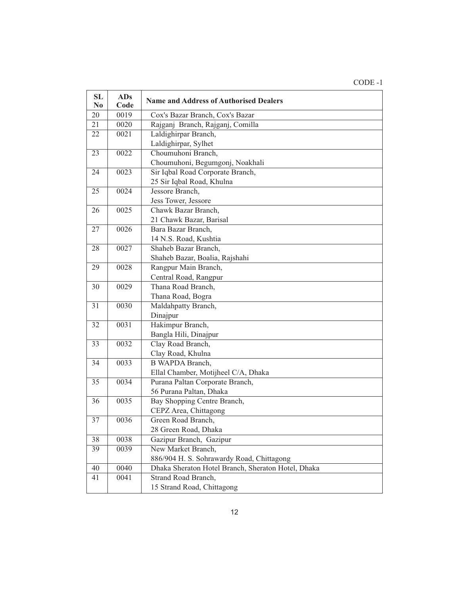| SL<br>N <sub>0</sub> | <b>ADs</b><br>Code | <b>Name and Address of Authorised Dealers</b>      |
|----------------------|--------------------|----------------------------------------------------|
| 20                   | 0019               | Cox's Bazar Branch, Cox's Bazar                    |
| 21                   | 0020               | Rajganj Branch, Rajganj, Comilla                   |
| 22                   | 0021               | Laldighirpar Branch,                               |
|                      |                    | Laldighirpar, Sylhet                               |
| 23                   | 0022               | Choumuhoni Branch,                                 |
|                      |                    | Choumuhoni, Begumgonj, Noakhali                    |
| 24                   | 0023               | Sir Iqbal Road Corporate Branch,                   |
|                      |                    | 25 Sir Iqbal Road, Khulna                          |
| 25                   | 0024               | Jessore Branch,                                    |
|                      |                    | Jess Tower, Jessore                                |
| 26                   | 0025               | Chawk Bazar Branch,                                |
|                      |                    | 21 Chawk Bazar, Barisal                            |
| 27                   | 0026               | Bara Bazar Branch,                                 |
|                      |                    | 14 N.S. Road, Kushtia                              |
| 28                   | 0027               | Shaheb Bazar Branch,                               |
|                      |                    | Shaheb Bazar, Boalia, Rajshahi                     |
| 29                   | 0028               | Rangpur Main Branch,                               |
|                      |                    | Central Road, Rangpur                              |
| 30                   | 0029               | Thana Road Branch,                                 |
|                      |                    | Thana Road, Bogra                                  |
| 31                   | 0030               | Maldahpatty Branch,                                |
|                      |                    | Dinajpur                                           |
| 32                   | 0031               | Hakimpur Branch,                                   |
|                      |                    | Bangla Hili, Dinajpur                              |
| 33                   | 0032               | Clay Road Branch,                                  |
|                      |                    | Clay Road, Khulna                                  |
| 34                   | 0033               | <b>B WAPDA Branch,</b>                             |
|                      |                    | Ellal Chamber, Motijheel C/A, Dhaka                |
| 35                   | 0034               | Purana Paltan Corporate Branch,                    |
|                      |                    | 56 Purana Paltan, Dhaka                            |
| 36                   | 0035               | Bay Shopping Centre Branch,                        |
|                      |                    | CEPZ Area, Chittagong                              |
| 37                   | 0036               | Green Road Branch,                                 |
|                      |                    | 28 Green Road, Dhaka                               |
| 38                   | 0038               | Gazipur Branch, Gazipur                            |
| $\overline{39}$      | 0039               | New Market Branch,                                 |
|                      |                    | 886/904 H. S. Sohrawardy Road, Chittagong          |
| 40                   | 0040               | Dhaka Sheraton Hotel Branch, Sheraton Hotel, Dhaka |
| 41                   | 0041               | Strand Road Branch,                                |
|                      |                    | 15 Strand Road, Chittagong                         |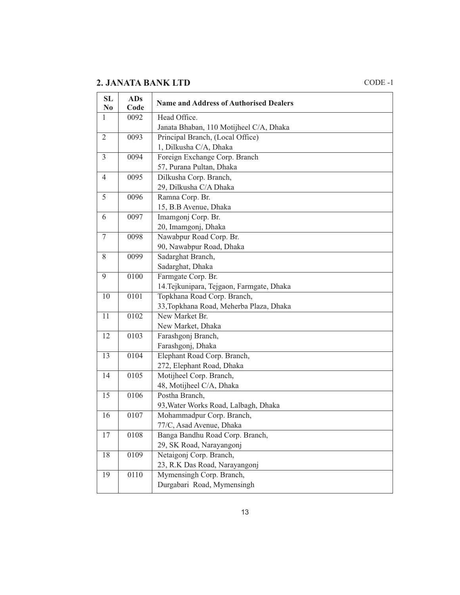#### **2. JANATA BANK LTD**

1 0092 Head Office. Janata Bhaban, 110 Motijheel C/A, Dhaka<br>2 0093 Principal Branch. (Local Office) 0093 Principal Branch, (Local Office) 1, Dilkusha C/A, Dhaka 3 0094 Foreign Exchange Corp. Branch 57, Purana Pultan, Dhaka 4 0095 Dilkusha Corp. Branch, 29, Dilkusha C/A Dhaka 5 0096 Ramna Corp. Br. 15, B.B Avenue, Dhaka 6 0097 Imamgonj Corp. Br. 20, Imamgonj, Dhaka 7 0098 Nawabpur Road Corp. Br. 90, Nawabpur Road, Dhaka 8 0099 Sadarghat Branch, Sadarghat, Dhaka 9 0100 Farmgate Corp. Br. 14.Tejkunipara, Tejgaon, Farmgate, Dhaka 10 0101 Topkhana Road Corp. Branch, 33,Topkhana Road, Meherba Plaza, Dhaka 11 0102 New Market Br. New Market, Dhaka 12 0103 Farashgonj Branch, Farashgonj, Dhaka 13 0104 Elephant Road Corp. Branch, 272, Elephant Road, Dhaka 14 0105 Motijheel Corp. Branch, 48, Motijheel C/A, Dhaka 15 0106 Postha Branch, 93,Water Works Road, Lalbagh, Dhaka 16 0107 Mohammadpur Corp. Branch, 77/C, Asad Avenue, Dhaka 17 | 0108 | Banga Bandhu Road Corp. Branch, 29, SK Road, Narayangonj 18 0109 Netaigonj Corp. Branch, 23, R.K Das Road, Narayangonj 19 0110 Mymensingh Corp. Branch, Durgabari Road, Mymensingh **ADs Code SL No Name and Address of Authorised Dealers**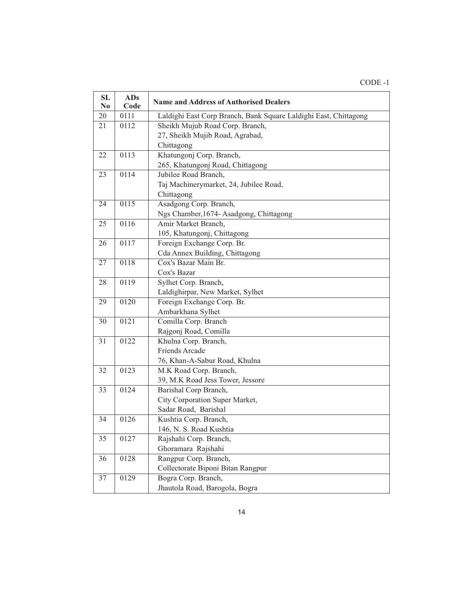| <b>SL</b><br>N <sub>0</sub> | <b>ADs</b><br>Code | <b>Name and Address of Authorised Dealers</b>                    |
|-----------------------------|--------------------|------------------------------------------------------------------|
| 20                          | 0111               | Laldighi East Corp Branch, Bank Square Laldighi East, Chittagong |
| 21                          | 0112               | Sheikh Mujub Road Corp. Branch,                                  |
|                             |                    | 27, Sheikh Mujib Road, Agrabad,                                  |
|                             |                    | Chittagong                                                       |
| 22                          | 0113               | Khatungonj Corp. Branch,                                         |
|                             |                    | 265, Khatungonj Road, Chittagong                                 |
| 23                          | 0114               | Jubilee Road Branch,                                             |
|                             |                    | Taj Machinerymarket, 24, Jubilee Road,                           |
|                             |                    | Chittagong                                                       |
| 24                          | 0115               | Asadgong Corp. Branch,                                           |
|                             |                    | Ngs Chamber, 1674- Asadgong, Chittagong                          |
| 25                          | 0116               | Amir Market Branch,                                              |
|                             |                    | 105, Khatungonj, Chittagong                                      |
| 26                          | 0117               | Foreign Exchange Corp. Br.                                       |
|                             |                    | Cda Annex Building, Chittagong                                   |
| 27                          | 0118               | Cox's Bazar Main Br.                                             |
|                             |                    | Cox's Bazar                                                      |
| 28                          | 0119               | Sylhet Corp. Branch,                                             |
|                             |                    | Laldighirpar, New Market, Sylhet                                 |
| 29                          | 0120               | Foreign Exchange Corp. Br.                                       |
|                             |                    | Ambarkhana Sylhet                                                |
| 30                          | 0121               | Comilla Corp. Branch                                             |
|                             |                    | Rajgonj Road, Comilla                                            |
| 31                          | 0122               | Khulna Corp. Branch,                                             |
|                             |                    | <b>Friends Arcade</b>                                            |
|                             |                    | 76, Khan-A-Sabur Road, Khulna                                    |
| 32                          | 0123               | M.K Road Corp. Branch,                                           |
|                             |                    | 39, M.K Road Jess Tower, Jessore                                 |
| 33                          | 0124               | Barishal Corp Branch,                                            |
|                             |                    | City Corporation Super Market,                                   |
|                             |                    | Sadar Road, Barishal                                             |
| 34                          | 0126               | Kushtia Corp. Branch,                                            |
|                             |                    | 146, N. S. Road Kushtia                                          |
| 35                          | 0127               | Rajshahi Corp. Branch,                                           |
|                             |                    | Ghoramara Rajshahi                                               |
| 36                          | 0128               | Rangpur Corp. Branch,                                            |
|                             |                    | Collectorate Biponi Bitan Rangpur                                |
| 37                          | 0129               | Bogra Corp. Branch,                                              |
|                             |                    | Jhautola Road, Barogola, Bogra                                   |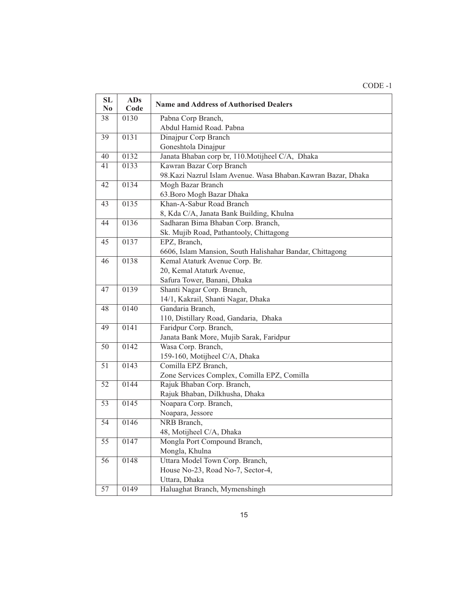| <b>SL</b><br>N <sub>0</sub> | <b>ADs</b><br>Code | <b>Name and Address of Authorised Dealers</b>                |
|-----------------------------|--------------------|--------------------------------------------------------------|
| 38                          | 0130               | Pabna Corp Branch,                                           |
|                             |                    | Abdul Hamid Road. Pabna                                      |
| 39                          | 0131               | Dinajpur Corp Branch                                         |
|                             |                    | Goneshtola Dinajpur                                          |
| 40                          | 0132               | Janata Bhaban corp br, 110.Motijheel C/A, Dhaka              |
| 41                          | 0133               | Kawran Bazar Corp Branch                                     |
|                             |                    | 98.Kazi Nazrul Islam Avenue. Wasa Bhaban.Kawran Bazar, Dhaka |
| 42                          | 0134               | Mogh Bazar Branch                                            |
|                             |                    | 63. Boro Mogh Bazar Dhaka                                    |
| 43                          | 0135               | Khan-A-Sabur Road Branch                                     |
|                             |                    | 8, Kda C/A, Janata Bank Building, Khulna                     |
| 44                          | 0136               | Sadharan Bima Bhaban Corp. Branch,                           |
|                             |                    | Sk. Mujib Road, Pathantooly, Chittagong                      |
| 45                          | 0137               | EPZ, Branch,                                                 |
|                             |                    | 6606, Islam Mansion, South Halishahar Bandar, Chittagong     |
| 46                          | 0138               | Kemal Ataturk Avenue Corp. Br.                               |
|                             |                    | 20, Kemal Ataturk Avenue,                                    |
|                             |                    | Safura Tower, Banani, Dhaka                                  |
| 47                          | 0139               | Shanti Nagar Corp. Branch,                                   |
|                             |                    | 14/1, Kakrail, Shanti Nagar, Dhaka                           |
| 48                          | 0140               | Gandaria Branch,                                             |
|                             |                    | 110, Distillary Road, Gandaria, Dhaka                        |
| 49                          | 0141               | Faridpur Corp. Branch,                                       |
|                             |                    | Janata Bank More, Mujib Sarak, Faridpur                      |
| 50                          | 0142               | Wasa Corp. Branch,                                           |
|                             |                    | 159-160, Motijheel C/A, Dhaka                                |
| 51                          | 0143               | Comilla EPZ Branch,                                          |
|                             |                    | Zone Services Complex, Comilla EPZ, Comilla                  |
| 52                          | 0144               | Rajuk Bhaban Corp. Branch,                                   |
|                             |                    | Rajuk Bhaban, Dilkhusha, Dhaka                               |
| 53                          | 0145               | Noapara Corp. Branch,                                        |
|                             |                    | Noapara, Jessore                                             |
| 54                          | 0146               | NRB Branch,                                                  |
|                             |                    | 48, Motijheel C/A, Dhaka                                     |
| $\overline{55}$             | 0147               | Mongla Port Compound Branch,                                 |
|                             |                    | Mongla, Khulna                                               |
| $\overline{56}$             | 0148               | Uttara Model Town Corp. Branch,                              |
|                             |                    | House No-23, Road No-7, Sector-4,                            |
|                             |                    | Uttara, Dhaka                                                |
| 57                          | 0149               | Haluaghat Branch, Mymenshingh                                |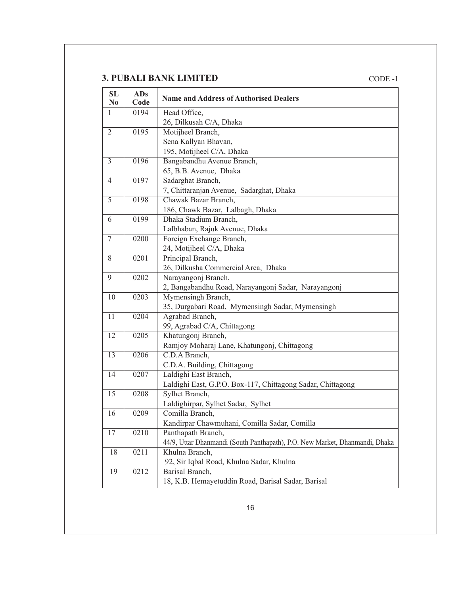# **3. PUBALI BANK LIMITED** CODE -1

 $\Gamma$ 

| SL<br>N <sub>0</sub> | <b>ADs</b><br>Code | <b>Name and Address of Authorised Dealers</b>                               |
|----------------------|--------------------|-----------------------------------------------------------------------------|
| $\mathbf{1}$         | 0194               | Head Office,                                                                |
|                      |                    | 26, Dilkusah C/A, Dhaka                                                     |
| $\overline{2}$       | 0195               | Motijheel Branch,                                                           |
|                      |                    | Sena Kallyan Bhavan,                                                        |
|                      |                    | 195, Motijheel C/A, Dhaka                                                   |
| $\overline{3}$       | 0196               | Bangabandhu Avenue Branch,                                                  |
|                      |                    | 65, B.B. Avenue, Dhaka                                                      |
| $\overline{4}$       | 0197               | Sadarghat Branch,                                                           |
|                      |                    | 7, Chittaranjan Avenue, Sadarghat, Dhaka                                    |
| 5                    | 0198               | Chawak Bazar Branch,                                                        |
|                      |                    | 186, Chawk Bazar, Lalbagh, Dhaka                                            |
| 6                    | 0199               | Dhaka Stadium Branch,                                                       |
|                      |                    | Lalbhaban, Rajuk Avenue, Dhaka                                              |
| 7                    | 0200               | Foreign Exchange Branch,                                                    |
|                      |                    | 24, Motijheel C/A, Dhaka                                                    |
| 8                    | 0201               | Principal Branch,                                                           |
|                      |                    | 26, Dilkusha Commercial Area, Dhaka                                         |
| 9                    | 0202               | Narayangonj Branch,                                                         |
|                      |                    | 2, Bangabandhu Road, Narayangonj Sadar, Narayangonj                         |
| 10                   | 0203               | Mymensingh Branch,                                                          |
|                      |                    | 35, Durgabari Road, Mymensingh Sadar, Mymensingh                            |
| 11                   | 0204               | Agrabad Branch,                                                             |
|                      |                    | 99, Agrabad C/A, Chittagong                                                 |
| 12                   | 0205               | Khatungonj Branch,                                                          |
|                      |                    | Ramjoy Moharaj Lane, Khatungonj, Chittagong                                 |
| 13                   | 0206               | C.D.A Branch,                                                               |
|                      |                    | C.D.A. Building, Chittagong                                                 |
| 14                   | 0207               | Laldighi East Branch,                                                       |
|                      |                    | Laldighi East, G.P.O. Box-117, Chittagong Sadar, Chittagong                 |
| 15                   | 0208               | Sylhet Branch,                                                              |
|                      |                    | Laldighirpar, Sylhet Sadar, Sylhet                                          |
| 16                   | 0209               | Comilla Branch,                                                             |
|                      |                    | Kandirpar Chawmuhani, Comilla Sadar, Comilla                                |
| 17                   | 0210               | Panthapath Branch,                                                          |
|                      |                    | 44/9, Uttar Dhanmandi (South Panthapath), P.O. New Market, Dhanmandi, Dhaka |
| 18                   | 0211               | Khulna Branch,                                                              |
|                      |                    | 92, Sir Iqbal Road, Khulna Sadar, Khulna                                    |
| 19                   | 0212               | Barisal Branch,                                                             |
|                      |                    | 18, K.B. Hemayetuddin Road, Barisal Sadar, Barisal                          |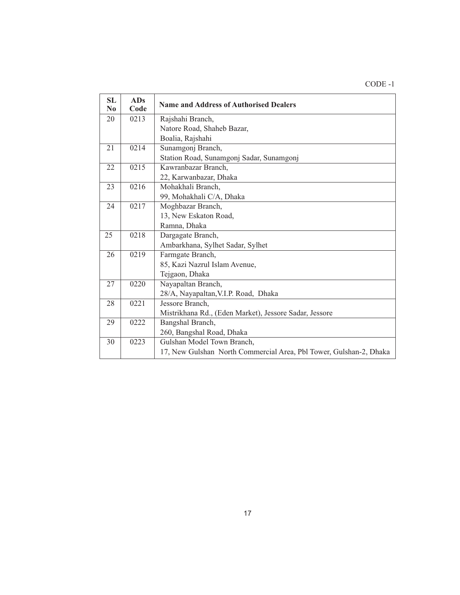| <b>SL</b><br>$\bf N_0$ | <b>ADs</b><br>Code | <b>Name and Address of Authorised Dealers</b>                      |
|------------------------|--------------------|--------------------------------------------------------------------|
| 20                     | 0213               | Rajshahi Branch,                                                   |
|                        |                    | Natore Road, Shaheb Bazar,                                         |
|                        |                    | Boalia, Rajshahi                                                   |
| 21                     | 0214               | Sunamgonj Branch,                                                  |
|                        |                    | Station Road, Sunamgonj Sadar, Sunamgonj                           |
| 22                     | 0215               | Kawranbazar Branch,                                                |
|                        |                    | 22, Karwanbazar, Dhaka                                             |
| 23                     | 0216               | Mohakhali Branch,                                                  |
|                        |                    | 99, Mohakhali C/A, Dhaka                                           |
| 24                     | 0217               | Moghbazar Branch,                                                  |
|                        |                    | 13, New Eskaton Road,                                              |
|                        |                    | Ramna, Dhaka                                                       |
| 25                     | 0218               | Dargagate Branch,                                                  |
|                        |                    | Ambarkhana, Sylhet Sadar, Sylhet                                   |
| 26                     | 0219               | Farmgate Branch,                                                   |
|                        |                    | 85, Kazi Nazrul Islam Avenue,                                      |
|                        |                    | Tejgaon, Dhaka                                                     |
| 27                     | 0220               | Nayapaltan Branch,                                                 |
|                        |                    | 28/A, Nayapaltan, V.I.P. Road, Dhaka                               |
| 28                     | 0221               | Jessore Branch,                                                    |
|                        |                    | Mistrikhana Rd., (Eden Market), Jessore Sadar, Jessore             |
| 29                     | 0222               | Bangshal Branch,                                                   |
|                        |                    | 260, Bangshal Road, Dhaka                                          |
| 30                     | 0223               | Gulshan Model Town Branch,                                         |
|                        |                    | 17, New Gulshan North Commercial Area, Pbl Tower, Gulshan-2, Dhaka |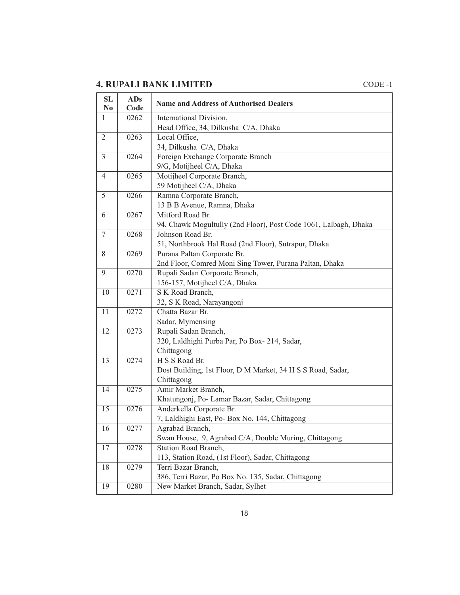### **4. RUPALI BANK LIMITED** CODE -1

**SL No** 1 0262 International Division. Head Office, 34, Dilkusha C/A, Dhaka 2 0263 Local Office, 34, Dilkusha C/A, Dhaka 3 0264 Foreign Exchange Corporate Branch 9/G, Motijheel C/A, Dhaka 4 0265 Motijheel Corporate Branch, 59 Motijheel C/A, Dhaka 5 0266 Ramna Corporate Branch, 13 B B Avenue, Ramna, Dhaka 6 0267 Mitford Road Br. 94, Chawk Mogultully (2nd Floor), Post Code 1061, Lalbagh, Dhaka<br>7 0268 Iohnson Road Br 0268 Johnson Road Br. 51, Northbrook Hal Road (2nd Floor), Sutrapur, Dhaka 8 | 0269 | Purana Paltan Corporate Br. 2nd Floor, Comred Moni Sing Tower, Purana Paltan, Dhaka<br>
20270 | Rupali Sadan Corporate Branch. Rupali Sadan Corporate Branch, 156-157, Motijheel C/A, Dhaka 10 0271 S K Road Branch, 32, S K Road, Narayangonj 11 0272 Chatta Bazar Br. Sadar, Mymensing 12 0273 Rupali Sadan Branch, 320, Laldhighi Purba Par, Po Box- 214, Sadar, Chittagong 13 0274 H S S Road Br. Dost Building, 1st Floor, D M Market, 34 H S S Road, Sadar, Chittagong 14 0275 Amir Market Branch, Khatungonj, Po- Lamar Bazar, Sadar, Chittagong 15 0276 Anderkella Corporate Br. 7, Laldhighi East, Po- Box No. 144, Chittagong 16 0277 | Agrabad Branch, Swan House, 9, Agrabad C/A, Double Muring, Chittagong 17 0278 Station Road Branch, 113, Station Road, (1st Floor), Sadar, Chittagong 18 0279 Terri Bazar Branch, 386, Terri Bazar, Po Box No. 135, Sadar, Chittagong 19 | 0280 | New Market Branch, Sadar, Sylhet **ADs Code Name and Address of Authorised Dealers**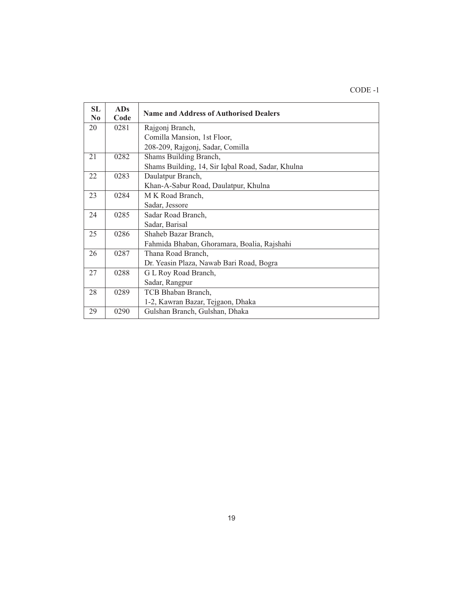| SL.<br>$\bf No$ | <b>ADs</b><br>Code | <b>Name and Address of Authorised Dealers</b>     |
|-----------------|--------------------|---------------------------------------------------|
| 20              | 0281               | Rajgonj Branch,                                   |
|                 |                    | Comilla Mansion, 1st Floor,                       |
|                 |                    | 208-209, Rajgonj, Sadar, Comilla                  |
| 21              | 0282               | Shams Building Branch,                            |
|                 |                    | Shams Building, 14, Sir Iqbal Road, Sadar, Khulna |
| 22              | 0283               | Daulatpur Branch,                                 |
|                 |                    | Khan-A-Sabur Road, Daulatpur, Khulna              |
| 23              | 0284               | M K Road Branch,                                  |
|                 |                    | Sadar, Jessore                                    |
| 24              | 0285               | Sadar Road Branch,                                |
|                 |                    | Sadar, Barisal                                    |
| 25              | 0286               | Shaheb Bazar Branch,                              |
|                 |                    | Fahmida Bhaban, Ghoramara, Boalia, Rajshahi       |
| 26              | 0287               | Thana Road Branch,                                |
|                 |                    | Dr. Yeasin Plaza, Nawab Bari Road, Bogra          |
| 27              | 0288               | G L Roy Road Branch,                              |
|                 |                    | Sadar, Rangpur                                    |
| 28              | 0289               | TCB Bhaban Branch,                                |
|                 |                    | 1-2, Kawran Bazar, Tejgaon, Dhaka                 |
| 29              | 0290               | Gulshan Branch, Gulshan, Dhaka                    |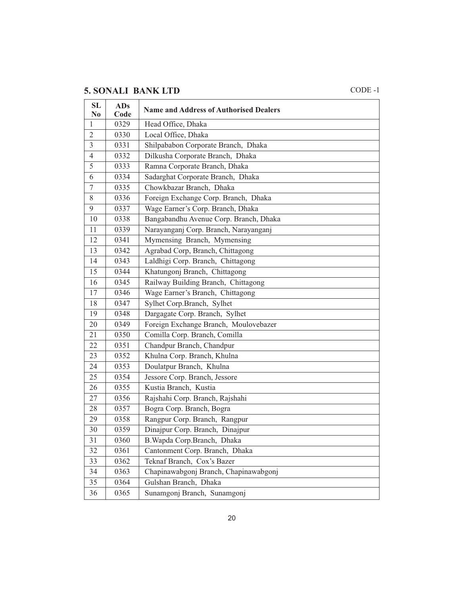## **5. SONALI BANK LTD** CODE -1

| SL<br>N <sub>0</sub> | <b>ADs</b><br>Code | <b>Name and Address of Authorised Dealers</b> |
|----------------------|--------------------|-----------------------------------------------|
| 1                    | 0329               | Head Office, Dhaka                            |
| $\overline{2}$       | 0330               | Local Office, Dhaka                           |
| 3                    | 0331               | Shilpababon Corporate Branch, Dhaka           |
| $\overline{4}$       | 0332               | Dilkusha Corporate Branch, Dhaka              |
| $\overline{5}$       | 0333               | Ramna Corporate Branch, Dhaka                 |
| 6                    | 0334               | Sadarghat Corporate Branch, Dhaka             |
| $\overline{7}$       | 0335               | Chowkbazar Branch, Dhaka                      |
| 8                    | 0336               | Foreign Exchange Corp. Branch, Dhaka          |
| 9                    | 0337               | Wage Earner's Corp. Branch, Dhaka             |
| 10                   | 0338               | Bangabandhu Avenue Corp. Branch, Dhaka        |
| 11                   | 0339               | Narayanganj Corp. Branch, Narayanganj         |
| 12                   | 0341               | Mymensing Branch, Mymensing                   |
| 13                   | 0342               | Agrabad Corp, Branch, Chittagong              |
| 14                   | 0343               | Laldhigi Corp. Branch, Chittagong             |
| 15                   | 0344               | Khatungonj Branch, Chittagong                 |
| 16                   | 0345               | Railway Building Branch, Chittagong           |
| 17                   | 0346               | Wage Earner's Branch, Chittagong              |
| 18                   | 0347               | Sylhet Corp.Branch, Sylhet                    |
| 19                   | 0348               | Dargagate Corp. Branch, Sylhet                |
| 20                   | 0349               | Foreign Exchange Branch, Moulovebazer         |
| 21                   | 0350               | Comilla Corp. Branch, Comilla                 |
| 22                   | 0351               | Chandpur Branch, Chandpur                     |
| 23                   | 0352               | Khulna Corp. Branch, Khulna                   |
| 24                   | 0353               | Doulatpur Branch, Khulna                      |
| 25                   | 0354               | Jessore Corp. Branch, Jessore                 |
| 26                   | 0355               | Kustia Branch, Kustia                         |
| 27                   | 0356               | Rajshahi Corp. Branch, Rajshahi               |
| 28                   | 0357               | Bogra Corp. Branch, Bogra                     |
| 29                   | 0358               | Rangpur Corp. Branch, Rangpur                 |
| 30                   | 0359               | Dinajpur Corp. Branch, Dinajpur               |
| 31                   | 0360               | B. Wapda Corp. Branch, Dhaka                  |
| 32                   | 0361               | Cantonment Corp. Branch, Dhaka                |
| 33                   | 0362               | Teknaf Branch, Cox's Bazer                    |
| 34                   | 0363               | Chapinawabgonj Branch, Chapinawabgonj         |
| 35                   | 0364               | Gulshan Branch, Dhaka                         |
| 36                   | 0365               | Sunamgonj Branch, Sunamgonj                   |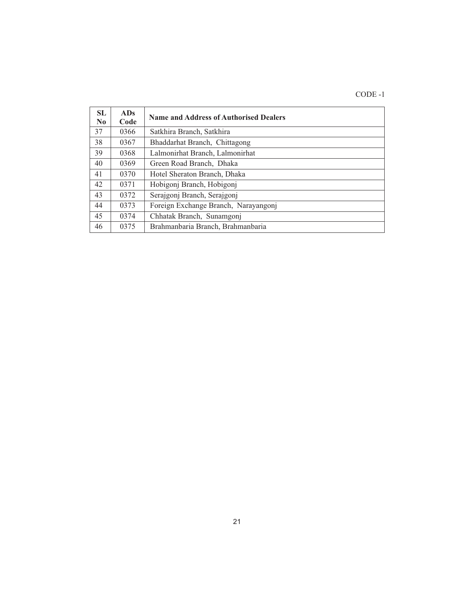| <b>SL</b><br>$\bf No$ | <b>ADs</b><br>Code | <b>Name and Address of Authorised Dealers</b> |
|-----------------------|--------------------|-----------------------------------------------|
| 37                    | 0366               | Satkhira Branch, Satkhira                     |
| 38                    | 0367               | Bhaddarhat Branch, Chittagong                 |
| 39                    | 0368               | Lalmonirhat Branch, Lalmonirhat               |
| 40                    | 0369               | Green Road Branch, Dhaka                      |
| 41                    | 0370               | Hotel Sheraton Branch, Dhaka                  |
| 42                    | 0371               | Hobigonj Branch, Hobigonj                     |
| 43                    | 0372               | Serajgonj Branch, Serajgonj                   |
| 44                    | 0373               | Foreign Exchange Branch, Narayangonj          |
| 45                    | 0374               | Chhatak Branch, Sunamgonj                     |
| 46                    | 0375               | Brahmanbaria Branch, Brahmanbaria             |

ľ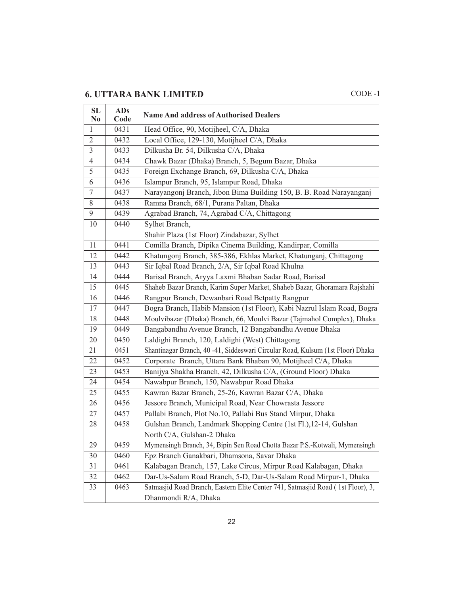# **6. UTTARA BANK LIMITED**

| SL<br>N <sub>0</sub> | <b>ADs</b><br>Code | <b>Name And address of Authorised Dealers</b>                                   |
|----------------------|--------------------|---------------------------------------------------------------------------------|
| $\mathbf{1}$         | 0431               | Head Office, 90, Motijheel, C/A, Dhaka                                          |
| $\overline{2}$       | 0432               | Local Office, 129-130, Motijheel C/A, Dhaka                                     |
| 3                    | 0433               | Dilkusha Br. 54, Dilkusha C/A, Dhaka                                            |
| $\overline{4}$       | 0434               | Chawk Bazar (Dhaka) Branch, 5, Begum Bazar, Dhaka                               |
| 5                    | 0435               | Foreign Exchange Branch, 69, Dilkusha C/A, Dhaka                                |
| 6                    | 0436               | Islampur Branch, 95, Islampur Road, Dhaka                                       |
| $\boldsymbol{7}$     | 0437               | Narayangonj Branch, Jibon Bima Building 150, B. B. Road Narayanganj             |
| $8\,$                | 0438               | Ramna Branch, 68/1, Purana Paltan, Dhaka                                        |
| 9                    | 0439               | Agrabad Branch, 74, Agrabad C/A, Chittagong                                     |
| 10                   | 0440               | Sylhet Branch,                                                                  |
|                      |                    | Shahir Plaza (1st Floor) Zindabazar, Sylhet                                     |
| 11                   | 0441               | Comilla Branch, Dipika Cinema Building, Kandirpar, Comilla                      |
| 12                   | 0442               | Khatungonj Branch, 385-386, Ekhlas Market, Khatunganj, Chittagong               |
| 13                   | 0443               | Sir Iqbal Road Branch, 2/A, Sir Iqbal Road Khulna                               |
| 14                   | 0444               | Barisal Branch, Aryya Laxmi Bhaban Sadar Road, Barisal                          |
| 15                   | 0445               | Shaheb Bazar Branch, Karim Super Market, Shaheb Bazar, Ghoramara Rajshahi       |
| 16                   | 0446               | Rangpur Branch, Dewanbari Road Betpatty Rangpur                                 |
| 17                   | 0447               | Bogra Branch, Habib Mansion (1st Floor), Kabi Nazrul Islam Road, Bogra          |
| $18\,$               | 0448               | Moulvibazar (Dhaka) Branch, 66, Moulvi Bazar (Tajmahol Complex), Dhaka          |
| 19                   | 0449               | Bangabandhu Avenue Branch, 12 Bangabandhu Avenue Dhaka                          |
| 20                   | 0450               | Laldighi Branch, 120, Laldighi (West) Chittagong                                |
| 21                   | 0451               | Shantinagar Branch, 40 -41, Siddeswari Circular Road, Kulsum (1st Floor) Dhaka  |
| 22                   | 0452               | Corporate Branch, Uttara Bank Bhaban 90, Motijheel C/A, Dhaka                   |
| 23                   | 0453               | Banijya Shakha Branch, 42, Dilkusha C/A, (Ground Floor) Dhaka                   |
| 24                   | 0454               | Nawabpur Branch, 150, Nawabpur Road Dhaka                                       |
| 25                   | 0455               | Kawran Bazar Branch, 25-26, Kawran Bazar C/A, Dhaka                             |
| 26                   | 0456               | Jessore Branch, Municipal Road, Near Chowrasta Jessore                          |
| 27                   | 0457               | Pallabi Branch, Plot No.10, Pallabi Bus Stand Mirpur, Dhaka                     |
| 28                   | 0458               | Gulshan Branch, Landmark Shopping Centre (1st Fl.), 12-14, Gulshan              |
|                      |                    | North C/A, Gulshan-2 Dhaka                                                      |
| 29                   | 0459               | Mymensingh Branch, 34, Bipin Sen Road Chotta Bazar P.S.-Kotwali, Mymensingh     |
| 30                   | 0460               | Epz Branch Ganakbari, Dhamsona, Savar Dhaka                                     |
| 31                   | 0461               | Kalabagan Branch, 157, Lake Circus, Mirpur Road Kalabagan, Dhaka                |
| 32                   | 0462               | Dar-Us-Salam Road Branch, 5-D, Dar-Us-Salam Road Mirpur-1, Dhaka                |
| 33                   | 0463               | Satmasjid Road Branch, Eastern Elite Center 741, Satmasjid Road (1st Floor), 3, |
|                      |                    | Dhanmondi R/A, Dhaka                                                            |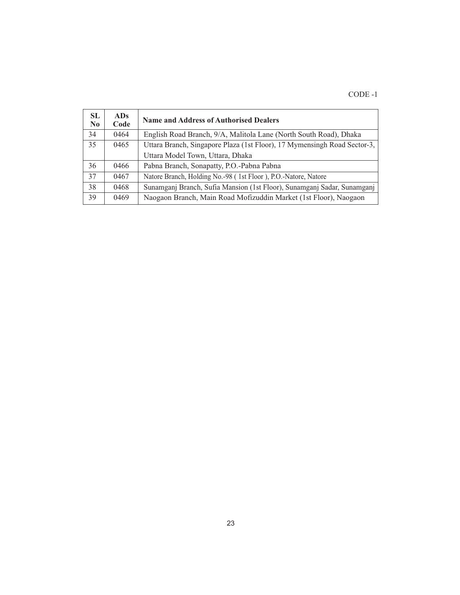$\overline{1}$ 

| SL<br>No. | <b>ADs</b><br>Code | <b>Name and Address of Authorised Dealers</b>                            |
|-----------|--------------------|--------------------------------------------------------------------------|
| 34        | 0464               | English Road Branch, 9/A, Malitola Lane (North South Road), Dhaka        |
| 35        | 0465               | Uttara Branch, Singapore Plaza (1st Floor), 17 Mymensingh Road Sector-3, |
|           |                    | Uttara Model Town, Uttara, Dhaka                                         |
| 36        | 0466               | Pabna Branch, Sonapatty, P.O.-Pabna Pabna                                |
| 37        | 0467               | Natore Branch, Holding No.-98 (1st Floor), P.O.-Natore, Natore           |
| 38        | 0468               | Sunamganj Branch, Sufia Mansion (1st Floor), Sunamganj Sadar, Sunamganj  |
| 39        | 0469               | Naogaon Branch, Main Road Mofizuddin Market (1st Floor), Naogaon         |

 $\Box$ 

 $\top$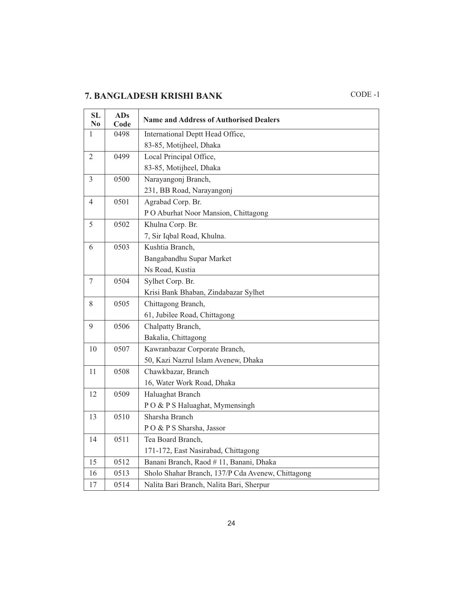# **7. BANGLADESH KRISHI BANK**

| SL<br>$\bf No$ | <b>ADs</b><br>Code | <b>Name and Address of Authorised Dealers</b>     |
|----------------|--------------------|---------------------------------------------------|
| 1              | 0498               | International Deptt Head Office,                  |
|                |                    | 83-85, Motijheel, Dhaka                           |
| 2              | 0499               | Local Principal Office,                           |
|                |                    | 83-85, Motijheel, Dhaka                           |
| 3              | 0500               | Narayangonj Branch,                               |
|                |                    | 231, BB Road, Narayangonj                         |
| 4              | 0501               | Agrabad Corp. Br.                                 |
|                |                    | P O Aburhat Noor Mansion, Chittagong              |
| 5              | 0502               | Khulna Corp. Br.                                  |
|                |                    | 7, Sir Iqbal Road, Khulna.                        |
| 6              | 0503               | Kushtia Branch,                                   |
|                |                    | Bangabandhu Supar Market                          |
|                |                    | Ns Road, Kustia                                   |
| 7              | 0504               | Sylhet Corp. Br.                                  |
|                |                    | Krisi Bank Bhaban, Zindabazar Sylhet              |
| 8              | 0505               | Chittagong Branch,                                |
|                |                    | 61, Jubilee Road, Chittagong                      |
| 9              | 0506               | Chalpatty Branch,                                 |
|                |                    | Bakalia, Chittagong                               |
| 10             | 0507               | Kawranbazar Corporate Branch,                     |
|                |                    | 50, Kazi Nazrul Islam Avenew, Dhaka               |
| 11             | 0508               | Chawkbazar, Branch                                |
|                |                    | 16, Water Work Road, Dhaka                        |
| 12             | 0509               | Haluaghat Branch                                  |
|                |                    | PO & P S Haluaghat, Mymensingh                    |
| 13             | 0510               | Sharsha Branch                                    |
|                |                    | PO & PS Sharsha, Jassor                           |
| 14             | 0511               | Tea Board Branch,                                 |
|                |                    | 171-172, East Nasirabad, Chittagong               |
| 15             | 0512               | Banani Branch, Raod # 11, Banani, Dhaka           |
| 16             | 0513               | Sholo Shahar Branch, 137/P Cda Avenew, Chittagong |
| 17             | 0514               | Nalita Bari Branch, Nalita Bari, Sherpur          |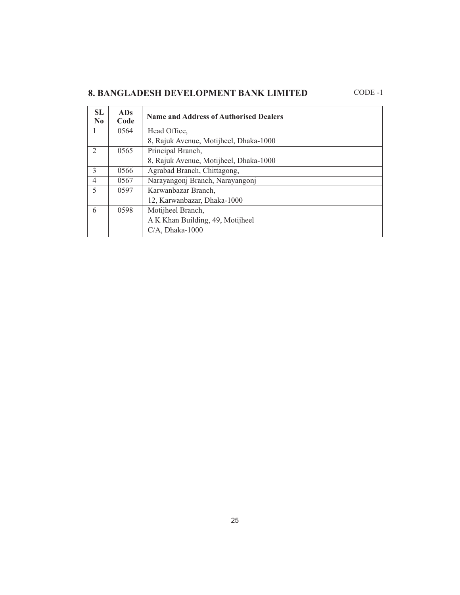#### **8. BANGLADESH DEVELOPMENT BANK LIMITED** CODE -1

| SL.<br>No.     | <b>ADs</b><br>Code | <b>Name and Address of Authorised Dealers</b> |
|----------------|--------------------|-----------------------------------------------|
|                | 0564               | Head Office,                                  |
|                |                    | 8, Rajuk Avenue, Motijheel, Dhaka-1000        |
| $\mathfrak{D}$ | 0565               | Principal Branch,                             |
|                |                    | 8, Rajuk Avenue, Motijheel, Dhaka-1000        |
| 3              | 0566               | Agrabad Branch, Chittagong,                   |
| $\overline{4}$ | 0567               | Narayangonj Branch, Narayangonj               |
| 5              | 0597               | Karwanbazar Branch,                           |
|                |                    | 12, Karwanbazar, Dhaka-1000                   |
| 6              | 0598               | Motijheel Branch,                             |
|                |                    | A K Khan Building, 49, Motijheel              |
|                |                    | $C/A$ , Dhaka-1000                            |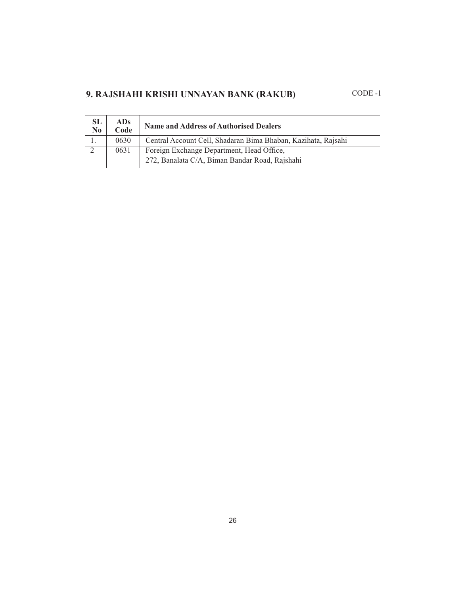# **9. RAJSHAHI KRISHI UNNAYAN BANK (RAKUB)**

| SL.<br>N <sub>0</sub> | <b>ADs</b><br>Code | <b>Name and Address of Authorised Dealers</b>                                               |
|-----------------------|--------------------|---------------------------------------------------------------------------------------------|
|                       | 0630               | Central Account Cell, Shadaran Bima Bhaban, Kazihata, Rajsahi                               |
|                       | 0631               | Foreign Exchange Department, Head Office,<br>272, Banalata C/A, Biman Bandar Road, Rajshahi |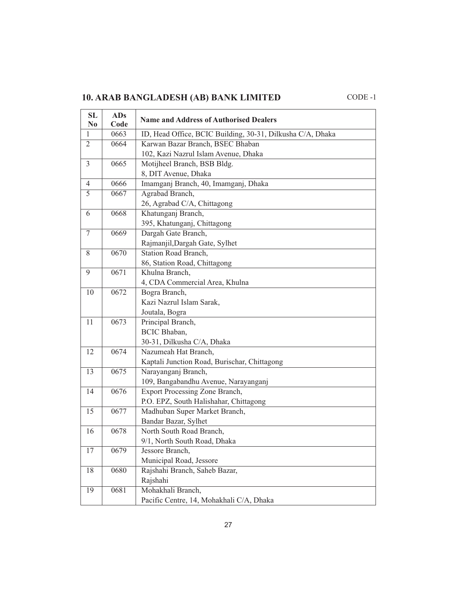# **10. ARAB BANGLADESH (AB) BANK LIMITED**

| SL<br>N <sub>0</sub> | <b>ADs</b><br>Code | <b>Name and Address of Authorised Dealers</b>              |
|----------------------|--------------------|------------------------------------------------------------|
| 1                    | 0663               | ID, Head Office, BCIC Building, 30-31, Dilkusha C/A, Dhaka |
| $\overline{2}$       | 0664               | Karwan Bazar Branch, BSEC Bhaban                           |
|                      |                    | 102, Kazi Nazrul Islam Avenue, Dhaka                       |
| 3                    | 0665               | Motijheel Branch, BSB Bldg.                                |
|                      |                    | 8, DIT Avenue, Dhaka                                       |
| 4                    | 0666               | Imamganj Branch, 40, Imamganj, Dhaka                       |
| $\overline{5}$       | 0667               | Agrabad Branch,                                            |
|                      |                    | 26, Agrabad C/A, Chittagong                                |
| 6                    | 0668               | Khatunganj Branch,                                         |
|                      |                    | 395, Khatunganj, Chittagong                                |
| 7                    | 0669               | Dargah Gate Branch,                                        |
|                      |                    | Rajmanjil, Dargah Gate, Sylhet                             |
| 8                    | 0670               | Station Road Branch,                                       |
|                      |                    | 86, Station Road, Chittagong                               |
| 9                    | 0671               | Khulna Branch,                                             |
|                      |                    | 4, CDA Commercial Area, Khulna                             |
| 10                   | 0672               | Bogra Branch,                                              |
|                      |                    | Kazi Nazrul Islam Sarak,                                   |
|                      |                    | Joutala, Bogra                                             |
| 11                   | 0673               | Principal Branch,                                          |
|                      |                    | <b>BCIC</b> Bhaban,                                        |
|                      |                    | 30-31, Dilkusha C/A, Dhaka                                 |
| 12                   | 0674               | Nazumeah Hat Branch,                                       |
|                      |                    | Kaptali Junction Road, Burischar, Chittagong               |
| 13                   | 0675               | Narayanganj Branch,                                        |
|                      |                    | 109, Bangabandhu Avenue, Narayanganj                       |
| 14                   | 0676               | Export Processing Zone Branch,                             |
|                      |                    | P.O. EPZ, South Halishahar, Chittagong                     |
| 15                   | 0677               | Madhuban Super Market Branch,                              |
|                      |                    | Bandar Bazar, Sylhet                                       |
| 16                   | 0678               | North South Road Branch,                                   |
|                      |                    | 9/1, North South Road, Dhaka                               |
| 17                   | 0679               | Jessore Branch,                                            |
|                      |                    | Municipal Road, Jessore                                    |
| 18                   | 0680               | Rajshahi Branch, Saheb Bazar,                              |
|                      |                    | Rajshahi                                                   |
| 19                   | 0681               | Mohakhali Branch,                                          |
|                      |                    | Pacific Centre, 14, Mohakhali C/A, Dhaka                   |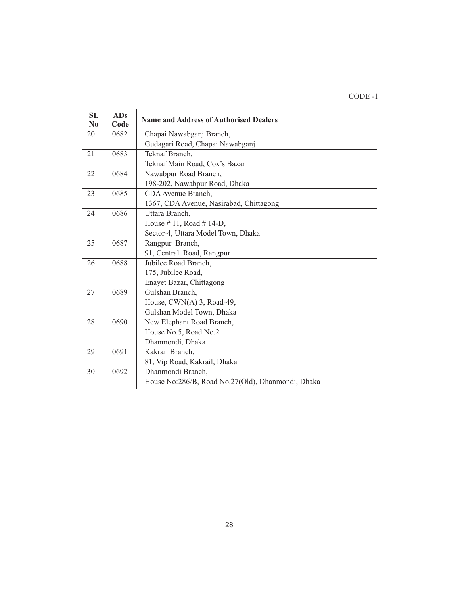| <b>SL</b><br>N <sub>0</sub> | <b>ADs</b><br>Code | <b>Name and Address of Authorised Dealers</b>     |
|-----------------------------|--------------------|---------------------------------------------------|
| 20                          | 0682               | Chapai Nawabganj Branch,                          |
|                             |                    | Gudagari Road, Chapai Nawabganj                   |
| 21                          | 0683               | Teknaf Branch,                                    |
|                             |                    | Teknaf Main Road, Cox's Bazar                     |
| 22                          | 0684               | Nawabpur Road Branch,                             |
|                             |                    | 198-202, Nawabpur Road, Dhaka                     |
| 23                          | 0685               | CDA Avenue Branch,                                |
|                             |                    | 1367, CDA Avenue, Nasirabad, Chittagong           |
| 24                          | 0686               | Uttara Branch,                                    |
|                             |                    | House # 11, Road # 14-D,                          |
|                             |                    | Sector-4, Uttara Model Town, Dhaka                |
| 25                          | 0687               | Rangpur Branch,                                   |
|                             |                    | 91, Central Road, Rangpur                         |
| 26                          | 0688               | Jubilee Road Branch,                              |
|                             |                    | 175, Jubilee Road,                                |
|                             |                    | Enayet Bazar, Chittagong                          |
| 27                          | 0689               | Gulshan Branch,                                   |
|                             |                    | House, CWN(A) 3, Road-49,                         |
|                             |                    | Gulshan Model Town, Dhaka                         |
| 28                          | 0690               | New Elephant Road Branch,                         |
|                             |                    | House No.5, Road No.2                             |
|                             |                    | Dhanmondi, Dhaka                                  |
| 29                          | 0691               | Kakrail Branch,                                   |
|                             |                    | 81, Vip Road, Kakrail, Dhaka                      |
| 30                          | 0692               | Dhanmondi Branch,                                 |
|                             |                    | House No:286/B, Road No.27(Old), Dhanmondi, Dhaka |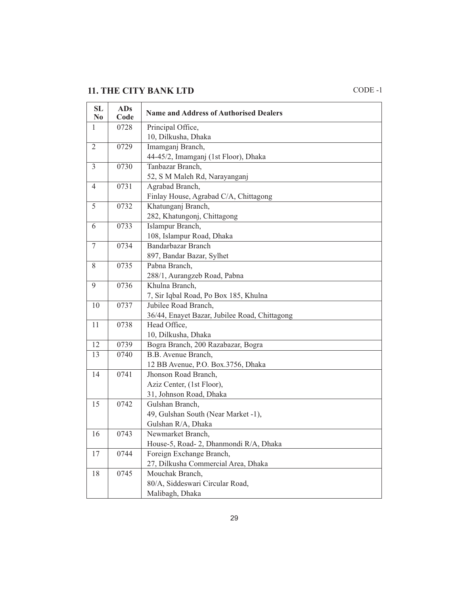#### **11. THE CITY BANK LTD**

**SL No** 1 0728 Principal Office, 10, Dilkusha, Dhaka 2 0729 Imamganj Branch, 44-45/2, Imamganj (1st Floor), Dhaka 3 0730 Tanbazar Branch, 52, S M Maleh Rd, Narayanganj 4 0731 Agrabad Branch, Finlay House, Agrabad C/A, Chittagong 5 0732 Khatunganj Branch, 282, Khatungonj, Chittagong 6 0733 Islampur Branch, 108, Islampur Road, Dhaka 7 0734 Bandarbazar Branch 897, Bandar Bazar, Sylhet 8 0735 Pabna Branch, 288/1, Aurangzeb Road, Pabna 9 0736 Khulna Branch, 7, Sir Iqbal Road, Po Box 185, Khulna 10 0737 Jubilee Road Branch, 36/44, Enayet Bazar, Jubilee Road, Chittagong 11 0738 Head Office, 10, Dilkusha, Dhaka 12 0739 Bogra Branch, 200 Razabazar, Bogra 13 0740 B.B. Avenue Branch, 12 BB Avenue, P.O. Box.3756, Dhaka 14 0741 Jhonson Road Branch, Aziz Center, (1st Floor), 31, Johnson Road, Dhaka 15 | 0742 | Gulshan Branch, 49, Gulshan South (Near Market -1), Gulshan R/A, Dhaka 16 0743 Newmarket Branch, House-5, Road- 2, Dhanmondi R/A, Dhaka 17 | 0744 | Foreign Exchange Branch, 27, Dilkusha Commercial Area, Dhaka 18 | 0745 | Mouchak Branch, 80/A, Siddeswari Circular Road, Malibagh, Dhaka **ADs Code Name and Address of Authorised Dealers**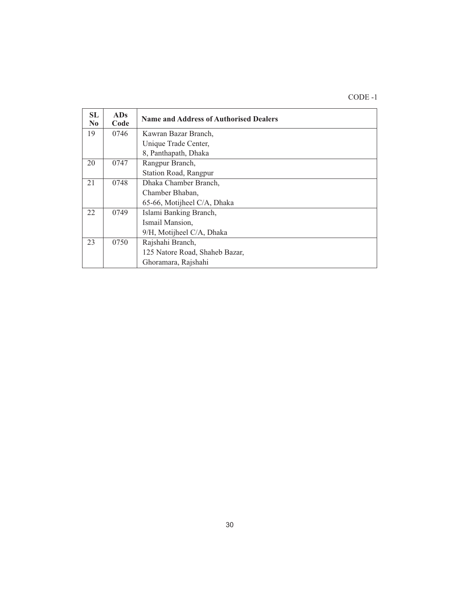| <b>SL</b><br>$\bf No$ | <b>ADs</b><br>Code | <b>Name and Address of Authorised Dealers</b> |
|-----------------------|--------------------|-----------------------------------------------|
| 19                    | 0746               | Kawran Bazar Branch,                          |
|                       |                    | Unique Trade Center,                          |
|                       |                    | 8, Panthapath, Dhaka                          |
| 20                    | 0747               | Rangpur Branch,                               |
|                       |                    | Station Road, Rangpur                         |
| 21                    | 0748               | Dhaka Chamber Branch,                         |
|                       |                    | Chamber Bhaban,                               |
|                       |                    | 65-66, Motijheel C/A, Dhaka                   |
| 22                    | 0749               | Islami Banking Branch,                        |
|                       |                    | Ismail Mansion,                               |
|                       |                    | 9/H, Motijheel C/A, Dhaka                     |
| 23                    | 0750               | Rajshahi Branch,                              |
|                       |                    | 125 Natore Road, Shaheb Bazar,                |
|                       |                    | Ghoramara, Rajshahi                           |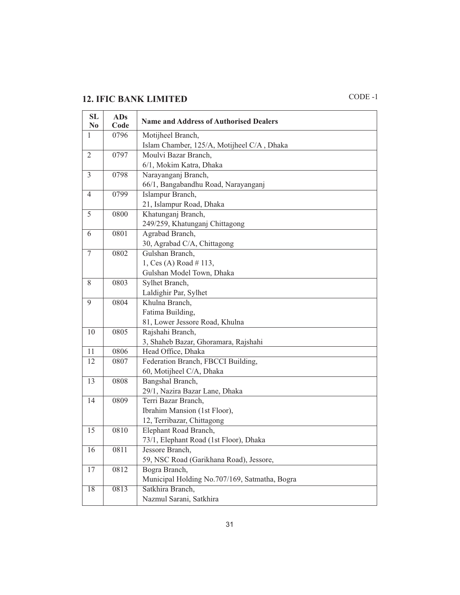# **12. IFIC BANK LIMITED**

| <b>SL</b><br>N <sub>0</sub> | <b>ADs</b><br>Code | <b>Name and Address of Authorised Dealers</b> |
|-----------------------------|--------------------|-----------------------------------------------|
| $\mathbf{1}$                | 0796               | Motijheel Branch,                             |
|                             |                    | Islam Chamber, 125/A, Motijheel C/A, Dhaka    |
| $\overline{2}$              | 0797               | Moulvi Bazar Branch,                          |
|                             |                    | 6/1, Mokim Katra, Dhaka                       |
| $\overline{3}$              | 0798               | Narayanganj Branch,                           |
|                             |                    | 66/1, Bangabandhu Road, Narayanganj           |
| $\overline{4}$              | 0799               | Islampur Branch,                              |
|                             |                    | 21, Islampur Road, Dhaka                      |
| 5                           | 0800               | Khatunganj Branch,                            |
|                             |                    | 249/259, Khatunganj Chittagong                |
| 6                           | 0801               | Agrabad Branch,                               |
|                             |                    | 30, Agrabad C/A, Chittagong                   |
| $\overline{7}$              | 0802               | Gulshan Branch,                               |
|                             |                    | 1, Ces (A) Road #113,                         |
|                             |                    | Gulshan Model Town, Dhaka                     |
| 8                           | 0803               | Sylhet Branch,                                |
|                             |                    | Laldighir Par, Sylhet                         |
| 9                           | 0804               | Khulna Branch,                                |
|                             |                    | Fatima Building,                              |
|                             |                    | 81, Lower Jessore Road, Khulna                |
| 10                          | 0805               | Rajshahi Branch,                              |
|                             |                    | 3, Shaheb Bazar, Ghoramara, Rajshahi          |
| 11                          | 0806               | Head Office, Dhaka                            |
| 12                          | 0807               | Federation Branch, FBCCI Building,            |
|                             |                    | 60, Motijheel C/A, Dhaka                      |
| 13                          | 0808               | Bangshal Branch,                              |
|                             |                    | 29/1, Nazira Bazar Lane, Dhaka                |
| 14                          | 0809               | Terri Bazar Branch,                           |
|                             |                    | Ibrahim Mansion (1st Floor),                  |
|                             |                    | 12, Terribazar, Chittagong                    |
| 15                          | 0810               | Elephant Road Branch,                         |
|                             |                    | 73/1, Elephant Road (1st Floor), Dhaka        |
| $\overline{16}$             | 0811               | Jessore Branch,                               |
|                             |                    | 59, NSC Road (Garikhana Road), Jessore,       |
| 17                          | 0812               | Bogra Branch,                                 |
|                             |                    | Municipal Holding No.707/169, Satmatha, Bogra |
| 18                          | 0813               | Satkhira Branch,                              |
|                             |                    | Nazmul Sarani, Satkhira                       |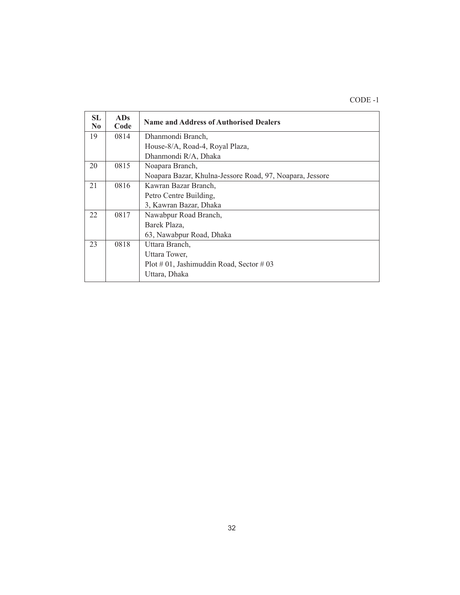| <b>SL</b><br>No. | <b>ADs</b><br>Code | <b>Name and Address of Authorised Dealers</b>            |
|------------------|--------------------|----------------------------------------------------------|
| 19               | 0814               | Dhanmondi Branch,                                        |
|                  |                    | House-8/A, Road-4, Royal Plaza,                          |
|                  |                    | Dhanmondi R/A, Dhaka                                     |
| 20               | 0815               | Noapara Branch,                                          |
|                  |                    | Noapara Bazar, Khulna-Jessore Road, 97, Noapara, Jessore |
| 21               | 0816               | Kawran Bazar Branch,                                     |
|                  |                    | Petro Centre Building,                                   |
|                  |                    | 3, Kawran Bazar, Dhaka                                   |
| 22               | 0817               | Nawabpur Road Branch,                                    |
|                  |                    | Barek Plaza,                                             |
|                  |                    | 63, Nawabpur Road, Dhaka                                 |
| 23               | 0818               | Uttara Branch,                                           |
|                  |                    | Uttara Tower,                                            |
|                  |                    | Plot # 01, Jashimuddin Road, Sector # 03                 |
|                  |                    | Uttara, Dhaka                                            |
|                  |                    |                                                          |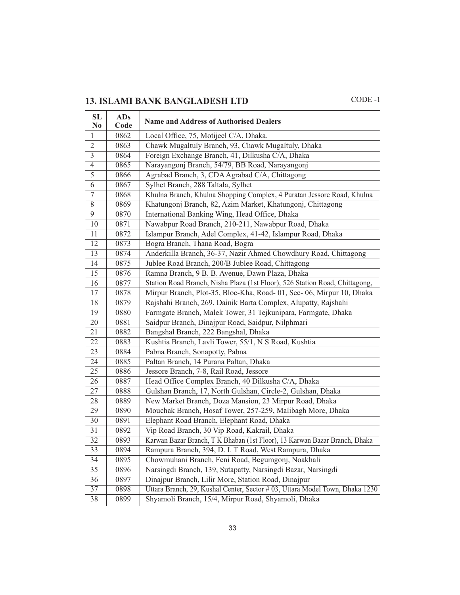# **13. ISLAMI BANK BANGLADESH LTD**

| SL<br>No        | <b>ADs</b><br>Code | <b>Name and Address of Authorised Dealers</b>                                |
|-----------------|--------------------|------------------------------------------------------------------------------|
| $\mathbf{1}$    | 0862               | Local Office, 75, Motijeel C/A, Dhaka.                                       |
| $\overline{2}$  | 0863               | Chawk Mugaltuly Branch, 93, Chawk Mugaltuly, Dhaka                           |
| $\overline{3}$  | 0864               | Foreign Exchange Branch, 41, Dilkusha C/A, Dhaka                             |
| $\overline{4}$  | 0865               | Narayangonj Branch, 54/79, BB Road, Narayangonj                              |
| $\overline{5}$  | 0866               | Agrabad Branch, 3, CDA Agrabad C/A, Chittagong                               |
| 6               | 0867               | Sylhet Branch, 288 Taltala, Sylhet                                           |
| $\overline{7}$  | 0868               | Khulna Branch, Khulna Shopping Complex, 4 Puratan Jessore Road, Khulna       |
| $\overline{8}$  | 0869               | Khatungonj Branch, 82, Azim Market, Khatungonj, Chittagong                   |
| $\overline{9}$  | 0870               | International Banking Wing, Head Office, Dhaka                               |
| 10              | 0871               | Nawabpur Road Branch, 210-211, Nawabpur Road, Dhaka                          |
| 11              | 0872               | Islampur Branch, Adel Complex, 41-42, Islampur Road, Dhaka                   |
| 12              | 0873               | Bogra Branch, Thana Road, Bogra                                              |
| 13              | 0874               | Anderkilla Branch, 36-37, Nazir Ahmed Chowdhury Road, Chittagong             |
| 14              | 0875               | Jublee Road Branch, 200/B Jublee Road, Chittagong                            |
| 15              | 0876               | Ramna Branch, 9 B. B. Avenue, Dawn Plaza, Dhaka                              |
| 16              | 0877               | Station Road Branch, Nisha Plaza (1st Floor), 526 Station Road, Chittagong,  |
| 17              | 0878               | Mirpur Branch, Plot-35, Bloc-Kha, Road- 01, Sec- 06, Mirpur 10, Dhaka        |
| 18              | 0879               | Rajshahi Branch, 269, Dainik Barta Complex, Alupatty, Rajshahi               |
| 19              | 0880               | Farmgate Branch, Malek Tower, 31 Tejkunipara, Farmgate, Dhaka                |
| $\overline{20}$ | 0881               | Saidpur Branch, Dinajpur Road, Saidpur, Nilphmari                            |
| 21              | 0882               | Bangshal Branch, 222 Bangshal, Dhaka                                         |
| 22              | 0883               | Kushtia Branch, Lavli Tower, 55/1, N S Road, Kushtia                         |
| 23              | 0884               | Pabna Branch, Sonapotty, Pabna                                               |
| $\overline{24}$ | 0885               | Paltan Branch, 14 Purana Paltan, Dhaka                                       |
| 25              | 0886               | Jessore Branch, 7-8, Rail Road, Jessore                                      |
| 26              | 0887               | Head Office Complex Branch, 40 Dilkusha C/A, Dhaka                           |
| 27              | 0888               | Gulshan Branch, 17, North Gulshan, Circle-2, Gulshan, Dhaka                  |
| 28              | 0889               | New Market Branch, Doza Mansion, 23 Mirpur Road, Dhaka                       |
| 29              | 0890               | Mouchak Branch, Hosaf Tower, 257-259, Malibagh More, Dhaka                   |
| $\overline{30}$ | 0891               | Elephant Road Branch, Elephant Road, Dhaka                                   |
| 31              | 0892               | Vip Road Branch, 30 Vip Road, Kakrail, Dhaka                                 |
| 32              | 0893               | Karwan Bazar Branch, TK Bhaban (1st Floor), 13 Karwan Bazar Branch, Dhaka    |
| $\overline{33}$ | 0894               | Rampura Branch, 394, D. I. T Road, West Rampura, Dhaka                       |
| $\overline{34}$ | 0895               | Chowmuhani Branch, Feni Road, Begumgonj, Noakhali                            |
| 35              | 0896               | Narsingdi Branch, 139, Sutapatty, Narsingdi Bazar, Narsingdi                 |
| 36              | 0897               | Dinajpur Branch, Lilir More, Station Road, Dinajpur                          |
| $\overline{37}$ | 0898               | Uttara Branch, 29, Kushal Center, Sector # 03, Uttara Model Town, Dhaka 1230 |
| 38              | 0899               | Shyamoli Branch, 15/4, Mirpur Road, Shyamoli, Dhaka                          |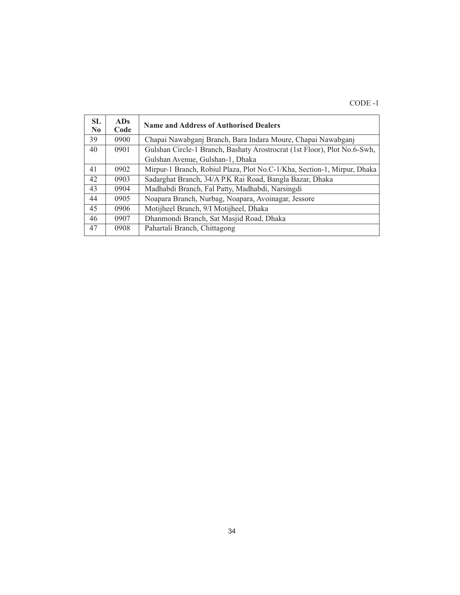| SL.<br>No. | <b>ADs</b><br>Code | <b>Name and Address of Authorised Dealers</b>                            |
|------------|--------------------|--------------------------------------------------------------------------|
| 39         | 0900               | Chapai Nawabganj Branch, Bara Indara Moure, Chapai Nawabganj             |
| 40         | 0901               | Gulshan Circle-1 Branch, Bashaty Arostrocrat (1st Floor), Plot No.6-Swh, |
|            |                    | Gulshan Avenue, Gulshan-1, Dhaka                                         |
| 41         | 0902               | Mirpur-1 Branch, Robiul Plaza, Plot No.C-1/Kha, Section-1, Mirpur, Dhaka |
| 42         | 0903               | Sadarghat Branch, 34/A P.K Rai Road, Bangla Bazar, Dhaka                 |
| 43         | 0904               | Madhabdi Branch, Fal Patty, Madhabdi, Narsingdi                          |
| 44         | 0905               | Noapara Branch, Nurbag, Noapara, Avoinagar, Jessore                      |
| 45         | 0906               | Motijheel Branch, 9/I Motijheel, Dhaka                                   |
| 46         | 0907               | Dhanmondi Branch, Sat Masjid Road, Dhaka                                 |
| 47         | 0908               | Pahartali Branch, Chittagong                                             |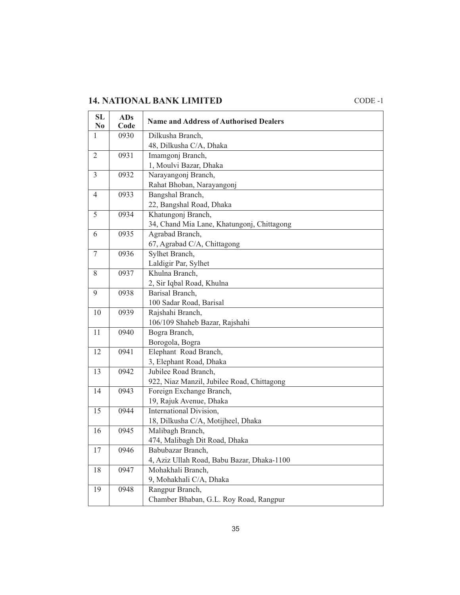# **14. NATIONAL BANK LIMITED**

| SL<br>No       | <b>ADs</b><br>Code | <b>Name and Address of Authorised Dealers</b> |
|----------------|--------------------|-----------------------------------------------|
| 1              | 0930               | Dilkusha Branch,                              |
|                |                    | 48, Dilkusha C/A, Dhaka                       |
| $\overline{2}$ | 0931               | Imamgonj Branch,                              |
|                |                    | 1, Moulvi Bazar, Dhaka                        |
| 3              | 0932               | Narayangonj Branch,                           |
|                |                    | Rahat Bhoban, Narayangonj                     |
| 4              | 0933               | Bangshal Branch,                              |
|                |                    | 22, Bangshal Road, Dhaka                      |
| 5              | 0934               | Khatungonj Branch,                            |
|                |                    | 34, Chand Mia Lane, Khatungonj, Chittagong    |
| 6              | 0935               | Agrabad Branch,                               |
|                |                    | 67, Agrabad C/A, Chittagong                   |
| $\tau$         | 0936               | Sylhet Branch,                                |
|                |                    | Laldigir Par, Sylhet                          |
| 8              | 0937               | Khulna Branch,                                |
|                |                    | 2, Sir Iqbal Road, Khulna                     |
| 9              | 0938               | Barisal Branch,                               |
|                |                    | 100 Sadar Road, Barisal                       |
| 10             | 0939               | Rajshahi Branch,                              |
|                |                    | 106/109 Shaheb Bazar, Rajshahi                |
| 11             | 0940               | Bogra Branch,                                 |
|                |                    | Borogola, Bogra                               |
| 12             | 0941               | Elephant Road Branch,                         |
|                |                    | 3, Elephant Road, Dhaka                       |
| 13             | 0942               | Jubilee Road Branch,                          |
|                |                    | 922, Niaz Manzil, Jubilee Road, Chittagong    |
| 14             | 0943               | Foreign Exchange Branch,                      |
|                |                    | 19, Rajuk Avenue, Dhaka                       |
| 15             | 0944               | International Division,                       |
|                |                    | 18, Dilkusha C/A, Motijheel, Dhaka            |
| 16             | 0945               | Malibagh Branch,                              |
|                |                    | 474, Malibagh Dit Road, Dhaka                 |
| 17             | 0946               | Babubazar Branch,                             |
|                |                    | 4, Aziz Ullah Road, Babu Bazar, Dhaka-1100    |
| 18             | 0947               | Mohakhali Branch,                             |
|                |                    | 9, Mohakhali C/A, Dhaka                       |
| 19             | 0948               | Rangpur Branch,                               |
|                |                    | Chamber Bhaban, G.L. Roy Road, Rangpur        |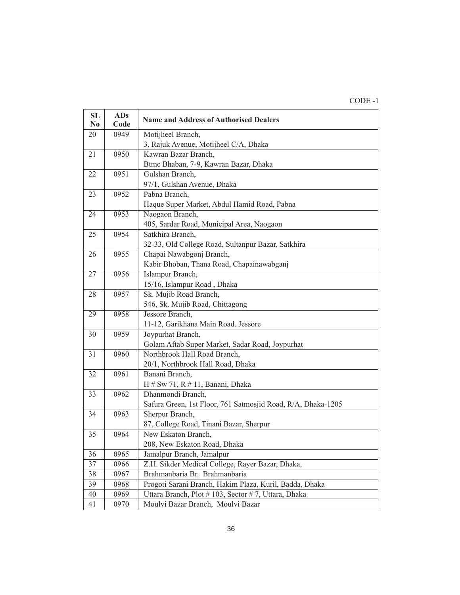| <b>SL</b><br>N <sub>0</sub> | <b>ADs</b><br>Code | <b>Name and Address of Authorised Dealers</b>                |
|-----------------------------|--------------------|--------------------------------------------------------------|
| 20                          | 0949               | Motijheel Branch,                                            |
|                             |                    | 3, Rajuk Avenue, Motijheel C/A, Dhaka                        |
| 21                          | 0950               | Kawran Bazar Branch,                                         |
|                             |                    | Btmc Bhaban, 7-9, Kawran Bazar, Dhaka                        |
| 22                          | 0951               | Gulshan Branch,                                              |
|                             |                    | 97/1, Gulshan Avenue, Dhaka                                  |
| 23                          | 0952               | Pabna Branch,                                                |
|                             |                    | Haque Super Market, Abdul Hamid Road, Pabna                  |
| 24                          | 0953               | Naogaon Branch,                                              |
|                             |                    | 405, Sardar Road, Municipal Area, Naogaon                    |
| 25                          | 0954               | Satkhira Branch,                                             |
|                             |                    | 32-33, Old College Road, Sultanpur Bazar, Satkhira           |
| 26                          | 0955               | Chapai Nawabgonj Branch,                                     |
|                             |                    | Kabir Bhoban, Thana Road, Chapainawabganj                    |
| 27                          | 0956               | Islampur Branch,                                             |
|                             |                    | 15/16, Islampur Road, Dhaka                                  |
| 28                          | 0957               | Sk. Mujib Road Branch,                                       |
|                             |                    | 546, Sk. Mujib Road, Chittagong                              |
| 29                          | 0958               | Jessore Branch,                                              |
|                             |                    | 11-12, Garikhana Main Road. Jessore                          |
| 30                          | 0959               | Joypurhat Branch,                                            |
|                             |                    | Golam Aftab Super Market, Sadar Road, Joypurhat              |
| 31                          | 0960               | Northbrook Hall Road Branch,                                 |
|                             |                    | 20/1, Northbrook Hall Road, Dhaka                            |
| 32                          | 0961               | Banani Branch,                                               |
|                             |                    | H # Sw 71, $R$ # 11, Banani, Dhaka                           |
| 33                          | 0962               | Dhanmondi Branch,                                            |
|                             |                    | Safura Green, 1st Floor, 761 Satmosjid Road, R/A, Dhaka-1205 |
| 34                          | 0963               | Sherpur Branch,                                              |
|                             |                    | 87, College Road, Tinani Bazar, Sherpur                      |
| 35                          | 0964               | New Eskaton Branch,                                          |
|                             |                    | 208, New Eskaton Road, Dhaka                                 |
| 36                          | 0965               | Jamalpur Branch, Jamalpur                                    |
| 37                          | 0966               | Z.H. Sikder Medical College, Rayer Bazar, Dhaka,             |
| 38                          | 0967               | Brahmanbaria Br. Brahmanbaria                                |
| 39                          | 0968               | Progoti Sarani Branch, Hakim Plaza, Kuril, Badda, Dhaka      |
| 40                          | 0969               | Uttara Branch, Plot #103, Sector #7, Uttara, Dhaka           |
| 41                          | 0970               | Moulvi Bazar Branch, Moulvi Bazar                            |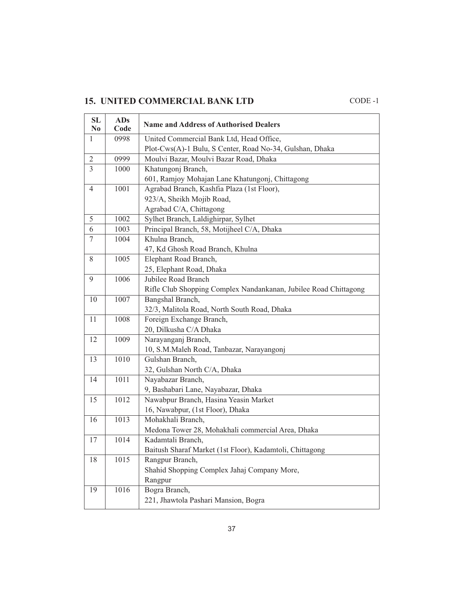# **15. UNITED COMMERCIAL BANK LTD**

| <b>SL</b><br>N <sub>0</sub> | <b>ADs</b><br>Code | <b>Name and Address of Authorised Dealers</b>                    |
|-----------------------------|--------------------|------------------------------------------------------------------|
| $\mathbf{1}$                | 0998               | United Commercial Bank Ltd, Head Office,                         |
|                             |                    | Plot-Cws(A)-1 Bulu, S Center, Road No-34, Gulshan, Dhaka         |
| $\mathfrak{2}$              | 0999               | Moulvi Bazar, Moulvi Bazar Road, Dhaka                           |
| $\overline{3}$              | 1000               | Khatungonj Branch,                                               |
|                             |                    | 601, Ramjoy Mohajan Lane Khatungonj, Chittagong                  |
| $\overline{4}$              | 1001               | Agrabad Branch, Kashfia Plaza (1st Floor),                       |
|                             |                    | 923/A, Sheikh Mojib Road,                                        |
|                             |                    | Agrabad C/A, Chittagong                                          |
| 5                           | 1002               | Sylhet Branch, Laldighirpar, Sylhet                              |
| 6                           | 1003               | Principal Branch, 58, Motijheel C/A, Dhaka                       |
| $\overline{7}$              | 1004               | Khulna Branch,                                                   |
|                             |                    | 47, Kd Ghosh Road Branch, Khulna                                 |
| 8                           | 1005               | Elephant Road Branch,                                            |
|                             |                    | 25, Elephant Road, Dhaka                                         |
| 9                           | 1006               | Jubilee Road Branch                                              |
|                             |                    | Rifle Club Shopping Complex Nandankanan, Jubilee Road Chittagong |
| 10                          | 1007               | Bangshal Branch,                                                 |
|                             |                    | 32/3, Malitola Road, North South Road, Dhaka                     |
| 11                          | 1008               | Foreign Exchange Branch,                                         |
|                             |                    | 20, Dilkusha C/A Dhaka                                           |
| 12                          | 1009               | Narayanganj Branch,                                              |
|                             |                    | 10, S.M.Maleh Road, Tanbazar, Narayangonj                        |
| 13                          | 1010               | Gulshan Branch,                                                  |
|                             |                    | 32, Gulshan North C/A, Dhaka                                     |
| 14                          | 1011               | Nayabazar Branch,                                                |
|                             |                    | 9, Bashabari Lane, Nayabazar, Dhaka                              |
| 15                          | 1012               | Nawabpur Branch, Hasina Yeasin Market                            |
|                             |                    | 16, Nawabpur, (1st Floor), Dhaka                                 |
| 16                          | 1013               | Mohakhali Branch,                                                |
|                             |                    | Medona Tower 28, Mohakhali commercial Area, Dhaka                |
| 17                          | 1014               | Kadamtali Branch,                                                |
|                             |                    | Baitush Sharaf Market (1st Floor), Kadamtoli, Chittagong         |
| 18                          | 1015               | Rangpur Branch,                                                  |
|                             |                    | Shahid Shopping Complex Jahaj Company More,                      |
|                             |                    | Rangpur                                                          |
| 19                          | 1016               | Bogra Branch,                                                    |
|                             |                    | 221, Jhawtola Pashari Mansion, Bogra                             |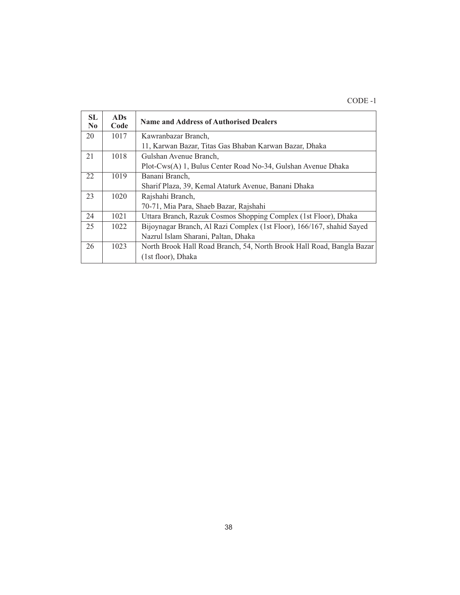$\overline{\phantom{0}}$ 

| <b>SL</b><br>$\bf No$ | ADs<br>Code | <b>Name and Address of Authorised Dealers</b>                         |
|-----------------------|-------------|-----------------------------------------------------------------------|
| 20                    | 1017        | Kawranbazar Branch,                                                   |
|                       |             | 11, Karwan Bazar, Titas Gas Bhaban Karwan Bazar, Dhaka                |
| 21                    | 1018        | Gulshan Avenue Branch,                                                |
|                       |             | Plot-Cws(A) 1, Bulus Center Road No-34, Gulshan Avenue Dhaka          |
| 22                    | 1019        | Banani Branch,                                                        |
|                       |             | Sharif Plaza, 39, Kemal Ataturk Avenue, Banani Dhaka                  |
| 23                    | 1020        | Rajshahi Branch,                                                      |
|                       |             | 70-71, Mia Para, Shaeb Bazar, Rajshahi                                |
| 24                    | 1021        | Uttara Branch, Razuk Cosmos Shopping Complex (1st Floor), Dhaka       |
| 25                    | 1022        | Bijoynagar Branch, Al Razi Complex (1st Floor), 166/167, shahid Sayed |
|                       |             | Nazrul Islam Sharani, Paltan, Dhaka                                   |
| 26                    | 1023        | North Brook Hall Road Branch, 54, North Brook Hall Road, Bangla Bazar |
|                       |             | (1st floor), Dhaka                                                    |

 $\top$ 

 $\top$ 

 $\mathsf{r}$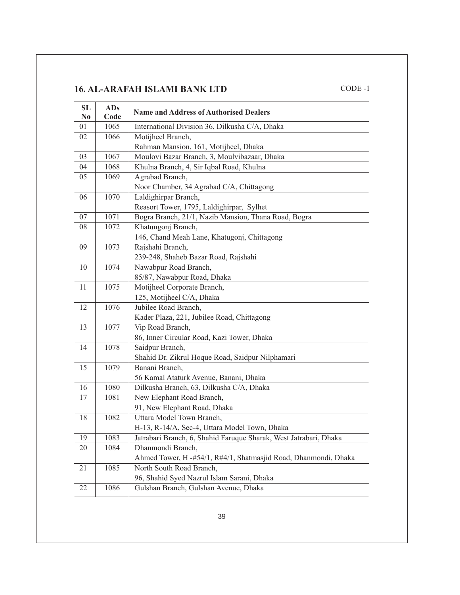# **16. AL-ARAFAH ISLAMI BANK LTD**

| SL<br>N <sub>0</sub> | <b>ADs</b><br>Code | <b>Name and Address of Authorised Dealers</b>                     |
|----------------------|--------------------|-------------------------------------------------------------------|
| 01                   | 1065               | International Division 36, Dilkusha C/A, Dhaka                    |
| 02                   | 1066               | Motijheel Branch,                                                 |
|                      |                    | Rahman Mansion, 161, Motijheel, Dhaka                             |
| 03                   | 1067               | Moulovi Bazar Branch, 3, Moulvibazaar, Dhaka                      |
| 04                   | 1068               | Khulna Branch, 4, Sir Iqbal Road, Khulna                          |
| 05                   | 1069               | Agrabad Branch,                                                   |
|                      |                    | Noor Chamber, 34 Agrabad C/A, Chittagong                          |
| 06                   | 1070               | Laldighirpar Branch,                                              |
|                      |                    | Reasort Tower, 1795, Laldighirpar, Sylhet                         |
| 07                   | 1071               | Bogra Branch, 21/1, Nazib Mansion, Thana Road, Bogra              |
| 08                   | 1072               | Khatungonj Branch,                                                |
|                      |                    | 146, Chand Meah Lane, Khatugonj, Chittagong                       |
| 09                   | 1073               | Rajshahi Branch,                                                  |
|                      |                    | 239-248, Shaheb Bazar Road, Rajshahi                              |
| 10                   | 1074               | Nawabpur Road Branch,                                             |
|                      |                    | 85/87, Nawabpur Road, Dhaka                                       |
| 11                   | 1075               | Motijheel Corporate Branch,                                       |
|                      |                    | 125, Motijheel C/A, Dhaka                                         |
| 12                   | 1076               | Jubilee Road Branch,                                              |
|                      |                    | Kader Plaza, 221, Jubilee Road, Chittagong                        |
| 13                   | 1077               | Vip Road Branch,                                                  |
|                      |                    | 86, Inner Circular Road, Kazi Tower, Dhaka                        |
| 14                   | 1078               | Saidpur Branch,                                                   |
|                      |                    | Shahid Dr. Zikrul Hoque Road, Saidpur Nilphamari                  |
| 15                   | 1079               | Banani Branch,                                                    |
|                      |                    | 56 Kamal Ataturk Avenue, Banani, Dhaka                            |
| 16                   | 1080               | Dilkusha Branch, 63, Dilkusha C/A, Dhaka                          |
| 17                   | 1081               | New Elephant Road Branch,                                         |
|                      |                    | 91, New Elephant Road, Dhaka                                      |
| 18                   | 1082               | Uttara Model Town Branch,                                         |
|                      |                    | H-13, R-14/A, Sec-4, Uttara Model Town, Dhaka                     |
| 19                   | 1083               | Jatrabari Branch, 6, Shahid Faruque Sharak, West Jatrabari, Dhaka |
| 20                   | 1084               | Dhanmondi Branch,                                                 |
|                      |                    | Ahmed Tower, H -#54/1, R#4/1, Shatmasjid Road, Dhanmondi, Dhaka   |
| 21                   | 1085               | North South Road Branch,                                          |
|                      |                    | 96, Shahid Syed Nazrul Islam Sarani, Dhaka                        |
| 22                   | 1086               | Gulshan Branch, Gulshan Avenue, Dhaka                             |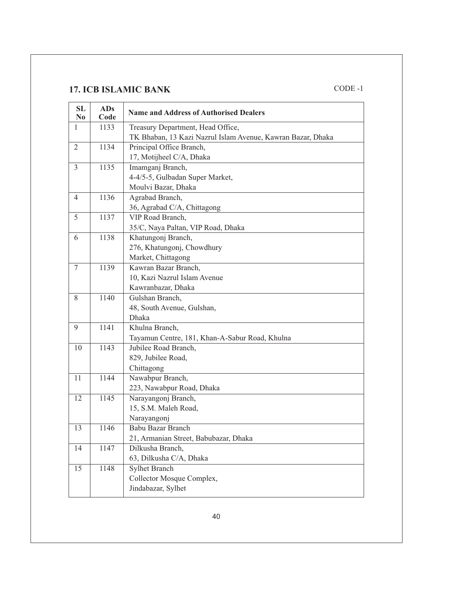## **17. ICB ISLAMIC BANK**

| SL<br>N <sub>0</sub> | <b>ADs</b><br>Code | <b>Name and Address of Authorised Dealers</b>               |
|----------------------|--------------------|-------------------------------------------------------------|
| 1                    | 1133               | Treasury Department, Head Office,                           |
|                      |                    | TK Bhaban, 13 Kazi Nazrul Islam Avenue, Kawran Bazar, Dhaka |
| $\mathbf{2}$         | 1134               | Principal Office Branch,                                    |
|                      |                    | 17, Motijheel C/A, Dhaka                                    |
| 3                    | 1135               | Imamganj Branch,                                            |
|                      |                    | 4-4/5-5, Gulbadan Super Market,                             |
|                      |                    | Moulvi Bazar, Dhaka                                         |
| 4                    | 1136               | Agrabad Branch,                                             |
|                      |                    | 36, Agrabad C/A, Chittagong                                 |
| 5                    | 1137               | VIP Road Branch,                                            |
|                      |                    | 35/C, Naya Paltan, VIP Road, Dhaka                          |
| 6                    | 1138               | Khatungonj Branch,                                          |
|                      |                    | 276, Khatungonj, Chowdhury                                  |
|                      |                    | Market, Chittagong                                          |
| 7                    | 1139               | Kawran Bazar Branch,                                        |
|                      |                    | 10, Kazi Nazrul Islam Avenue                                |
|                      |                    | Kawranbazar, Dhaka                                          |
| 8                    | 1140               | Gulshan Branch,                                             |
|                      |                    | 48, South Avenue, Gulshan,                                  |
|                      |                    | Dhaka                                                       |
| 9                    | 1141               | Khulna Branch,                                              |
|                      |                    | Tayamun Centre, 181, Khan-A-Sabur Road, Khulna              |
| 10                   | 1143               | Jubilee Road Branch,                                        |
|                      |                    | 829, Jubilee Road,                                          |
|                      |                    | Chittagong                                                  |
| 11                   | 1144               | Nawabpur Branch,                                            |
|                      |                    | 223, Nawabpur Road, Dhaka                                   |
| $\overline{12}$      | 1145               | Narayangonj Branch,                                         |
|                      |                    | 15, S.M. Maleh Road,                                        |
|                      |                    | Narayangonj                                                 |
| 13                   | 1146               | <b>Babu Bazar Branch</b>                                    |
|                      |                    | 21, Armanian Street, Babubazar, Dhaka                       |
| 14                   | 1147               | Dilkusha Branch,                                            |
|                      |                    | 63, Dilkusha C/A, Dhaka                                     |
| 15                   | 1148               | <b>Sylhet Branch</b>                                        |
|                      |                    | Collector Mosque Complex,                                   |
|                      |                    | Jindabazar, Sylhet                                          |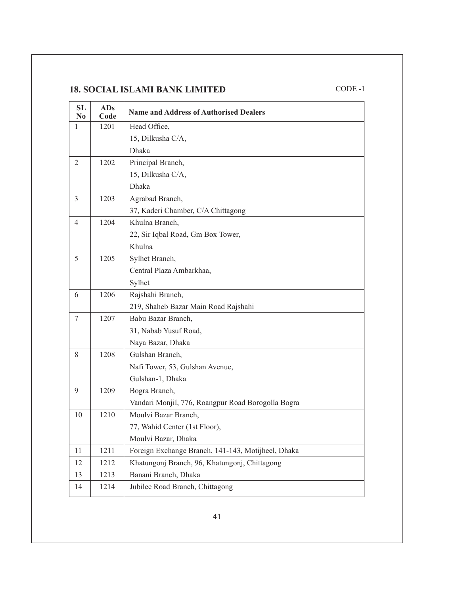## **18. SOCIAL ISLAMI BANK LIMITED**

| <b>SL</b><br>N <sub>0</sub> | <b>ADs</b><br>Code | <b>Name and Address of Authorised Dealers</b>      |
|-----------------------------|--------------------|----------------------------------------------------|
| 1                           | 1201               | Head Office,                                       |
|                             |                    | 15, Dilkusha C/A,                                  |
|                             |                    | Dhaka                                              |
| 2                           | 1202               | Principal Branch,                                  |
|                             |                    | 15, Dilkusha C/A,                                  |
|                             |                    | Dhaka                                              |
| 3                           | 1203               | Agrabad Branch,                                    |
|                             |                    | 37, Kaderi Chamber, C/A Chittagong                 |
| $\overline{4}$              | 1204               | Khulna Branch,                                     |
|                             |                    | 22, Sir Iqbal Road, Gm Box Tower,                  |
|                             |                    | Khulna                                             |
| 5                           | 1205               | Sylhet Branch,                                     |
|                             |                    | Central Plaza Ambarkhaa,                           |
|                             |                    | Sylhet                                             |
| 6                           | 1206               | Rajshahi Branch,                                   |
|                             |                    | 219, Shaheb Bazar Main Road Rajshahi               |
| 7                           | 1207               | Babu Bazar Branch,                                 |
|                             |                    | 31, Nabab Yusuf Road,                              |
|                             |                    | Naya Bazar, Dhaka                                  |
| 8                           | 1208               | Gulshan Branch,                                    |
|                             |                    | Nafi Tower, 53, Gulshan Avenue,                    |
|                             |                    | Gulshan-1, Dhaka                                   |
| 9                           | 1209               | Bogra Branch,                                      |
|                             |                    | Vandari Monjil, 776, Roangpur Road Borogolla Bogra |
| 10                          | 1210               | Moulvi Bazar Branch,                               |
|                             |                    | 77, Wahid Center (1st Floor),                      |
|                             |                    | Moulvi Bazar, Dhaka                                |
| 11                          | 1211               | Foreign Exchange Branch, 141-143, Motijheel, Dhaka |
| 12                          | 1212               | Khatungonj Branch, 96, Khatungonj, Chittagong      |
| 13                          | 1213               | Banani Branch, Dhaka                               |
| 14                          | 1214               | Jubilee Road Branch, Chittagong                    |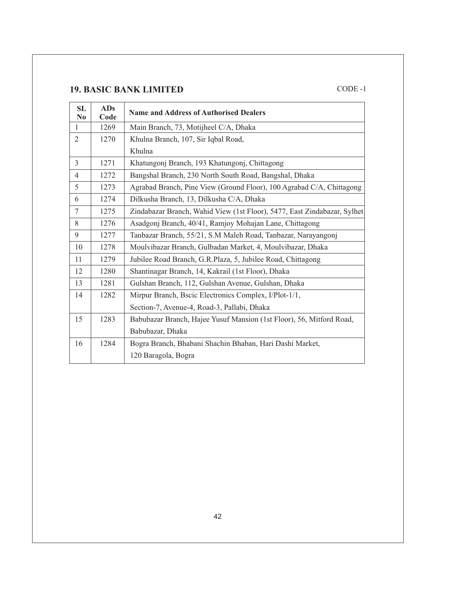## **19. BASIC BANK LIMITED**

| SL<br>$\bf No$ | <b>ADs</b><br>Code | <b>Name and Address of Authorised Dealers</b>                            |
|----------------|--------------------|--------------------------------------------------------------------------|
| $\mathbf{1}$   | 1269               | Main Branch, 73, Motijheel C/A, Dhaka                                    |
| $\overline{2}$ | 1270               | Khulna Branch, 107, Sir Iqbal Road,                                      |
|                |                    | Khulna                                                                   |
| 3              | 1271               | Khatungonj Branch, 193 Khatungonj, Chittagong                            |
| $\overline{4}$ | 1272               | Bangshal Branch, 230 North South Road, Bangshal, Dhaka                   |
| 5              | 1273               | Agrabad Branch, Pine View (Ground Floor), 100 Agrabad C/A, Chittagong    |
| 6              | 1274               | Dilkusha Branch, 13, Dilkusha C/A, Dhaka                                 |
| $\overline{7}$ | 1275               | Zindabazar Branch, Wahid View (1st Floor), 5477, East Zindabazar, Sylhet |
| 8              | 1276               | Asadgonj Branch, 40/41, Ramjoy Mohajan Lane, Chittagong                  |
| 9              | 1277               | Tanbazar Branch, 55/21, S.M Maleh Road, Tanbazar, Narayangonj            |
| 10             | 1278               | Moulvibazar Branch, Gulbadan Market, 4, Moulvibazar, Dhaka               |
| 11             | 1279               | Jubilee Road Branch, G.R.Plaza, 5, Jubilee Road, Chittagong              |
| 12             | 1280               | Shantinagar Branch, 14, Kakrail (1st Floor), Dhaka                       |
| 13             | 1281               | Gulshan Branch, 112, Gulshan Avenue, Gulshan, Dhaka                      |
| 14             | 1282               | Mirpur Branch, Bscic Electronics Complex, I/Plot-1/1,                    |
|                |                    | Section-7, Avenue-4, Road-3, Pallabi, Dhaka                              |
| 15             | 1283               | Babubazar Branch, Hajee Yusuf Mansion (1st Floor), 56, Mitford Road,     |
|                |                    | Babubazar, Dhaka                                                         |
| 16             | 1284               | Bogra Branch, Bhabani Shachin Bhaban, Hari Dashi Market,                 |
|                |                    | 120 Baragola, Bogra                                                      |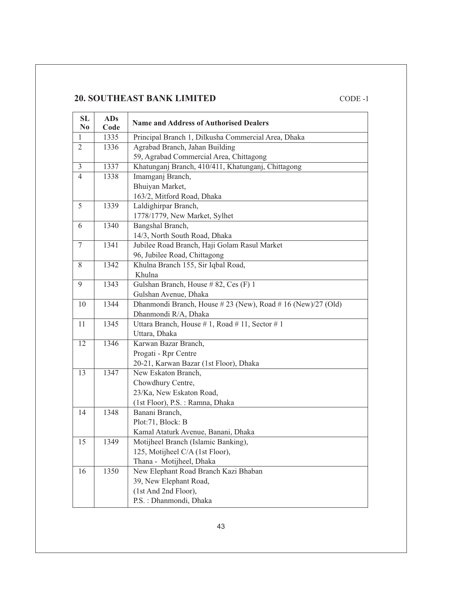### **20. SOUTHEAST BANK LIMITED**

| <b>SL</b><br>N <sub>0</sub> | <b>ADs</b><br>Code | <b>Name and Address of Authorised Dealers</b>              |
|-----------------------------|--------------------|------------------------------------------------------------|
| 1                           | 1335               | Principal Branch 1, Dilkusha Commercial Area, Dhaka        |
| $\overline{2}$              | 1336               | Agrabad Branch, Jahan Building                             |
|                             |                    | 59, Agrabad Commercial Area, Chittagong                    |
| $\mathfrak{Z}$              | 1337               | Khatunganj Branch, 410/411, Khatunganj, Chittagong         |
| $\overline{4}$              | 1338               | Imamganj Branch,                                           |
|                             |                    | Bhuiyan Market,                                            |
|                             |                    | 163/2, Mitford Road, Dhaka                                 |
| 5                           | 1339               | Laldighirpar Branch,                                       |
|                             |                    | 1778/1779, New Market, Sylhet                              |
| 6                           | 1340               | Bangshal Branch,                                           |
|                             |                    | 14/3, North South Road, Dhaka                              |
| 7                           | 1341               | Jubilee Road Branch, Haji Golam Rasul Market               |
|                             |                    | 96, Jubilee Road, Chittagong                               |
| 8                           | 1342               | Khulna Branch 155, Sir Iqbal Road,                         |
|                             |                    | Khulna                                                     |
| 9                           | 1343               | Gulshan Branch, House # 82, Ces (F) 1                      |
|                             |                    | Gulshan Avenue, Dhaka                                      |
| 10                          | 1344               | Dhanmondi Branch, House #23 (New), Road #16 (New)/27 (Old) |
|                             |                    | Dhanmondi R/A, Dhaka                                       |
| 11                          | 1345               | Uttara Branch, House #1, Road #11, Sector #1               |
|                             |                    | Uttara, Dhaka                                              |
| 12                          | 1346               | Karwan Bazar Branch,                                       |
|                             |                    | Progati - Rpr Centre                                       |
|                             |                    | 20-21, Karwan Bazar (1st Floor), Dhaka                     |
| $\overline{13}$             | 1347               | New Eskaton Branch,                                        |
|                             |                    | Chowdhury Centre,                                          |
|                             |                    | 23/Ka, New Eskaton Road,                                   |
|                             |                    | (1st Floor), P.S.: Ramna, Dhaka                            |
| 14                          | 1348               | Banani Branch,                                             |
|                             |                    | Plot:71, Block: B                                          |
|                             |                    | Kamal Ataturk Avenue, Banani, Dhaka                        |
| 15                          | 1349               | Motijheel Branch (Islamic Banking),                        |
|                             |                    | 125, Motijheel C/A (1st Floor),                            |
|                             |                    | Thana - Motijheel, Dhaka                                   |
| 16                          | 1350               | New Elephant Road Branch Kazi Bhaban                       |
|                             |                    | 39, New Elephant Road,                                     |
|                             |                    | (1st And 2nd Floor),                                       |
|                             |                    | P.S.: Dhanmondi, Dhaka                                     |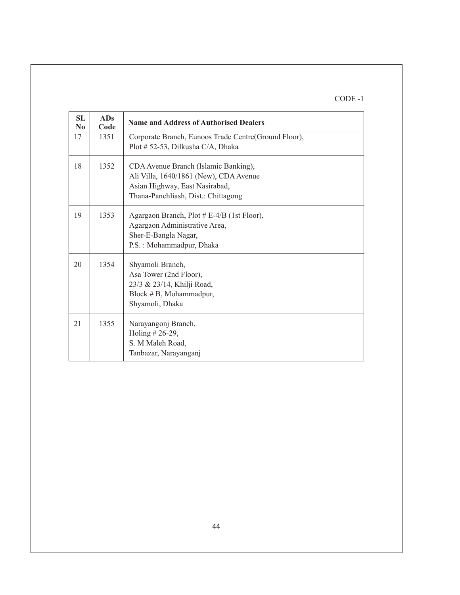| SL<br>No | <b>ADs</b><br>Code | <b>Name and Address of Authorised Dealers</b>        |
|----------|--------------------|------------------------------------------------------|
| 17       | 1351               | Corporate Branch, Eunoos Trade Centre(Ground Floor), |
|          |                    | Plot # 52-53, Dilkusha C/A, Dhaka                    |
| 18       | 1352               | CDA Avenue Branch (Islamic Banking),                 |
|          |                    | Ali Villa, 1640/1861 (New), CDA Avenue               |
|          |                    | Asian Highway, East Nasirabad,                       |
|          |                    | Thana-Panchliash, Dist.: Chittagong                  |
| 19       | 1353               | Agargaon Branch, $Plot # E-4/B$ (1st Floor),         |
|          |                    | Agargaon Administrative Area,                        |
|          |                    | Sher-E-Bangla Nagar,                                 |
|          |                    | P.S.: Mohammadpur, Dhaka                             |
| 20       | 1354               | Shyamoli Branch,                                     |
|          |                    | Asa Tower (2nd Floor),                               |
|          |                    | 23/3 & 23/14, Khilji Road,                           |
|          |                    | Block # B, Mohammadpur,                              |
|          |                    | Shyamoli, Dhaka                                      |
| 21       | 1355               | Narayangonj Branch,                                  |
|          |                    | Holing $#26-29$ ,                                    |
|          |                    | S. M Maleh Road,                                     |
|          |                    | Tanbazar, Narayanganj                                |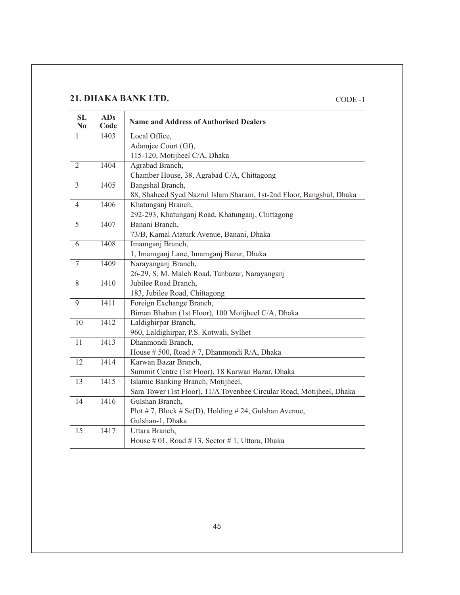## **21. DHAKA BANK LTD.**

| SL<br>$\mathbf{N}\mathbf{0}$ | <b>ADs</b><br>Code | <b>Name and Address of Authorised Dealers</b>                         |
|------------------------------|--------------------|-----------------------------------------------------------------------|
| $\mathbf{1}$                 | 1403               | Local Office,                                                         |
|                              |                    | Adamjee Court (Gf),                                                   |
|                              |                    | 115-120, Motijheel C/A, Dhaka                                         |
| $\overline{2}$               | 1404               | Agrabad Branch,                                                       |
|                              |                    | Chamber House, 38, Agrabad C/A, Chittagong                            |
| $\overline{3}$               | 1405               | Bangshal Branch,                                                      |
|                              |                    | 88, Shaheed Syed Nazrul Islam Sharani, 1st-2nd Floor, Bangshal, Dhaka |
| $\overline{4}$               | 1406               | Khatunganj Branch,                                                    |
|                              |                    | 292-293, Khatunganj Road, Khatunganj, Chittagong                      |
| 5                            | 1407               | Banani Branch,                                                        |
|                              |                    | 73/B, Kamal Ataturk Avenue, Banani, Dhaka                             |
| 6                            | 1408               | Imamganj Branch,                                                      |
|                              |                    | 1, Imamganj Lane, Imamganj Bazar, Dhaka                               |
| $\overline{7}$               | 1409               | Narayanganj Branch,                                                   |
|                              |                    | 26-29, S. M. Maleh Road, Tanbazar, Narayanganj                        |
| $8\,$                        | 1410               | Jubilee Road Branch,                                                  |
|                              |                    | 183, Jubilee Road, Chittagong                                         |
| 9                            | 1411               | Foreign Exchange Branch,                                              |
|                              |                    | Biman Bhaban (1st Floor), 100 Motijheel C/A, Dhaka                    |
| $\overline{10}$              | 1412               | Laldighirpar Branch,                                                  |
|                              |                    | 960, Laldighirpar, P.S. Kotwali, Sylhet                               |
| 11                           | 1413               | Dhanmondi Branch,                                                     |
|                              |                    | House # 500, Road # 7, Dhanmondi R/A, Dhaka                           |
| 12                           | 1414               | Karwan Bazar Branch,                                                  |
|                              |                    | Summit Centre (1st Floor), 18 Karwan Bazar, Dhaka                     |
| 13                           | 1415               | Islamic Banking Branch, Motijheel,                                    |
|                              |                    | Sara Tower (1st Floor), 11/A Toyenbee Circular Road, Motijheel, Dhaka |
| 14                           | 1416               | Gulshan Branch,                                                       |
|                              |                    | Plot #7, Block # Se(D), Holding #24, Gulshan Avenue,                  |
|                              |                    | Gulshan-1, Dhaka                                                      |
| 15                           | 1417               | Uttara Branch,                                                        |
|                              |                    | House # 01, Road # 13, Sector # 1, Uttara, Dhaka                      |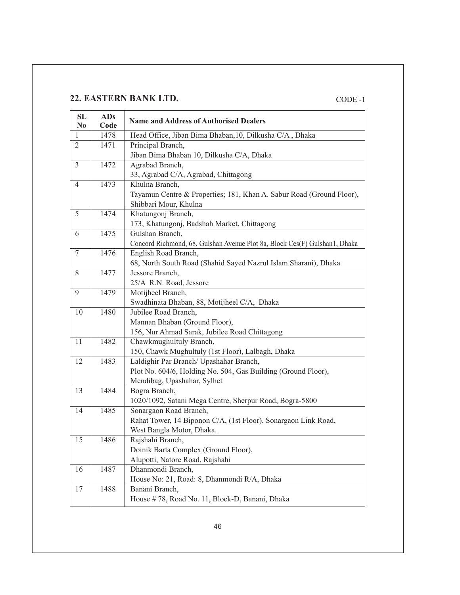## **22. EASTERN BANK LTD.**

| <b>SL</b><br>No | <b>ADs</b><br>Code | <b>Name and Address of Authorised Dealers</b>                              |
|-----------------|--------------------|----------------------------------------------------------------------------|
| 1               | 1478               | Head Office, Jiban Bima Bhaban, 10, Dilkusha C/A, Dhaka                    |
| $\mathbf{2}$    | 1471               | Principal Branch,                                                          |
|                 |                    | Jiban Bima Bhaban 10, Dilkusha C/A, Dhaka                                  |
| $\overline{3}$  | 1472               | Agrabad Branch,                                                            |
|                 |                    | 33, Agrabad C/A, Agrabad, Chittagong                                       |
| $\overline{4}$  | 1473               | Khulna Branch,                                                             |
|                 |                    | Tayamun Centre & Properties; 181, Khan A. Sabur Road (Ground Floor),       |
|                 |                    | Shibbari Mour, Khulna                                                      |
| 5               | 1474               | Khatungonj Branch,                                                         |
|                 |                    | 173, Khatungonj, Badshah Market, Chittagong                                |
| 6               | 1475               | Gulshan Branch,                                                            |
|                 |                    | Concord Richmond, 68, Gulshan Avenue Plot 8a, Block Ces(F) Gulshan1, Dhaka |
| $\tau$          | 1476               | English Road Branch,                                                       |
|                 |                    | 68, North South Road (Shahid Sayed Nazrul Islam Sharani), Dhaka            |
| 8               | 1477               | Jessore Branch,                                                            |
|                 |                    | 25/A R.N. Road, Jessore                                                    |
| 9               | 1479               | Motijheel Branch,                                                          |
|                 |                    | Swadhinata Bhaban, 88, Motijheel C/A, Dhaka                                |
| 10              | 1480               | Jubilee Road Branch,                                                       |
|                 |                    | Mannan Bhaban (Ground Floor),                                              |
|                 |                    | 156, Nur Ahmad Sarak, Jubilee Road Chittagong                              |
| $\overline{11}$ | 1482               | Chawkmughultuly Branch,                                                    |
|                 |                    | 150, Chawk Mughultuly (1st Floor), Lalbagh, Dhaka                          |
| 12              | 1483               | Laldighir Par Branch/ Upashahar Branch,                                    |
|                 |                    | Plot No. 604/6, Holding No. 504, Gas Building (Ground Floor),              |
|                 |                    | Mendibag, Upashahar, Sylhet                                                |
| $\overline{13}$ | 1484               | Bogra Branch,                                                              |
|                 |                    | 1020/1092, Satani Mega Centre, Sherpur Road, Bogra-5800                    |
| $\overline{14}$ | 1485               | Sonargaon Road Branch,                                                     |
|                 |                    | Rahat Tower, 14 Biponon C/A, (1st Floor), Sonargaon Link Road,             |
|                 |                    | West Bangla Motor, Dhaka.                                                  |
| 15              | 1486               | Rajshahi Branch,                                                           |
|                 |                    | Doinik Barta Complex (Ground Floor),                                       |
|                 |                    | Alupotti, Natore Road, Rajshahi                                            |
| 16              | 1487               | Dhanmondi Branch,                                                          |
|                 |                    | House No: 21, Road: 8, Dhanmondi R/A, Dhaka                                |
| 17              | 1488               | Banani Branch,                                                             |
|                 |                    | House #78, Road No. 11, Block-D, Banani, Dhaka                             |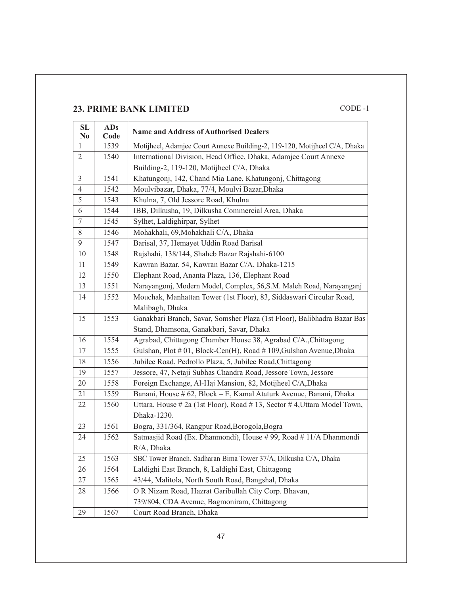## **23. PRIME BANK LIMITED**

| <b>SL</b><br>N <sub>0</sub> | <b>ADs</b><br>Code | <b>Name and Address of Authorised Dealers</b>                             |
|-----------------------------|--------------------|---------------------------------------------------------------------------|
| 1                           | 1539               | Motijheel, Adamjee Court Annexe Building-2, 119-120, Motijheel C/A, Dhaka |
| 2                           | 1540               | International Division, Head Office, Dhaka, Adamjee Court Annexe          |
|                             |                    | Building-2, 119-120, Motijheel C/A, Dhaka                                 |
| 3                           | 1541               | Khatungonj, 142, Chand Mia Lane, Khatungonj, Chittagong                   |
| $\overline{4}$              | 1542               | Moulvibazar, Dhaka, 77/4, Moulvi Bazar, Dhaka                             |
| 5                           | 1543               | Khulna, 7, Old Jessore Road, Khulna                                       |
| 6                           | 1544               | IBB, Dilkusha, 19, Dilkusha Commercial Area, Dhaka                        |
| $\tau$                      | 1545               | Sylhet, Laldighirpar, Sylhet                                              |
| 8                           | 1546               | Mohakhali, 69, Mohakhali C/A, Dhaka                                       |
| 9                           | 1547               | Barisal, 37, Hemayet Uddin Road Barisal                                   |
| 10                          | 1548               | Rajshahi, 138/144, Shaheb Bazar Rajshahi-6100                             |
| 11                          | 1549               | Kawran Bazar, 54, Kawran Bazar C/A, Dhaka-1215                            |
| 12                          | 1550               | Elephant Road, Ananta Plaza, 136, Elephant Road                           |
| 13                          | 1551               | Narayangonj, Modern Model, Complex, 56,S.M. Maleh Road, Narayanganj       |
| 14                          | 1552               | Mouchak, Manhattan Tower (1st Floor), 83, Siddaswari Circular Road,       |
|                             |                    | Malibagh, Dhaka                                                           |
| 15                          | 1553               | Ganakbari Branch, Savar, Somsher Plaza (1st Floor), Balibhadra Bazar Bas  |
|                             |                    | Stand, Dhamsona, Ganakbari, Savar, Dhaka                                  |
| 16                          | 1554               | Agrabad, Chittagong Chamber House 38, Agrabad C/A., Chittagong            |
| 17                          | 1555               | Gulshan, Plot #01, Block-Cen(H), Road #109, Gulshan Avenue, Dhaka         |
| 18                          | 1556               | Jubilee Road, Pedrollo Plaza, 5, Jubilee Road, Chittagong                 |
| 19                          | 1557               | Jessore, 47, Netaji Subhas Chandra Road, Jessore Town, Jessore            |
| 20                          | 1558               | Foreign Exchange, Al-Haj Mansion, 82, Motijheel C/A, Dhaka                |
| 21                          | 1559               | Banani, House # 62, Block - E, Kamal Ataturk Avenue, Banani, Dhaka        |
| 22                          | 1560               | Uttara, House # 2a (1st Floor), Road # 13, Sector # 4, Uttara Model Town, |
|                             |                    | Dhaka-1230.                                                               |
| 23                          | 1561               | Bogra, 331/364, Rangpur Road, Borogola, Bogra                             |
| 24                          | 1562               | Satmasjid Road (Ex. Dhanmondi), House #99, Road #11/A Dhanmondi           |
|                             |                    | R/A, Dhaka                                                                |
| 25                          | 1563               | SBC Tower Branch, Sadharan Bima Tower 37/A, Dilkusha C/A, Dhaka           |
| 26                          | 1564               | Laldighi East Branch, 8, Laldighi East, Chittagong                        |
| 27                          | 1565               | 43/44, Malitola, North South Road, Bangshal, Dhaka                        |
| 28                          | 1566               | O R Nizam Road, Hazrat Garibullah City Corp. Bhavan,                      |
|                             |                    | 739/804, CDA Avenue, Bagmoniram, Chittagong                               |
| 29                          | 1567               | Court Road Branch, Dhaka                                                  |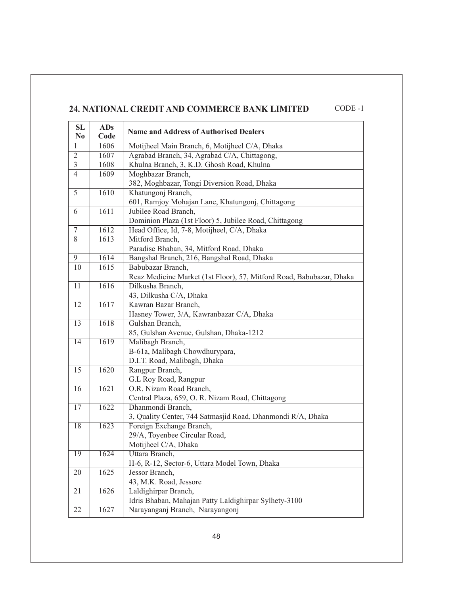## **24. NATIONAL CREDIT AND COMMERCE BANK LIMITED**

| <b>SL</b><br>N <sub>0</sub> | <b>ADs</b><br>Code | <b>Name and Address of Authorised Dealers</b>                        |
|-----------------------------|--------------------|----------------------------------------------------------------------|
| $\mathbf 1$                 | 1606               | Motijheel Main Branch, 6, Motijheel C/A, Dhaka                       |
| $\overline{2}$              | 1607               | Agrabad Branch, 34, Agrabad C/A, Chittagong,                         |
| $\overline{3}$              | 1608               | Khulna Branch, 3, K.D. Ghosh Road, Khulna                            |
| $\overline{4}$              | 1609               | Moghbazar Branch,                                                    |
|                             |                    | 382, Moghbazar, Tongi Diversion Road, Dhaka                          |
| 5                           | 1610               | Khatungonj Branch,                                                   |
|                             |                    | 601, Ramjoy Mohajan Lane, Khatungonj, Chittagong                     |
| 6                           | 1611               | Jubilee Road Branch,                                                 |
|                             |                    | Dominion Plaza (1st Floor) 5, Jubilee Road, Chittagong               |
| $\boldsymbol{7}$            | 1612               | Head Office, Id, 7-8, Motijheel, C/A, Dhaka                          |
| 8                           | 1613               | Mitford Branch,                                                      |
|                             |                    | Paradise Bhaban, 34, Mitford Road, Dhaka                             |
| 9                           | 1614               | Bangshal Branch, 216, Bangshal Road, Dhaka                           |
| 10                          | 1615               | Babubazar Branch,                                                    |
|                             |                    | Reaz Medicine Market (1st Floor), 57, Mitford Road, Babubazar, Dhaka |
| 11                          | 1616               | Dilkusha Branch,                                                     |
|                             |                    | 43, Dilkusha C/A, Dhaka                                              |
| 12                          | 1617               | Kawran Bazar Branch,                                                 |
|                             |                    | Hasney Tower, 3/A, Kawranbazar C/A, Dhaka                            |
| $\overline{13}$             | 1618               | Gulshan Branch,                                                      |
|                             |                    | 85, Gulshan Avenue, Gulshan, Dhaka-1212                              |
| $\overline{14}$             | 1619               | Malibagh Branch,                                                     |
|                             |                    | B-61a, Malibagh Chowdhurypara,                                       |
|                             |                    | D.I.T. Road, Malibagh, Dhaka                                         |
| 15                          | 1620               | Rangpur Branch,                                                      |
|                             |                    | G.L Roy Road, Rangpur                                                |
| $\overline{16}$             | 1621               | O.R. Nizam Road Branch,                                              |
|                             |                    | Central Plaza, 659, O. R. Nizam Road, Chittagong                     |
| 17                          | 1622               | Dhanmondi Branch,                                                    |
|                             |                    | 3, Quality Center, 744 Satmasjid Road, Dhanmondi R/A, Dhaka          |
| $\overline{18}$             | 1623               | Foreign Exchange Branch,                                             |
|                             |                    | 29/A, Toyenbee Circular Road,                                        |
|                             |                    | Motijheel C/A, Dhaka                                                 |
| $\overline{19}$             | 1624               | Uttara Branch,                                                       |
|                             |                    | H-6, R-12, Sector-6, Uttara Model Town, Dhaka                        |
| 20                          | $\overline{1625}$  | Jessor Branch,                                                       |
|                             |                    | 43, M.K. Road, Jessore                                               |
| $\overline{21}$             | 1626               | Laldighirpar Branch,                                                 |
|                             |                    | Idris Bhaban, Mahajan Patty Laldighirpar Sylhety-3100                |
| $\overline{22}$             | 1627               | Narayanganj Branch, Narayangonj                                      |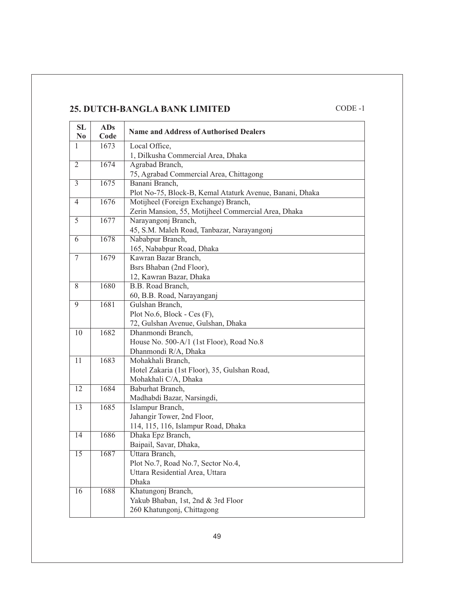## **25. DUTCH-BANGLA BANK LIMITED**

| <b>SL</b><br>No | <b>ADs</b><br>Code | <b>Name and Address of Authorised Dealers</b>            |
|-----------------|--------------------|----------------------------------------------------------|
| 1               | 1673               | Local Office,                                            |
|                 |                    | 1, Dilkusha Commercial Area, Dhaka                       |
| 2               | 1674               | Agrabad Branch,                                          |
|                 |                    | 75, Agrabad Commercial Area, Chittagong                  |
| $\overline{3}$  | 1675               | Banani Branch,                                           |
|                 |                    | Plot No-75, Block-B, Kemal Ataturk Avenue, Banani, Dhaka |
| $\overline{4}$  | 1676               | Motijheel (Foreign Exchange) Branch,                     |
|                 |                    | Zerin Mansion, 55, Motijheel Commercial Area, Dhaka      |
| 5               | 1677               | Narayangonj Branch,                                      |
|                 |                    | 45, S.M. Maleh Road, Tanbazar, Narayangonj               |
| 6               | 1678               | Nababpur Branch,                                         |
|                 |                    | 165, Nababpur Road, Dhaka                                |
| $\tau$          | 1679               | Kawran Bazar Branch,                                     |
|                 |                    | Bsrs Bhaban (2nd Floor),                                 |
|                 |                    | 12, Kawran Bazar, Dhaka                                  |
| 8               | 1680               | B.B. Road Branch,                                        |
|                 |                    | 60, B.B. Road, Narayanganj                               |
| 9               | 1681               | Gulshan Branch,                                          |
|                 |                    | Plot No.6, Block - Ces (F),                              |
|                 |                    | 72, Gulshan Avenue, Gulshan, Dhaka                       |
| 10              | 1682               | Dhanmondi Branch,                                        |
|                 |                    | House No. 500-A/1 (1st Floor), Road No.8                 |
|                 |                    | Dhanmondi R/A, Dhaka                                     |
| 11              | 1683               | Mohakhali Branch,                                        |
|                 |                    | Hotel Zakaria (1st Floor), 35, Gulshan Road,             |
|                 |                    | Mohakhali C/A, Dhaka                                     |
| 12              | 1684               | Baburhat Branch,                                         |
|                 |                    | Madhabdi Bazar, Narsingdi,                               |
| 13              | 1685               | Islampur Branch,                                         |
|                 |                    | Jahangir Tower, 2nd Floor,                               |
|                 |                    | 114, 115, 116, Islampur Road, Dhaka                      |
| 14              | 1686               | Dhaka Epz Branch,                                        |
|                 |                    | Baipail, Savar, Dhaka,                                   |
| $\overline{15}$ | 1687               | Uttara Branch,                                           |
|                 |                    | Plot No.7, Road No.7, Sector No.4,                       |
|                 |                    | Uttara Residential Area, Uttara                          |
|                 |                    | Dhaka                                                    |
| 16              | 1688               | Khatungonj Branch,                                       |
|                 |                    | Yakub Bhaban, 1st, 2nd & 3rd Floor                       |
|                 |                    | 260 Khatungonj, Chittagong                               |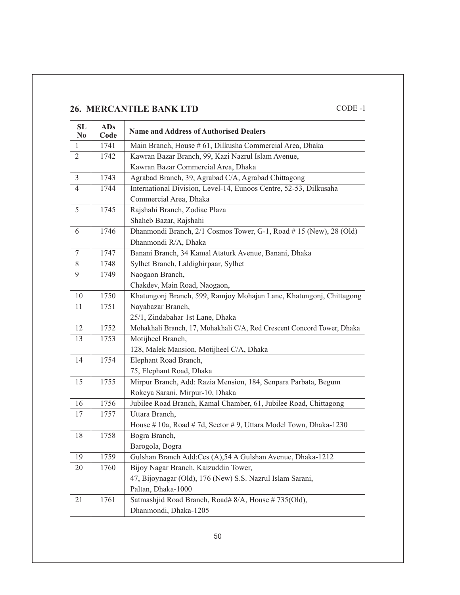## **26. MERCANTILE BANK LTD**

| SL<br>No.        | <b>ADs</b><br>Code | <b>Name and Address of Authorised Dealers</b>                          |
|------------------|--------------------|------------------------------------------------------------------------|
| 1                | 1741               | Main Branch, House # 61, Dilkusha Commercial Area, Dhaka               |
| 2                | 1742               | Kawran Bazar Branch, 99, Kazi Nazrul Islam Avenue,                     |
|                  |                    | Kawran Bazar Commercial Area, Dhaka                                    |
| 3                | 1743               | Agrabad Branch, 39, Agrabad C/A, Agrabad Chittagong                    |
| $\overline{4}$   | 1744               | International Division, Level-14, Eunoos Centre, 52-53, Dilkusaha      |
|                  |                    | Commercial Area, Dhaka                                                 |
| 5                | 1745               | Rajshahi Branch, Zodiac Plaza                                          |
|                  |                    | Shaheb Bazar, Rajshahi                                                 |
| 6                | 1746               | Dhanmondi Branch, 2/1 Cosmos Tower, G-1, Road #15 (New), 28 (Old)      |
|                  |                    | Dhanmondi R/A, Dhaka                                                   |
| $\boldsymbol{7}$ | 1747               | Banani Branch, 34 Kamal Ataturk Avenue, Banani, Dhaka                  |
| 8                | 1748               | Sylhet Branch, Laldighirpaar, Sylhet                                   |
| 9                | 1749               | Naogaon Branch,                                                        |
|                  |                    | Chakdev, Main Road, Naogaon,                                           |
| 10               | 1750               | Khatungonj Branch, 599, Ramjoy Mohajan Lane, Khatungonj, Chittagong    |
| 11               | 1751               | Nayabazar Branch,                                                      |
|                  |                    | 25/1, Zindabahar 1st Lane, Dhaka                                       |
| 12               | 1752               | Mohakhali Branch, 17, Mohakhali C/A, Red Crescent Concord Tower, Dhaka |
| 13               | 1753               | Motijheel Branch,                                                      |
|                  |                    | 128, Malek Mansion, Motijheel C/A, Dhaka                               |
| 14               | 1754               | Elephant Road Branch,                                                  |
|                  |                    | 75, Elephant Road, Dhaka                                               |
| 15               | 1755               | Mirpur Branch, Add: Razia Mension, 184, Senpara Parbata, Begum         |
|                  |                    | Rokeya Sarani, Mirpur-10, Dhaka                                        |
| 16               | 1756               | Jubilee Road Branch, Kamal Chamber, 61, Jubilee Road, Chittagong       |
| 17               | 1757               | Uttara Branch,                                                         |
|                  |                    | House #10a, Road #7d, Sector #9, Uttara Model Town, Dhaka-1230         |
| 18               | 1758               | Bogra Branch,                                                          |
|                  |                    | Barogola, Bogra                                                        |
| 19               | 1759               | Gulshan Branch Add:Ces (A),54 A Gulshan Avenue, Dhaka-1212             |
| $20\,$           | 1760               | Bijoy Nagar Branch, Kaizuddin Tower,                                   |
|                  |                    | 47, Bijoynagar (Old), 176 (New) S.S. Nazrul Islam Sarani,              |
|                  |                    | Paltan, Dhaka-1000                                                     |
| 21               | 1761               | Satmashjid Road Branch, Road# 8/A, House # 735(Old),                   |
|                  |                    | Dhanmondi, Dhaka-1205                                                  |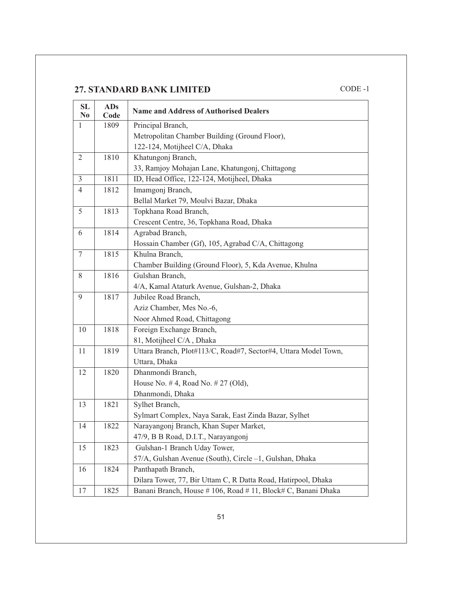## **27. STANDARD BANK LIMITED**

| <b>SL</b><br>N <sub>0</sub> | <b>ADs</b><br>Code | <b>Name and Address of Authorised Dealers</b>                   |
|-----------------------------|--------------------|-----------------------------------------------------------------|
| 1                           | 1809               | Principal Branch,                                               |
|                             |                    | Metropolitan Chamber Building (Ground Floor),                   |
|                             |                    | 122-124, Motijheel C/A, Dhaka                                   |
| $\overline{2}$              | 1810               | Khatungonj Branch,                                              |
|                             |                    | 33, Ramjoy Mohajan Lane, Khatungonj, Chittagong                 |
| 3                           | 1811               | ID, Head Office, 122-124, Motijheel, Dhaka                      |
| $\overline{4}$              | 1812               | Imamgonj Branch,                                                |
|                             |                    | Bellal Market 79, Moulvi Bazar, Dhaka                           |
| 5                           | 1813               | Topkhana Road Branch,                                           |
|                             |                    | Crescent Centre, 36, Topkhana Road, Dhaka                       |
| 6                           | 1814               | Agrabad Branch,                                                 |
|                             |                    | Hossain Chamber (Gf), 105, Agrabad C/A, Chittagong              |
| $\tau$                      | 1815               | Khulna Branch,                                                  |
|                             |                    | Chamber Building (Ground Floor), 5, Kda Avenue, Khulna          |
| 8                           | 1816               | Gulshan Branch,                                                 |
|                             |                    | 4/A, Kamal Ataturk Avenue, Gulshan-2, Dhaka                     |
| 9                           | 1817               | Jubilee Road Branch,                                            |
|                             |                    | Aziz Chamber, Mes No.-6,                                        |
|                             |                    | Noor Ahmed Road, Chittagong                                     |
| 10                          | 1818               | Foreign Exchange Branch,                                        |
|                             |                    | 81, Motijheel C/A, Dhaka                                        |
| 11                          | 1819               | Uttara Branch, Plot#113/C, Road#7, Sector#4, Uttara Model Town, |
|                             |                    | Uttara, Dhaka                                                   |
| 12                          | 1820               | Dhanmondi Branch,                                               |
|                             |                    | House No. #4, Road No. #27 (Old),                               |
|                             |                    | Dhanmondi, Dhaka                                                |
| 13                          | 1821               | Sylhet Branch,                                                  |
|                             |                    | Sylmart Complex, Naya Sarak, East Zinda Bazar, Sylhet           |
| 14                          | 1822               | Narayangonj Branch, Khan Super Market,                          |
|                             |                    | 47/9, B B Road, D.I.T., Narayangonj                             |
| 15                          | 1823               | Gulshan-1 Branch Uday Tower,                                    |
|                             |                    | 57/A, Gulshan Avenue (South), Circle -1, Gulshan, Dhaka         |
| 16                          | 1824               | Panthapath Branch,                                              |
|                             |                    | Dilara Tower, 77, Bir Uttam C, R Datta Road, Hatirpool, Dhaka   |
| 17                          | 1825               | Banani Branch, House # 106, Road # 11, Block# C, Banani Dhaka   |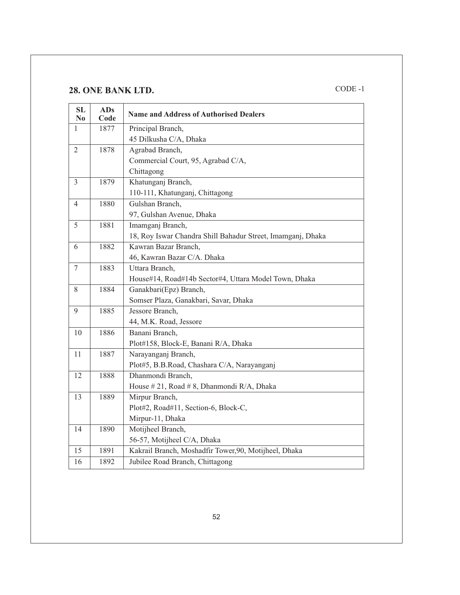## **28. ONE BANK LTD.**

| SL<br>N <sub>0</sub> | <b>ADs</b><br>Code | <b>Name and Address of Authorised Dealers</b>               |
|----------------------|--------------------|-------------------------------------------------------------|
| 1                    | 1877               | Principal Branch,                                           |
|                      |                    | 45 Dilkusha C/A, Dhaka                                      |
| $\overline{2}$       | 1878               | Agrabad Branch,                                             |
|                      |                    | Commercial Court, 95, Agrabad C/A,                          |
|                      |                    | Chittagong                                                  |
| 3                    | 1879               | Khatunganj Branch,                                          |
|                      |                    | 110-111, Khatunganj, Chittagong                             |
| $\overline{4}$       | 1880               | Gulshan Branch,                                             |
|                      |                    | 97, Gulshan Avenue, Dhaka                                   |
| 5                    | 1881               | Imamganj Branch,                                            |
|                      |                    | 18, Roy Iswar Chandra Shill Bahadur Street, Imamganj, Dhaka |
| 6                    | 1882               | Kawran Bazar Branch,                                        |
|                      |                    | 46, Kawran Bazar C/A. Dhaka                                 |
| $\overline{7}$       | 1883               | Uttara Branch,                                              |
|                      |                    | House#14, Road#14b Sector#4, Uttara Model Town, Dhaka       |
| 8                    | 1884               | Ganakbari(Epz) Branch,                                      |
|                      |                    | Somser Plaza, Ganakbari, Savar, Dhaka                       |
| 9                    | 1885               | Jessore Branch,                                             |
|                      |                    | 44, M.K. Road, Jessore                                      |
| 10                   | 1886               | Banani Branch,                                              |
|                      |                    | Plot#158, Block-E, Banani R/A, Dhaka                        |
| 11                   | 1887               | Narayanganj Branch,                                         |
|                      |                    | Plot#5, B.B.Road, Chashara C/A, Narayanganj                 |
| 12                   | 1888               | Dhanmondi Branch,                                           |
|                      |                    | House # 21, Road # 8, Dhanmondi R/A, Dhaka                  |
| 13                   | 1889               | Mirpur Branch,                                              |
|                      |                    | Plot#2, Road#11, Section-6, Block-C,                        |
|                      |                    | Mirpur-11, Dhaka                                            |
| 14                   | 1890               | Motijheel Branch,                                           |
|                      |                    | 56-57, Motijheel C/A, Dhaka                                 |
| 15                   | 1891               | Kakrail Branch, Moshadfir Tower, 90, Motijheel, Dhaka       |
| 16                   | 1892               | Jubilee Road Branch, Chittagong                             |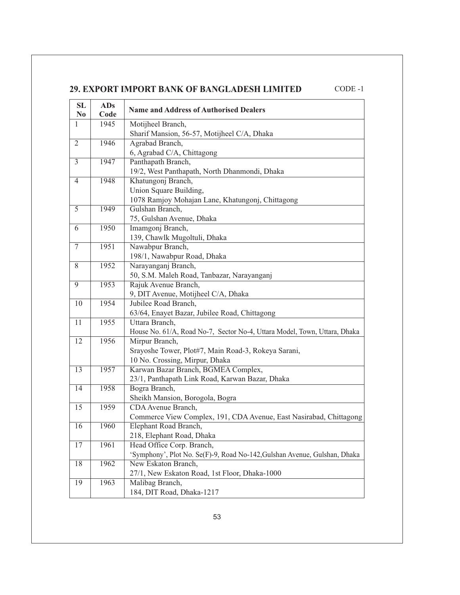#### **29. EXPORT IMPORT BANK OF BANGLADESH LIMITED** CODE -1

| SL<br>N <sub>0</sub> | <b>ADs</b><br>Code | <b>Name and Address of Authorised Dealers</b>                             |
|----------------------|--------------------|---------------------------------------------------------------------------|
| 1                    | 1945               | Motijheel Branch,                                                         |
|                      |                    | Sharif Mansion, 56-57, Motijheel C/A, Dhaka                               |
| $\overline{2}$       | 1946               | Agrabad Branch,                                                           |
|                      |                    | 6, Agrabad C/A, Chittagong                                                |
| $\overline{3}$       | 1947               | Panthapath Branch,                                                        |
|                      |                    | 19/2, West Panthapath, North Dhanmondi, Dhaka                             |
| $\overline{4}$       | 1948               | Khatungonj Branch,                                                        |
|                      |                    | Union Square Building,                                                    |
|                      |                    | 1078 Ramjoy Mohajan Lane, Khatungonj, Chittagong                          |
| 5                    | 1949               | Gulshan Branch,                                                           |
|                      |                    | 75, Gulshan Avenue, Dhaka                                                 |
| 6                    | 1950               | Imamgonj Branch,                                                          |
|                      |                    | 139, Chawlk Mugoltuli, Dhaka                                              |
| $\tau$               | 1951               | Nawabpur Branch,                                                          |
|                      |                    | 198/1, Nawabpur Road, Dhaka                                               |
| 8                    | 1952               | Narayanganj Branch,                                                       |
|                      |                    | 50, S.M. Maleh Road, Tanbazar, Narayanganj                                |
| $\overline{9}$       | 1953               | Rajuk Avenue Branch,                                                      |
|                      |                    | 9, DIT Avenue, Motijheel C/A, Dhaka                                       |
| 10                   | 1954               | Jubilee Road Branch,                                                      |
|                      |                    | 63/64, Enayet Bazar, Jubilee Road, Chittagong                             |
| 11                   | 1955               | Uttara Branch,                                                            |
|                      |                    | House No. 61/A, Road No-7, Sector No-4, Uttara Model, Town, Uttara, Dhaka |
| 12                   | 1956               | Mirpur Branch,                                                            |
|                      |                    | Srayoshe Tower, Plot#7, Main Road-3, Rokeya Sarani,                       |
|                      |                    | 10 No. Crossing, Mirpur, Dhaka                                            |
| $\overline{13}$      | 1957               | Karwan Bazar Branch, BGMEA Complex,                                       |
|                      |                    | 23/1, Panthapath Link Road, Karwan Bazar, Dhaka                           |
| $\overline{14}$      | 1958               | Bogra Branch,                                                             |
|                      |                    | Sheikh Mansion, Borogola, Bogra                                           |
| 15                   | 1959               | CDA Avenue Branch,                                                        |
|                      |                    | Commerce View Complex, 191, CDA Avenue, East Nasirabad, Chittagong        |
| 16                   | 1960               | Elephant Road Branch,                                                     |
|                      |                    | 218, Elephant Road, Dhaka                                                 |
| 17                   | 1961               | Head Office Corp. Branch,                                                 |
|                      |                    | 'Symphony', Plot No. Se(F)-9, Road No-142, Gulshan Avenue, Gulshan, Dhaka |
| 18                   | 1962               | New Eskaton Branch,                                                       |
|                      |                    | 27/1, New Eskaton Road, 1st Floor, Dhaka-1000                             |
| 19                   | 1963               | Malibag Branch,                                                           |
|                      |                    | 184, DIT Road, Dhaka-1217                                                 |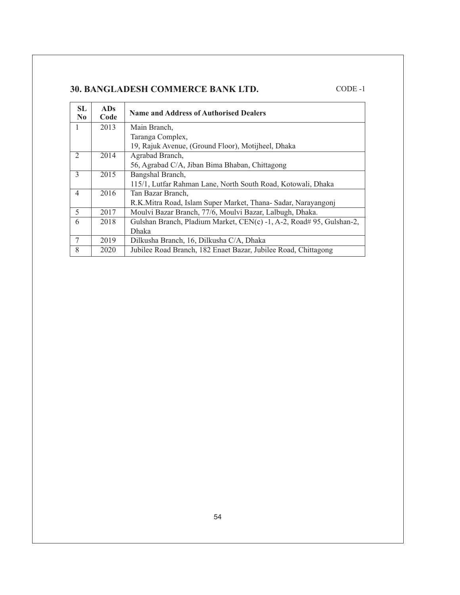### **30. BANGLADESH COMMERCE BANK LTD.**

| SL.<br>$\bf No$ | ADs<br>Code | <b>Name and Address of Authorised Dealers</b>                        |
|-----------------|-------------|----------------------------------------------------------------------|
| 1               | 2013        | Main Branch,                                                         |
|                 |             | Taranga Complex,                                                     |
|                 |             | 19, Rajuk Avenue, (Ground Floor), Motijheel, Dhaka                   |
| 2               | 2014        | Agrabad Branch,                                                      |
|                 |             | 56, Agrabad C/A, Jiban Bima Bhaban, Chittagong                       |
| 3               | 2015        | Bangshal Branch,                                                     |
|                 |             | 115/1, Lutfar Rahman Lane, North South Road, Kotowali, Dhaka         |
| $\overline{4}$  | 2016        | Tan Bazar Branch,                                                    |
|                 |             | R.K.Mitra Road, Islam Super Market, Thana-Sadar, Narayangonj         |
| 5               | 2017        | Moulvi Bazar Branch, 77/6, Moulvi Bazar, Lalbugh, Dhaka.             |
| 6               | 2018        | Gulshan Branch, Pladium Market, CEN(c) -1, A-2, Road# 95, Gulshan-2, |
|                 |             | <b>Dhaka</b>                                                         |
| $\tau$          | 2019        | Dilkusha Branch, 16, Dilkusha C/A, Dhaka                             |
| 8               | 2020        | Jubilee Road Branch, 182 Enaet Bazar, Jubilee Road, Chittagong       |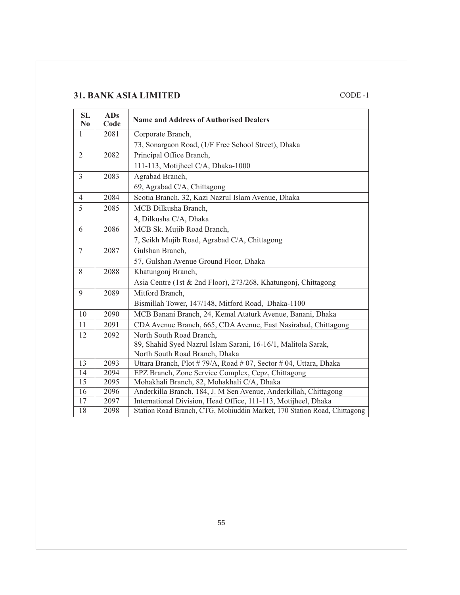## **31. BANK ASIA LIMITED**

| SL<br>N <sub>0</sub> | <b>ADs</b><br>Code | <b>Name and Address of Authorised Dealers</b>                            |
|----------------------|--------------------|--------------------------------------------------------------------------|
| $\mathbf{1}$         | 2081               | Corporate Branch,                                                        |
|                      |                    | 73, Sonargaon Road, (1/F Free School Street), Dhaka                      |
| $\overline{2}$       | 2082               | Principal Office Branch,                                                 |
|                      |                    | 111-113, Motijheel C/A, Dhaka-1000                                       |
| 3                    | 2083               | Agrabad Branch,                                                          |
|                      |                    | 69, Agrabad C/A, Chittagong                                              |
| 4                    | 2084               | Scotia Branch, 32, Kazi Nazrul Islam Avenue, Dhaka                       |
| 5                    | 2085               | MCB Dilkusha Branch,                                                     |
|                      |                    | 4, Dilkusha C/A, Dhaka                                                   |
| 6                    | 2086               | MCB Sk. Mujib Road Branch,                                               |
|                      |                    | 7, Seikh Mujib Road, Agrabad C/A, Chittagong                             |
| $\overline{7}$       | 2087               | Gulshan Branch,                                                          |
|                      |                    | 57, Gulshan Avenue Ground Floor, Dhaka                                   |
| 8                    | 2088               | Khatungonj Branch,                                                       |
|                      |                    | Asia Centre (1st & 2nd Floor), 273/268, Khatungonj, Chittagong           |
| 9                    | 2089               | Mitford Branch,                                                          |
|                      |                    | Bismillah Tower, 147/148, Mitford Road, Dhaka-1100                       |
| 10                   | 2090               | MCB Banani Branch, 24, Kemal Ataturk Avenue, Banani, Dhaka               |
| 11                   | 2091               | CDA Avenue Branch, 665, CDA Avenue, East Nasirabad, Chittagong           |
| 12                   | 2092               | North South Road Branch,                                                 |
|                      |                    | 89, Shahid Syed Nazrul Islam Sarani, 16-16/1, Malitola Sarak,            |
|                      |                    | North South Road Branch, Dhaka                                           |
| 13                   | 2093               | Uttara Branch, Plot #79/A, Road #07, Sector #04, Uttara, Dhaka           |
| 14                   | 2094               | EPZ Branch, Zone Service Complex, Cepz, Chittagong                       |
| 15                   | 2095               | Mohakhali Branch, 82, Mohakhali C/A, Dhaka                               |
| 16                   | 2096               | Anderkilla Branch, 184, J. M Sen Avenue, Anderkillah, Chittagong         |
| 17                   | 2097               | International Division, Head Office, 111-113, Motijheel, Dhaka           |
| $\overline{18}$      | 2098               | Station Road Branch, CTG, Mohiuddin Market, 170 Station Road, Chittagong |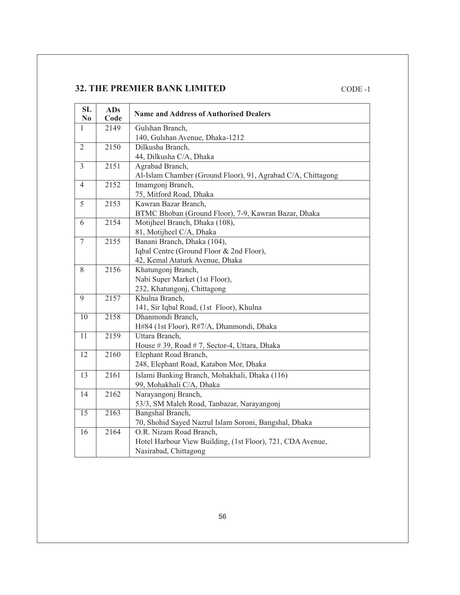## **32. THE PREMIER BANK LIMITED**

| <b>SL</b><br>N <sub>0</sub> | <b>ADs</b><br>Code | <b>Name and Address of Authorised Dealers</b>                |
|-----------------------------|--------------------|--------------------------------------------------------------|
| 1                           | 2149               | Gulshan Branch,                                              |
|                             |                    | 140, Gulshan Avenue, Dhaka-1212                              |
| $\overline{2}$              | 2150               | Dilkusha Branch,                                             |
|                             |                    | 44, Dilkusha C/A, Dhaka                                      |
| 3                           | 2151               | Agrabad Branch,                                              |
|                             |                    | Al-Islam Chamber (Ground Floor), 91, Agrabad C/A, Chittagong |
| $\overline{4}$              | 2152               | Imamgonj Branch,                                             |
|                             |                    | 75, Mitford Road, Dhaka                                      |
| 5                           | 2153               | Kawran Bazar Branch,                                         |
|                             |                    | BTMC Bhoban (Ground Floor), 7-9, Kawran Bazar, Dhaka         |
| 6                           | 2154               | Motijheel Branch, Dhaka (108),                               |
|                             |                    | 81, Motijheel C/A, Dhaka                                     |
| $\tau$                      | 2155               | Banani Branch, Dhaka (104),                                  |
|                             |                    | Iqbal Centre (Ground Floor & 2nd Floor),                     |
|                             |                    | 42, Kemal Ataturk Avenue, Dhaka                              |
| $8\,$                       | 2156               | Khatungonj Branch,                                           |
|                             |                    | Nabi Super Market (1st Floor),                               |
|                             |                    | 232, Khatungonj, Chittagong                                  |
| $\overline{9}$              | 2157               | Khulna Branch,                                               |
|                             |                    | 141, Sir Iqbal Road, (1st Floor), Khulna                     |
| $\overline{10}$             | 2158               | Dhanmondi Branch,                                            |
|                             |                    | H#84 (1st Floor), R#7/A, Dhanmondi, Dhaka                    |
| 11                          | 2159               | Uttara Branch,                                               |
|                             |                    | House #39, Road #7, Sector-4, Uttara, Dhaka                  |
| 12                          | 2160               | Elephant Road Branch,                                        |
|                             |                    | 248, Elephant Road, Katabon Mor, Dhaka                       |
| 13                          | 2161               | Islami Banking Branch, Mohakhali, Dhaka (116)                |
|                             |                    | 99, Mohakhali C/A, Dhaka                                     |
| 14                          | 2162               | Narayangonj Branch,                                          |
|                             |                    | 53/3, SM Maleh Road, Tanbazar, Narayangonj                   |
| 15                          | 2163               | Bangshal Branch,                                             |
|                             |                    | 70, Shohid Sayed Nazrul Islam Soroni, Bangshal, Dhaka        |
| 16                          | 2164               | O.R. Nizam Road Branch,                                      |
|                             |                    | Hotel Harbour View Building, (1st Floor), 721, CDA Avenue,   |
|                             |                    | Nasirabad, Chittagong                                        |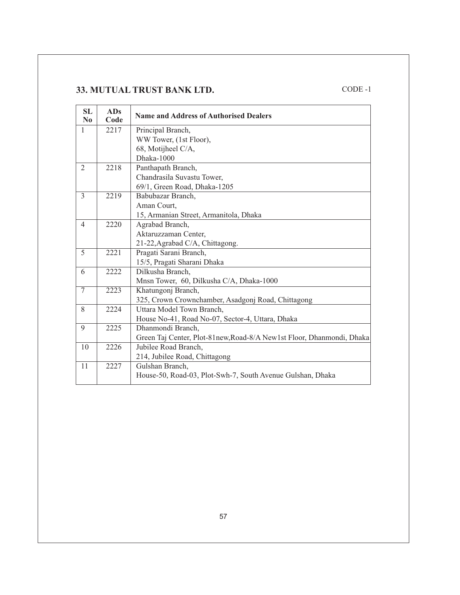### **33. MUTUAL TRUST BANK LTD.**

| <b>SL</b><br>N <sub>0</sub> | ADs<br>Code | <b>Name and Address of Authorised Dealers</b>                         |
|-----------------------------|-------------|-----------------------------------------------------------------------|
| 1                           | 2217        | Principal Branch,                                                     |
|                             |             | WW Tower, (1st Floor),                                                |
|                             |             | 68, Motijheel C/A,                                                    |
|                             |             | Dhaka-1000                                                            |
| $\overline{2}$              | 2218        | Panthapath Branch,                                                    |
|                             |             | Chandrasila Suvastu Tower,                                            |
|                             |             | 69/1, Green Road, Dhaka-1205                                          |
| 3                           | 2219        | Babubazar Branch,                                                     |
|                             |             | Aman Court,                                                           |
|                             |             | 15, Armanian Street, Armanitola, Dhaka                                |
| $\overline{4}$              | 2220        | Agrabad Branch,                                                       |
|                             |             | Aktaruzzaman Center,                                                  |
|                             |             | 21-22, Agrabad C/A, Chittagong.                                       |
| 5                           | 2221        | Pragati Sarani Branch,                                                |
|                             |             | 15/5, Pragati Sharani Dhaka                                           |
| 6                           | 2222        | Dilkusha Branch,                                                      |
|                             |             | Mnsn Tower, 60, Dilkusha C/A, Dhaka-1000                              |
| $\overline{7}$              | 2223        | Khatungonj Branch,                                                    |
|                             |             | 325, Crown Crownchamber, Asadgonj Road, Chittagong                    |
| 8                           | 2224        | Uttara Model Town Branch,                                             |
|                             |             | House No-41, Road No-07, Sector-4, Uttara, Dhaka                      |
| 9                           | 2225        | Dhanmondi Branch,                                                     |
|                             |             | Green Taj Center, Plot-81new, Road-8/A New1st Floor, Dhanmondi, Dhaka |
| 10                          | 2226        | Jubilee Road Branch,                                                  |
|                             |             | 214, Jubilee Road, Chittagong                                         |
| 11                          | 2227        | Gulshan Branch,                                                       |
|                             |             | House-50, Road-03, Plot-Swh-7, South Avenue Gulshan, Dhaka            |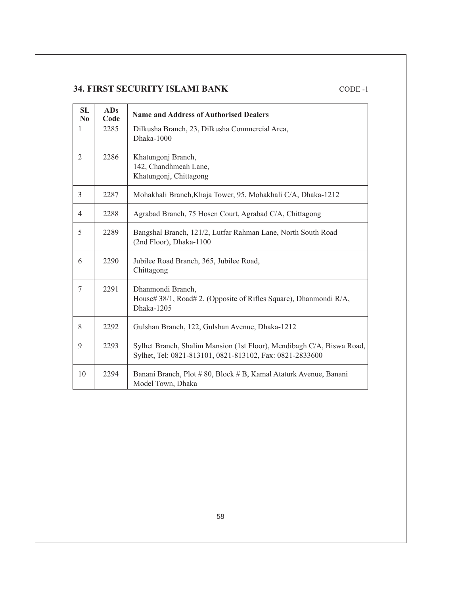## **34. FIRST SECURITY ISLAMI BANK**

| SL<br>$\bf No$ | <b>ADs</b><br>Code | <b>Name and Address of Authorised Dealers</b>                                                                                     |
|----------------|--------------------|-----------------------------------------------------------------------------------------------------------------------------------|
| $\mathbf{1}$   | 2285               | Dilkusha Branch, 23, Dilkusha Commercial Area,<br>Dhaka-1000                                                                      |
| 2              | 2286               | Khatungonj Branch,<br>142, Chandhmeah Lane,<br>Khatungonj, Chittagong                                                             |
| 3              | 2287               | Mohakhali Branch, Khaja Tower, 95, Mohakhali C/A, Dhaka-1212                                                                      |
| $\overline{4}$ | 2288               | Agrabad Branch, 75 Hosen Court, Agrabad C/A, Chittagong                                                                           |
| 5              | 2289               | Bangshal Branch, 121/2, Lutfar Rahman Lane, North South Road<br>(2nd Floor), Dhaka-1100                                           |
| 6              | 2290               | Jubilee Road Branch, 365, Jubilee Road,<br>Chittagong                                                                             |
| 7              | 2291               | Dhanmondi Branch,<br>House# 38/1, Road# 2, (Opposite of Rifles Square), Dhanmondi R/A,<br>Dhaka-1205                              |
| 8              | 2292               | Gulshan Branch, 122, Gulshan Avenue, Dhaka-1212                                                                                   |
| 9              | 2293               | Sylhet Branch, Shalim Mansion (1st Floor), Mendibagh C/A, Biswa Road,<br>Sylhet, Tel: 0821-813101, 0821-813102, Fax: 0821-2833600 |
| 10             | 2294               | Banani Branch, Plot # 80, Block # B, Kamal Ataturk Avenue, Banani<br>Model Town, Dhaka                                            |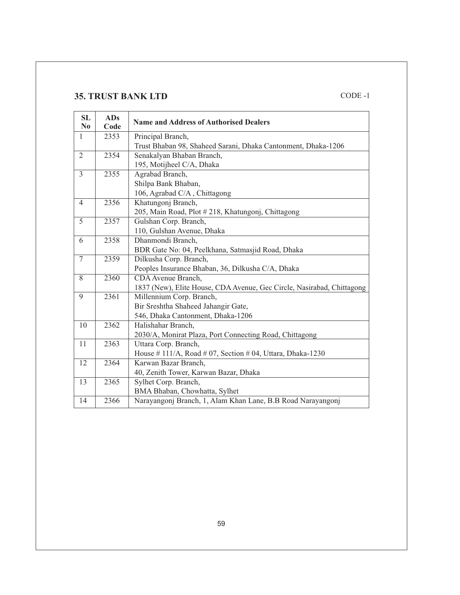### **35. TRUST BANK LTD**

r

| SL             | <b>ADs</b> | <b>Name and Address of Authorised Dealers</b>                          |
|----------------|------------|------------------------------------------------------------------------|
| N <sub>0</sub> | Code       |                                                                        |
| 1              | 2353       | Principal Branch,                                                      |
|                |            | Trust Bhaban 98, Shaheed Sarani, Dhaka Cantonment, Dhaka-1206          |
| 2              | 2354       | Senakalyan Bhaban Branch,                                              |
|                |            | 195, Motijheel C/A, Dhaka                                              |
| $\overline{3}$ | 2355       | Agrabad Branch,                                                        |
|                |            | Shilpa Bank Bhaban,                                                    |
|                |            | 106, Agrabad C/A, Chittagong                                           |
| $\overline{4}$ | 2356       | Khatungonj Branch,                                                     |
|                |            | 205, Main Road, Plot #218, Khatungonj, Chittagong                      |
| 5              | 2357       | Gulshan Corp. Branch,                                                  |
|                |            | 110, Gulshan Avenue, Dhaka                                             |
| 6              | 2358       | Dhanmondi Branch,                                                      |
|                |            | BDR Gate No: 04, Peelkhana, Satmasjid Road, Dhaka                      |
| $\tau$         | 2359       | Dilkusha Corp. Branch,                                                 |
|                |            | Peoples Insurance Bhaban, 36, Dilkusha C/A, Dhaka                      |
| 8              | 2360       | CDA Avenue Branch,                                                     |
|                |            | 1837 (New), Elite House, CDA Avenue, Gec Circle, Nasirabad, Chittagong |
| 9              | 2361       | Millennium Corp. Branch,                                               |
|                |            | Bir Sreshtha Shaheed Jahangir Gate,                                    |
|                |            | 546, Dhaka Cantonment, Dhaka-1206                                      |
| 10             | 2362       | Halishahar Branch,                                                     |
|                |            | 2030/A, Monirat Plaza, Port Connecting Road, Chittagong                |
| 11             | 2363       | Uttara Corp. Branch,                                                   |
|                |            | House #111/A, Road #07, Section #04, Uttara, Dhaka-1230                |
| 12             | 2364       | Karwan Bazar Branch,                                                   |
|                |            | 40, Zenith Tower, Karwan Bazar, Dhaka                                  |
| 13             | 2365       | Sylhet Corp. Branch,                                                   |
|                |            | BMA Bhaban, Chowhatta, Sylhet                                          |
| 14             | 2366       | Narayangonj Branch, 1, Alam Khan Lane, B.B Road Narayangonj            |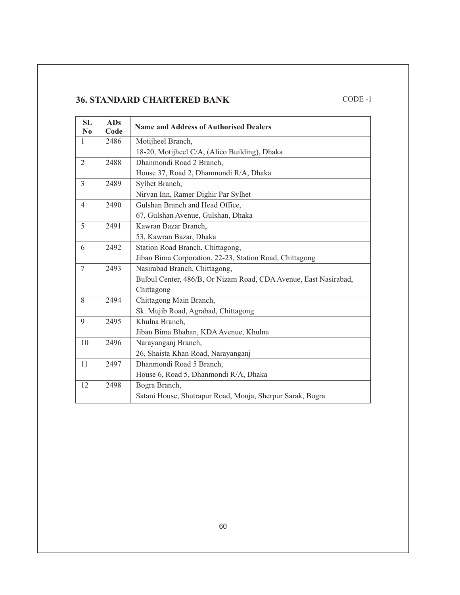### **36. STANDARD CHARTERED BANK**

| <b>SL</b><br>N <sub>0</sub> | <b>ADs</b><br>Code | <b>Name and Address of Authorised Dealers</b>                    |
|-----------------------------|--------------------|------------------------------------------------------------------|
| $\mathbf{1}$                | 2486               | Motijheel Branch,                                                |
|                             |                    | 18-20, Motijheel C/A, (Alico Building), Dhaka                    |
| $\overline{2}$              | 2488               | Dhanmondi Road 2 Branch,                                         |
|                             |                    | House 37, Road 2, Dhanmondi R/A, Dhaka                           |
| $\overline{3}$              | 2489               | Sylhet Branch,                                                   |
|                             |                    | Nirvan Inn, Ramer Dighir Par Sylhet                              |
| $\overline{4}$              | 2490               | Gulshan Branch and Head Office,                                  |
|                             |                    | 67, Gulshan Avenue, Gulshan, Dhaka                               |
| 5                           | 2491               | Kawran Bazar Branch,                                             |
|                             |                    | 53, Kawran Bazar, Dhaka                                          |
| 6                           | 2492               | Station Road Branch, Chittagong,                                 |
|                             |                    | Jiban Bima Corporation, 22-23, Station Road, Chittagong          |
| $\overline{7}$              | 2493               | Nasirabad Branch, Chittagong,                                    |
|                             |                    | Bulbul Center, 486/B, Or Nizam Road, CDA Avenue, East Nasirabad, |
|                             |                    | Chittagong                                                       |
| 8                           | 2494               | Chittagong Main Branch,                                          |
|                             |                    | Sk. Mujib Road, Agrabad, Chittagong                              |
| 9                           | 2495               | Khulna Branch,                                                   |
|                             |                    | Jiban Bima Bhaban, KDA Avenue, Khulna                            |
| 10                          | 2496               | Narayanganj Branch,                                              |
|                             |                    | 26, Shaista Khan Road, Narayanganj                               |
| 11                          | 2497               | Dhanmondi Road 5 Branch,                                         |
|                             |                    | House 6, Road 5, Dhanmondi R/A, Dhaka                            |
| 12                          | 2498               | Bogra Branch,                                                    |
|                             |                    | Satani House, Shutrapur Road, Mouja, Sherpur Sarak, Bogra        |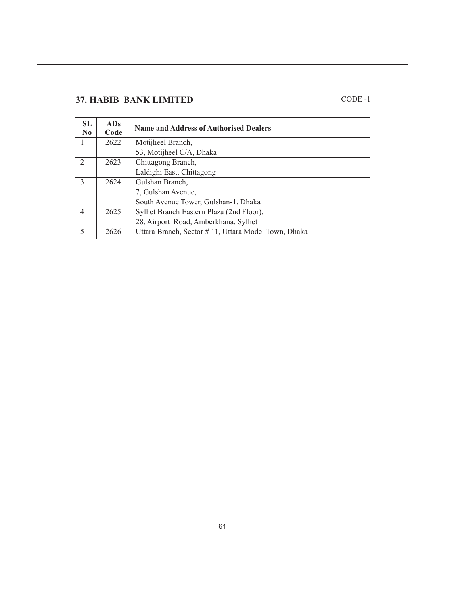## **37. HABIB BANK LIMITED**

| SL.<br>No.     | <b>ADs</b><br>Code | <b>Name and Address of Authorised Dealers</b>       |
|----------------|--------------------|-----------------------------------------------------|
|                | 2622               | Motijheel Branch,                                   |
|                |                    | 53, Motijheel C/A, Dhaka                            |
| $\overline{2}$ | 2623               | Chittagong Branch,                                  |
|                |                    | Laldighi East, Chittagong                           |
| 3              | 2624               | Gulshan Branch,                                     |
|                |                    | 7, Gulshan Avenue,                                  |
|                |                    | South Avenue Tower, Gulshan-1, Dhaka                |
| $\overline{4}$ | 2625               | Sylhet Branch Eastern Plaza (2nd Floor),            |
|                |                    | 28, Airport Road, Amberkhana, Sylhet                |
| 5              | 2626               | Uttara Branch, Sector #11, Uttara Model Town, Dhaka |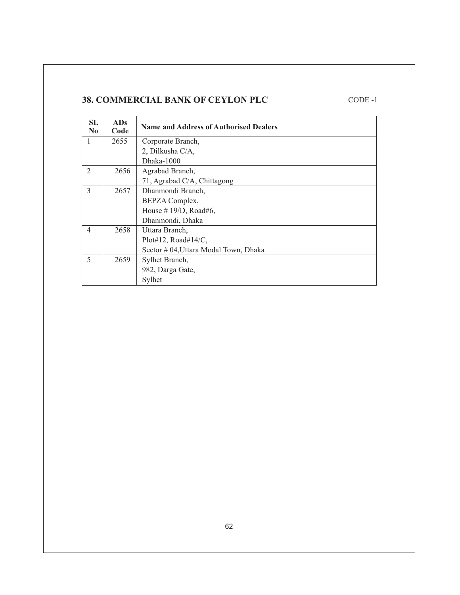#### **38. COMMERCIAL BANK OF CEYLON PLC** CODE -1

| SL.<br>N <sub>0</sub> | ADs<br>Code | <b>Name and Address of Authorised Dealers</b> |
|-----------------------|-------------|-----------------------------------------------|
| 1                     | 2655        | Corporate Branch,                             |
|                       |             | 2, Dilkusha C/A,                              |
|                       |             | $Dhaka-1000$                                  |
| $\overline{c}$        | 2656        | Agrabad Branch,                               |
|                       |             | 71, Agrabad C/A, Chittagong                   |
| 3                     | 2657        | Dhanmondi Branch,                             |
|                       |             | BEPZA Complex,                                |
|                       |             | House $\#$ 19/D, Road#6,                      |
|                       |             | Dhanmondi, Dhaka                              |
| $\overline{4}$        | 2658        | Uttara Branch,                                |
|                       |             | Plot#12, Road#14/C,                           |
|                       |             | Sector #04, Uttara Modal Town, Dhaka          |
| 5                     | 2659        | Sylhet Branch,                                |
|                       |             | 982, Darga Gate,                              |
|                       |             | Sylhet                                        |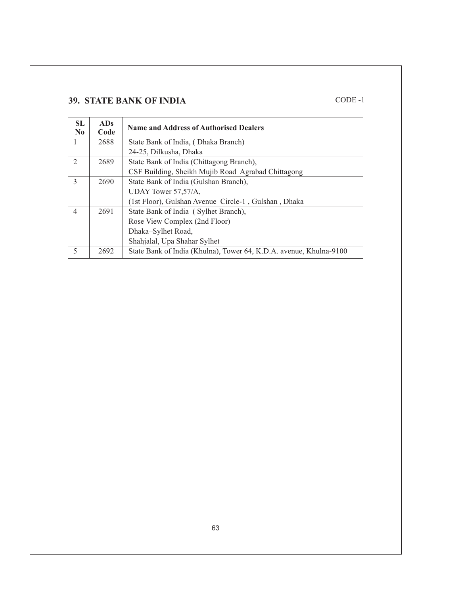## **39. STATE BANK OF INDIA**

| <b>ADs</b><br>Code | <b>Name and Address of Authorised Dealers</b>                      |
|--------------------|--------------------------------------------------------------------|
| 2688               | State Bank of India, (Dhaka Branch)                                |
|                    | 24-25, Dilkusha, Dhaka                                             |
| 2689               | State Bank of India (Chittagong Branch),                           |
|                    | CSF Building, Sheikh Mujib Road Agrabad Chittagong                 |
| 2690               | State Bank of India (Gulshan Branch),                              |
|                    | UDAY Tower 57,57/A,                                                |
|                    | (1st Floor), Gulshan Avenue Circle-1, Gulshan, Dhaka               |
| 2691               | State Bank of India (Sylhet Branch),                               |
|                    | Rose View Complex (2nd Floor)                                      |
|                    | Dhaka-Sylhet Road,                                                 |
|                    | Shahjalal, Upa Shahar Sylhet                                       |
| 2692               | State Bank of India (Khulna), Tower 64, K.D.A. avenue, Khulna-9100 |
|                    |                                                                    |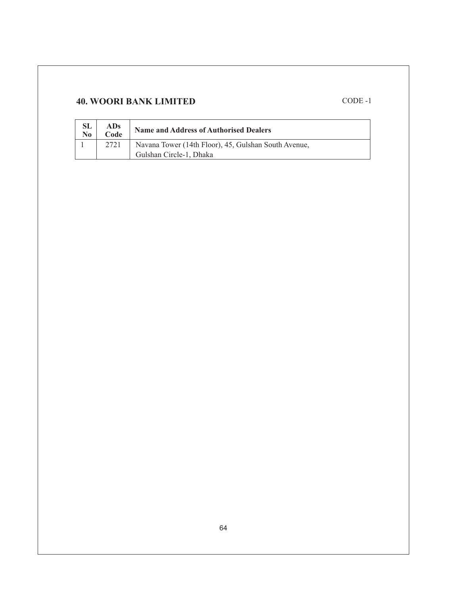## **40. WOORI BANK LIMITED**

| SL<br>No | <b>ADs</b><br>Code | <b>Name and Address of Authorised Dealers</b>        |  |
|----------|--------------------|------------------------------------------------------|--|
|          | 2721               | Navana Tower (14th Floor), 45, Gulshan South Avenue, |  |
|          |                    | Gulshan Circle-1, Dhaka                              |  |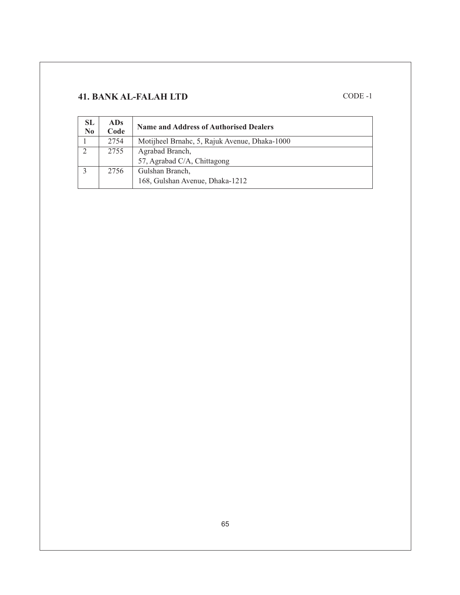# **41. BANK AL-FALAH LTD**

| <b>SL</b><br>No. | <b>ADs</b><br>Code | <b>Name and Address of Authorised Dealers</b> |  |
|------------------|--------------------|-----------------------------------------------|--|
|                  | 2754               | Motijheel Brnahc, 5, Rajuk Avenue, Dhaka-1000 |  |
| $\mathcal{D}$    | 2755               | Agrabad Branch,                               |  |
|                  |                    | 57, Agrabad C/A, Chittagong                   |  |
|                  | 2756               | Gulshan Branch,                               |  |
|                  |                    | 168, Gulshan Avenue, Dhaka-1212               |  |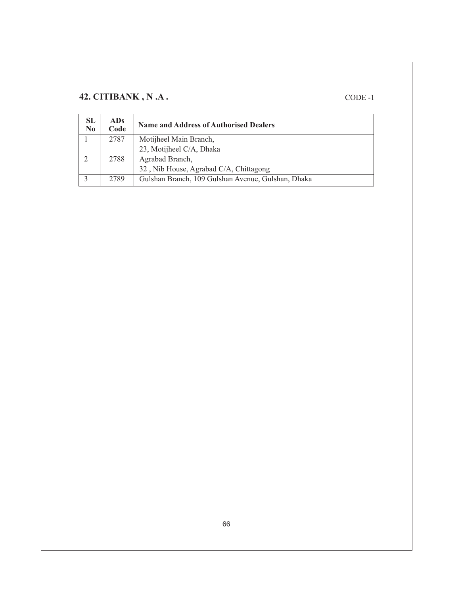# **42. CITIBANK , N .A .**

| SL<br>N <sub>0</sub> | <b>ADs</b><br>Code | <b>Name and Address of Authorised Dealers</b>      |  |
|----------------------|--------------------|----------------------------------------------------|--|
|                      | 2787               | Motijheel Main Branch,                             |  |
|                      |                    | 23, Motijheel C/A, Dhaka                           |  |
|                      | 2788               | Agrabad Branch,                                    |  |
|                      |                    | 32, Nib House, Agrabad C/A, Chittagong             |  |
|                      | 2789               | Gulshan Branch, 109 Gulshan Avenue, Gulshan, Dhaka |  |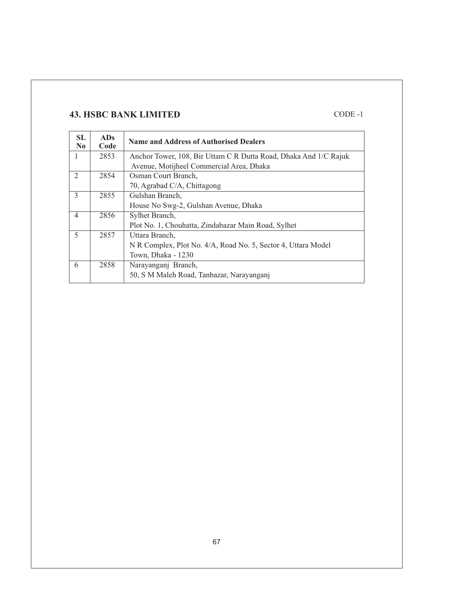## **43. HSBC BANK LIMITED**

| <b>SL</b><br>No.         | <b>ADs</b><br>Code | <b>Name and Address of Authorised Dealers</b>                    |  |
|--------------------------|--------------------|------------------------------------------------------------------|--|
|                          | 2853               | Anchor Tower, 108, Bir Uttam C R Dutta Road, Dhaka And 1/C Rajuk |  |
|                          |                    | Avenue, Motijheel Commercial Area, Dhaka                         |  |
| $\mathfrak{D}$           | 2854               | Osman Court Branch,                                              |  |
|                          |                    | 70, Agrabad C/A, Chittagong                                      |  |
| $\mathcal{F}$            | 2855               | Gulshan Branch,                                                  |  |
|                          |                    | House No Swg-2, Gulshan Avenue, Dhaka                            |  |
| $\overline{4}$           | 2856               | Sylhet Branch,                                                   |  |
|                          |                    | Plot No. 1, Chouhatta, Zindabazar Main Road, Sylhet              |  |
| $\overline{\mathcal{L}}$ | 2857               | Uttara Branch.                                                   |  |
|                          |                    | N R Complex, Plot No. 4/A, Road No. 5, Sector 4, Uttara Model    |  |
|                          |                    | Town, Dhaka - 1230                                               |  |
| 6                        | 2858               | Narayanganj Branch,                                              |  |
|                          |                    | 50, S M Maleh Road, Tanbazar, Narayanganj                        |  |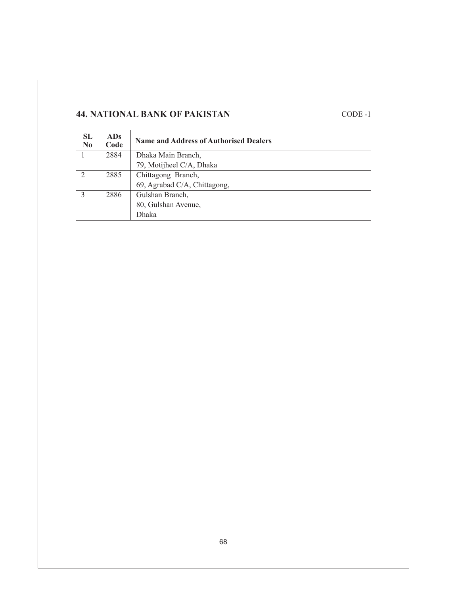### **44. NATIONAL BANK OF PAKISTAN**

| SL<br>N0      | <b>ADs</b><br>Code | <b>Name and Address of Authorised Dealers</b> |  |
|---------------|--------------------|-----------------------------------------------|--|
|               | 2884               | Dhaka Main Branch,                            |  |
|               |                    | 79, Motijheel C/A, Dhaka                      |  |
| 2             | 2885               | Chittagong Branch,                            |  |
|               |                    | 69, Agrabad C/A, Chittagong,                  |  |
| $\mathcal{R}$ | 2886               | Gulshan Branch,                               |  |
|               |                    | 80, Gulshan Avenue,                           |  |
|               |                    | Dhaka                                         |  |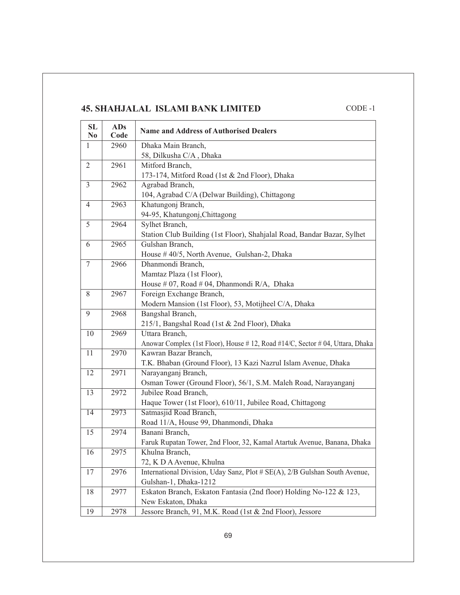## **45. SHAHJALAL ISLAMI BANK LIMITED**

| SL<br>N <sub>0</sub> | <b>ADs</b><br>Code | <b>Name and Address of Authorised Dealers</b>                                |  |
|----------------------|--------------------|------------------------------------------------------------------------------|--|
| 1                    | 2960               | Dhaka Main Branch,                                                           |  |
|                      |                    | 58, Dilkusha C/A, Dhaka                                                      |  |
| $\overline{2}$       | 2961               | Mitford Branch,                                                              |  |
|                      |                    | 173-174, Mitford Road (1st & 2nd Floor), Dhaka                               |  |
| $\mathfrak{Z}$       | 2962               | Agrabad Branch,                                                              |  |
|                      |                    | 104, Agrabad C/A (Delwar Building), Chittagong                               |  |
| $\overline{4}$       | 2963               | Khatungonj Branch,                                                           |  |
|                      |                    | 94-95, Khatungonj, Chittagong                                                |  |
| 5                    | 2964               | Sylhet Branch,                                                               |  |
|                      |                    | Station Club Building (1st Floor), Shahjalal Road, Bandar Bazar, Sylhet      |  |
| 6                    | 2965               | Gulshan Branch,                                                              |  |
|                      |                    | House #40/5, North Avenue, Gulshan-2, Dhaka                                  |  |
| $\overline{7}$       | 2966               | Dhanmondi Branch,                                                            |  |
|                      |                    | Mamtaz Plaza (1st Floor),                                                    |  |
|                      |                    | House # 07, Road # 04, Dhanmondi R/A, Dhaka                                  |  |
| 8                    | 2967               | Foreign Exchange Branch,                                                     |  |
|                      |                    | Modern Mansion (1st Floor), 53, Motijheel C/A, Dhaka                         |  |
| 9                    | 2968               | Bangshal Branch,                                                             |  |
|                      |                    | 215/1, Bangshal Road (1st & 2nd Floor), Dhaka                                |  |
| 10                   | 2969               | Uttara Branch,                                                               |  |
|                      |                    | Anowar Complex (1st Floor), House #12, Road #14/C, Sector #04, Uttara, Dhaka |  |
| 11                   | 2970               | Kawran Bazar Branch,                                                         |  |
|                      |                    | T.K. Bhaban (Ground Floor), 13 Kazi Nazrul Islam Avenue, Dhaka               |  |
| 12                   | 2971               | Narayanganj Branch,                                                          |  |
|                      |                    | Osman Tower (Ground Floor), 56/1, S.M. Maleh Road, Narayanganj               |  |
| 13                   | 2972               | Jubilee Road Branch,                                                         |  |
|                      |                    | Haque Tower (1st Floor), 610/11, Jubilee Road, Chittagong                    |  |
| 14                   | 2973               | Satmasjid Road Branch,                                                       |  |
|                      |                    | Road 11/A, House 99, Dhanmondi, Dhaka                                        |  |
| 15                   | 2974               | Banani Branch,                                                               |  |
|                      |                    | Faruk Rupatan Tower, 2nd Floor, 32, Kamal Atartuk Avenue, Banana, Dhaka      |  |
| 16                   | 2975               | Khulna Branch,                                                               |  |
|                      |                    | 72, K D A Avenue, Khulna                                                     |  |
| 17                   | 2976               | International Division, Uday Sanz, Plot # SE(A), 2/B Gulshan South Avenue,   |  |
|                      |                    | Gulshan-1, Dhaka-1212                                                        |  |
| 18                   | 2977               | Eskaton Branch, Eskaton Fantasia (2nd floor) Holding No-122 & 123,           |  |
|                      |                    | New Eskaton, Dhaka                                                           |  |
| 19                   | 2978               | Jessore Branch, 91, M.K. Road (1st & 2nd Floor), Jessore                     |  |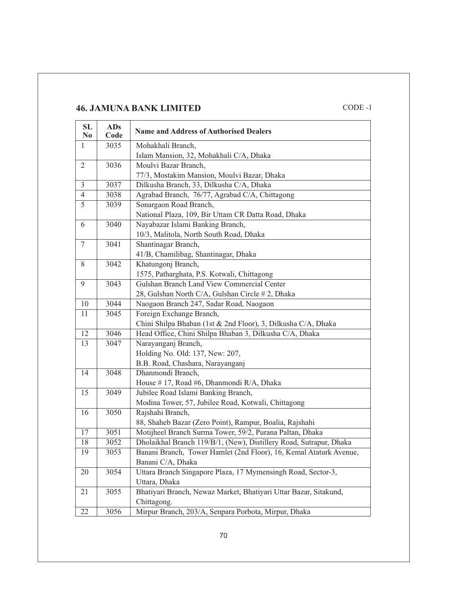### **46. JAMUNA BANK LIMITED**

| <b>SL</b><br>N <sub>0</sub> | <b>ADs</b><br>Code | <b>Name and Address of Authorised Dealers</b>                      |  |
|-----------------------------|--------------------|--------------------------------------------------------------------|--|
| 1                           | 3035               | Mohakhali Branch,                                                  |  |
|                             |                    | Islam Mansion, 32, Mohakhali C/A, Dhaka                            |  |
| $\overline{2}$              | 3036               | Moulvi Bazar Branch,                                               |  |
|                             |                    | 77/3, Mostakim Mansion, Moulvi Bazar, Dhaka                        |  |
| $\mathfrak{Z}$              | 3037               | Dilkusha Branch, 33, Dilkusha C/A, Dhaka                           |  |
| $\overline{4}$              | 3038               | Agrabad Branch, 76/77, Agrabad C/A, Chittagong                     |  |
| 5                           | 3039               | Sonargaon Road Branch,                                             |  |
|                             |                    | National Plaza, 109, Bir Uttam CR Datta Road, Dhaka                |  |
| 6                           | 3040               | Nayabazar Islami Banking Branch,                                   |  |
|                             |                    | 10/3, Malitola, North South Road, Dhaka                            |  |
| 7                           | 3041               | Shantinagar Branch,                                                |  |
|                             |                    | 41/B, Chamilibag, Shantinagar, Dhaka                               |  |
| 8                           | 3042               | Khatungonj Branch,                                                 |  |
|                             |                    | 1575, Patharghata, P.S. Kotwali, Chittagong                        |  |
| 9                           | 3043               | Gulshan Branch Land View Commercial Center                         |  |
|                             |                    | 28, Gulshan North C/A, Gulshan Circle #2, Dhaka                    |  |
| 10                          | 3044               | Naogaon Branch 247, Sadar Road, Naogaon                            |  |
| 11                          | 3045               | Foreign Exchange Branch,                                           |  |
|                             |                    | Chini Shilpa Bhaban (1st & 2nd Floor), 3, Dilkusha C/A, Dhaka      |  |
| 12                          | 3046               | Head Office, Chini Shilpa Bhaban 3, Dilkusha C/A, Dhaka            |  |
| 13                          | 3047               | Narayanganj Branch,                                                |  |
|                             |                    | Holding No. Old: 137, New: 207,                                    |  |
|                             |                    | B.B. Road, Chashara, Narayanganj                                   |  |
| 14                          | 3048               | Dhanmondi Branch,                                                  |  |
|                             |                    | House #17, Road #6, Dhanmondi R/A, Dhaka                           |  |
| 15                          | 3049               | Jubilee Road Islami Banking Branch,                                |  |
|                             |                    | Modina Tower, 57, Jubilee Road, Kotwali, Chittagong                |  |
| 16                          | 3050               | Rajshahi Branch,                                                   |  |
|                             |                    | 88, Shaheb Bazar (Zero Point), Rampur, Boalia, Rajshahi            |  |
| 17                          | 3051               | Motijheel Branch Surma Tower, 59/2, Purana Paltan, Dhaka           |  |
| 18                          | 3052               | Dholaikhal Branch 119/B/1, (New), Distillery Road, Sutrapur, Dhaka |  |
| 19                          | 3053               | Banani Branch, Tower Hamlet (2nd Floor), 16, Kemal Ataturk Avenue, |  |
|                             |                    | Banani C/A, Dhaka                                                  |  |
| 20                          | 3054               | Uttara Branch Singapore Plaza, 17 Mymensingh Road, Sector-3,       |  |
|                             |                    | Uttara, Dhaka                                                      |  |
| 21                          | 3055               | Bhatiyari Branch, Newaz Market, Bhatiyari Uttar Bazar, Sitakund,   |  |
|                             |                    | Chittagong.                                                        |  |
| 22                          | 3056               | Mirpur Branch, 203/A, Senpara Porbota, Mirpur, Dhaka               |  |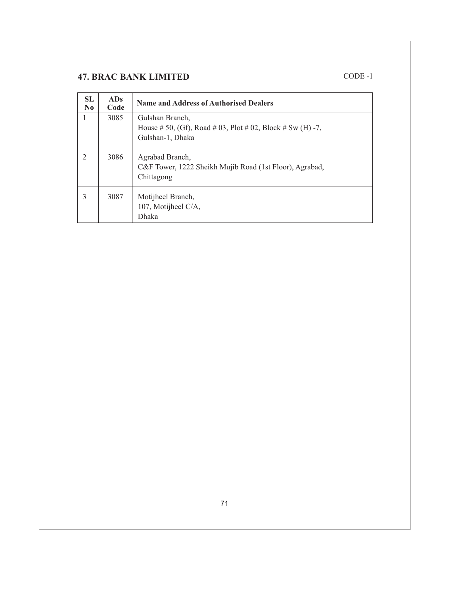### **47. BRAC BANK LIMITED**

| <b>SL</b><br>$\bf No$ | <b>ADs</b><br>Code | <b>Name and Address of Authorised Dealers</b>                                            |
|-----------------------|--------------------|------------------------------------------------------------------------------------------|
| 1                     | 3085               | Gulshan Branch,                                                                          |
|                       |                    | House # 50, (Gf), Road # 03, Plot # 02, Block # Sw (H) -7,                               |
|                       |                    | Gulshan-1, Dhaka                                                                         |
| $\mathfrak{D}$        | 3086               | Agrabad Branch,<br>C&F Tower, 1222 Sheikh Mujib Road (1st Floor), Agrabad,<br>Chittagong |
| 3                     | 3087               | Motijheel Branch,<br>107, Motijheel C/A,<br>Dhaka                                        |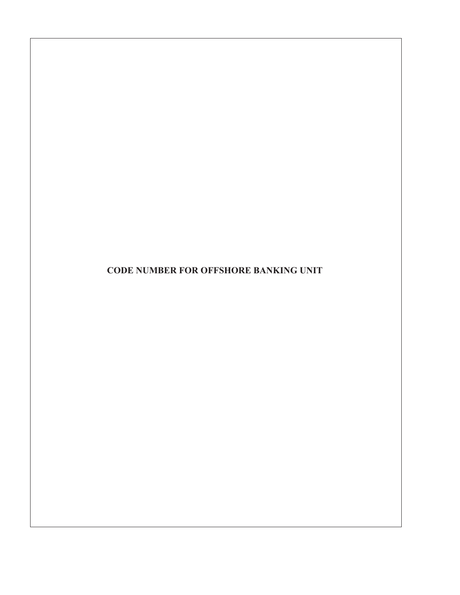**CODE NUMBER FOR OFFSHORE BANKING UNIT**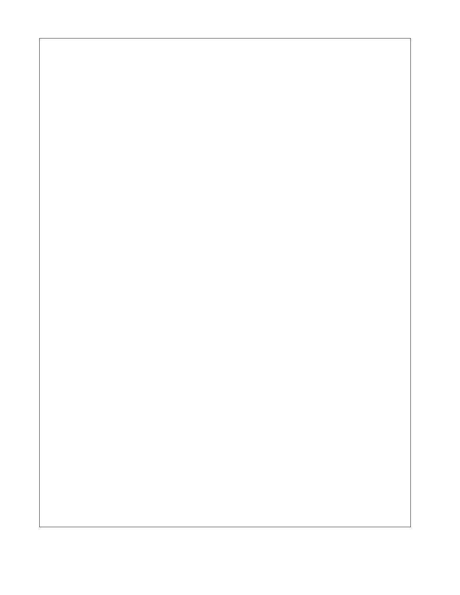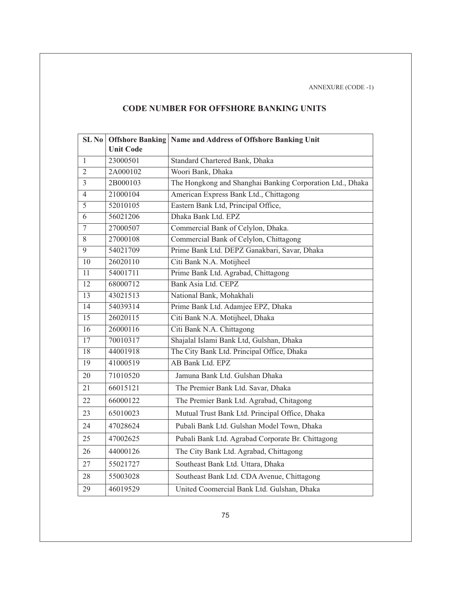ANNEXURE (CODE -1)

|                          | <b>Unit Code</b> | SL No   Offshore Banking   Name and Address of Offshore Banking Unit |
|--------------------------|------------------|----------------------------------------------------------------------|
|                          |                  |                                                                      |
| 1                        | 23000501         | Standard Chartered Bank, Dhaka                                       |
| $\overline{2}$           | 2A000102         | Woori Bank, Dhaka                                                    |
| $\overline{3}$           | 2B000103         | The Hongkong and Shanghai Banking Corporation Ltd., Dhaka            |
| $\overline{\mathcal{A}}$ | 21000104         | American Express Bank Ltd., Chittagong                               |
| 5                        | 52010105         | Eastern Bank Ltd, Principal Office,                                  |
| 6                        | 56021206         | Dhaka Bank Ltd. EPZ                                                  |
| $\tau$                   | 27000507         | Commercial Bank of Celylon, Dhaka.                                   |
| 8                        | 27000108         | Commercial Bank of Celylon, Chittagong                               |
| 9                        | 54021709         | Prime Bank Ltd. DEPZ Ganakbari, Savar, Dhaka                         |
| 10                       | 26020110         | Citi Bank N.A. Motijheel                                             |
| 11                       | 54001711         | Prime Bank Ltd. Agrabad, Chittagong                                  |
| 12                       | 68000712         | Bank Asia Ltd. CEPZ                                                  |
| 13                       | 43021513         | National Bank, Mohakhali                                             |
| 14                       | 54039314         | Prime Bank Ltd. Adamjee EPZ, Dhaka                                   |
| 15                       | 26020115         | Citi Bank N.A. Motijheel, Dhaka                                      |
| $\overline{16}$          | 26000116         | Citi Bank N.A. Chittagong                                            |
| $\overline{17}$          | 70010317         | Shajalal Islami Bank Ltd, Gulshan, Dhaka                             |
| $\overline{18}$          | 44001918         | The City Bank Ltd. Principal Office, Dhaka                           |
| $\overline{19}$          | 41000519         | AB Bank Ltd, EPZ                                                     |
| 20                       | 71010520         | Jamuna Bank Ltd. Gulshan Dhaka                                       |
| 21                       | 66015121         | The Premier Bank Ltd. Savar, Dhaka                                   |
| 22                       | 66000122         | The Premier Bank Ltd. Agrabad, Chitagong                             |
| 23                       | 65010023         | Mutual Trust Bank Ltd. Principal Office, Dhaka                       |
| 24                       | 47028624         | Pubali Bank Ltd. Gulshan Model Town, Dhaka                           |
| 25                       | 47002625         | Pubali Bank Ltd. Agrabad Corporate Br. Chittagong                    |
| 26                       | 44000126         | The City Bank Ltd. Agrabad, Chittagong                               |
| 27                       | 55021727         | Southeast Bank Ltd. Uttara, Dhaka                                    |
| 28                       | 55003028         | Southeast Bank Ltd. CDA Avenue, Chittagong                           |
| 29                       | 46019529         | United Coomercial Bank Ltd. Gulshan, Dhaka                           |

### **CODE NUMBER FOR OFFSHORE BANKING UNITS**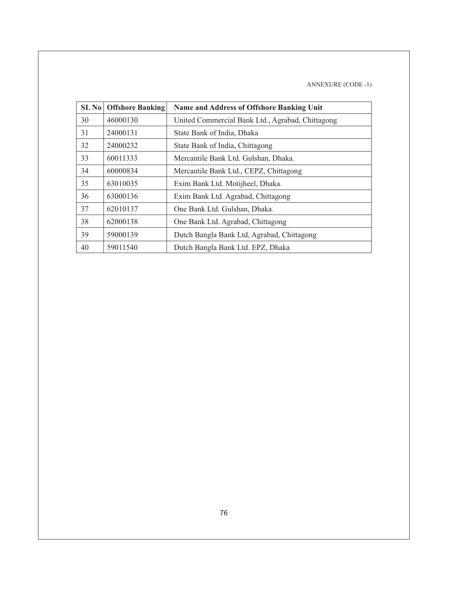ANNEXURE (CODE -1)

| SL <sub>No</sub> | <b>Offshore Banking</b> | <b>Name and Address of Offshore Banking Unit</b> |  |
|------------------|-------------------------|--------------------------------------------------|--|
| 30               | 46000130                | United Commercial Bank Ltd., Agrabad, Chittagong |  |
| 31               | 24000131                | State Bank of India, Dhaka                       |  |
| 32               | 24000232                | State Bank of India, Chittagong                  |  |
| 33               | 60011333                | Mercantile Bank Ltd. Gulshan, Dhaka.             |  |
| 34               | 60000834                | Mercantile Bank Ltd., CEPZ, Chittagong           |  |
| 35               | 63010035                | Exim Bank Ltd. Motijheel, Dhaka.                 |  |
| 36               | 63000136                | Exim Bank Ltd. Agrabad, Chittagong               |  |
| 37               | 62010137                | One Bank Ltd. Gulshan, Dhaka.                    |  |
| 38               | 62000138                | One Bank Ltd. Agrabad, Chittagong                |  |
| 39               | 59000139                | Dutch Bangla Bank Ltd, Agrabad, Chittagong       |  |
| 40               | 59011540                | Dutch Bangla Bank Ltd. EPZ, Dhaka                |  |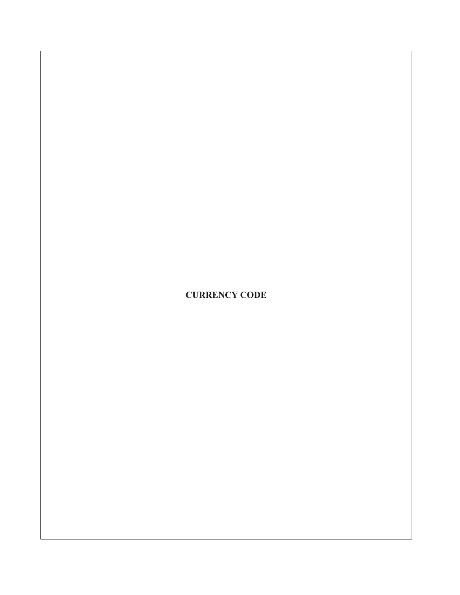**CURRENCY CODE**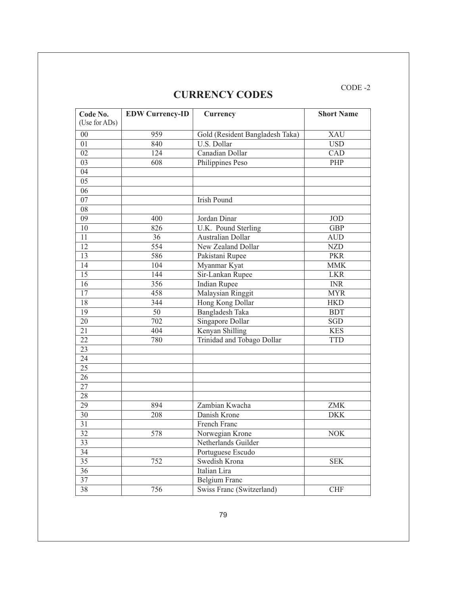#### **CURRENCY CODES**

00 959 Gold (Resident Bangladesh Taka) XAU 01 840 U.S. Dollar USD 02 124 Canadian Dollar CAD<br>03 608 Philippines Peso PHP Philippines Peso 04 05  $\frac{06}{07}$ **Irish Pound** 08 09 400 Jordan Dinar JOD<br>10 826 U.K. Pound Sterling GBP U.K. Pound Sterling GBP 11 36 Australian Dollar AUD 12 554 New Zealand Dollar NZD 13 586 Pakistani Rupee PKR<br>14 104 Myanmar Kyat MMK Myanmar Kyat 15 144 Sir-Lankan Rupee LKR 16 356 Indian Rupee INR 17 17 458 Malaysian Ringgit MYR 18 344 Hong Kong Dollar HKD 19 50 Bangladesh Taka BDT 20 702 Singapore Dollar SGD<br>21 404 Kenyan Shilling KES Kenyan Shilling 22 780 Trinidad and Tobago Dollar TTD 23 24 25 26 27 28 29 894 Zambian Kwacha ZMK 30 208 Danish Krone DKK 31 French Franc 32 578 Norwegian Krone NOK 33 Netherlands Guilder<br>34 Portuguese Escudo 34 Portuguese Escudo<br>35 752 Swedish Krona **Swedish Krona** SEK 36 Italian Lira 37 Belgium Franc 38 756 Swiss Franc (Switzerland) CHF **Code No.** (Use for ADs) **EDW Currency-ID Currency** Currency Short Name

CODE -2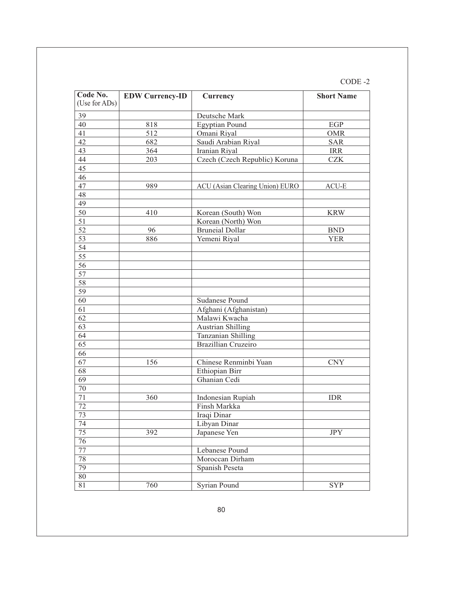| Code No.<br>(Use for ADs) | <b>EDW Currency-ID</b> | <b>Currency</b>                 | <b>Short Name</b> |
|---------------------------|------------------------|---------------------------------|-------------------|
| 39                        |                        | Deutsche Mark                   |                   |
| 40                        | 818                    | <b>Egyptian Pound</b>           | EGP               |
| 41                        | 512                    | Omani Riyal                     | <b>OMR</b>        |
| 42                        | 682                    | Saudi Arabian Riyal             | <b>SAR</b>        |
| 43                        | 364                    | Iranian Riyal                   | <b>IRR</b>        |
| 44                        | 203                    | Czech (Czech Republic) Koruna   | <b>CZK</b>        |
| 45                        |                        |                                 |                   |
| 46                        |                        |                                 |                   |
| 47                        | 989                    | ACU (Asian Clearing Union) EURO | $ACU-E$           |
| 48                        |                        |                                 |                   |
| 49                        |                        |                                 |                   |
| 50                        | 410                    | Korean (South) Won              | <b>KRW</b>        |
| 51                        |                        | Korean (North) Won              |                   |
| 52                        | 96                     | <b>Bruneial Dollar</b>          | <b>BND</b>        |
| 53                        | 886                    | Yemeni Riyal                    | <b>YER</b>        |
| 54                        |                        |                                 |                   |
| 55                        |                        |                                 |                   |
| 56                        |                        |                                 |                   |
| 57                        |                        |                                 |                   |
| 58                        |                        |                                 |                   |
| 59                        |                        |                                 |                   |
| 60                        |                        | Sudanese Pound                  |                   |
| 61                        |                        | Afghani (Afghanistan)           |                   |
| 62                        |                        | Malawi Kwacha                   |                   |
| 63                        |                        | <b>Austrian Shilling</b>        |                   |
| 64                        |                        | Tanzanian Shilling              |                   |
| 65                        |                        | <b>Brazillian Cruzeiro</b>      |                   |
| 66                        |                        |                                 |                   |
| 67                        | 156                    | Chinese Renminbi Yuan           | <b>CNY</b>        |
| 68                        |                        | Ethiopian Birr                  |                   |
| 69                        |                        | Ghanian Cedi                    |                   |
| 70                        |                        |                                 |                   |
| 71                        | 360                    | Indonesian Rupiah               | <b>IDR</b>        |
| 72                        |                        | Finsh Markka                    |                   |
| 73                        |                        | Iraqi Dinar                     |                   |
| 74                        |                        | Libyan Dinar                    |                   |
| 75                        | 392                    | Japanese Yen                    | <b>JPY</b>        |
| $\overline{76}$           |                        |                                 |                   |
|                           |                        | Lebanese Pound                  |                   |
| 77<br>78                  |                        |                                 |                   |
|                           |                        | Moroccan Dirham                 |                   |
| 79                        |                        | Spanish Peseta                  |                   |
| $\overline{80}$           |                        |                                 |                   |
| 81                        | 760                    | <b>Syrian Pound</b>             | <b>SYP</b>        |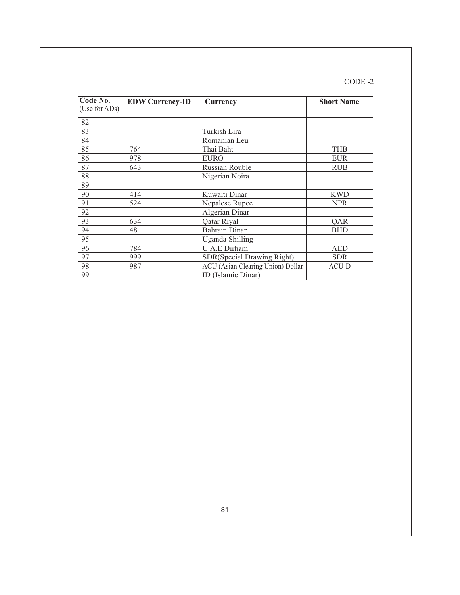| Code No.      | <b>EDW Currency-ID</b> | <b>Currency</b>                   | <b>Short Name</b> |
|---------------|------------------------|-----------------------------------|-------------------|
| (Use for ADs) |                        |                                   |                   |
| 82            |                        |                                   |                   |
| 83            |                        | Turkish Lira                      |                   |
| 84            |                        | Romanian Leu                      |                   |
| 85            | 764                    | Thai Baht                         | <b>THB</b>        |
| 86            | 978                    | <b>EURO</b>                       | <b>EUR</b>        |
| 87            | 643                    | <b>Russian Rouble</b>             | <b>RUB</b>        |
| 88            |                        | Nigerian Noira                    |                   |
| 89            |                        |                                   |                   |
| 90            | 414                    | Kuwaiti Dinar                     | <b>KWD</b>        |
| 91            | 524                    | Nepalese Rupee                    | <b>NPR</b>        |
| 92            |                        | Algerian Dinar                    |                   |
| 93            | 634                    | Qatar Riyal                       | QAR               |
| 94            | 48                     | <b>Bahrain Dinar</b>              | <b>BHD</b>        |
| 95            |                        | Uganda Shilling                   |                   |
| 96            | 784                    | U.A.E Dirham                      | <b>AED</b>        |
| 97            | 999                    | SDR(Special Drawing Right)        | <b>SDR</b>        |
| 98            | 987                    | ACU (Asian Clearing Union) Dollar | ACU-D             |
| 99            |                        | ID (Islamic Dinar)                |                   |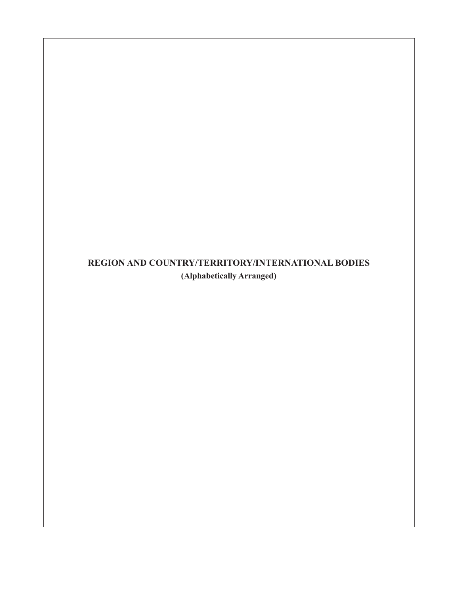# **REGION AND COUNTRY/TERRITORY/INTERNATIONAL BODIES (Alphabetically Arranged)**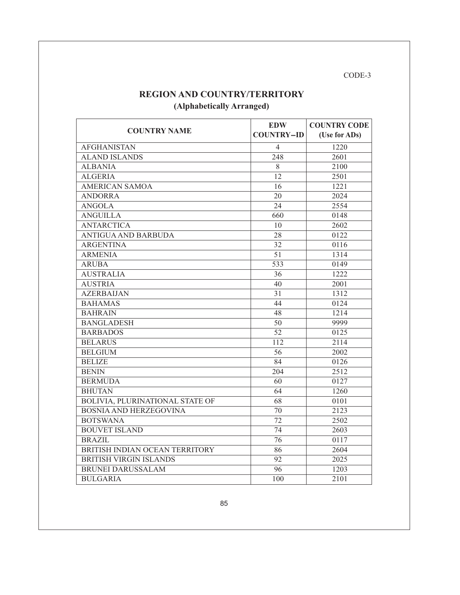| <b>COUNTRY NAME</b>             | <b>EDW</b><br><b>COUNTRY-ID</b> | <b>COUNTRY CODE</b><br>(Use for ADs) |
|---------------------------------|---------------------------------|--------------------------------------|
| <b>AFGHANISTAN</b>              | $\overline{\mathcal{A}}$        | 1220                                 |
| <b>ALAND ISLANDS</b>            | 248                             | 2601                                 |
| <b>ALBANIA</b>                  | 8                               | 2100                                 |
| <b>ALGERIA</b>                  | 12                              | 2501                                 |
| <b>AMERICAN SAMOA</b>           | 16                              | 1221                                 |
| <b>ANDORRA</b>                  | 20                              | 2024                                 |
| <b>ANGOLA</b>                   | 24                              | 2554                                 |
| <b>ANGUILLA</b>                 | 660                             | 0148                                 |
| <b>ANTARCTICA</b>               | 10                              | 2602                                 |
| <b>ANTIGUA AND BARBUDA</b>      | 28                              | 0122                                 |
| <b>ARGENTINA</b>                | 32                              | 0116                                 |
| <b>ARMENIA</b>                  | 51                              | 1314                                 |
| <b>ARUBA</b>                    | 533                             | 0149                                 |
| <b>AUSTRALIA</b>                | 36                              | 1222                                 |
| <b>AUSTRIA</b>                  | 40                              | 2001                                 |
| <b>AZERBAIJAN</b>               | 31                              | 1312                                 |
| <b>BAHAMAS</b>                  | 44                              | 0124                                 |
| <b>BAHRAIN</b>                  | 48                              | 1214                                 |
| <b>BANGLADESH</b>               | 50                              | 9999                                 |
| <b>BARBADOS</b>                 | 52                              | 0125                                 |
| <b>BELARUS</b>                  | 112                             | 2114                                 |
| <b>BELGIUM</b>                  | 56                              | 2002                                 |
| <b>BELIZE</b>                   | 84                              | 0126                                 |
| <b>BENIN</b>                    | 204                             | 2512                                 |
| <b>BERMUDA</b>                  | 60                              | 0127                                 |
| <b>BHUTAN</b>                   | 64                              | 1260                                 |
| BOLIVIA, PLURINATIONAL STATE OF | 68                              | 0101                                 |
| <b>BOSNIA AND HERZEGOVINA</b>   | 70                              | 2123                                 |
| <b>BOTSWANA</b>                 | $\overline{72}$                 | 2502                                 |
| <b>BOUVET ISLAND</b>            | 74                              | 2603                                 |
| <b>BRAZIL</b>                   | 76                              | 0117                                 |
| BRITISH INDIAN OCEAN TERRITORY  | 86                              | 2604                                 |
| <b>BRITISH VIRGIN ISLANDS</b>   | 92                              | 2025                                 |
| <b>BRUNEI DARUSSALAM</b>        | 96                              | 1203                                 |
| <b>BULGARIA</b>                 | 100                             | 2101                                 |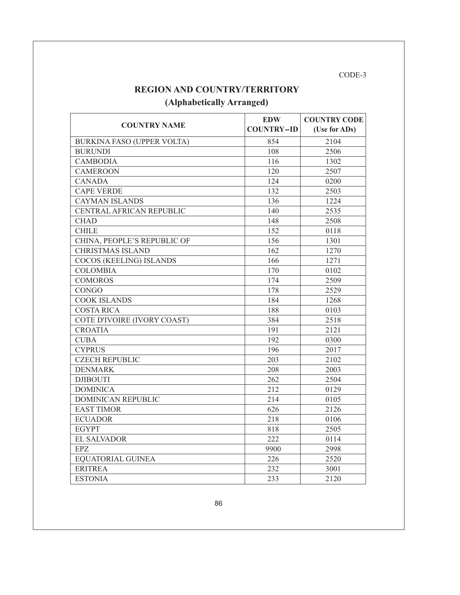|                                   | <b>EDW</b>        | <b>COUNTRY CODE</b> |
|-----------------------------------|-------------------|---------------------|
| <b>COUNTRY NAME</b>               | <b>COUNTRY-ID</b> | (Use for ADs)       |
| <b>BURKINA FASO (UPPER VOLTA)</b> | 854               | 2104                |
| <b>BURUNDI</b>                    | 108               | 2506                |
| <b>CAMBODIA</b>                   | 116               | 1302                |
| <b>CAMEROON</b>                   | 120               | 2507                |
| <b>CANADA</b>                     | 124               | 0200                |
| <b>CAPE VERDE</b>                 | 132               | 2503                |
| <b>CAYMAN ISLANDS</b>             | 136               | 1224                |
| CENTRAL AFRICAN REPUBLIC          | 140               | 2535                |
| <b>CHAD</b>                       | 148               | 2508                |
| <b>CHILE</b>                      | 152               | 0118                |
| CHINA, PEOPLE'S REPUBLIC OF       | 156               | 1301                |
| <b>CHRISTMAS ISLAND</b>           | 162               | 1270                |
| COCOS (KEELING) ISLANDS           | 166               | 1271                |
| <b>COLOMBIA</b>                   | 170               | 0102                |
| <b>COMOROS</b>                    | 174               | 2509                |
| <b>CONGO</b>                      | 178               | 2529                |
| <b>COOK ISLANDS</b>               | 184               | 1268                |
| <b>COSTA RICA</b>                 | 188               | 0103                |
| COTE D'IVOIRE (IVORY COAST)       | 384               | 2518                |
| <b>CROATIA</b>                    | 191               | 2121                |
| <b>CUBA</b>                       | 192               | 0300                |
| <b>CYPRUS</b>                     | 196               | 2017                |
| <b>CZECH REPUBLIC</b>             | 203               | 2102                |
| <b>DENMARK</b>                    | 208               | 2003                |
| <b>DJIBOUTI</b>                   | 262               | 2504                |
| <b>DOMINICA</b>                   | 212               | 0129                |
| <b>DOMINICAN REPUBLIC</b>         | 214               | 0105                |
| <b>EAST TIMOR</b>                 | 626               | 2126                |
| <b>ECUADOR</b>                    | 218               | 0106                |
| <b>EGYPT</b>                      | 818               | 2505                |
| <b>EL SALVADOR</b>                | 222               | 0114                |
| <b>EPZ</b>                        | 9900              | 2998                |
| <b>EQUATORIAL GUINEA</b>          | 226               | 2520                |
| <b>ERITREA</b>                    | 232               | 3001                |
| <b>ESTONIA</b>                    | 233               | 2120                |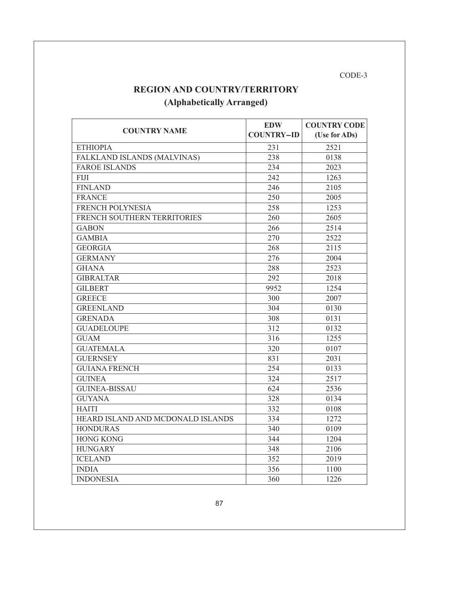| ΕΤΗΙΟΡΙΑ<br>231<br>2521<br>238<br>FALKLAND ISLANDS (MALVINAS)<br>0138<br><b>FAROE ISLANDS</b><br>234<br>2023<br>242<br><b>FIJI</b><br>1263<br><b>FINLAND</b><br>246<br>2105<br>250<br><b>FRANCE</b><br>2005<br>258<br>FRENCH POLYNESIA<br>1253<br>260<br>FRENCH SOUTHERN TERRITORIES<br>2605<br>266<br><b>GABON</b><br>2514<br>270<br>2522<br><b>GAMBIA</b><br><b>GEORGIA</b><br>268<br>2115<br><b>GERMANY</b><br>276<br>2004<br><b>GHANA</b><br>288<br>2523<br>292<br><b>GIBRALTAR</b><br>2018<br>9952<br>1254<br><b>GILBERT</b><br><b>GREECE</b><br>300<br>2007<br>304<br><b>GREENLAND</b><br>0130<br><b>GRENADA</b><br>308<br>0131<br>312<br><b>GUADELOUPE</b><br>0132<br><b>GUAM</b><br>316<br>1255<br><b>GUATEMALA</b><br>320<br>0107<br>831<br><b>GUERNSEY</b><br>2031<br>254<br><b>GUIANA FRENCH</b><br>0133<br>324<br><b>GUINEA</b><br>2517<br><b>GUINEA-BISSAU</b><br>624<br>2536<br><b>GUYANA</b><br>328<br>0134<br><b>HAITI</b><br>332<br>0108<br>HEARD ISLAND AND MCDONALD ISLANDS<br>334<br>1272<br><b>HONDURAS</b><br>340<br>0109 | <b>COUNTRY NAME</b> | <b>EDW</b><br><b>COUNTRY-ID</b> | <b>COUNTRY CODE</b><br>(Use for ADs) |
|-------------------------------------------------------------------------------------------------------------------------------------------------------------------------------------------------------------------------------------------------------------------------------------------------------------------------------------------------------------------------------------------------------------------------------------------------------------------------------------------------------------------------------------------------------------------------------------------------------------------------------------------------------------------------------------------------------------------------------------------------------------------------------------------------------------------------------------------------------------------------------------------------------------------------------------------------------------------------------------------------------------------------------------------------|---------------------|---------------------------------|--------------------------------------|
|                                                                                                                                                                                                                                                                                                                                                                                                                                                                                                                                                                                                                                                                                                                                                                                                                                                                                                                                                                                                                                                 |                     |                                 |                                      |
|                                                                                                                                                                                                                                                                                                                                                                                                                                                                                                                                                                                                                                                                                                                                                                                                                                                                                                                                                                                                                                                 |                     |                                 |                                      |
|                                                                                                                                                                                                                                                                                                                                                                                                                                                                                                                                                                                                                                                                                                                                                                                                                                                                                                                                                                                                                                                 |                     |                                 |                                      |
|                                                                                                                                                                                                                                                                                                                                                                                                                                                                                                                                                                                                                                                                                                                                                                                                                                                                                                                                                                                                                                                 |                     |                                 |                                      |
|                                                                                                                                                                                                                                                                                                                                                                                                                                                                                                                                                                                                                                                                                                                                                                                                                                                                                                                                                                                                                                                 |                     |                                 |                                      |
|                                                                                                                                                                                                                                                                                                                                                                                                                                                                                                                                                                                                                                                                                                                                                                                                                                                                                                                                                                                                                                                 |                     |                                 |                                      |
|                                                                                                                                                                                                                                                                                                                                                                                                                                                                                                                                                                                                                                                                                                                                                                                                                                                                                                                                                                                                                                                 |                     |                                 |                                      |
|                                                                                                                                                                                                                                                                                                                                                                                                                                                                                                                                                                                                                                                                                                                                                                                                                                                                                                                                                                                                                                                 |                     |                                 |                                      |
|                                                                                                                                                                                                                                                                                                                                                                                                                                                                                                                                                                                                                                                                                                                                                                                                                                                                                                                                                                                                                                                 |                     |                                 |                                      |
|                                                                                                                                                                                                                                                                                                                                                                                                                                                                                                                                                                                                                                                                                                                                                                                                                                                                                                                                                                                                                                                 |                     |                                 |                                      |
|                                                                                                                                                                                                                                                                                                                                                                                                                                                                                                                                                                                                                                                                                                                                                                                                                                                                                                                                                                                                                                                 |                     |                                 |                                      |
|                                                                                                                                                                                                                                                                                                                                                                                                                                                                                                                                                                                                                                                                                                                                                                                                                                                                                                                                                                                                                                                 |                     |                                 |                                      |
|                                                                                                                                                                                                                                                                                                                                                                                                                                                                                                                                                                                                                                                                                                                                                                                                                                                                                                                                                                                                                                                 |                     |                                 |                                      |
|                                                                                                                                                                                                                                                                                                                                                                                                                                                                                                                                                                                                                                                                                                                                                                                                                                                                                                                                                                                                                                                 |                     |                                 |                                      |
|                                                                                                                                                                                                                                                                                                                                                                                                                                                                                                                                                                                                                                                                                                                                                                                                                                                                                                                                                                                                                                                 |                     |                                 |                                      |
|                                                                                                                                                                                                                                                                                                                                                                                                                                                                                                                                                                                                                                                                                                                                                                                                                                                                                                                                                                                                                                                 |                     |                                 |                                      |
|                                                                                                                                                                                                                                                                                                                                                                                                                                                                                                                                                                                                                                                                                                                                                                                                                                                                                                                                                                                                                                                 |                     |                                 |                                      |
|                                                                                                                                                                                                                                                                                                                                                                                                                                                                                                                                                                                                                                                                                                                                                                                                                                                                                                                                                                                                                                                 |                     |                                 |                                      |
|                                                                                                                                                                                                                                                                                                                                                                                                                                                                                                                                                                                                                                                                                                                                                                                                                                                                                                                                                                                                                                                 |                     |                                 |                                      |
|                                                                                                                                                                                                                                                                                                                                                                                                                                                                                                                                                                                                                                                                                                                                                                                                                                                                                                                                                                                                                                                 |                     |                                 |                                      |
|                                                                                                                                                                                                                                                                                                                                                                                                                                                                                                                                                                                                                                                                                                                                                                                                                                                                                                                                                                                                                                                 |                     |                                 |                                      |
|                                                                                                                                                                                                                                                                                                                                                                                                                                                                                                                                                                                                                                                                                                                                                                                                                                                                                                                                                                                                                                                 |                     |                                 |                                      |
|                                                                                                                                                                                                                                                                                                                                                                                                                                                                                                                                                                                                                                                                                                                                                                                                                                                                                                                                                                                                                                                 |                     |                                 |                                      |
|                                                                                                                                                                                                                                                                                                                                                                                                                                                                                                                                                                                                                                                                                                                                                                                                                                                                                                                                                                                                                                                 |                     |                                 |                                      |
|                                                                                                                                                                                                                                                                                                                                                                                                                                                                                                                                                                                                                                                                                                                                                                                                                                                                                                                                                                                                                                                 |                     |                                 |                                      |
|                                                                                                                                                                                                                                                                                                                                                                                                                                                                                                                                                                                                                                                                                                                                                                                                                                                                                                                                                                                                                                                 |                     |                                 |                                      |
|                                                                                                                                                                                                                                                                                                                                                                                                                                                                                                                                                                                                                                                                                                                                                                                                                                                                                                                                                                                                                                                 |                     |                                 |                                      |
|                                                                                                                                                                                                                                                                                                                                                                                                                                                                                                                                                                                                                                                                                                                                                                                                                                                                                                                                                                                                                                                 |                     |                                 |                                      |
|                                                                                                                                                                                                                                                                                                                                                                                                                                                                                                                                                                                                                                                                                                                                                                                                                                                                                                                                                                                                                                                 |                     |                                 |                                      |
|                                                                                                                                                                                                                                                                                                                                                                                                                                                                                                                                                                                                                                                                                                                                                                                                                                                                                                                                                                                                                                                 |                     |                                 |                                      |
| <b>HONG KONG</b><br>344<br>1204                                                                                                                                                                                                                                                                                                                                                                                                                                                                                                                                                                                                                                                                                                                                                                                                                                                                                                                                                                                                                 |                     |                                 |                                      |
| <b>HUNGARY</b><br>348<br>2106                                                                                                                                                                                                                                                                                                                                                                                                                                                                                                                                                                                                                                                                                                                                                                                                                                                                                                                                                                                                                   |                     |                                 |                                      |
| 352<br><b>ICELAND</b><br>2019                                                                                                                                                                                                                                                                                                                                                                                                                                                                                                                                                                                                                                                                                                                                                                                                                                                                                                                                                                                                                   |                     |                                 |                                      |
| 356<br><b>INDIA</b><br>1100                                                                                                                                                                                                                                                                                                                                                                                                                                                                                                                                                                                                                                                                                                                                                                                                                                                                                                                                                                                                                     |                     |                                 |                                      |
| 360<br>1226<br><b>INDONESIA</b>                                                                                                                                                                                                                                                                                                                                                                                                                                                                                                                                                                                                                                                                                                                                                                                                                                                                                                                                                                                                                 |                     |                                 |                                      |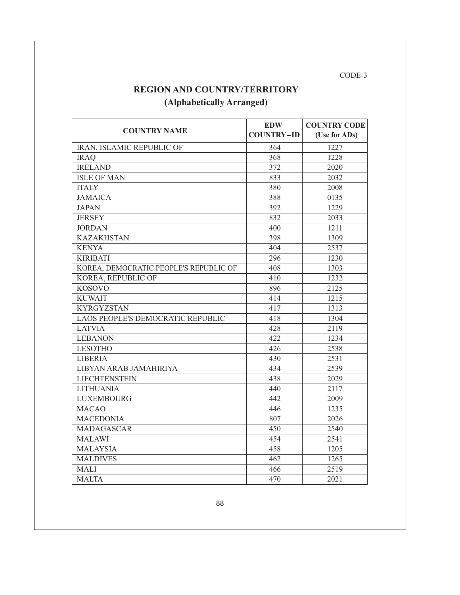| <b>COUNTRY NAME</b>                    | <b>EDW</b><br><b>COUNTRY-ID</b> | <b>COUNTRY CODE</b><br>(Use for ADs) |
|----------------------------------------|---------------------------------|--------------------------------------|
| IRAN, ISLAMIC REPUBLIC OF              | 364                             | 1227                                 |
| <b>IRAQ</b>                            | 368                             | 1228                                 |
| <b>IRELAND</b>                         | 372                             | 2020                                 |
| <b>ISLE OF MAN</b>                     | 833                             | 2032                                 |
| <b>ITALY</b>                           | 380                             | 2008                                 |
| <b>JAMAICA</b>                         | 388                             | 0135                                 |
| <b>JAPAN</b>                           | 392                             | 1229                                 |
| <b>JERSEY</b>                          | 832                             | 2033                                 |
| <b>JORDAN</b>                          | 400                             | 1211                                 |
| <b>KAZAKHSTAN</b>                      | 398                             | 1309                                 |
| <b>KENYA</b>                           | 404                             | 2537                                 |
| <b>KIRIBATI</b>                        | 296                             | 1230                                 |
| KOREA, DEMOCRATIC PEOPLE'S REPUBLIC OF | 408                             | 1303                                 |
| KOREA, REPUBLIC OF                     | 410                             | 1232                                 |
| <b>KOSOVO</b>                          | 896                             | 2125                                 |
| <b>KUWAIT</b>                          | 414                             | 1215                                 |
| <b>KYRGYZSTAN</b>                      | 417                             | 1313                                 |
| LAOS PEOPLE'S DEMOCRATIC REPUBLIC      | 418                             | 1304                                 |
| <b>LATVIA</b>                          | 428                             | 2119                                 |
| <b>LEBANON</b>                         | 422                             | 1234                                 |
| <b>LESOTHO</b>                         | 426                             | 2538                                 |
| <b>LIBERIA</b>                         | 430                             | 2531                                 |
| LIBYAN ARAB JAMAHIRIYA                 | 434                             | 2539                                 |
| <b>LIECHTENSTEIN</b>                   | 438                             | 2029                                 |
| <b>LITHUANIA</b>                       | 440                             | 2117                                 |
| <b>LUXEMBOURG</b>                      | 442                             | 2009                                 |
| <b>MACAO</b>                           | 446                             | 1235                                 |
| <b>MACEDONIA</b>                       | 807                             | 2026                                 |
| <b>MADAGASCAR</b>                      | 450                             | 2540                                 |
| <b>MALAWI</b>                          | 454                             | 2541                                 |
| <b>MALAYSIA</b>                        | 458                             | 1205                                 |
| <b>MALDIVES</b>                        | 462                             | 1265                                 |
| <b>MALI</b>                            | 466                             | 2519                                 |
| <b>MALTA</b>                           | 470                             | 2021                                 |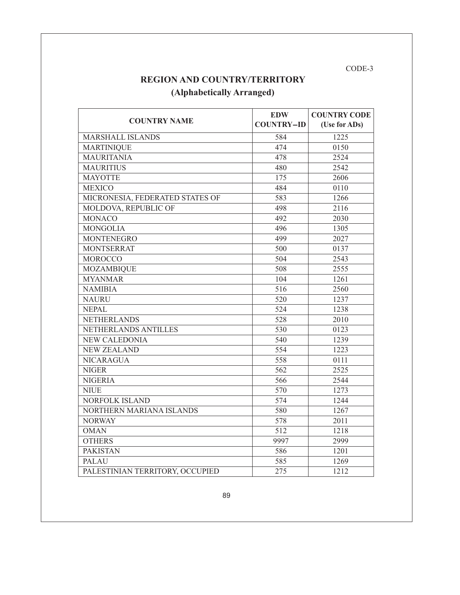| <b>COUNTRY NAME</b>             | <b>EDW</b>        | <b>COUNTRY CODE</b> |
|---------------------------------|-------------------|---------------------|
|                                 | <b>COUNTRY-ID</b> | (Use for ADs)       |
| <b>MARSHALL ISLANDS</b>         | 584               | 1225                |
| <b>MARTINIQUE</b>               | 474               | 0150                |
| <b>MAURITANIA</b>               | 478               | 2524                |
| <b>MAURITIUS</b>                | 480               | 2542                |
| <b>MAYOTTE</b>                  | 175               | 2606                |
| <b>MEXICO</b>                   | 484               | 0110                |
| MICRONESIA, FEDERATED STATES OF | 583               | 1266                |
| MOLDOVA, REPUBLIC OF            | 498               | 2116                |
| <b>MONACO</b>                   | 492               | 2030                |
| <b>MONGOLIA</b>                 | 496               | 1305                |
| <b>MONTENEGRO</b>               | 499               | 2027                |
| <b>MONTSERRAT</b>               | 500               | 0137                |
| <b>MOROCCO</b>                  | 504               | 2543                |
| <b>MOZAMBIQUE</b>               | 508               | 2555                |
| <b>MYANMAR</b>                  | 104               | 1261                |
| <b>NAMIBIA</b>                  | 516               | 2560                |
| <b>NAURU</b>                    | 520               | 1237                |
| <b>NEPAL</b>                    | 524               | 1238                |
| <b>NETHERLANDS</b>              | 528               | 2010                |
| NETHERLANDS ANTILLES            | 530               | 0123                |
| <b>NEW CALEDONIA</b>            | 540               | 1239                |
| <b>NEW ZEALAND</b>              | 554               | 1223                |
| <b>NICARAGUA</b>                | 558               | 0111                |
| <b>NIGER</b>                    | 562               | 2525                |
| <b>NIGERIA</b>                  | 566               | 2544                |
| <b>NIUE</b>                     | 570               | 1273                |
| <b>NORFOLK ISLAND</b>           | 574               | 1244                |
| NORTHERN MARIANA ISLANDS        | 580               | 1267                |
| <b>NORWAY</b>                   | 578               | 2011                |
| <b>OMAN</b>                     | 512               | 1218                |
| <b>OTHERS</b>                   | 9997              | 2999                |
| <b>PAKISTAN</b>                 | 586               | 1201                |
| <b>PALAU</b>                    | 585               | 1269                |
| PALESTINIAN TERRITORY, OCCUPIED | 275               | 1212                |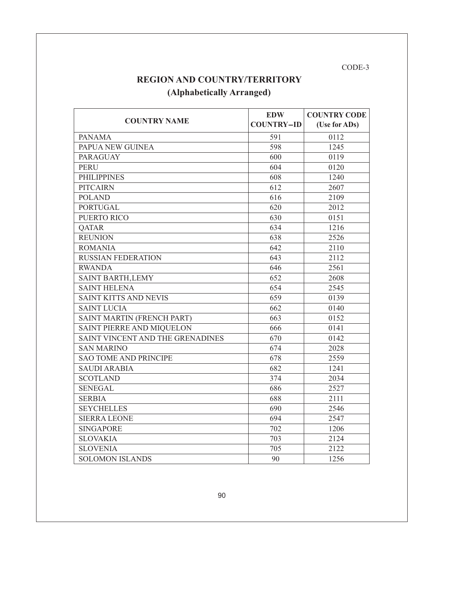|                                  | <b>EDW</b>        | <b>COUNTRY CODE</b> |
|----------------------------------|-------------------|---------------------|
| <b>COUNTRY NAME</b>              | <b>COUNTRY-ID</b> | (Use for ADs)       |
| <b>PANAMA</b>                    | 591               | 0112                |
| PAPUA NEW GUINEA                 | 598               | 1245                |
| <b>PARAGUAY</b>                  | 600               | 0119                |
| <b>PERU</b>                      | 604               | 0120                |
| <b>PHILIPPINES</b>               | 608               | 1240                |
| <b>PITCAIRN</b>                  | 612               | 2607                |
| <b>POLAND</b>                    | 616               | 2109                |
| <b>PORTUGAL</b>                  | 620               | 2012                |
| PUERTO RICO                      | 630               | 0151                |
| <b>QATAR</b>                     | 634               | 1216                |
| <b>REUNION</b>                   | 638               | 2526                |
| <b>ROMANIA</b>                   | 642               | 2110                |
| <b>RUSSIAN FEDERATION</b>        | 643               | 2112                |
| <b>RWANDA</b>                    | 646               | 2561                |
| <b>SAINT BARTH, LEMY</b>         | 652               | 2608                |
| <b>SAINT HELENA</b>              | 654               | 2545                |
| <b>SAINT KITTS AND NEVIS</b>     | 659               | 0139                |
| <b>SAINT LUCIA</b>               | 662               | 0140                |
| SAINT MARTIN (FRENCH PART)       | 663               | 0152                |
| SAINT PIERRE AND MIQUELON        | 666               | 0141                |
| SAINT VINCENT AND THE GRENADINES | 670               | 0142                |
| <b>SAN MARINO</b>                | 674               | 2028                |
| <b>SAO TOME AND PRINCIPE</b>     | 678               | 2559                |
| <b>SAUDI ARABIA</b>              | 682               | 1241                |
| <b>SCOTLAND</b>                  | 374               | 2034                |
| <b>SENEGAL</b>                   | 686               | 2527                |
| <b>SERBIA</b>                    | 688               | 2111                |
| <b>SEYCHELLES</b>                | 690               | 2546                |
| <b>SIERRA LEONE</b>              | 694               | 2547                |
| <b>SINGAPORE</b>                 | 702               | 1206                |
| <b>SLOVAKIA</b>                  | 703               | 2124                |
| <b>SLOVENIA</b>                  | 705               | 2122                |
| <b>SOLOMON ISLANDS</b>           | 90                | 1256                |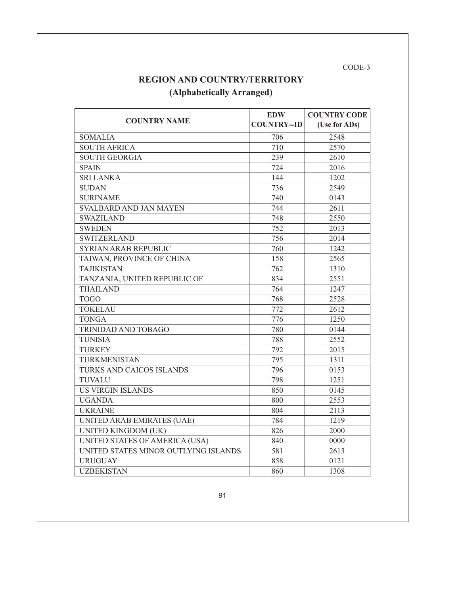| <b>COUNTRY NAME</b>                  | <b>EDW</b><br><b>COUNTRY-ID</b> | <b>COUNTRY CODE</b><br>(Use for ADs) |
|--------------------------------------|---------------------------------|--------------------------------------|
|                                      |                                 |                                      |
| <b>SOMALIA</b>                       | 706                             | 2548                                 |
| <b>SOUTH AFRICA</b>                  | 710                             | 2570                                 |
| <b>SOUTH GEORGIA</b>                 | 239                             | 2610                                 |
| <b>SPAIN</b>                         | 724                             | 2016                                 |
| <b>SRI LANKA</b>                     | 144                             | 1202                                 |
| <b>SUDAN</b>                         | 736                             | 2549                                 |
| <b>SURINAME</b>                      | 740                             | 0143                                 |
| <b>SVALBARD AND JAN MAYEN</b>        | 744                             | 2611                                 |
| <b>SWAZILAND</b>                     | 748                             | 2550                                 |
| <b>SWEDEN</b>                        | 752                             | 2013                                 |
| <b>SWITZERLAND</b>                   | 756                             | 2014                                 |
| <b>SYRIAN ARAB REPUBLIC</b>          | 760                             | 1242                                 |
| TAIWAN, PROVINCE OF CHINA            | 158                             | 2565                                 |
| <b>TAJIKISTAN</b>                    | 762                             | 1310                                 |
| TANZANIA, UNITED REPUBLIC OF         | 834                             | 2551                                 |
| <b>THAILAND</b>                      | 764                             | 1247                                 |
| <b>TOGO</b>                          | 768                             | 2528                                 |
| <b>TOKELAU</b>                       | 772                             | 2612                                 |
| <b>TONGA</b>                         | 776                             | 1250                                 |
| <b>TRINIDAD AND TOBAGO</b>           | 780                             | 0144                                 |
| <b>TUNISIA</b>                       | 788                             | 2552                                 |
| <b>TURKEY</b>                        | 792                             | 2015                                 |
| TURKMENISTAN                         | 795                             | 1311                                 |
| TURKS AND CAICOS ISLANDS             | 796                             | 0153                                 |
| <b>TUVALU</b>                        | 798                             | 1251                                 |
| <b>US VIRGIN ISLANDS</b>             | 850                             | 0145                                 |
| <b>UGANDA</b>                        | 800                             | 2553                                 |
| <b>UKRAINE</b>                       | 804                             | 2113                                 |
| <b>UNITED ARAB EMIRATES (UAE)</b>    | 784                             | 1219                                 |
| <b>UNITED KINGDOM (UK)</b>           | 826                             | 2000                                 |
| UNITED STATES OF AMERICA (USA)       | 840                             | 0000                                 |
| UNITED STATES MINOR OUTLYING ISLANDS | 581                             | 2613                                 |
| <b>URUGUAY</b>                       | 858                             | 0121                                 |
| <b>UZBEKISTAN</b>                    | 860                             | 1308                                 |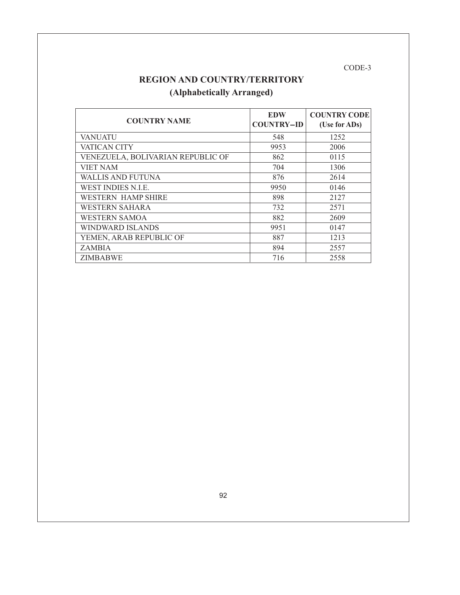| <b>COUNTRY NAME</b>               | <b>EDW</b><br><b>COUNTRY-ID</b> | <b>COUNTRY CODE</b><br>(Use for ADs) |
|-----------------------------------|---------------------------------|--------------------------------------|
| <b>VANUATU</b>                    | 548                             | 1252                                 |
| <b>VATICAN CITY</b>               | 9953                            | 2006                                 |
| VENEZUELA, BOLIVARIAN REPUBLIC OF | 862                             | 0115                                 |
| <b>VIET NAM</b>                   | 704                             | 1306                                 |
| WALLIS AND FUTUNA                 | 876                             | 2614                                 |
| WEST INDIES N.I.E.                | 9950                            | 0146                                 |
| WESTERN HAMP SHIRE                | 898                             | 2127                                 |
| WESTERN SAHARA                    | 732                             | 2571                                 |
| <b>WESTERN SAMOA</b>              | 882                             | 2609                                 |
| WINDWARD ISLANDS                  | 9951                            | 0147                                 |
| YEMEN, ARAB REPUBLIC OF           | 887                             | 1213                                 |
| <b>ZAMBIA</b>                     | 894                             | 2557                                 |
| <b>ZIMBABWE</b>                   | 716                             | 2558                                 |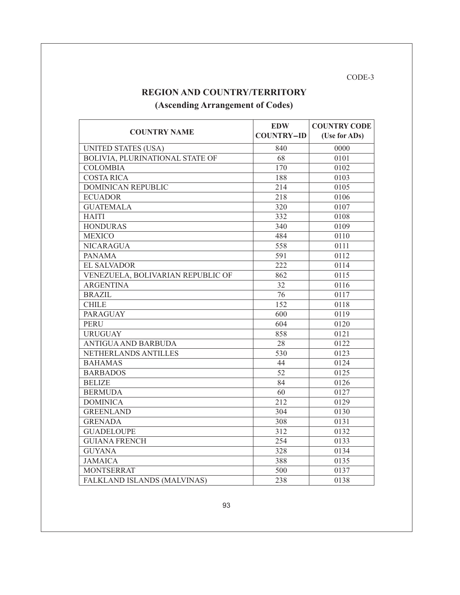# **REGION AND COUNTRY/TERRITORY (Ascending Arrangement of Codes)**

| <b>COUNTRY NAME</b>               | <b>EDW</b><br><b>COUNTRY-ID</b> | <b>COUNTRY CODE</b><br>(Use for ADs) |
|-----------------------------------|---------------------------------|--------------------------------------|
| <b>UNITED STATES (USA)</b>        | 840                             | 0000                                 |
| BOLIVIA, PLURINATIONAL STATE OF   | 68                              | 0101                                 |
| <b>COLOMBIA</b>                   | 170                             | 0102                                 |
| <b>COSTA RICA</b>                 | 188                             | 0103                                 |
| <b>DOMINICAN REPUBLIC</b>         | 214                             | 0105                                 |
|                                   |                                 | 0106                                 |
| <b>ECUADOR</b>                    | 218                             |                                      |
| <b>GUATEMALA</b>                  | 320                             | 0107                                 |
| <b>HAITI</b>                      | 332                             | 0108                                 |
| <b>HONDURAS</b>                   | 340                             | 0109                                 |
| <b>MEXICO</b>                     | 484                             | 0110                                 |
| <b>NICARAGUA</b>                  | 558                             | 0111                                 |
| <b>PANAMA</b>                     | 591                             | 0112                                 |
| <b>EL SALVADOR</b>                | 222                             | 0114                                 |
| VENEZUELA, BOLIVARIAN REPUBLIC OF | 862                             | 0115                                 |
| <b>ARGENTINA</b>                  | 32                              | 0116                                 |
| <b>BRAZIL</b>                     | 76                              | 0117                                 |
| <b>CHILE</b>                      | 152                             | 0118                                 |
| <b>PARAGUAY</b>                   | 600                             | 0119                                 |
| <b>PERU</b>                       | 604                             | 0120                                 |
| <b>URUGUAY</b>                    | 858                             | 0121                                 |
| <b>ANTIGUA AND BARBUDA</b>        | 28                              | 0122                                 |
| NETHERLANDS ANTILLES              | 530                             | 0123                                 |
| <b>BAHAMAS</b>                    | 44                              | 0124                                 |
| <b>BARBADOS</b>                   | 52                              | 0125                                 |
| <b>BELIZE</b>                     | 84                              | 0126                                 |
| <b>BERMUDA</b>                    | 60                              | 0127                                 |
| <b>DOMINICA</b>                   | 212                             | 0129                                 |
| <b>GREENLAND</b>                  | 304                             | 0130                                 |
| <b>GRENADA</b>                    | 308                             | 0131                                 |
| <b>GUADELOUPE</b>                 | 312                             | 0132                                 |
| <b>GUIANA FRENCH</b>              | 254                             | 0133                                 |
| <b>GUYANA</b>                     | 328                             | 0134                                 |
| <b>JAMAICA</b>                    | 388                             | 0135                                 |
| <b>MONTSERRAT</b>                 | 500                             | 0137                                 |
| FALKLAND ISLANDS (MALVINAS)       | 238                             | 0138                                 |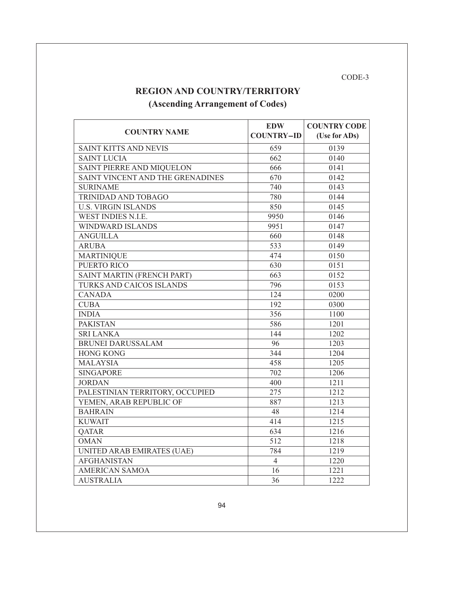## **REGION AND COUNTRY/TERRITORY (Ascending Arrangement of Codes)**

| <b>COUNTRY NAME</b>              | <b>EDW</b><br><b>COUNTRY-ID</b> | <b>COUNTRY CODE</b><br>(Use for ADs) |
|----------------------------------|---------------------------------|--------------------------------------|
| <b>SAINT KITTS AND NEVIS</b>     | 659                             | 0139                                 |
| <b>SAINT LUCIA</b>               | 662                             | 0140                                 |
| SAINT PIERRE AND MIQUELON        | 666                             | 0141                                 |
| SAINT VINCENT AND THE GRENADINES | 670                             | 0142                                 |
| <b>SURINAME</b>                  | 740                             | 0143                                 |
| TRINIDAD AND TOBAGO              | 780                             | 0144                                 |
| <b>U.S. VIRGIN ISLANDS</b>       | 850                             | 0145                                 |
| WEST INDIES N.I.E.               | 9950                            | 0146                                 |
| <b>WINDWARD ISLANDS</b>          | 9951                            | 0147                                 |
| <b>ANGUILLA</b>                  | 660                             | 0148                                 |
| <b>ARUBA</b>                     | 533                             | 0149                                 |
| <b>MARTINIQUE</b>                | 474                             | 0150                                 |
| PUERTO RICO                      | 630                             | 0151                                 |
| SAINT MARTIN (FRENCH PART)       | 663                             | 0152                                 |
| TURKS AND CAICOS ISLANDS         | 796                             | 0153                                 |
| <b>CANADA</b>                    | 124                             | 0200                                 |
| <b>CUBA</b>                      | 192                             | 0300                                 |
| <b>INDIA</b>                     | 356                             | 1100                                 |
| <b>PAKISTAN</b>                  | 586                             | 1201                                 |
| <b>SRI LANKA</b>                 | 144                             | 1202                                 |
| <b>BRUNEI DARUSSALAM</b>         | 96                              | 1203                                 |
| <b>HONG KONG</b>                 | 344                             | 1204                                 |
| <b>MALAYSIA</b>                  | 458                             | 1205                                 |
| <b>SINGAPORE</b>                 | 702                             | 1206                                 |
| <b>JORDAN</b>                    | 400                             | 1211                                 |
| PALESTINIAN TERRITORY, OCCUPIED  | 275                             | 1212                                 |
| YEMEN, ARAB REPUBLIC OF          | 887                             | 1213                                 |
| <b>BAHRAIN</b>                   | 48                              | 1214                                 |
| <b>KUWAIT</b>                    | 414                             | 1215                                 |
| QATAR                            | 634                             | 1216                                 |
| <b>OMAN</b>                      | 512                             | 1218                                 |
| UNITED ARAB EMIRATES (UAE)       | 784                             | 1219                                 |
| <b>AFGHANISTAN</b>               | $\overline{4}$                  | 1220                                 |
| <b>AMERICAN SAMOA</b>            | 16                              | 1221                                 |
| <b>AUSTRALIA</b>                 | 36                              | 1222                                 |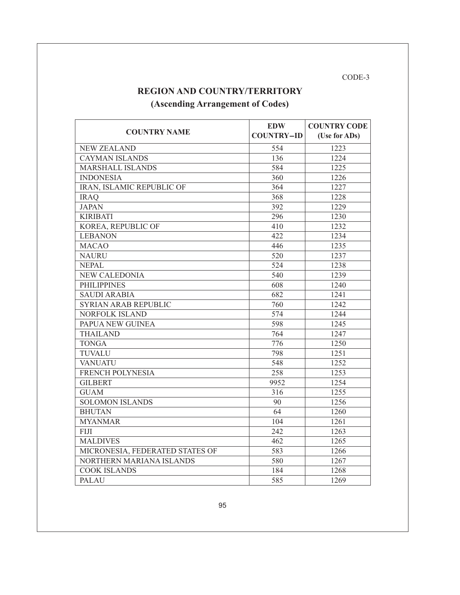## **REGION AND COUNTRY/TERRITORY (Ascending Arrangement of Codes)**

|                                 | <b>EDW</b>        | <b>COUNTRY CODE</b> |  |
|---------------------------------|-------------------|---------------------|--|
| <b>COUNTRY NAME</b>             | <b>COUNTRY-ID</b> | (Use for ADs)       |  |
| <b>NEW ZEALAND</b>              | 554               | 1223                |  |
| <b>CAYMAN ISLANDS</b>           | 136               | 1224                |  |
| <b>MARSHALL ISLANDS</b>         | 584               | 1225                |  |
| <b>INDONESIA</b>                | 360               | 1226                |  |
| IRAN, ISLAMIC REPUBLIC OF       | 364               | 1227                |  |
| <b>IRAQ</b>                     | 368               | 1228                |  |
| <b>JAPAN</b>                    | 392               | 1229                |  |
| <b>KIRIBATI</b>                 | 296               | 1230                |  |
| KOREA, REPUBLIC OF              | 410               | 1232                |  |
| <b>LEBANON</b>                  | 422               | 1234                |  |
| <b>MACAO</b>                    | 446               | 1235                |  |
| <b>NAURU</b>                    | 520               | 1237                |  |
| <b>NEPAL</b>                    | 524               | 1238                |  |
| <b>NEW CALEDONIA</b>            | 540               | 1239                |  |
| <b>PHILIPPINES</b>              | 608               | 1240                |  |
| <b>SAUDI ARABIA</b>             | 682               | 1241                |  |
| <b>SYRIAN ARAB REPUBLIC</b>     | 760               | 1242                |  |
| <b>NORFOLK ISLAND</b>           | 574               | 1244                |  |
| PAPUA NEW GUINEA                | 598               | 1245                |  |
| <b>THAILAND</b>                 | 764               | 1247                |  |
| <b>TONGA</b>                    | 776               | 1250                |  |
| <b>TUVALU</b>                   | 798               | 1251                |  |
| <b>VANUATU</b>                  | 548               | 1252                |  |
| <b>FRENCH POLYNESIA</b>         | 258               | 1253                |  |
| <b>GILBERT</b>                  | 9952              | 1254                |  |
| <b>GUAM</b>                     | 316               | 1255                |  |
| <b>SOLOMON ISLANDS</b>          | 90                | 1256                |  |
| <b>BHUTAN</b>                   | 64                | 1260                |  |
| <b>MYANMAR</b>                  | 104               | 1261                |  |
| <b>FIJI</b>                     | 242               | 1263                |  |
| <b>MALDIVES</b>                 | 462               | 1265                |  |
| MICRONESIA, FEDERATED STATES OF | 583               | 1266                |  |
| NORTHERN MARIANA ISLANDS        | 580               | 1267                |  |
| <b>COOK ISLANDS</b>             | 184               | 1268                |  |
| <b>PALAU</b>                    | 585               | 1269                |  |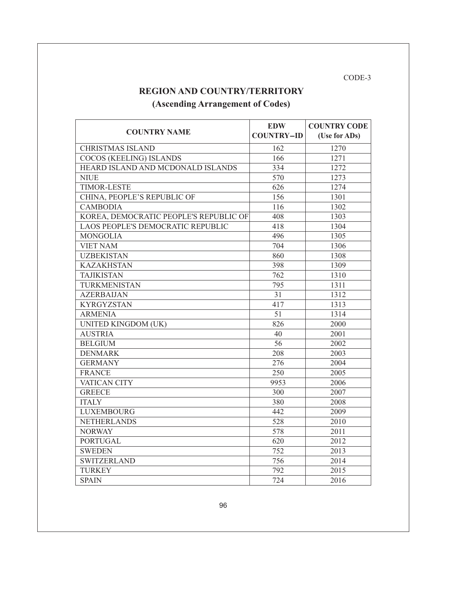# **REGION AND COUNTRY/TERRITORY**

| <b>COUNTRY NAME</b>                      | <b>EDW</b><br><b>COUNTRY-ID</b> | <b>COUNTRY CODE</b><br>(Use for ADs) |  |
|------------------------------------------|---------------------------------|--------------------------------------|--|
| <b>CHRISTMAS ISLAND</b>                  | 162                             | 1270                                 |  |
| COCOS (KEELING) ISLANDS                  | 166                             | 1271                                 |  |
| HEARD ISLAND AND MCDONALD ISLANDS        | 334                             | 1272                                 |  |
| <b>NIUE</b>                              | 570                             | 1273                                 |  |
| <b>TIMOR-LESTE</b>                       | 626                             | 1274                                 |  |
| CHINA, PEOPLE'S REPUBLIC OF              | 156                             | 1301                                 |  |
| <b>CAMBODIA</b>                          | 116                             | 1302                                 |  |
| KOREA, DEMOCRATIC PEOPLE'S REPUBLIC OF   | 408                             | 1303                                 |  |
| <b>LAOS PEOPLE'S DEMOCRATIC REPUBLIC</b> | 418                             | 1304                                 |  |
| <b>MONGOLIA</b>                          | 496                             | 1305                                 |  |
| <b>VIET NAM</b>                          | 704                             | 1306                                 |  |
| <b>UZBEKISTAN</b>                        | 860                             | 1308                                 |  |
| <b>KAZAKHSTAN</b>                        | 398                             | 1309                                 |  |
| <b>TAJIKISTAN</b>                        | 762                             | 1310                                 |  |
| TURKMENISTAN                             | 795                             | 1311                                 |  |
| <b>AZERBAIJAN</b>                        | 31                              | 1312                                 |  |
| <b>KYRGYZSTAN</b>                        | 417                             | 1313                                 |  |
| <b>ARMENIA</b>                           | 51                              | 1314                                 |  |
| <b>UNITED KINGDOM (UK)</b>               | 826                             | 2000                                 |  |
| <b>AUSTRIA</b>                           | 40                              | 2001                                 |  |
| <b>BELGIUM</b>                           | 56                              | 2002                                 |  |
| <b>DENMARK</b>                           | 208                             | 2003                                 |  |
| <b>GERMANY</b>                           | 276                             | 2004                                 |  |
| <b>FRANCE</b>                            | 250                             | 2005                                 |  |
| VATICAN CITY                             | 9953                            | 2006                                 |  |
| <b>GREECE</b>                            | 300                             | 2007                                 |  |
| <b>ITALY</b>                             | 380                             | 2008                                 |  |
| <b>LUXEMBOURG</b>                        | 442                             | 2009                                 |  |
| <b>NETHERLANDS</b>                       | 528                             | 2010                                 |  |
| <b>NORWAY</b>                            | 578                             | 2011                                 |  |
| <b>PORTUGAL</b>                          | 620                             | 2012                                 |  |
| <b>SWEDEN</b>                            | 752                             | 2013                                 |  |
| <b>SWITZERLAND</b>                       | 756                             | 2014                                 |  |
| <b>TURKEY</b>                            | 792                             | 2015                                 |  |
| <b>SPAIN</b>                             | 724                             | 2016                                 |  |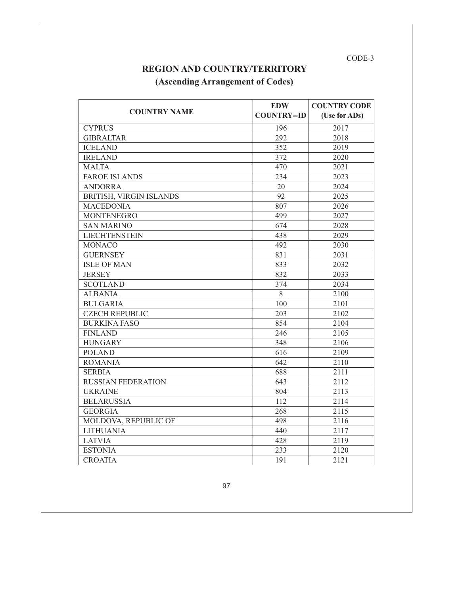### **REGION AND COUNTRY/TERRITORY**

|                           | <b>EDW</b>        | <b>COUNTRY CODE</b> |  |
|---------------------------|-------------------|---------------------|--|
| <b>COUNTRY NAME</b>       | <b>COUNTRY-ID</b> | (Use for ADs)       |  |
| <b>CYPRUS</b>             | 196               | 2017                |  |
| <b>GIBRALTAR</b>          | 292               | 2018                |  |
| <b>ICELAND</b>            | 352               | 2019                |  |
| <b>IRELAND</b>            | 372               | 2020                |  |
| <b>MALTA</b>              | 470               | 2021                |  |
| <b>FAROE ISLANDS</b>      | 234               | 2023                |  |
| <b>ANDORRA</b>            | 20                | 2024                |  |
| BRITISH, VIRGIN ISLANDS   | $\overline{92}$   | 2025                |  |
| <b>MACEDONIA</b>          | 807               | 2026                |  |
| <b>MONTENEGRO</b>         | 499               | 2027                |  |
| <b>SAN MARINO</b>         | 674               | 2028                |  |
| <b>LIECHTENSTEIN</b>      | 438               | 2029                |  |
| <b>MONACO</b>             | 492               | 2030                |  |
| <b>GUERNSEY</b>           | 831               | 2031                |  |
| <b>ISLE OF MAN</b>        | 833               | 2032                |  |
| <b>JERSEY</b>             | 832               | 2033                |  |
| <b>SCOTLAND</b>           | 374               | 2034                |  |
| <b>ALBANIA</b>            | 8                 | 2100                |  |
| <b>BULGARIA</b>           | 100               | 2101                |  |
| <b>CZECH REPUBLIC</b>     | 203               | 2102                |  |
| <b>BURKINA FASO</b>       | 854               | 2104                |  |
| <b>FINLAND</b>            | 246               | 2105                |  |
| <b>HUNGARY</b>            | 348               | 2106                |  |
| <b>POLAND</b>             | 616               | 2109                |  |
| <b>ROMANIA</b>            | 642               | 2110                |  |
| <b>SERBIA</b>             | 688               | 2111                |  |
| <b>RUSSIAN FEDERATION</b> | 643               | 2112                |  |
| <b>UKRAINE</b>            | 804               | 2113                |  |
| <b>BELARUSSIA</b>         | 112               | 2114                |  |
| <b>GEORGIA</b>            | 268               | 2115                |  |
| MOLDOVA, REPUBLIC OF      | 498               | 2116                |  |
| <b>LITHUANIA</b>          | 440               | 2117                |  |
| <b>LATVIA</b>             | 428               | 2119                |  |
| <b>ESTONIA</b>            | 233               | 2120                |  |
| <b>CROATIA</b>            | 191               | 2121                |  |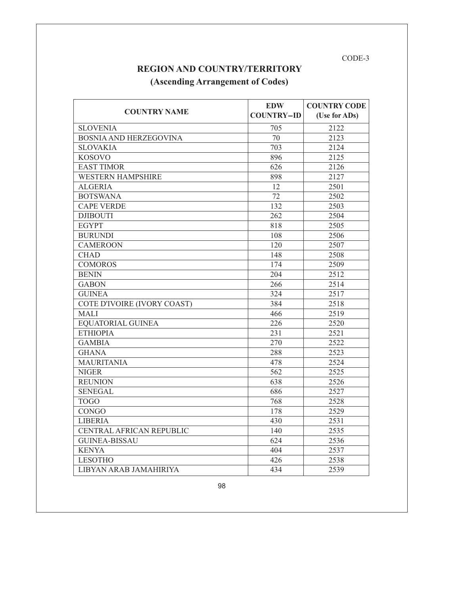### **REGION AND COUNTRY/TERRITORY**

| <b>COUNTRY NAME</b>           | <b>EDW</b><br><b>COUNTRY-ID</b> | <b>COUNTRY CODE</b><br>(Use for ADs) |
|-------------------------------|---------------------------------|--------------------------------------|
| <b>SLOVENIA</b>               | 705                             | 2122                                 |
| <b>BOSNIA AND HERZEGOVINA</b> | 70                              | 2123                                 |
| <b>SLOVAKIA</b>               | 703                             | 2124                                 |
| <b>KOSOVO</b>                 | 896                             | 2125                                 |
| <b>EAST TIMOR</b>             | 626                             | 2126                                 |
| <b>WESTERN HAMPSHIRE</b>      | 898                             | 2127                                 |
| <b>ALGERIA</b>                | 12                              | 2501                                 |
| <b>BOTSWANA</b>               | 72                              | 2502                                 |
| <b>CAPE VERDE</b>             | 132                             | 2503                                 |
| <b>DJIBOUTI</b>               | 262                             | 2504                                 |
| <b>EGYPT</b>                  | 818                             | 2505                                 |
| <b>BURUNDI</b>                | 108                             | 2506                                 |
| <b>CAMEROON</b>               | 120                             | 2507                                 |
| <b>CHAD</b>                   | 148                             | 2508                                 |
| <b>COMOROS</b>                | 174                             | 2509                                 |
| <b>BENIN</b>                  | 204                             | 2512                                 |
| <b>GABON</b>                  | 266                             | $\overline{2}514$                    |
| <b>GUINEA</b>                 | 324                             | 2517                                 |
| COTE D'IVOIRE (IVORY COAST)   | 384                             | 2518                                 |
| <b>MALI</b>                   | 466                             | 2519                                 |
| <b>EQUATORIAL GUINEA</b>      | 226                             | 2520                                 |
| <b>ETHIOPIA</b>               | 231                             | 2521                                 |
| <b>GAMBIA</b>                 | 270                             | 2522                                 |
| <b>GHANA</b>                  | 288                             | 2523                                 |
| <b>MAURITANIA</b>             | 478                             | 2524                                 |
| <b>NIGER</b>                  | 562                             | 2525                                 |
| <b>REUNION</b>                | 638                             | 2526                                 |
| <b>SENEGAL</b>                | 686                             | 2527                                 |
| <b>TOGO</b>                   | 768                             | 2528                                 |
| <b>CONGO</b>                  | 178                             | 2529                                 |
| <b>LIBERIA</b>                | 430                             | 2531                                 |
| CENTRAL AFRICAN REPUBLIC      | 140                             | 2535                                 |
| <b>GUINEA-BISSAU</b>          | 624                             | 2536                                 |
| <b>KENYA</b>                  | 404                             | 2537                                 |
| <b>LESOTHO</b>                | 426                             | 2538                                 |
| LIBYAN ARAB JAMAHIRIYA        | 434                             | 2539                                 |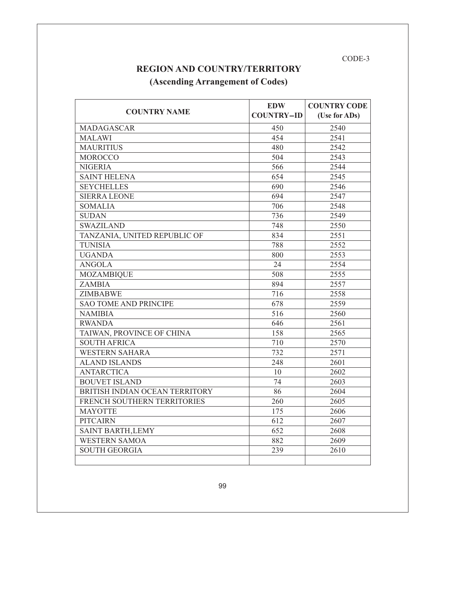### **REGION AND COUNTRY/TERRITORY**

| <b>COUNTRY NAME</b>            | <b>EDW</b>        | <b>COUNTRY CODE</b> |  |
|--------------------------------|-------------------|---------------------|--|
|                                | <b>COUNTRY-ID</b> | (Use for ADs)       |  |
| <b>MADAGASCAR</b>              | 450               | 2540                |  |
| <b>MALAWI</b>                  | 454               | 2541                |  |
| <b>MAURITIUS</b>               | 480               | 2542                |  |
| <b>MOROCCO</b>                 | 504               | 2543                |  |
| <b>NIGERIA</b>                 | 566               | 2544                |  |
| <b>SAINT HELENA</b>            | 654               | 2545                |  |
| <b>SEYCHELLES</b>              | 690               | 2546                |  |
| <b>SIERRA LEONE</b>            | 694               | 2547                |  |
| <b>SOMALIA</b>                 | 706               | 2548                |  |
| <b>SUDAN</b>                   | 736               | 2549                |  |
| <b>SWAZILAND</b>               | 748               | 2550                |  |
| TANZANIA, UNITED REPUBLIC OF   | 834               | 2551                |  |
| <b>TUNISIA</b>                 | 788               | 2552                |  |
| <b>UGANDA</b>                  | 800               | 2553                |  |
| <b>ANGOLA</b>                  | 24                | 2554                |  |
| <b>MOZAMBIQUE</b>              | 508               | 2555                |  |
| <b>ZAMBIA</b>                  | 894               | 2557                |  |
| <b>ZIMBABWE</b>                | 716               | 2558                |  |
| <b>SAO TOME AND PRINCIPE</b>   | 678               | 2559                |  |
| <b>NAMIBIA</b>                 | 516               | 2560                |  |
| <b>RWANDA</b>                  | 646               | 2561                |  |
| TAIWAN, PROVINCE OF CHINA      | 158               | 2565                |  |
| <b>SOUTH AFRICA</b>            | 710               | 2570                |  |
| <b>WESTERN SAHARA</b>          | 732               | 2571                |  |
| <b>ALAND ISLANDS</b>           | 248               | 2601                |  |
| <b>ANTARCTICA</b>              | 10                | 2602                |  |
| <b>BOUVET ISLAND</b>           | 74                | 2603                |  |
| BRITISH INDIAN OCEAN TERRITORY | 86                | 2604                |  |
| FRENCH SOUTHERN TERRITORIES    | 260               | 2605                |  |
| <b>MAYOTTE</b>                 | 175               | 2606                |  |
| <b>PITCAIRN</b>                | 612               | 2607                |  |
| <b>SAINT BARTH, LEMY</b>       | 652               | 2608                |  |
| <b>WESTERN SAMOA</b>           | 882               | 2609                |  |
| <b>SOUTH GEORGIA</b>           | 239               | 2610                |  |
|                                |                   |                     |  |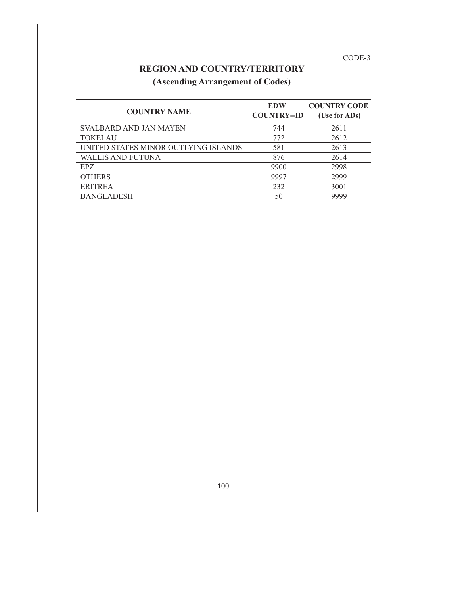## **REGION AND COUNTRY/TERRITORY**

| <b>COUNTRY NAME</b>                  | <b>EDW</b><br><b>COUNTRY-ID</b> | <b>COUNTRY CODE</b><br>(Use for ADs) |
|--------------------------------------|---------------------------------|--------------------------------------|
| <b>SVALBARD AND JAN MAYEN</b>        | 744                             | 2611                                 |
| TOKELAU                              | 772                             | 2612                                 |
| UNITED STATES MINOR OUTLYING ISLANDS | 581                             | 2613                                 |
| WALLIS AND FUTUNA                    | 876                             | 2614                                 |
| EPZ.                                 | 9900                            | 2998                                 |
| <b>OTHERS</b>                        | 9997                            | 2999                                 |
| <b>ERITREA</b>                       | 232                             | 3001                                 |
| <b>BANGLADESH</b>                    | 50                              | 9999                                 |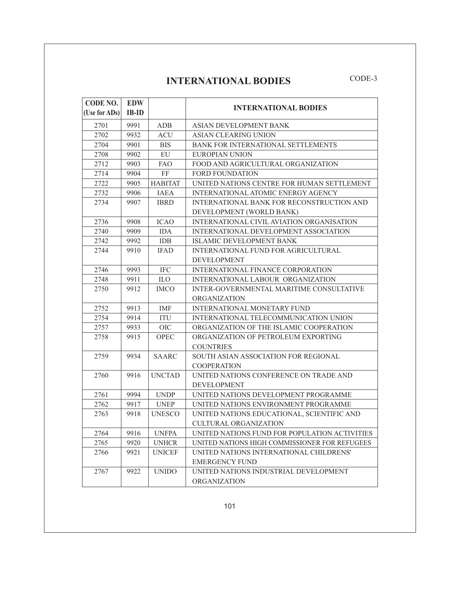### **INTERNATIONAL BODIES**

CODE-3

| CODE NO.<br>(Use for ADs) | <b>EDW</b><br><b>IB-ID</b> |                | <b>INTERNATIONAL BODIES</b>                   |
|---------------------------|----------------------------|----------------|-----------------------------------------------|
| 2701                      | 9991                       | <b>ADB</b>     | ASIAN DEVELOPMENT BANK                        |
| 2702                      | 9932                       | <b>ACU</b>     | <b>ASIAN CLEARING UNION</b>                   |
| 2704                      | 9901                       | <b>BIS</b>     | <b>BANK FOR INTERNATIONAL SETTLEMENTS</b>     |
| 2708                      | 9902                       | EU             | <b>EUROPIAN UNION</b>                         |
| 2712                      | 9903                       | <b>FAO</b>     | FOOD AND AGRICULTURAL ORGANIZATION            |
| 2714                      | 9904                       | FF             | <b>FORD FOUNDATION</b>                        |
| 2722                      | 9905                       | <b>HABITAT</b> | UNITED NATIONS CENTRE FOR HUMAN SETTLEMENT    |
| 2732                      | 9906                       | <b>IAEA</b>    | INTERNATIONAL ATOMIC ENERGY AGENCY            |
| 2734                      | 9907                       | <b>IBRD</b>    | INTERNATIONAL BANK FOR RECONSTRUCTION AND     |
|                           |                            |                | DEVELOPMENT (WORLD BANK)                      |
| 2736                      | 9908                       | <b>ICAO</b>    | INTERNATIONAL CIVIL AVIATION ORGANISATION     |
| 2740                      | 9909                       | <b>IDA</b>     | INTERNATIONAL DEVELOPMENT ASSOCIATION         |
| 2742                      | 9992                       | <b>IDB</b>     | ISLAMIC DEVELOPMENT BANK                      |
| 2744                      | 9910                       | <b>IFAD</b>    | INTERNATIONAL FUND FOR AGRICULTURAL           |
|                           |                            |                | <b>DEVELOPMENT</b>                            |
| 2746                      | 9993                       | <b>IFC</b>     | <b>INTERNATIONAL FINANCE CORPORATION</b>      |
| 2748                      | 9911                       | <b>ILO</b>     | INTERNATIONAL LABOUR ORGANIZATION             |
| 2750                      | 9912                       | <b>IMCO</b>    | INTER-GOVERNMENTAL MARITIME CONSULTATIVE      |
|                           |                            |                | <b>ORGANIZATION</b>                           |
| 2752                      | 9913                       | <b>IMF</b>     | <b>INTERNATIONAL MONETARY FUND</b>            |
| 2754                      | 9914                       | <b>ITU</b>     | INTERNATIONAL TELECOMMUNICATION UNION         |
| 2757                      | 9933                       | <b>OIC</b>     | ORGANIZATION OF THE ISLAMIC COOPERATION       |
| 2758                      | 9915                       | <b>OPEC</b>    | ORGANIZATION OF PETROLEUM EXPORTING           |
|                           |                            |                | <b>COUNTRIES</b>                              |
| 2759                      | 9934                       | <b>SAARC</b>   | SOUTH ASIAN ASSOCIATION FOR REGIONAL          |
|                           |                            |                | <b>COOPERATION</b>                            |
| 2760                      | 9916                       | <b>UNCTAD</b>  | UNITED NATIONS CONFERENCE ON TRADE AND        |
|                           |                            |                | <b>DEVELOPMENT</b>                            |
| 2761                      | 9994                       | <b>UNDP</b>    | UNITED NATIONS DEVELOPMENT PROGRAMME          |
| 2762                      | 9917                       | <b>UNEP</b>    | UNITED NATIONS ENVIRONMENT PROGRAMME          |
| 2763                      | 9918                       | <b>UNESCO</b>  | UNITED NATIONS EDUCATIONAL, SCIENTIFIC AND    |
|                           |                            |                | <b>CULTURAL ORGANIZATION</b>                  |
| 2764                      | 9916                       | <b>UNFPA</b>   | UNITED NATIONS FUND FOR POPULATION ACTIVITIES |
| 2765                      | 9920                       | <b>UNHCR</b>   | UNITED NATIONS HIGH COMMISSIONER FOR REFUGEES |
| 2766                      | 9921                       | <b>UNICEF</b>  | UNITED NATIONS INTERNATIONAL CHILDRENS'       |
|                           |                            |                | <b>EMERGENCY FUND</b>                         |
| 2767                      | 9922                       | <b>UNIDO</b>   | UNITED NATIONS INDUSTRIAL DEVELOPMENT         |
|                           |                            |                | <b>ORGANIZATION</b>                           |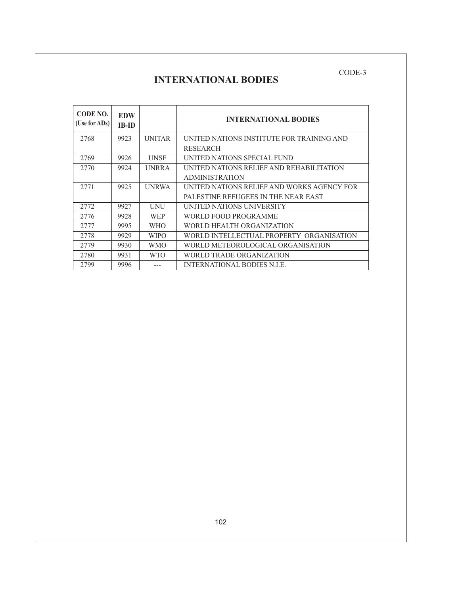## **INTERNATIONAL BODIES**

| CODE NO.<br>(Use for ADs) | <b>EDW</b><br><b>IB-ID</b> |               | <b>INTERNATIONAL BODIES</b>                |
|---------------------------|----------------------------|---------------|--------------------------------------------|
| 2768                      | 9923                       | <b>UNITAR</b> | UNITED NATIONS INSTITUTE FOR TRAINING AND  |
|                           |                            |               | <b>RESEARCH</b>                            |
| 2769                      | 9926                       | <b>UNSF</b>   | UNITED NATIONS SPECIAL FUND                |
| 2770                      | 9924                       | <b>UNRRA</b>  | UNITED NATIONS RELIEF AND REHABILITATION   |
|                           |                            |               | <b>ADMINISTRATION</b>                      |
| 2771                      | 9925                       | <b>UNRWA</b>  | UNITED NATIONS RELIEF AND WORKS AGENCY FOR |
|                           |                            |               | PALESTINE REFUGEES IN THE NEAR EAST        |
| 2772                      | 9927                       | <b>UNU</b>    | UNITED NATIONS UNIVERSITY                  |
| 2776                      | 9928                       | <b>WEP</b>    | WORLD FOOD PROGRAMME                       |
| 2777                      | 9995                       | <b>WHO</b>    | WORLD HEALTH ORGANIZATION                  |
| 2778                      | 9929                       | <b>WIPO</b>   | WORLD INTELLECTUAL PROPERTY ORGANISATION   |
| 2779                      | 9930                       | <b>WMO</b>    | WORLD METEOROLOGICAL ORGANISATION          |
| 2780                      | 9931                       | <b>WTO</b>    | WORLD TRADE ORGANIZATION                   |
| 2799                      | 9996                       |               | INTERNATIONAL BODIES N.I.E.                |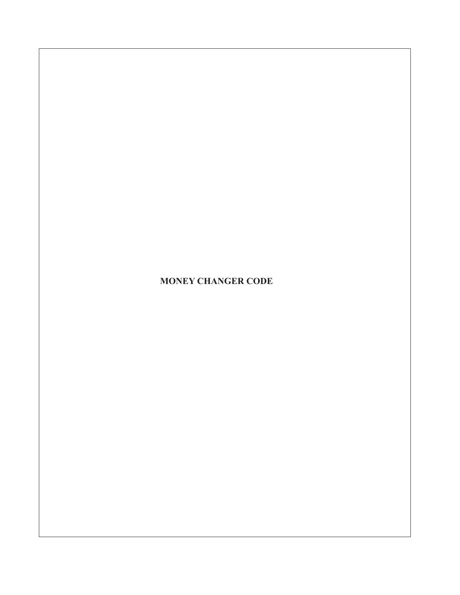### **MONEY CHANGER CODE**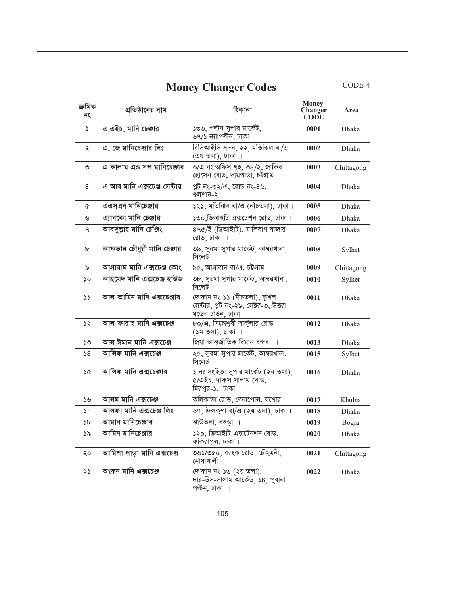## **Money Changer Codes** CODE-4

| ক্ৰমিক<br>নং  | প্রতিষ্ঠানের নাম              | ঠিকানা                                                                                | <b>Money</b><br>Changer<br><b>CODE</b> | Area       |
|---------------|-------------------------------|---------------------------------------------------------------------------------------|----------------------------------------|------------|
| $\Delta$      | এ,এইচ, মানি চেঞ্জার           | ১৩৩, পল্টন সুপার মার্কেট,<br>৬৭/১ নয়াপল্টন, ঢাকা                                     | 0001                                   | Dhaka      |
| ২             | এ, জে মানিচেঞ্জার লিঃ         | বিসিআইসি সদন, ২২, মতিঝিল বা/এ<br>$($ ৩য় তলা), ঢাকা ।                                 | 0002                                   | Dhaka      |
| ৩             | এ কালাম এন্ড সন্স মানিচেঞ্জার | ৩/এ নং অফিস গৃহ, ৩৪/২, জাকির<br>হোসেন রোড, দামপাড়া, চউগ্রাম ।                        | 0003                                   | Chittagong |
| 8             | এ আর মানি এক্সচেঞ্জ সেন্টার   | প্লট নং-৩২/এ, রোড নং-৪৬,<br>গুলশান-২ ।                                                | 0004                                   | Dhaka      |
| $\mho$        | এএসএন মানিচেঞ্জার             | ১২১, মতিঝিল বা/এ (নীচতলা), ঢাকা।                                                      | 0005                                   | Dhaka      |
| ৬             | এ্যাবকো মানি চেঞ্জার          | ১৩০,ডিআইটি এক্সটেশন রোড, ঢাকা।                                                        | 0006                                   | Dhaka      |
| ٩             | আবদুল্লাহ মানি চেঞ্জিং        | ৪৭৫/ই (ডিআইটি), মালিবাগ বাজার<br>রোড, ঢাকা ।                                          | 0007                                   | Dhaka      |
| ৮             | আফতাব চৌধুরী মানি চেঞ্জার     | ৩৯, সুরমা সুপার মার্কেট, আম্বরখানা,<br>সিলেট ।                                        | 0008                                   | Sylhet     |
| ৯             | আগ্রাবাদ মানি এক্সচেঞ্জ কোং   | ৯৫, আগ্রাবাদ বা/এ, চউগ্রাম ।                                                          | 0009                                   | Chittagong |
| ১০            | আহমেদ মানি এক্সচেঞ্জ হাউজ     | ৩৮, সুরমা সুপার মার্কেট, আম্বরখানা,<br>সিলেট                                          | 0010                                   | Sylhet     |
| $\mathcal{L}$ | আল-আমিন মানি এক্সচেঞ্জার      | দোকান নং-১১ (নীচতলা), কুশল<br>সেন্টার, পুট নং-২৯, সেক্টর-৩, উত্তরা<br>মডেল টাউন, ঢাকা | 0011                                   | Dhaka      |
| ১২            | আল-ফারাহ মানি এক্সচেঞ্জ       | ৮০/এ, সিদ্ধেশুরী সার্কুলার রোড<br>(১ম তলা), ঢাকা                                      | 0012                                   | Dhaka      |
| ১৩            | আল ঈমান মানি এক্সচেঞ্জ        | জিয়া আন্তর্জাতিক বিমান বন্দর                                                         | 0013                                   | Dhaka      |
| 58            | আলিফ মানি এক্সচেঞ্জ           | ২৫, সুরমা সুপার মার্কেট, আম্বরখানা,<br>সিলেট                                          | 0015                                   | Sylhet     |
| ১৫            | আলিফ মানি এক্সচেঞ্জার         | ১ নং সংহিতা সুপার মার্কেট (২য় তলা),<br>৫/এইচ, দারুস সালাম রোড,<br>মিরপুর-১, ঢাকা।    | 0016                                   | Dhaka      |
| ১৬            | আলম মানি এক্সচেঞ্জ            | কলিকাতা রোড, বেনাপোল, যশোর ।                                                          | 0017                                   | Khulna     |
| 59            | আলফা মানি এক্সচেঞ্জ লিঃ       | ৬৭, দিলকুশা বা/এ (২য় তলা), ঢাকা।                                                     | 0018                                   | Dhaka      |
| ১৮            | আমান মানিচেঞ্জার              | ঝাউতলা, বগুড়া ।                                                                      | 0019                                   | Bogra      |
| ১৯            | আমিন মানিচেঞ্জার              | ১২৯, ডিআইটি এক্সটেনশন রোড,<br>ফকিরাপুল, ঢাকা ।                                        | 0020                                   | Dhaka      |
| ২০            | আমিশা পাড়া মানি এক্সচেঞ্জ    | ৩৬১/৩৫০, ব্যাংক রোড, চৌমুহনী,<br>নোয়াখালী ।                                          | 0021                                   | Chittagong |
| ২১            | অংকন মানি এক্সচেঞ্জ           | দোকান নং-১৩ (২য় তলা),<br>দার-উস-সালাম আর্কেড, ১৪, পুরানা<br>পল্টন, ঢাকা ।            | 0022                                   | Dhaka      |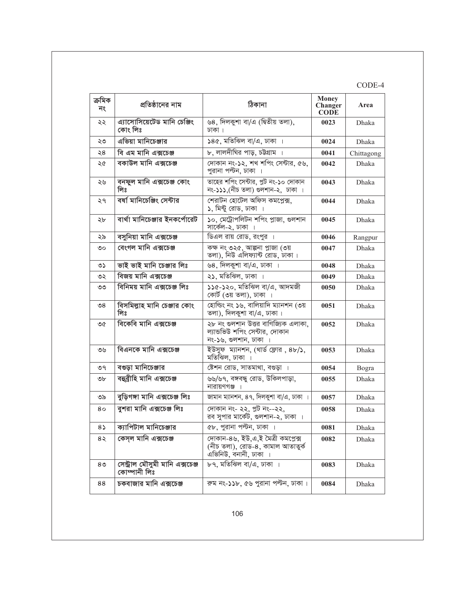| ক্ৰমিক<br>নং          | প্রতিষ্ঠানের নাম                                | ঠিকানা                                                                                         | <b>Money</b><br>Changer<br><b>CODE</b> | Area         |
|-----------------------|-------------------------------------------------|------------------------------------------------------------------------------------------------|----------------------------------------|--------------|
| ২২                    | এ্যাসোসিয়েটেড মানি চেঞ্জিং<br>কোং লিঃ          | ৬৪, দিলকুশা বা/এ (দ্বিতীয় তলা),<br>ঢাকা ।                                                     | 0023                                   | Dhaka        |
| ২৩                    | এভিয়া মানিচেঞ্জার                              | ১৪৫, মতিঝিল বা/এ, ঢাকা ।                                                                       | 0024                                   | <b>Dhaka</b> |
| ২৪                    | বি এম মানি এক্সচেঞ্জ                            | ৮, লালদীঘির পাড়, চউগ্রাম ।                                                                    | 0041                                   | Chittagong   |
| ২৫                    | বকাউল মানি এক্সচেঞ্জ                            | দোকান নং-১২, শখ শপিং সেন্টার, ৫৬,<br>পুরানা পল্টন, ঢাকা ।                                      | 0042                                   | <b>Dhaka</b> |
| ২৬                    | বনফুল মানি এক্সচেঞ্জ কোং<br>লিঃ                 | তাহের শপিং সেন্টার, পুট নং-১০ দোকান<br>$\pi$ ->>>, (নীচ তলা) গুলশান-২, ঢাকা ।                  | 0043                                   | Dhaka        |
| ২৭                    | বর্ষা মানিচেঞ্জিং সেন্টার                       | শেরাটন হোটেল অফিস কমপ্লেক্স,<br>১, মিন্টু রোড, ঢাকা ।                                          | 0044                                   | <b>Dhaka</b> |
| ২৮                    | বার্থা মানিচেঞ্জার ইনকর্পোরেট                   | ১০, মেট্রোপলিটন শপিং প্লাজা, গুলশান<br>সার্কেল-২, ঢাকা ।                                       | 0045                                   | Dhaka        |
| ২৯                    | বসুনিয়া মানি এক্সচেঞ্জ                         | ডিএল রায় রোড, রংপুর ।                                                                         | 0046                                   | Rangpur      |
| ৩೦                    | বেংগল মানি এক্সচেঞ্জ                            | কক্ষ নং ৩২৫, আল্পনা প্লাজা (৩য়<br>তলা), নিউ এলিফ্যান্ট রোড, ঢাকা।                             | 0047                                   | Dhaka        |
| ৩১                    | ভাই ভাই মানি চেঞ্জার লিঃ                        | $\overline{v}$ ও, দিলকুশা বা/এ, ঢাকা ।                                                         | 0048                                   | <b>Dhaka</b> |
| ৩২                    | বিজয় মানি এক্সচেঞ্জ                            | ২১, মতিঝিল, ঢাকা ।                                                                             | 0049                                   | <b>Dhaka</b> |
| ৩৩                    | বিনিময় মানি এক্সচেঞ্জ লিঃ                      | ১১৫-১২০, মতিঝিল বা/এ, আদমজী<br>কোর্ট (৩য় তলা), ঢাকা ।                                         | 0050                                   | <b>Dhaka</b> |
| $\mathcal{S}^{\circ}$ | বিসমিল্লাহ মানি চেঞ্জার কোং<br>লিঃ              | হোল্ডিং নং ১৬, বালিয়াদি ম্যানশন (৩য়<br>তলা), দিলকুশা বা/এ, ঢাকা।                             | 0051                                   | <b>Dhaka</b> |
| ৩৫                    | বিকেবি মানি এক্সচেঞ্জ                           | ২৮ নং গুলশান উত্তর বাণিজ্যিক এলাকা.<br>ল্যান্ডভিউ শপিং সেন্টার, দোকান<br>নং-১৬, গুলশান, ঢাকা । | 0052                                   | Dhaka        |
| ৩৬                    | বিএনকে মানি এক্সচেঞ্জ                           | ইউসুফ ম্যানশন, (থার্ড ফ্লোর, ৪৮/১,<br>মতিঝিল, ঢাকা ।                                           | 0053                                   | <b>Dhaka</b> |
| ৩৭                    | বগুড়া মানিচেঞ্জার                              | ষ্টেশন রোড, সাতমাথা, বগুড়া ।                                                                  | 0054                                   | Bogra        |
| ৩৮                    | বহুব্ৰীহি মানি এক্সচেঞ্জ                        | ৬৬/৬৭, বঙ্গবন্ধু রোড, উকিলপাড়া,<br>নারায়ণগঞ্জ ।                                              | 0055                                   | <b>Dhaka</b> |
| ৩৯                    | বুড়িগঙ্গা মানি এক্সচেঞ্জ লিঃ                   | জামান ম্যানশন, ৪৭, দিলকুশা বা/এ, ঢাকা ।                                                        | 0057                                   | Dhaka        |
| 80                    | বুশরা মানি এক্সচেঞ্জ লিঃ                        | দোকান নং- ২২, প্লট নং--২২,<br>রব সুপার মার্কেট, গুলশান-২, ঢাকা ।                               | 0058                                   | <b>Dhaka</b> |
| $8\sqrt{ }$           | ক্যাপিটাল মানিচেঞ্জার                           | $\overline{\text{c}b}$ , পুরানা পল্টন, ঢাকা ।                                                  | 0081                                   | <b>Dhaka</b> |
| ८२                    | কেসল মানি এক্সচেঞ্জ                             | দোকান-৪৬, ইউ.এ.ই মৈত্ৰী কমপ্লেক্স<br>(নীচ তলা), রোড-৪, কামাল আতাতুর্ক<br>এভিনিউ, বনানী, ঢাকা । | 0082                                   | Dhaka        |
| 8 <sub>0</sub>        | সেন্ট্রাল মৌসুমী মানি এক্সচেঞ্জ<br>কোম্পানী লিঃ | ৮৭, মতিঝিল বা/এ, ঢাকা ।                                                                        | 0083                                   | Dhaka        |
| 88                    | চকবাজার মানি এক্সচেঞ্জ                          | রুম নং-১১৮, ৫৬ পুরানা পল্টন, ঢাকা।                                                             | 0084                                   | Dhaka        |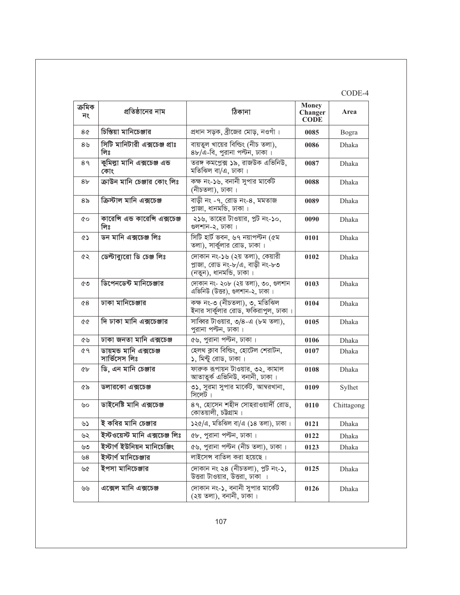| ক্ৰমিক<br>নং   | প্রতিষ্ঠানের নাম                         | ঠিকানা                                                                                        | <b>Money</b><br>Changer<br><b>CODE</b> | Area         |
|----------------|------------------------------------------|-----------------------------------------------------------------------------------------------|----------------------------------------|--------------|
| 8¢             | চিস্তিয়া মানিচেঞ্জার                    | প্রধান সড়ক, ব্রীজের মোড়, নওগাঁ।                                                             | 0085                                   | Bogra        |
| 8 <sub>9</sub> | সিটি মানিটারী এক্সচেঞ্জ প্রাঃ<br>লিঃ     | বায়তুল খায়ের বিল্ডিং (নীচ তলা),<br>৪৮/এ-বি, পুরানা পল্টন, ঢাকা।                             | 0086                                   | <b>Dhaka</b> |
| 89             | কুমিল্মা মানি এক্সচেঞ্জ এন্ড<br>কোং      | তরঙ্গ কমপ্লেক্স ১৯, রাজউক এভিনিউ,<br>মতিঝিল বা/এ, ঢাকা।                                       | 0087                                   | Dhaka        |
| 8 <sub>b</sub> | ক্রাউন মানি চেঞ্জার কোং লিঃ              | কক্ষ নং-১৬, বনানী সুপার মার্কেট<br>(নীচতলা), ঢাকা।                                            | 0088                                   | Dhaka        |
| 8 <sub>o</sub> | ক্ৰিস্টাল মানি এক্সচেঞ্জ                 | বাড়ী নং -৭, রোড নং-৪, মমতাজ<br>প্লাজা, ধানমন্ডি, ঢাকা ।                                      | 0089                                   | <b>Dhaka</b> |
| <b>CO</b>      | কারেঙ্গি এন্ড কারেঙ্গি এক্সচেঞ্জ<br>লিঃ  | ২১৬, তাহের টাওয়ার, প্লট নং-১০,<br>গুলশান-২, ঢাকা।                                            | 0090                                   | Dhaka        |
| ৫১             | ডন মানি এক্সচেঞ্জ লিঃ                    | সিটি হার্ট ভবন, ৬৭ নয়াপল্টন (৫ম<br>তলা), সার্কুলার রোড, ঢাকা।                                | 0101                                   | Dhaka        |
| ৫২             | ডেল্টাব্যুরো ডি চেঞ্জ লিঃ                | দোকান নং-১৬ (২য় তলা), কেয়ারী<br>প্লাজা, রোড নং-৮/এ, বাড়ী নং-৮৩<br>(নতুন), ধানমন্ডি, ঢাকা । | 0102                                   | Dhaka        |
| ৫৩             | ডিপেনডেন্ট মানিচেঞ্জার                   | দোকান নং- ২০৮ (২য় তলা), ৩০, গুলশান<br>এভিনিউ (উত্তর), গুলশান-২, ঢাকা।                        | 0103                                   | Dhaka        |
| 68             | ঢাকা মানিচেঞ্জার                         | কক্ষ নং-৩ (নীচতলা), ৩, মতিঝিল<br>ইনার সার্কুলার রোড, ফকিরাপুল, ঢাকা ।                         | 0104                                   | <b>Dhaka</b> |
| 60             | দি ঢাকা মানি এক্সচেঞ্জার                 | সাব্বির টাওয়ার, ৩/৪-এ (৮ম তলা),<br>পুরানা পল্টন, ঢাকা।                                       | 0105                                   | Dhaka        |
| ৫৬             | ঢাকা জনতা মানি এক্সচেঞ্জ                 | ৫৬, পুরানা পল্টন, ঢাকা।                                                                       | 0106                                   | Dhaka        |
| 69             | ডায়মন্ড মানি এক্সচেঞ্জ<br>সার্ভিসেস লিঃ | হেলথ ক্লাব বিল্ডিং, হোটেল শেরাটন,<br>১, মিন্টু রোড, ঢাকা।                                     | 0107                                   | Dhaka        |
| ৫৮             | ডি, এন মানি চেঞ্জার                      | ফারুক রূপায়ন টাওয়ার, ৩২, কামাল<br>আতাতুর্ক এভিনিউ, বনানী, ঢাকা।                             | 0108                                   | Dhaka        |
| ৫৯             | ডলারকো এক্সচেঞ্জ                         | ৩১, সুরমা সুপার মার্কেট, আম্বরখানা,<br>সিলেট                                                  | 0109                                   | Sylhet       |
| ৬০             | ডাইনেষ্টি মানি এক্সচেঞ্জ                 | ৪৭, হোসেন শহীদ সোহরাওয়ার্দী রোড,<br>কোতয়ালী, চউগ্রাম।                                       | 0110                                   | Chittagong   |
| ৬১             | ই কবির মানি চেঞ্জার                      | $326/9$ , মতিঝিল বা/এ $(38$ তলা), ঢাকা।                                                       | 0121                                   | Dhaka        |
| ৬২             | ইস্টওয়েস্ট মানি এক্সচেঞ্জ লিঃ           | ৫৮, পুরানা পল্টন, ঢাকা।                                                                       | 0122                                   | Dhaka        |
| ৬৩             | ইস্টাৰ্ণ ইউনিয়ন মানিচেঞ্জিং             | ৫৬, পুরানা পল্টন (নীচ তলা), ঢাকা ।                                                            | 0123                                   | Dhaka        |
| ৬৪             | ইস্টার্ণ মানিচেঞ্জার                     | লাইসেন্স বাতিল করা হয়েছে ।                                                                   |                                        |              |
| ৬৫             | ইপসা মানিচেঞ্জার                         | দোকান নং ২৪ (নীচতলা), প্লট নং-১,<br>উত্তরা টাওয়ার, উত্তরা, ঢাকা ।                            | 0125                                   | Dhaka        |
| ৬৬             | এক্সেল মানি এক্সচেঞ্জ                    | দোকান নং-১, বনানী সুপার মার্কেট<br>(২য় তলা), বনানী, ঢাকা।                                    | 0126                                   | Dhaka        |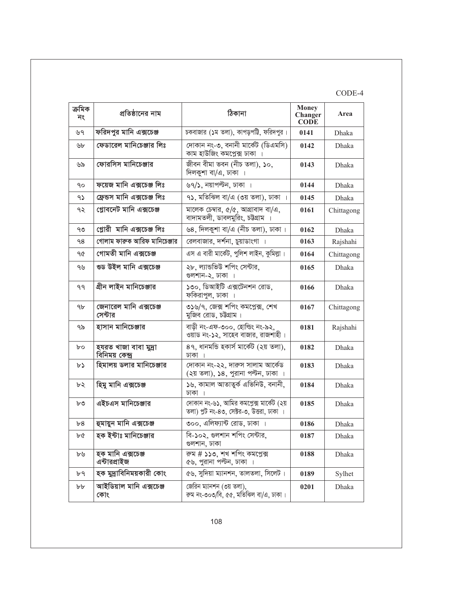| ক্ৰমিক<br>নং   | প্রতিষ্ঠানের নাম                         | ঠিকানা                                                                                | <b>Money</b><br>Changer<br><b>CODE</b> | Area         |
|----------------|------------------------------------------|---------------------------------------------------------------------------------------|----------------------------------------|--------------|
| ৬৭             | ফরিদপুর মানি এক্সচেঞ্জ                   | চকবাজার (১ম তলা), কাপড়পটি, ফরিদপুর।                                                  | 0141                                   | Dhaka        |
| ৬৮             | ফেডারেল মানিচেঞ্জার লিঃ                  | দোকান নং-৩, বনানী মার্কেট (ডিএমসি)<br>কাম হাউজিং কমপ্লেক্স ঢাকা ।                     | 0142                                   | Dhaka        |
| ৬৯             | ফোরসিস মানিচেঞ্জার                       | জীবন বীমা ভবন (নীচ তলা), ১০,<br>দিলকুশা বা/এ, ঢাকা ।                                  | 0143                                   | Dhaka        |
| 90             | ফয়েজ মানি এক্সচেঞ্জ লিঃ                 | ৬৭/১, নয়াপল্টন, ঢাকা ।                                                               | 0144                                   | Dhaka        |
| 95             | ফ্রেন্ডস মানি এক্সচেঞ্জ লিঃ              | ৭১, মতিঝিল বা/এ (৩য় তলা), ঢাকা ।                                                     | 0145                                   | Dhaka        |
| ৭২             | গ্নোবনেট মানি এক্সচেঞ্জ                  | মালেক চেম্বার, ৫/৫, আগ্রাবাদ বা/এ,<br>বাদামতলী, ডাবলমুরিং, চউগ্রাম ।                  | 0161                                   | Chittagong   |
| ৭৩             | গ্নোরী মানি এক্সচেঞ্জ লিঃ                | ৬৪, দিলকুশা বা/এ (নীচ তলা), ঢাকা।                                                     | 0162                                   | <b>Dhaka</b> |
| 98             | গোলাম ফারুক আরিফ মানিচেঞ্জার             | রেলবাজার, দর্শনা, চুয়াডাংগা ।                                                        | 0163                                   | Rajshahi     |
| ዓ৫             | গোমতী মানি এক্সচেঞ্জ                     | এস এ বারী মার্কেট, পুলিশ লাইন, কুমিল্লা।                                              | 0164                                   | Chittagong   |
| ৭৬             | গুড উইল মানি এক্সচেঞ্জ                   | ২৮, ল্যান্ডভিউ শপিং সেন্টার,<br>ণ্ডলশান-২, ঢাকা ।                                     | 0165                                   | Dhaka        |
| ۹۹             | গ্ৰীন লাইন মানিচেঞ্জার                   | ১৩০. ডিআইটি এক্সটেনশন রোড,<br>ফকিরাপুল, ঢাকা ।                                        | 0166                                   | Dhaka        |
| 9 <sub>b</sub> | জেনারেল মানি এক্সচেঞ্জ<br>সেন্টার        | ৩১৬/৭, জেক্স শপিং কমপ্লেক্স, শেখ<br>মুজিব রোড, চট্টগ্রাম।                             | 0167                                   | Chittagong   |
| ৭৯             | হাসান মানিচেঞ্জার                        | বাড়ী নং-এফ-৩০০, হোল্ডিং নং-৯২,<br>ওয়াড নং-১২, সাহেব বাজার, রাজশাহী।                 | 0181                                   | Rajshahi     |
| $b^{\circ}$    | হযরত খাজা বাবা মুদ্রা<br>বিনিময় কেন্দ্ৰ | ৪৭, ধানমন্ডি হকার্স মার্কেট (২য় তলা),<br>ঢাকা                                        | 0182                                   | Dhaka        |
| b              | হিমালয় ডলার মানিচেঞ্জার                 | দোকান নং-২২, দারুস সালাম আর্কেড<br>(২য় তলা), ১৪, পুরানা পল্টন, ঢাকা ।                | 0183                                   | Dhaka        |
| ৮২             | হিমু মানি এক্সচেঞ্জ                      | ১৬, কামাল আতাতুর্ক এভিনিউ, বনানী,<br>ঢাকা                                             | 0184                                   | Dhaka        |
| ৮৩             | এইচএস মানিচেঞ্জার                        | দোকান নং-৬১, আমির কমপ্লেক্স মার্কেট (২য়<br>তলা) প্লট নং-৪৩, সেক্টর-৩, উত্তরা, ঢাকা । | 0185                                   | Dhaka        |
| b8             | হুমায়ুন মানি এক্সচেঞ্জ                  | ৩০০, এলিফ্যান্ট রোড, ঢাকা ।                                                           | 0186                                   | Dhaka        |
| ৮৫             | হক ইন্টাঃ মানিচেঞ্জার                    | বি-১০২, গুলশান শপিং সেন্টার,<br>গুলশান, ঢাকা                                          | 0187                                   | Dhaka        |
| ৮৬             | হক মানি এক্সচেঞ্জ<br>এন্টারপ্রাইজ        | রুম # ১১৩, শখ শপিং কমপ্লেক্স<br>৫৬, পুরানা পল্টন, ঢাকা ।                              | 0188                                   | Dhaka        |
| ৮৭             | হক মুদ্রাবিনিময়কারী কোং                 | ৫৬, সুদিয়া ম্যানশন, তালতলা, সিলেট।                                                   | 0189                                   | Sylhet       |
| b b            | আইডিয়াল মানি এক্সচেঞ্জ<br>কোং           | জেরিন ম্যানশন (৩য় তলা),<br>রুম নং-৩০৩/বি, ৫৫, মতিঝিল বা/এ, ঢাকা।                     | 0201                                   | Dhaka        |

108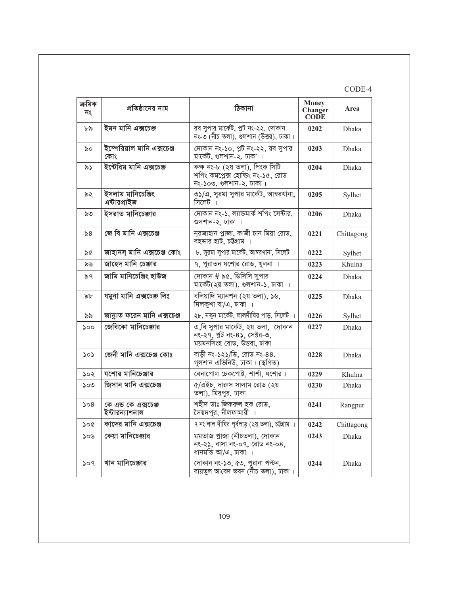| ক্ৰমিক<br>নং                     | প্রতিষ্ঠানের নাম                       | ঠিকানা                                                                                              | <b>Money</b><br>Changer<br><b>CODE</b> | Area         |
|----------------------------------|----------------------------------------|-----------------------------------------------------------------------------------------------------|----------------------------------------|--------------|
| ৮৯                               | ইমন মানি এক্সচেঞ্জ                     | রব সুপার মার্কেট, পুট নং-২২, দোকান<br>নং-৩ (নীচ তলা), গুলশান (উত্তর), ঢাকা।                         | 0202                                   | <b>Dhaka</b> |
| ৯০                               | ইস্পেরিয়াল মানি এক্সচেঞ্জ<br>কোং      | দোকান নং-১০, পুট নং-২২, রব সুপার<br>মার্কেট, গুলশান-২, ঢাকা ।                                       | 0203                                   | Dhaka        |
| ৯১                               | ইন্টেরিম মানি এক্সচেঞ্জ                | কক্ষ নং-৮ (২য় তলা), পিংক সিটি<br>শপিং কমপ্লেক্স হোল্ডিং নং-১৫, রোড<br>নং-১০৩, গুলশান-২, ঢাকা ।     | 0204                                   | <b>Dhaka</b> |
| ৯২                               | ইসলাম মানিচেঞ্জিং<br>এন্টারপ্রাইজ      | ৩১/এ, সুরমা সুপার মার্কেট, আম্বরখানা,<br>সিলেট                                                      | 0205                                   | Sylhet       |
| ৯৩                               | ইসরাত মানিচেঞ্জার                      | দোকান নং-১, ল্যান্ডমার্ক শপিং সেন্টার,<br>গুলশান-২, ঢাকা ।                                          | 0206                                   | <b>Dhaka</b> |
| ৯৪                               | জে বি মানি এক্সচেঞ্জ                   | নূরজাহান প্লাজা, কাজী চান মিয়া রোড,<br>বহদ্দার হাট, চউগ্রাম ।                                      | 0221                                   | Chittagong   |
| ৯৫                               | জাহানস্ মানি এক্সচেঞ্জ কোং             | ৮, সুরমা সুপার মার্কেট, আম্বরখানা, সিলেট ।                                                          | 0222                                   | Sylhet       |
| ৯৬                               | জাহেদ মানি চেঞ্জার                     | ৭, পুরাতন যশোর রোড, খুলনা ।                                                                         | 0223                                   | Khulna       |
| ৯৭                               | জামি মানিচেঞ্জিং হাউজ                  | দোকান # ৯৫, ডিসিসি সুপার<br>মার্কেট(২য় তলা), গুলশান-১, ঢাকা ।                                      | 0224                                   | Dhaka        |
| ৯৮                               | যমুনা মানি এক্সচেঞ্জ লিঃ               | বলিয়াদি ম্যানশন (২য় তলা), ১৬,<br>দিলকুশা বা/এ, ঢাকা ।                                             | 0225                                   | Dhaka        |
| ৯৯                               | জান্নাত ফরেন মানি এক্সচেঞ্জ            | ২৮, নতুন মার্কেট, লালদীঘির পাড়, সিলেট ।                                                            | 0226                                   | Sylhet       |
| $\mathsf{S}\mathsf{O}\mathsf{C}$ | জেবিকো মানিচেঞ্জার                     | এ,বি সুপার মার্কেট, ২য় তলা, দোকান<br>নং-২৭, প্লট নং-৪১, সেক্টর-৩,<br>ময়মনসিংহ রোড, উত্তরা, ঢাকা । | 0227                                   | Dhaka        |
| $\mathcal{L}$                    | জেনী মানি এক্সচেঞ্জ কোঃ                | বাড়ী নং-১২১/ডি, রোড নং-৪৪,<br>গুলশান এভিনিউ, ঢাকা । (স্থগিত)                                       | 0228                                   | <b>Dhaka</b> |
| ১০২                              | যশোর মানিচেঞ্জার                       | বেনাপোল চেকপোষ্ট, শার্শা, যশোর।                                                                     | 0229                                   | Khulna       |
| ১০৩                              | জিসান মানি এক্সচেঞ্জ                   | ৫/এইচ, দারুস সালাম রোড (২য়<br>তলা), মিরপুর, ঢাকা ।                                                 | 0230                                   | <b>Dhaka</b> |
| 508                              | কে এন্ড কে এক্সচেঞ্জ<br>ইন্টারন্যাশনাল | শহীদ ডাঃ জিকরুল হক রোড,<br>দৈয়দপুর, নীলফামারী ।                                                    | 0241                                   | Rangpur      |
| ১০৫                              | কাদের মানি এক্সচেঞ্জ                   | ৭ নং লাল দীঘির পূর্বপাড় (২য় তলা), চউগ্রাম ।                                                       | 0242                                   | Chittagong   |
| ১০৬                              | কেয়া মানিচেঞ্জার                      | মমতাজ প্লাজা (নীচতলা), দোকান<br>নং-২১, বাসা নং-০৭, রোড নং-০৪,<br>ধানমন্ডি আ/এ, ঢাকা ।               | 0243                                   | <b>Dhaka</b> |
| 904                              | খান মানিচেঞ্জার                        | দোকান নং-১৩, ৫৩, পুরানা পল্টন,<br>বায়তুল আবেদ ভবন (নীচ তলা), ঢাকা ।                                | 0244                                   | Dhaka        |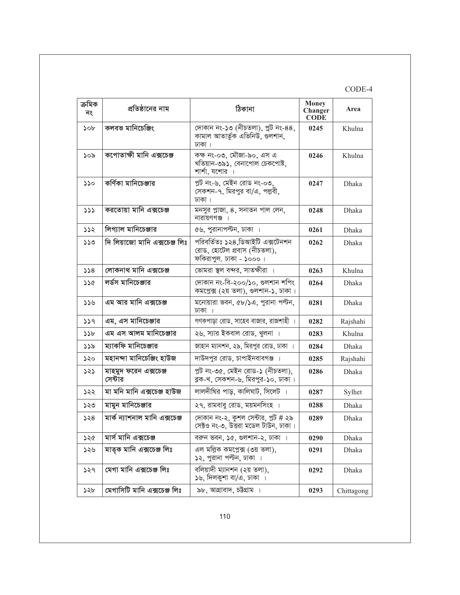| ক্ৰমিক<br>নং    | প্রতিষ্ঠানের নাম                 | ঠিকানা                                                                                   | <b>Money</b><br>Changer<br><b>CODE</b> | Area         |
|-----------------|----------------------------------|------------------------------------------------------------------------------------------|----------------------------------------|--------------|
| 50 <sub>b</sub> | কলবভ মানিচেঞ্জিং                 | দোকান নং-১৩ (নীচতলা), প্লুট নং-৪৪,<br>কামাল আতাৰ্তুক এভিনিউ, গুলশান,<br>ঢাকা ।           | 0245                                   | Khulna       |
| ১০৯             | কপোতাক্ষী মানি এক্সচেঞ্জ         | কক্ষ নং-০৩, মৌজা-৯০, এস এ<br>খতিয়ান-৩৯১, বেনাপোল চেকপোষ্ট,<br>শার্শা, যশোর ।            | 0246                                   | Khulna       |
| 550             | কর্ণিকা মানিচেঞ্জার              | প্লট নং-৬, মেইন রোড নং-০৩,<br>সেকশন-৭, মিরপুর বা/এ, পল্লবী,<br>ঢাকা ।                    | 0247                                   | Dhaka        |
| 555             | করতোয়া মানি এক্সচেঞ্জ           | মনসুর প্লাজা, ৪, সনাতন পাল লেন,<br>নারায়ণগঞ্জ                                           | 0248                                   | Dhaka        |
| 332             | লিগ্যাল মানিচেঞ্জার              | ৫৬, পুরানাপল্টন, ঢাকা ।                                                                  | 0261                                   | Dhaka        |
| ১১৩             | দি লিয়াজো মানি এক্সচেঞ্জ লিঃ    | পরিবর্তিতঃ ১২৪ ডিআইটি এক্সটেনশন<br>রোড, হোটেল প্রবাস (নীচতলা),<br>ফকিরাপুল. ঢাকা - ১০০০। | 0262                                   | Dhaka        |
| 558             | লোকনাথ মানি এক্সচেঞ্জ            | ভোমরা স্থল বন্দর, সাতক্ষীরা ।                                                            | 0263                                   | Khulna       |
| 326             | লর্ডস মানিচেঞ্জার                | দোকান নং-বি-২০০/১০, গুলশান শপিং<br>কমপ্লেক্স (২য় তলা), গুলশান-১, ঢাকা।                  | 0264                                   | <b>Dhaka</b> |
| ১১৬             | এম আর মানি এক্সচেঞ্জ             | মনোয়ারা ভবন, ৫৮/১এ, পুরানা পল্টন,<br>ঢাকা ।                                             | 0281                                   | Dhaka        |
| 339             | এম, এস মানিচেঞ্জার               | গণকপাড়া রোড, সাহেব বাজার, রাজশাহী ।                                                     | 0282                                   | Rajshahi     |
| 55b             | এম এস আলম মানিচেঞ্জার            | ২৬, স্যার ইকবাল রোড, খুলনা ।                                                             | 0283                                   | Khulna       |
| ১১৯             | ম্যাকফি মানিচেঞ্জার              | জাহান ম্যানশন, ২৯, মিরপুর রোড, ঢাকা ।                                                    | 0284                                   | <b>Dhaka</b> |
| ১২০             | মহানন্দা মানিচেঞ্জিং হাউজ        | দাউদপুর রোড, চাপাইনবাবগঞ্জ ।                                                             | 0285                                   | Rajshahi     |
| 223             | মাহমুদ ফরেন এক্সচেঞ্জ<br>সেন্টার | প্লট নং-৩৫, মেইন রোড-১ (নীচতলা),<br>ব্লক-খ, সেকশন-৬, মিরপুর-১০, ঢাকা।                    | 0286                                   | Dhaka        |
| ১২২             | মা মনি মানি এক্সচেঞ্জ হাউজ       | লালদীঘির পাড়, কালিঘাট, সিলেট ।                                                          | 0287                                   | Sylhet       |
| ১২৩             | মামুন মানিচেঞ্জার                | ২৭, রামবাবু রোড, ময়মনসিংহ ।                                                             | 0288                                   | Dhaka        |
| 558             | মাৰ্ক ন্যাশনাল মানি এক্সচেঞ্জ    | দোকান নং-২, কুশল সেন্টার, প্লট # ২৯<br>সেক্টও নং-৩, উত্তরা মডেল টাউন, ঢাকা ।             | 0289                                   | Dhaka        |
| ১২৫             | মাৰ্স মানি এক্সচেঞ্জ             | বরুন ভবন, ১৫, গুলশান-২, ঢাকা ।                                                           | 0290                                   | Dhaka        |
| ১২৬             | মাতৃক মানি এক্সচেঞ্জ লিঃ         | এল মল্লিক কমপ্লেক্স (৩য় তলা),<br>১২, পুরানা পল্টন, ঢাকা ।                               | 0291                                   | Dhaka        |
| 952             | মেগা মানি এক্সচেঞ্জ লিঃ          | বলিয়াদী ম্যানশন (২য় তলা).<br>১৬, দিলকুশা বা/এ, ঢাকা ।                                  | 0292                                   | Dhaka        |
| ১২৮             | মেগাসিটি মানি এক্সচেঞ্জ লিঃ      | ৯৮, আগ্রাবাদ, চউগ্রাম ।                                                                  | 0293                                   | Chittagong   |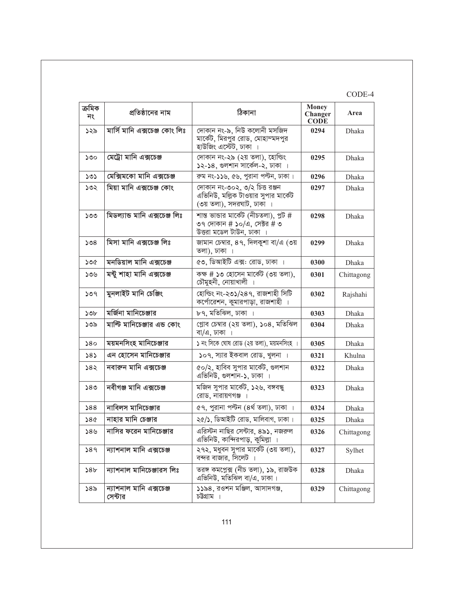| ক্ৰমিক<br>নং    | প্রতিষ্ঠানের নাম                   | ঠিকানা                                                                                             | <b>Money</b><br>Changer<br><b>CODE</b> | Area         |
|-----------------|------------------------------------|----------------------------------------------------------------------------------------------------|----------------------------------------|--------------|
| ১২৯             | মার্সি মানি এক্সচেঞ্জ কোং লিঃ      | দোকান নং-৯, নিউ কলোনী মসজিদ<br>মার্কেট, মিরপুর রোড, মোহাম্মদপুর<br>হাউজিং এস্টেট, ঢাকা ।           | 0294                                   | Dhaka        |
| ১৩০             | মেট্রো মানি এক্সচেঞ্জ              | দোকান নং-২৯ (২য় তলা), হোল্ডিং<br>১২-১৪, গুলশান সার্কেল-২, ঢাকা ।                                  | 0295                                   | Dhaka        |
| ১৩১             | মেক্সিমকো মানি এক্সচেঞ্জ           | রুম নং-১১৬, ৫৬, পুরানা পল্টন, ঢাকা ।                                                               | 0296                                   | Dhaka        |
| ১৩২             | মিয়া মানি এক্সচেঞ্জ কোং           | দোকান নং-৩০২, ৩/২ চিত্ত রঞ্জন<br>এভিনিউ, মল্লিক টাওয়ার সুপার মার্কেট<br>(৩য় তলা), সদরঘাট, ঢাকা । | 0297                                   | Dhaka        |
| ১৩৩             | মিডল্যান্ড মানি এক্সচেঞ্জ লিঃ      | শান্ত ভান্ডার মার্কেট (নীচতলা), প্লট #<br>৩৭ দোকান # ১০/এ, সেক্টর # ৩<br>উত্তরা মডেল টাউন, ঢাকা    | 0298                                   | Dhaka        |
| 508             | মিসা মানি এক্সচেঞ্জ লিঃ            | জামান চেম্বার, ৪৭, দিলকুশা বা/এ (৩য়<br>তলা), ঢাকা ।                                               | 0299                                   | Dhaka        |
| ১৩৫             | মনডিয়াল মানি এক্সচেঞ্জ            | ৫৩, ডিআইটি এক্স: রোড, ঢাকা ।                                                                       | 0300                                   | Dhaka        |
| ১৩৬             | মন্টু শাহা মানি এক্সচেঞ্জ          | কক্ষ # ১৩ হোসেন মার্কেট (৩য় তলা),<br>চৌমুহনী, নোয়াখালী                                           | 0301                                   | Chittagong   |
| 904             | মুনলাইট মানি চেঞ্জিং               | হোল্ডিং নং-২৩১/২৪৭, রাজশাহী সিটি<br>কর্পোরেশন, কুমারপাড়া, রাজশাহী ।                               | 0302                                   | Rajshahi     |
| ১৩৮             | মর্জিনা মানিচেঞ্জার                | ৮৭, মতিঝিল, ঢাকা ।                                                                                 | 0303                                   | Dhaka        |
| ১৩৯             | মাল্টি মানিচেঞ্জার এন্ড কোং        | গ্লোব চেম্বার (২য় তলা), ১০৪, মতিঝিল<br>বা/এ, ঢাকা                                                 | 0304                                   | Dhaka        |
| 580             | ময়মনসিংহ মানিচেঞ্জার              | ১ নং সিকে ঘোষ রোড (২য় তলা), ময়মনসিংহ ।                                                           | 0305                                   | <b>Dhaka</b> |
| 585             | এন হোসেন মানিচেঞ্জার               | ১০৭, স্যার ইকবাল রোড, খুলনা ।                                                                      | 0321                                   | Khulna       |
| 582             | নবারুন মানি এক্সচেঞ্জ              | ৫০/২, হাবিব সুপার মার্কেট, গুলশান<br>এভিনিউ, গুলশান-১, ঢাকা ।                                      | 0322                                   | Dhaka        |
| ১৪৩             | নবীগঞ্জ মানি এক্সচেঞ্জ             | মজিদ সুপার মার্কেট, ১২৬, বঙ্গবন্ধু<br>রোড, নারায়ণগঞ্জ                                             | 0323                                   | Dhaka        |
| 588             | নাবিলস মানিচেঞ্জার                 | ৫৭, পুরানা পল্টন (৪র্থ তলা), ঢাকা ।                                                                | 0324                                   | Dhaka        |
| 58 <sub>C</sub> | নাহার মানি চেঞ্জার                 | ২৫/১, ডিআইটি রোড, মালিবাগ, ঢাকা ।                                                                  | 0325                                   | <b>Dhaka</b> |
| ১৪৬             | নাসির ফরেন মানিচেঞ্জার             | এরিস্টন নাছির সেন্টার, ৪৯১, নজরুল<br>এভিনিউ, কান্দিরপাড়, কুমিল্লা ।                               | 0326                                   | Chittagong   |
| 589             | ন্যাশনাল মানি এক্সচেঞ্জ            | ২৭২, মধুবন সুপার মার্কেট (৩য় তলা),<br>বন্দর বাজার, সিলেট ।                                        | 0327                                   | Sylhet       |
| 58b             | ন্যাশনাল মানিচেঞ্জারস লিঃ          | তরঙ্গ কমপ্লেক্স (নীচ তলা), ১৯, রাজউক<br>এভিনিউ, মতিঝিল বা/এ, ঢাকা ।                                | 0328                                   | Dhaka        |
| ১৪৯             | ন্যাশনাল মানি এক্সচেঞ্জ<br>সেন্টার | ১১৯৪, রওশন মঞ্জিল, আসাদগঞ্জ,<br>চউগ্ৰাম ।                                                          | 0329                                   | Chittagong   |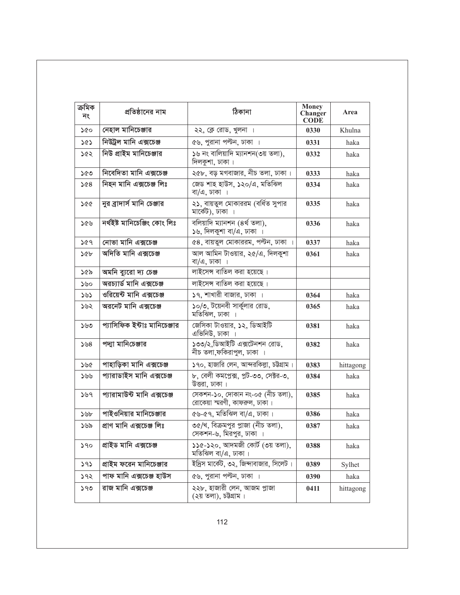| ক্ৰমিক<br>নং | প্রতিষ্ঠানের নাম             | ঠিকানা                                                            | <b>Money</b><br>Changer<br><b>CODE</b> | Area      |
|--------------|------------------------------|-------------------------------------------------------------------|----------------------------------------|-----------|
| ১৫০          | নেহাল মানিচেঞ্জার            | ২২, ক্লে রোড, খুলনা ।                                             | 0330                                   | Khulna    |
| 262          | নিউট্রল মানি এক্সচেঞ্জ       | ৫৬, পুরানা পল্টন, ঢাকা ।                                          | 0331                                   | haka      |
| ১৫২          | নিউ প্রাইম মানিচেঞ্জার       | ১৬ নং বালিয়াদি ম্যানশন(৩য় তলা),<br>দিলকুশা, ঢাকা ।              | 0332                                   | haka      |
| ১৫৩          | নিবেদিতা মানি এক্সচেঞ্জ      | ২৫৮, বড় মগবাজার, নীচ তলা, ঢাকা।                                  | 0333                                   | haka      |
| 85           | নিহন মানি এক্সচেঞ্জ লিঃ      | জেড শাহ হাউস, ১২০/এ, মতিঝিল<br>বা/এ, ঢাকা ।                       | 0334                                   | haka      |
| 236          | নুর ব্রাদার্স মানি চেঞ্জার   | ২১, বায়তুল মোকাররম (বর্ধিত সুপার<br>মাৰ্কেট), ঢাকা ।             | 0335                                   | haka      |
| ১৫৬          | নৰ্থইষ্ট মানিচেঞ্জিং কোং লিঃ | বলিয়াদি ম্যানশন (৪র্থ তলা),<br>১৬, দিলকুশা বা/এ, ঢাকা ।          | 0336                                   | haka      |
| 309          | নোভা মানি এক্সচেঞ্জ          | ৫৪, বায়তুল মোকাররম, পল্টন, ঢাকা ।                                | 0337                                   | haka      |
| ১৫৮          | অদিতি মানি এক্সচেঞ্জ         | আল আমিন টাওয়ার, ২৫/এ, দিলকুশা<br>বা/এ, ঢাকা                      | 0361                                   | haka      |
| ১৫৯          | অমনি ব্যুরো দ্য চেঞ্জ        | লাইসেন্স বাতিল করা হয়েছে।                                        |                                        |           |
| ১৬০          | অরচ্যার্ড মানি এক্সচেঞ্জ     | লাইসেন্স বাতিল করা হয়েছে ।                                       |                                        |           |
| ১৬১          | ওরিয়েন্ট মানি এক্সচেঞ্জ     | ১৭. শাখারী বাজার, ঢাকা ।                                          | 0364                                   | haka      |
| ১৬২          | অরনেট মানি এক্সচেঞ্জ         | ১০/৩, টয়েনবী সার্কুলার রোড,<br>মতিঝিল, ঢাকা                      | 0365                                   | haka      |
| ১৬৩          | প্যাসিফিক ইন্টাঃ মানিচেঞ্জার | জেসিকা টাওয়ার, ১২, ডিআইটি<br>এভিনিউ, ঢাকা                        | 0381                                   | haka      |
| ১৬৪          | পদ্মা মানিচেঞ্জার            | ১৩৩/২,ডিআইটি এক্সটেনশন রোড,<br>নীচ তলা ফকিরাপুল, ঢাকা ।           | 0382                                   | haka      |
| ১৬৫          | পাহাড়িকা মানি এক্সচেঞ্জ     | ১৭০, হাজারি লেন, আন্দরকিল্লা, চউগ্রাম।                            | 0383                                   | hittagong |
| ১৬৬          | প্যারাডাইস মানি এক্সচেঞ্জ    | ৮, বেলী কমপ্লেক্স, প্লট-৩৩, সেক্টর-৩,<br>উত্তরা, ঢাকা ।           | 0384                                   | haka      |
| 99           | প্যারামাউন্ট মানি এক্সচেঞ্জ  | সেকশন-১০, দোকান নং-০৫ (নীচ তলা),<br>রোকেয়া স্মরণী, কাফরুল, ঢাকা। | 0385                                   | haka      |
| ১৬৮          | পাইওনিয়ার মানিচেঞ্জার       | ৫৬-৫৭, মতিঝিল বা/এ, ঢাকা।                                         | 0386                                   | haka      |
| ১৬৯          | প্ৰাণ মানি এক্সচেঞ্জ লিঃ     | ৩৫/খ, বিক্রমপুর প্লাজা (নীচ তলা),<br>সেকশন-৬, মিরপুর, ঢাকা ।      | 0387                                   | haka      |
| 590          | প্ৰাইড মানি এক্সচেঞ্জ        | ১১৫-১২০, আদমজী কোর্ট (৩য় তলা),<br>মতিঝিল বা/এ, ঢাকা ।            | 0388                                   | haka      |
| 595          | প্রাইম ফরেন মানিচেঞ্জার      | ইদ্রিস মার্কেট, ৩২, জিন্দাবাজার, সিলেট।                           | 0389                                   | Sylhet    |
| 92           | পাফ মানি এক্সচেঞ্জ হাউস      | ৫৬, পুরানা পল্টন, ঢাকা ।                                          | 0390                                   | haka      |
| ১৭৩          | রাজ মানি এক্সচেঞ্জ           | ২২৮, হাজারী লেন, আজম প্লাজা<br>(২য় তলা), চউগ্ৰাম।                | 0411                                   | hittagong |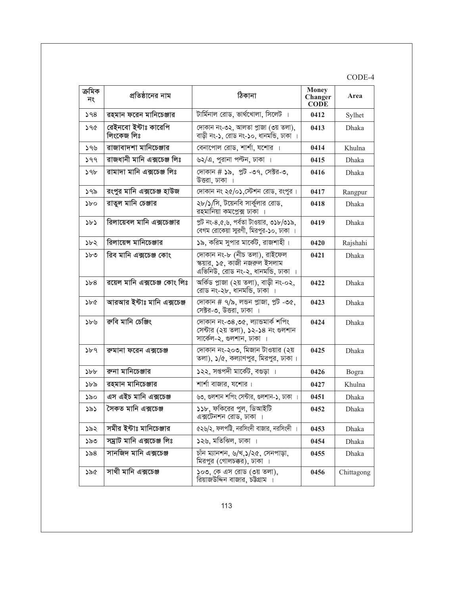| ক্ৰমিক<br>নং | প্রতিষ্ঠানের নাম                   | ঠিকানা                                                                                               | <b>Money</b><br>Changer<br>CODE | Area         |
|--------------|------------------------------------|------------------------------------------------------------------------------------------------------|---------------------------------|--------------|
| 598          | রহমান ফরেন মানিচেঞ্জার             | টাৰ্মিনাল রোড, ভার্থখোলা, সিলেট ।                                                                    | 0412                            | Sylhet       |
| 596          | রেইনবো ইন্টাঃ কারেপি<br>লিংকেজ লিঃ | দোকান নং-৩২, আলতা প্লাজা (৩য় তলা),<br>বাড়ী নং-১, রোড নং-১০, ধানমন্ডি, ঢাকা ।                       | 0413                            | Dhaka        |
| ১৭৬          | রাজাবাদশা মানিচেঞ্জার              | বেনাপোল রোড, শার্শা, যশোর ।                                                                          | 0414                            | Khulna       |
| 399          | রাজধানী মানি এক্সচেঞ্জ লিঃ         | ৬২/এ, পুরানা পল্টন, ঢাকা ।                                                                           | 0415                            | <b>Dhaka</b> |
| 59b          | রামাদা মানি এক্সচেঞ্জ লিঃ          | দোকান # ১৯, পুট -৩৭, সেক্টর-৩,<br>উত্তরা, ঢাকা ।                                                     | 0416                            | <b>Dhaka</b> |
| ১৭৯          | রংপুর মানি এক্সচেঞ্জ হাউজ          | দোকান নং ২৫/০১,স্টেশন রোড, রংপুর।                                                                    | 0417                            | Rangpur      |
| $\delta$     | রাতুল মানি চেঞ্জার                 | ২৮/১/সি, টয়েনবি সার্কুলার রোড,<br>রহমানিয়া কমপ্লেক্স ঢাকা ।                                        | 0418                            | Dhaka        |
| ১৮১          | রিলায়েবল মানি এক্সচেঞ্জার         | প্লট নং-৪,৫,৬, পর্বতা টাওয়ার, ৩১৮/৩১৯,<br>বেগম রোকেয়া সারণী, মিরপুর-১০, ঢাকা ।                     | 0419                            | Dhaka        |
| ১৮২          | রিলায়েন্স মানিচেঞ্জার             | ১৯, করিম সুপার মার্কেট, রাজশাহী।                                                                     | 0420                            | Rajshahi     |
| ১৮৩          | রিব মানি এক্সচেঞ্জ কোং             | দোকান নং-৮ (নীচ তলা), রাইফেল<br>স্কয়ার, ১৫, কাজী নজরুল ইসলাম<br>এভিনিউ, রোড নং-২, ধানমন্ডি, ঢাকা ।  | 0421                            | Dhaka        |
| 5b8          | রয়েল মানি এক্সচেঞ্জ কোং লিঃ       | অৰ্কিড প্লাজা (২য় তলা), বাড়ী নং-০২,<br>রোড নং-২৮, ধানমন্ডি, ঢাকা ।                                 | 0422                            | Dhaka        |
| ১৮৫          | আরআর ইন্টাঃ মানি এক্সচেঞ্জ         | দোকান # ৭/৯, লন্ডন প্লাজা, প্লট -৩৫,<br>সেক্টর-৩, উত্তরা, ঢাকা ।                                     | 0423                            | Dhaka        |
| ১৮৬          | রুবি মানি চেঞ্জিং                  | দোকান নং-৩৪,৩৫, ল্যান্ডমাৰ্ক শপিং<br>সেন্টার (২য় তলা), ১২-১৪ নং গুলশান<br>সার্কেল-২, গুলশান, ঢাকা । | 0424                            | Dhaka        |
| ১৮৭          | রুমানা ফরেন এক্সচেঞ্জ              | দোকান নং-২০৩, মিজান টাওয়ার (২য়<br>তলা), ১/৫, কল্যাণপুর, মিরপুর, ঢাকা।                              | 0425                            | Dhaka        |
| $\delta b$   | রুনা মানিচেঞ্জার                   | ১২২, সপ্তপদী মার্কেট, বগুড়া ।                                                                       | 0426                            | Bogra        |
| ১৮৯          | রহমান মানিচেঞ্জার                  | শার্শা বাজার, যশোর।                                                                                  | 0427                            | Khulna       |
| ১৯০          | এস এইচ মানি এক্সচেঞ্জ              | ৬৩, গুলশান শপিং সেন্টার, গুলশান-১, ঢাকা ।                                                            | 0451                            | Dhaka        |
| 383          | সৈকত মানি এক্সচেঞ্জ                | ১১৮, ফকিরের পুল, ডিআইটি<br>এক্সটেনশন রোড, ঢাকা ।                                                     | 0452                            | Dhaka        |
| ১৯২          | সমীর ইন্টাঃ মানিচেঞ্জার            | ৫২৬/২, ফলপটি, নরসিংদী বাজার, নরসিংদী ।                                                               | 0453                            | Dhaka        |
| ১৯৩          | সম্রাট মানি এক্সচেঞ্জ লিঃ          | ১২৬, মতিঝিল, ঢাকা ।                                                                                  | 0454                            | Dhaka        |
| ১৯৪          | সানজিদ মানি এক্সচেঞ্জ              | চাঁন ম্যানশন, ৬/খ,১/২৫, সেনপাড়া,<br>মিরপুর (গোলচক্কর), ঢাকা                                         | 0455                            | Dhaka        |
| ১৯৫          | সাথী মানি এক্সচেঞ্জ                | ১০৩, কে এস রোড (৩য় তলা),<br>রিয়াজউদ্দিন বাজার, চউগ্রাম ।                                           | 0456                            | Chittagong   |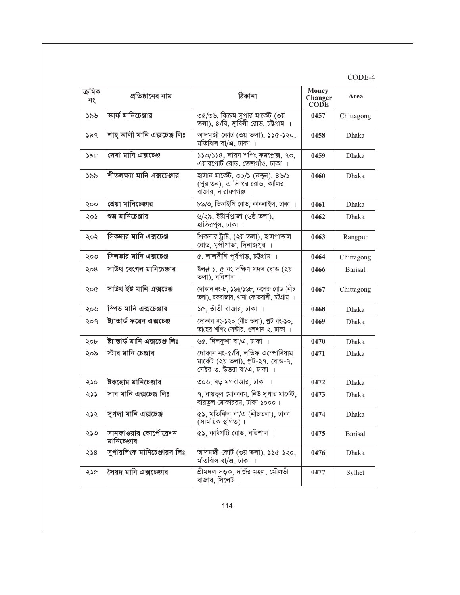| ক্ৰমিক<br>নং | প্রতিষ্ঠানের নাম                     | ঠিকানা                                                                                                | <b>Money</b><br>Changer<br><b>CODE</b> | Area           |
|--------------|--------------------------------------|-------------------------------------------------------------------------------------------------------|----------------------------------------|----------------|
| ১৯৬          | স্কার্ফ মানিচেঞ্জার                  | ৩৫/৩৬, বিক্রম সুপার মার্কেট (৩য়<br>তলা), ৪/বি, জুবিলী রোড, চউগ্রাম ।                                 | 0457                                   | Chittagong     |
| ১৯৭          | শাহ আলী মানি এক্সচেঞ্জ লিঃ           | আদমজী কোট (৩য় তলা), ১১৫-১২০,<br>মতিঝিল বা/এ, ঢাকা ।                                                  | 0458                                   | Dhaka          |
| ১৯৮          | সেবা মানি এক্সচেঞ্জ                  | ১১৩/১১৪, লায়ন শপিং কমপ্লেক্স, ৭৩,<br>এয়ারপোর্ট রোড, তেজগাঁও, ঢাকা ।                                 | 0459                                   | Dhaka          |
| ১৯৯          | শীতলক্ষ্যা মানি এক্সচেঞ্জার          | হাসান মার্কেট, ৩০/১ (নতুন), ৪৬/১<br>(পুরাতন), এ সি ধর রোড, কালির<br>$\overline{a}$ জার, নারায়ণগঞ্জ । | 0460                                   | Dhaka          |
| ২০০          | শ্রেয়া মানিচেঞ্জার                  | ৮৯/৩, ভিআইপি রোড, কাকরাইল, ঢাকা ।                                                                     | 0461                                   | Dhaka          |
| ২০১          | শুভ্র মানিচেঞ্জার                    | ৬/২৯, ইষ্টাৰ্ণপ্লাজা (৬ষ্ঠ তলা),<br>হাতিরপুল, ঢাকা ।                                                  | 0462                                   | Dhaka          |
| ২০২          | সিকদার মানি এক্সচেঞ্জ                | শিকদার ট্রাষ্ট, (২য় তলা), হাসপাতাল<br>রোড, মুন্সীপাড়া, দিনাজপুর ।                                   | 0463                                   | Rangpur        |
| ২০৩          | সিলভার মানি এক্সচেঞ্জ                | ৫, লালদীঘি পূর্বপাড়, চট্টগ্রাম ।                                                                     | 0464                                   | Chittagong     |
| ২০৪          | সাউথ বেংগল মানিচেঞ্জার               | ষ্টল# ১, ৫ নং দক্ষিণ সদর রোড (২য়<br>তলা), বরিশাল ।                                                   | 0466                                   | Barisal        |
| ২০৫          | সাউথ ইষ্ট মানি এক্সচেঞ্জ             | দোকান নং-৮, ১৬৬/১৬৮, কলেজ রোড (নীচ<br>তলা), চকবাজার, থানা-কোতয়ালী, চট্টগ্রাম ।                       | 0467                                   | Chittagong     |
| ২০৬          | স্পিড মানি এক্সচেঞ্জার               | ১৫, তাঁতী বাজার, ঢাকা ।                                                                               | 0468                                   | Dhaka          |
| २०१          | ষ্ট্যান্ডাৰ্ড ফরেন এক্সচেঞ্জ         | দোকান নং-১২০ (নীচ তলা), পুট নং-১০,<br>তাহের শপিং সেন্টার, গুলশান-২, ঢাকা ।                            | 0469                                   | Dhaka          |
| ২০৮          | ষ্ট্যান্ডাৰ্ড মানি এক্সচেঞ্জ লিঃ     | ৬৫, দিলকুশা বা/এ, ঢাকা ।                                                                              | 0470                                   | Dhaka          |
| ২০৯          | স্টার মানি চেঞ্জার                   | দোকান নং-৫/বি, লতিফ এস্পোরিয়াম<br>মার্কেট (২য় তলা), পুট-২৭, রোড-৭,<br>সেক্টর-৩, উত্তরা বা/এ, ঢাকা । | 0471                                   | Dhaka          |
| ২১০          | ষ্টকহোম মানিচেঞ্জার                  | ৩০৬, বড় মগবাজার, ঢাকা ।                                                                              | 0472                                   | Dhaka          |
| 255          | সাব মানি এক্সচেঞ্জ লিঃ               | ৭, বায়তুল মোকারম, নিউ সুপার মার্কেট,<br>বায়তুল মোকাররম, ঢাকা ১০০০।                                  | 0473                                   | Dhaka          |
| ২১২          | সুগন্ধা মানি এক্সচেঞ্জ               | ৫১, মতিঝিল বা/এ (নীচতলা), ঢাকা<br>(সাময়িক স্থগিত)।                                                   | 0474                                   | Dhaka          |
| ২১৩          | সানফাওয়ার কোর্পোরেশন<br>মানিচেঞ্জার | $\overline{\text{C}}$ ১. কাঠপটি রোড, বরিশাল ।                                                         | 0475                                   | <b>Barisal</b> |
| 258          | সুপারলিংক মানিচেঞ্জারস লিঃ           | আদমজী কোর্ট (৩য় তলা), ১১৫-১২০,<br>মতিঝিল বা/এ, ঢাকা ।                                                | 0476                                   | Dhaka          |
| ২১৫          | সৈয়দ মানি এক্সচেঞ্জার               | শ্রীমঙ্গল সড়ক, দর্জির মহল, মৌলভী<br>বাজার, সিলেট ।                                                   | 0477                                   | Sylhet         |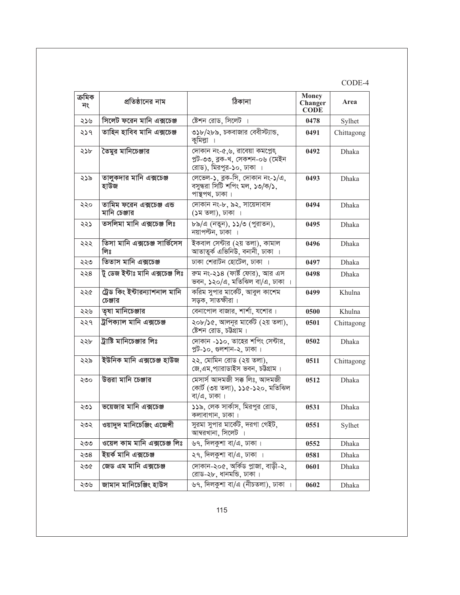| ক্ৰমিক<br>নং | প্রতিষ্ঠানের নাম                          | ঠিকানা                                                                                       | <b>Money</b><br>Changer<br><b>CODE</b> | Area         |
|--------------|-------------------------------------------|----------------------------------------------------------------------------------------------|----------------------------------------|--------------|
| ২১৬          | সিলেট ফরেন মানি এক্সচেঞ্জ                 | ষ্টেশন রোড, সিলেট ।                                                                          | 0478                                   | Sylhet       |
| २১१          | তাহিন হাবিব মানি এক্সচেঞ্জ                | ৩১৮/২৮৯, চকবাজার বেবীস্ট্যান্ড,<br>কমিল্লা                                                   | 0491                                   | Chittagong   |
| ২১৮          | তৈমুর মানিচেঞ্জার                         | দোকান নং-৫,৬, রাবেয়া কমপ্লেঙ,<br>প্লট-৩৩, ব্লক-খ, সেকশন-০৬ (মেইন<br>রোড), মিরপুর-১০, ঢাকা । | 0492                                   | Dhaka        |
| ২১৯          | তালুকদার মানি এক্সচেঞ্জ<br>হাউজ           | লেভেল-১, ব্লক-সি, দোকান নং-১/এ,<br>বসুন্ধরা সিটি শপিং মল, ১৩/ক/১,<br>পান্থপথ, ঢাকা।          | 0493                                   | Dhaka        |
| ২২০          | তামিম ফরেন এক্সচেঞ্জ এন্ড<br>মানি চেঞ্জার | দোকান নং-৮, ৯২, সায়েদাবাদ<br>$(54 \overline{991}), \overline{1991}$                         | 0494                                   | Dhaka        |
| ২২১          | তসলিমা মানি এক্সচেঞ্জ লিঃ                 | ৮৯/এ (নতুন), ১১/৩ (পুরাতন),<br>নয়াপল্টন, ঢাকা ।                                             | 0495                                   | Dhaka        |
| २२२          | তিসা মানি এক্সচেঞ্জ সার্ভিসেস<br>লিঃ      | ইকবাল সেন্টার (২য় তলা), কামাল<br>আতাতুর্ক এভিনিউ, বনানী, ঢাকা ।                             | 0496                                   | Dhaka        |
| ২২৩          | তিতাস মানি এক্সচেঞ্জ                      | ঢাকা শেরাটন হোটেল, ঢাকা ।                                                                    | 0497                                   | Dhaka        |
| ২২৪          | টু ডেজ ইন্টাঃ মানি এক্সচেঞ্জ লিঃ          | রুম নং-২১৪ (ফার্ষ্ট ফোর), আর এস<br>ভবন, ১২০/এ, মতিঝিল বা/এ, ঢাকা ।                           | 0498                                   | <b>Dhaka</b> |
| २२৫          | ট্ৰেড কিং ইন্টারন্যাশনাল মানি<br>চেঞ্জার  | করিম সুপার মার্কেট, আবুল কাশেম<br>সড়ক, সাতক্ষীরা ।                                          | 0499                                   | Khulna       |
| ২২৬          | তৃষা মানিচেঞ্জার                          | বেনাপোল বাজার, শার্শা, যশোর।                                                                 | 0500                                   | Khulna       |
| ২২৭          | ট্ৰপিক্যাল মানি এক্সচেঞ্জ                 | ২০৮/১৫, আলনূর মার্কেট (২য় তলা),<br>ষ্টেশন রোড, চউথাম।                                       | 0501                                   | Chittagong   |
| ২২৮          | ট্রাষ্টি মানিচেঞ্জার লিঃ                  | দোকান -১১০, তাহের শপিং সেন্টার,<br>প্লট-১০, গুলশান-২, ঢাকা।                                  | 0502                                   | Dhaka        |
| ২২৯          | ইউনিক মানি এক্সচেঞ্জ হাউজ                 | ২২, মোমিন রোড (২য় তলা),<br>জে,এম,প্যারাডাইস ভবন, চউগ্রাম।                                   | 0511                                   | Chittagong   |
| ২৩০          | উত্তরা মানি চেঞ্জার                       | মেসার্স আদমজী সক্ক লিঃ, আদমজী<br>কোৰ্ট (৩য় তলা), ১১৫-১২০, মতিঝিল<br>বা/এ, ঢাকা।             | 0512                                   | Dhaka        |
| ২৩১          | ভয়েজার মানি এক্সচেঞ্জ                    | ১১৯, লেক সার্কাস, মিরপুর রোড,<br>কলাবাগান, ঢাকা ।                                            | 0531                                   | Dhaka        |
| ২৩২          | ওয়াদুদ মানিচেঞ্জিং এজেন্সী               | সুরমা সুপার মার্কেট, দরগা গেইট,<br>আম্বরখানা, সিলেট ।                                        | 0551                                   | Sylhet       |
| ২৩৩          | ওয়েল কাম মানি এক্সচেঞ্জ লিঃ              | ৬৭, দিলকুশা বা/এ, ঢাকা ।                                                                     | 0552                                   | Dhaka        |
| ২৩৪          | ইয়ৰ্ক মানি এক্সচেঞ্জ                     | ২৭, দিলকুশা বা/এ, ঢাকা ।                                                                     | 0581                                   | Dhaka        |
| ২৩৫          | জেড এম মানি এক্সচেঞ্জ                     | দোকান-২০৫, অৰ্কিড প্লাজা, বাড়ী-২,<br>রোড-২৮, ধানমন্ডি, ঢাকা।                                | 0601                                   | Dhaka        |
| ২৩৬          | জামান মানিচেঞ্জিং হাউস                    | ৬৭, দিলকুশা বা/এ (নীচতলা), ঢাকা ।                                                            | 0602                                   | Dhaka        |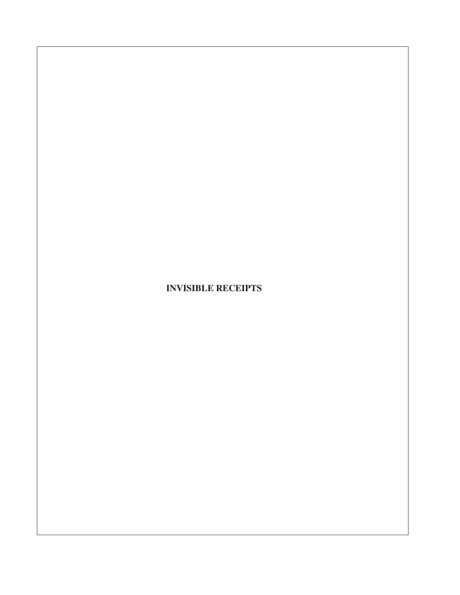## **INVISIBLE RECEIPTS**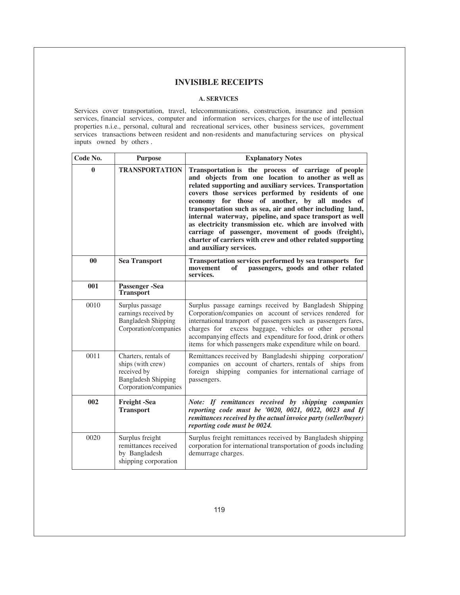## **INVISIBLE RECEIPTS**

## **A. SERVICES**

Services cover transportation, travel, telecommunications, construction, insurance and pension services, financial services, computer and information services, charges for the use of intellectual properties n.i.e., personal, cultural and recreational services, other business services, government services transactions between resident and non-residents and manufacturing services on physical inputs owned by others .

| Code No.     | <b>Purpose</b>                                                                                                  | <b>Explanatory Notes</b>                                                                                                                                                                                                                                                                                                                                                                                                                                                                                                                                                                                             |
|--------------|-----------------------------------------------------------------------------------------------------------------|----------------------------------------------------------------------------------------------------------------------------------------------------------------------------------------------------------------------------------------------------------------------------------------------------------------------------------------------------------------------------------------------------------------------------------------------------------------------------------------------------------------------------------------------------------------------------------------------------------------------|
| $\mathbf{0}$ | <b>TRANSPORTATION</b>                                                                                           | Transportation is the process of carriage of people<br>and objects from one location to another as well as<br>related supporting and auxiliary services. Transportation<br>covers those services performed by residents of one<br>economy for those of another, by all modes of<br>transportation such as sea, air and other including land,<br>internal waterway, pipeline, and space transport as well<br>as electricity transmission etc. which are involved with<br>carriage of passenger, movement of goods (freight),<br>charter of carriers with crew and other related supporting<br>and auxiliary services. |
| 00           | <b>Sea Transport</b>                                                                                            | Transportation services performed by sea transports for<br>movement<br>passengers, goods and other related<br>of<br>services.                                                                                                                                                                                                                                                                                                                                                                                                                                                                                        |
| 001          | Passenger - Sea<br><b>Transport</b>                                                                             |                                                                                                                                                                                                                                                                                                                                                                                                                                                                                                                                                                                                                      |
| 0010         | Surplus passage<br>earnings received by<br><b>Bangladesh Shipping</b><br>Corporation/companies                  | Surplus passage earnings received by Bangladesh Shipping<br>Corporation/companies on account of services rendered for<br>international transport of passengers such as passengers fares,<br>excess baggage, vehicles or other personal<br>charges for<br>accompanying effects and expenditure for food, drink or others<br>items for which passengers make expenditure while on board.                                                                                                                                                                                                                               |
| 0011         | Charters, rentals of<br>ships (with crew)<br>received by<br><b>Bangladesh Shipping</b><br>Corporation/companies | Remittances received by Bangladeshi shipping corporation/<br>companies on account of charters, rentals of ships from<br>foreign shipping companies for international carriage of<br>passengers.                                                                                                                                                                                                                                                                                                                                                                                                                      |
| 002          | <b>Freight-Sea</b><br><b>Transport</b>                                                                          | Note: If remittances received by shipping companies<br>reporting code must be '0020, 0021, 0022, 0023 and If<br>remittances received by the actual invoice party (seller/buyer)<br>reporting code must be 0024.                                                                                                                                                                                                                                                                                                                                                                                                      |
| 0020         | Surplus freight<br>remittances received<br>by Bangladesh<br>shipping corporation                                | Surplus freight remittances received by Bangladesh shipping<br>corporation for international transportation of goods including<br>demurrage charges.                                                                                                                                                                                                                                                                                                                                                                                                                                                                 |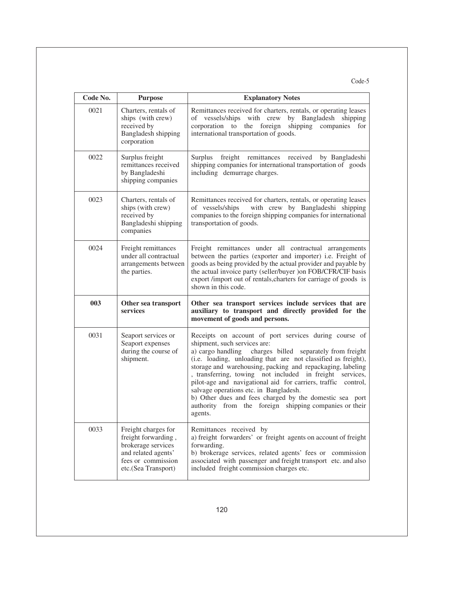| Code No. | <b>Purpose</b>                                                                                                                       | <b>Explanatory Notes</b>                                                                                                                                                                                                                                                                                                                                                                                                                                                                                                                                                                   |
|----------|--------------------------------------------------------------------------------------------------------------------------------------|--------------------------------------------------------------------------------------------------------------------------------------------------------------------------------------------------------------------------------------------------------------------------------------------------------------------------------------------------------------------------------------------------------------------------------------------------------------------------------------------------------------------------------------------------------------------------------------------|
| 0021     | Charters, rentals of<br>ships (with crew)<br>received by<br>Bangladesh shipping<br>corporation                                       | Remittances received for charters, rentals, or operating leases<br>of vessels/ships with crew<br>by Bangladesh shipping<br>corporation to<br>the foreign<br>shipping<br>companies for<br>international transportation of goods.                                                                                                                                                                                                                                                                                                                                                            |
| 0022     | Surplus freight<br>remittances received<br>by Bangladeshi<br>shipping companies                                                      | Surplus<br>freight<br>received<br>by Bangladeshi<br>remittances<br>shipping companies for international transportation of goods<br>including demurrage charges.                                                                                                                                                                                                                                                                                                                                                                                                                            |
| 0023     | Charters, rentals of<br>ships (with crew)<br>received by<br>Bangladeshi shipping<br>companies                                        | Remittances received for charters, rentals, or operating leases<br>with crew by Bangladeshi shipping<br>of vessels/ships<br>companies to the foreign shipping companies for international<br>transportation of goods.                                                                                                                                                                                                                                                                                                                                                                      |
| 0024     | Freight remittances<br>under all contractual<br>arrangements between<br>the parties.                                                 | Freight remittances under all contractual arrangements<br>between the parties (exporter and importer) i.e. Freight of<br>goods as being provided by the actual provider and payable by<br>the actual invoice party (seller/buyer )on FOB/CFR/CIF basis<br>export /import out of rentals, charters for carriage of goods is<br>shown in this code.                                                                                                                                                                                                                                          |
| 003      | Other sea transport<br>services                                                                                                      | Other sea transport services include services that are<br>auxiliary to transport and directly provided for the<br>movement of goods and persons.                                                                                                                                                                                                                                                                                                                                                                                                                                           |
| 0031     | Seaport services or<br>Seaport expenses<br>during the course of<br>shipment.                                                         | Receipts on account of port services during course of<br>shipment, such services are:<br>a) cargo handling<br>charges billed separately from freight<br>(i.e. loading, unloading that are not classified as freight),<br>storage and warehousing, packing and repackaging, labeling<br>, transferring, towing not included in freight services,<br>pilot-age and navigational aid for carriers, traffic control,<br>salvage operations etc. in Bangladesh.<br>b) Other dues and fees charged by the domestic sea port<br>authority from the foreign shipping companies or their<br>agents. |
| 0033     | Freight charges for<br>freight forwarding,<br>brokerage services<br>and related agents'<br>fees or commission<br>etc.(Sea Transport) | Remittances received by<br>a) freight forwarders' or freight agents on account of freight<br>forwarding.<br>b) brokerage services, related agents' fees or commission<br>associated with passenger and freight transport etc. and also<br>included freight commission charges etc.                                                                                                                                                                                                                                                                                                         |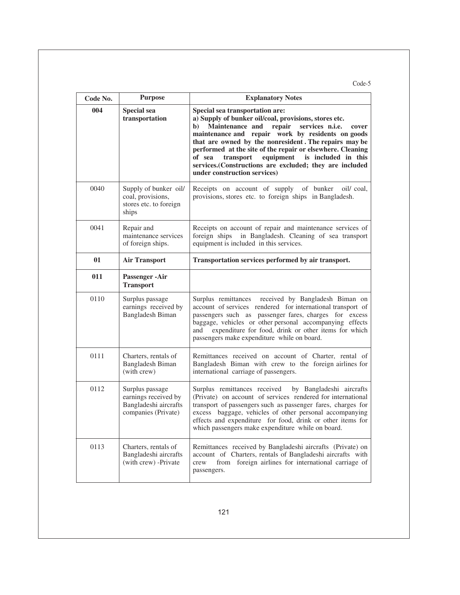| Code No. | <b>Purpose</b>                                                                          | <b>Explanatory Notes</b>                                                                                                                                                                                                                                                                                                                                                                                                                                                            |
|----------|-----------------------------------------------------------------------------------------|-------------------------------------------------------------------------------------------------------------------------------------------------------------------------------------------------------------------------------------------------------------------------------------------------------------------------------------------------------------------------------------------------------------------------------------------------------------------------------------|
| 004      | <b>Special sea</b><br>transportation                                                    | Special sea transportation are:<br>a) Supply of bunker oil/coal, provisions, stores etc.<br>Maintenance and repair services n.i.e.<br>b)<br>cover<br>maintenance and repair work by residents on goods<br>that are owned by the nonresident. The repairs may be<br>performed at the site of the repair or elsewhere. Cleaning<br>equipment<br>is included in this<br>of sea<br>transport<br>services.(Constructions are excluded; they are included<br>under construction services) |
| 0040     | Supply of bunker oil/<br>coal, provisions,<br>stores etc. to foreign<br>ships           | Receipts on account of supply of bunker<br>oil/coal,<br>provisions, stores etc. to foreign ships in Bangladesh.                                                                                                                                                                                                                                                                                                                                                                     |
| 0041     | Repair and<br>maintenance services<br>of foreign ships.                                 | Receipts on account of repair and maintenance services of<br>foreign ships<br>in Bangladesh. Cleaning of sea transport<br>equipment is included in this services.                                                                                                                                                                                                                                                                                                                   |
| 01       | <b>Air Transport</b>                                                                    | Transportation services performed by air transport.                                                                                                                                                                                                                                                                                                                                                                                                                                 |
| 011      | Passenger - Air<br><b>Transport</b>                                                     |                                                                                                                                                                                                                                                                                                                                                                                                                                                                                     |
| 0110     | Surplus passage<br>earnings received by<br><b>Bangladesh Biman</b>                      | received by Bangladesh Biman on<br>Surplus remittances<br>account of services rendered for international transport of<br>passengers such as passenger fares, charges for excess<br>baggage, vehicles or other personal accompanying effects<br>expenditure for food, drink or other items for which<br>and<br>passengers make expenditure while on board.                                                                                                                           |
| 0111     | Charters, rentals of<br><b>Bangladesh Biman</b><br>(with crew)                          | Remittances received on account of Charter, rental of<br>Bangladesh Biman with crew to the foreign airlines for<br>international carriage of passengers.                                                                                                                                                                                                                                                                                                                            |
| 0112     | Surplus passage<br>earnings received by<br>Bangladeshi aircrafts<br>companies (Private) | Surplus remittances received by Bangladeshi aircrafts<br>(Private) on account of services rendered for international<br>transport of passengers such as passenger fares, charges for<br>excess baggage, vehicles of other personal accompanying<br>effects and expenditure for food, drink or other items for<br>which passengers make expenditure while on board.                                                                                                                  |
| 0113     | Charters, rentals of<br>Bangladeshi aircrafts<br>(with crew) -Private                   | Remittances received by Bangladeshi aircrafts (Private) on<br>account of Charters, rentals of Bangladeshi aircrafts with<br>from foreign airlines for international carriage of<br>crew<br>passengers.                                                                                                                                                                                                                                                                              |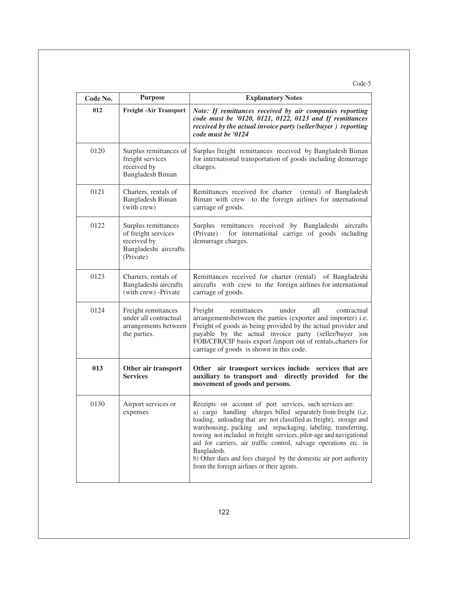| Code No. | <b>Purpose</b>                                                                                  | <b>Explanatory Notes</b>                                                                                                                                                                                                                                                                                                                                                                                                                                                                                                                         |
|----------|-------------------------------------------------------------------------------------------------|--------------------------------------------------------------------------------------------------------------------------------------------------------------------------------------------------------------------------------------------------------------------------------------------------------------------------------------------------------------------------------------------------------------------------------------------------------------------------------------------------------------------------------------------------|
| 012      | <b>Freight -Air Transport</b>                                                                   | Note: If remittances received by air companies reporting<br>code must be '0120, 0121, 0122, 0123 and If remittances<br>received by the actual invoice party (seller/buyer) reporting<br>code must be '0124                                                                                                                                                                                                                                                                                                                                       |
| 0120     | Surplus remittances of<br>freight services<br>received by<br><b>Bangladesh Biman</b>            | Surplus freight remittances received by Bangladesh Biman<br>for international transportation of goods including demurrage<br>charges.                                                                                                                                                                                                                                                                                                                                                                                                            |
| 0121     | Charters, rentals of<br><b>Bangladesh Biman</b><br>(with crew)                                  | Remittances received for charter (rental) of Bangladesh<br>Biman with crew to the foreign airlines for international<br>carriage of goods.                                                                                                                                                                                                                                                                                                                                                                                                       |
| 0122     | Surplus remittances<br>of freight services<br>received by<br>Bangladeshi aircrafts<br>(Private) | Surplus remittances received by Bangladeshi aircrafts<br>for international carrige of goods including<br>(Private)<br>demurrage charges.                                                                                                                                                                                                                                                                                                                                                                                                         |
| 0123     | Charters, rentals of<br>Bangladeshi aircrafts<br>(with crew) -Private                           | Remittances received for charter (rental) of Bangladeshi<br>aircrafts with crew to the foreign airlines for international<br>carriage of goods.                                                                                                                                                                                                                                                                                                                                                                                                  |
| 0124     | Freight remittances<br>under all contractual<br>arrangements between<br>the parties.            | all<br>Freight<br>remittances<br>under<br>contractual<br>arrangementsbetween the parties (exporter and importer) i.e.<br>Freight of goods as being provided by the actual provider and<br>payable by the actual invoice party (seller/buyer )on<br>FOB/CFR/CIF basis export /import out of rentals, charters for<br>carriage of goods is shown in this code.                                                                                                                                                                                     |
| 013      | Other air transport<br><b>Services</b>                                                          | Other air transport services include services that are<br>auxiliary to transport and directly provided for the<br>movement of goods and persons.                                                                                                                                                                                                                                                                                                                                                                                                 |
| 0130     | Airport services or<br>expenses                                                                 | Receipts on account of port services, such services are:<br>a) cargo handling charges billed separately from freight (i,e.<br>loading, unloading that are not classified as freight), storage and<br>warehousing, packing and repackaging, labeling, transferring,<br>towing not included in freight services, pilot-age and navigational<br>aid for carriers, air traffic control, salvage operations etc. in<br>Bangladesh.<br>b) Other dues and fees charged by the domestic air port authority<br>from the foreign airlines or their agents. |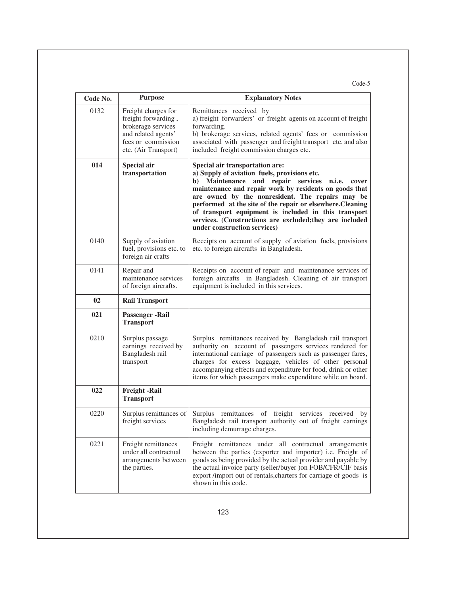| Code No. | <b>Purpose</b>                                                                                                                        | <b>Explanatory Notes</b>                                                                                                                                                                                                                                                                                                                                                                                                                                                                    |
|----------|---------------------------------------------------------------------------------------------------------------------------------------|---------------------------------------------------------------------------------------------------------------------------------------------------------------------------------------------------------------------------------------------------------------------------------------------------------------------------------------------------------------------------------------------------------------------------------------------------------------------------------------------|
| 0132     | Freight charges for<br>freight forwarding,<br>brokerage services<br>and related agents'<br>fees or commission<br>etc. (Air Transport) | Remittances received by<br>a) freight forwarders' or freight agents on account of freight<br>forwarding.<br>b) brokerage services, related agents' fees or commission<br>associated with passenger and freight transport etc. and also<br>included freight commission charges etc.                                                                                                                                                                                                          |
| 014      | <b>Special air</b><br>transportation                                                                                                  | Special air transportation are:<br>a) Supply of aviation fuels, provisions etc.<br>and<br>repair<br><b>Maintenance</b><br>services<br>n.i.e.<br>b)<br>cover<br>maintenance and repair work by residents on goods that<br>are owned by the nonresident. The repairs may be<br>performed at the site of the repair or elsewhere. Cleaning<br>of transport equipment is included in this transport<br>services. (Constructions are excluded; they are included<br>under construction services) |
| 0140     | Supply of aviation<br>fuel, provisions etc. to<br>foreign air crafts                                                                  | Receipts on account of supply of aviation fuels, provisions<br>etc. to foreign aircrafts in Bangladesh.                                                                                                                                                                                                                                                                                                                                                                                     |
| 0141     | Repair and<br>maintenance services<br>of foreign aircrafts.                                                                           | Receipts on account of repair and maintenance services of<br>foreign aircrafts in Bangladesh. Cleaning of air transport<br>equipment is included in this services.                                                                                                                                                                                                                                                                                                                          |
| 02       | <b>Rail Transport</b>                                                                                                                 |                                                                                                                                                                                                                                                                                                                                                                                                                                                                                             |
| 021      | Passenger - Rail<br><b>Transport</b>                                                                                                  |                                                                                                                                                                                                                                                                                                                                                                                                                                                                                             |
| 0210     | Surplus passage<br>earnings received by<br>Bangladesh rail<br>transport                                                               | Surplus remittances received by Bangladesh rail transport<br>authority on account of passengers services rendered for<br>international carriage of passengers such as passenger fares,<br>charges for excess baggage, vehicles of other personal<br>accompanying effects and expenditure for food, drink or other<br>items for which passengers make expenditure while on board.                                                                                                            |
| 022      | <b>Freight-Rail</b><br><b>Transport</b>                                                                                               |                                                                                                                                                                                                                                                                                                                                                                                                                                                                                             |
| 0220     | Surplus remittances of<br>freight services                                                                                            | remittances of freight services received by<br>Surplus<br>Bangladesh rail transport authority out of freight earnings<br>including demurrage charges.                                                                                                                                                                                                                                                                                                                                       |
| 0221     | Freight remittances<br>under all contractual<br>arrangements between<br>the parties.                                                  | Freight remittances under all contractual arrangements<br>between the parties (exporter and importer) i.e. Freight of<br>goods as being provided by the actual provider and payable by<br>the actual invoice party (seller/buyer )on FOB/CFR/CIF basis<br>export /import out of rentals, charters for carriage of goods is<br>shown in this code.                                                                                                                                           |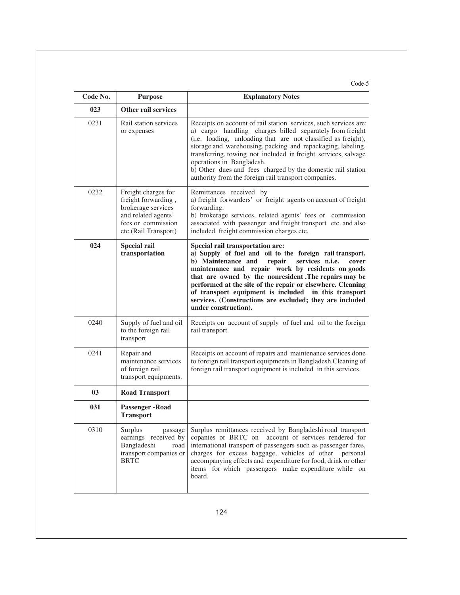| Code No.       | <b>Purpose</b>                                                                                                                        | <b>Explanatory Notes</b>                                                                                                                                                                                                                                                                                                                                                                                                                                                           |
|----------------|---------------------------------------------------------------------------------------------------------------------------------------|------------------------------------------------------------------------------------------------------------------------------------------------------------------------------------------------------------------------------------------------------------------------------------------------------------------------------------------------------------------------------------------------------------------------------------------------------------------------------------|
| 023            | <b>Other rail services</b>                                                                                                            |                                                                                                                                                                                                                                                                                                                                                                                                                                                                                    |
| 0231           | Rail station services<br>or expenses                                                                                                  | Receipts on account of rail station services, such services are:<br>a) cargo handling charges billed separately from freight<br>(i,e. loading, unloading that are not classified as freight),<br>storage and warehousing, packing and repackaging, labeling,<br>transferring, towing not included in freight services, salvage<br>operations in Bangladesh.<br>b) Other dues and fees charged by the domestic rail station<br>authority from the foreign rail transport companies. |
| 0232           | Freight charges for<br>freight forwarding,<br>brokerage services<br>and related agents'<br>fees or commission<br>etc.(Rail Transport) | Remittances received by<br>a) freight forwarders' or freight agents on account of freight<br>forwarding.<br>b) brokerage services, related agents' fees or commission<br>associated with passenger and freight transport etc. and also<br>included freight commission charges etc.                                                                                                                                                                                                 |
| 024            | Special rail<br>transportation                                                                                                        | Special rail transportation are:<br>a) Supply of fuel and oil to the foreign rail transport.<br>b) Maintenance and<br>repair<br>services n.i.e.<br>cover<br>maintenance and repair work by residents on goods<br>that are owned by the nonresident. The repairs may be<br>performed at the site of the repair or elsewhere. Cleaning<br>of transport equipment is included in this transport<br>services. (Constructions are excluded; they are included<br>under construction).   |
| 0240           | Supply of fuel and oil<br>to the foreign rail<br>transport                                                                            | Receipts on account of supply of fuel and oil to the foreign<br>rail transport.                                                                                                                                                                                                                                                                                                                                                                                                    |
| 0241           | Repair and<br>maintenance services<br>of foreign rail<br>transport equipments.                                                        | Receipts on account of repairs and maintenance services done<br>to foreign rail transport equipments in Bangladesh.Cleaning of<br>foreign rail transport equipment is included in this services.                                                                                                                                                                                                                                                                                   |
| 0 <sub>3</sub> | <b>Road Transport</b>                                                                                                                 |                                                                                                                                                                                                                                                                                                                                                                                                                                                                                    |
| 031            | Passenger - Road<br><b>Transport</b>                                                                                                  |                                                                                                                                                                                                                                                                                                                                                                                                                                                                                    |
| 0310           | Surplus<br>passage<br>earnings received by<br>Bangladeshi<br>road<br>transport companies or<br><b>BRTC</b>                            | Surplus remittances received by Bangladeshi road transport<br>copanies or BRTC on<br>account of services rendered for<br>international transport of passengers such as passenger fares,<br>charges for excess baggage, vehicles of other personal<br>accompanying effects and expenditure for food, drink or other<br>items for which passengers make expenditure while on<br>board.                                                                                               |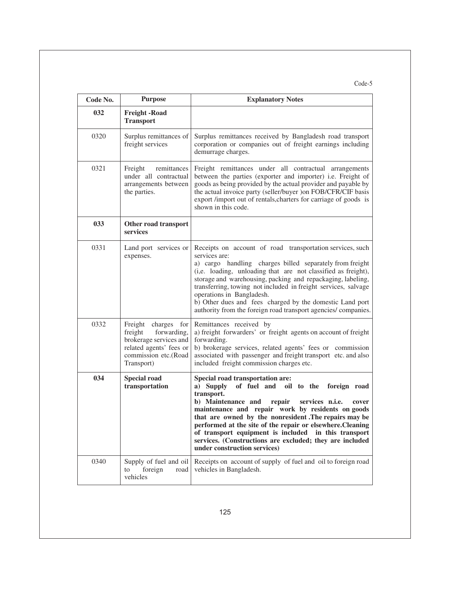| Code No. | <b>Purpose</b>                                                                                                                              | <b>Explanatory Notes</b>                                                                                                                                                                                                                                                                                                                                                                                                                                                                             |
|----------|---------------------------------------------------------------------------------------------------------------------------------------------|------------------------------------------------------------------------------------------------------------------------------------------------------------------------------------------------------------------------------------------------------------------------------------------------------------------------------------------------------------------------------------------------------------------------------------------------------------------------------------------------------|
| 032      | <b>Freight-Road</b><br><b>Transport</b>                                                                                                     |                                                                                                                                                                                                                                                                                                                                                                                                                                                                                                      |
| 0320     | Surplus remittances of<br>freight services                                                                                                  | Surplus remittances received by Bangladesh road transport<br>corporation or companies out of freight earnings including<br>demurrage charges.                                                                                                                                                                                                                                                                                                                                                        |
| 0321     | Freight<br>remittances<br>under all contractual<br>arrangements between<br>the parties.                                                     | Freight remittances under all contractual arrangements<br>between the parties (exporter and importer) i.e. Freight of<br>goods as being provided by the actual provider and payable by<br>the actual invoice party (seller/buyer )on FOB/CFR/CIF basis<br>export /import out of rentals, charters for carriage of goods is<br>shown in this code.                                                                                                                                                    |
| 033      | Other road transport<br>services                                                                                                            |                                                                                                                                                                                                                                                                                                                                                                                                                                                                                                      |
| 0331     | Land port services or<br>expenses.                                                                                                          | Receipts on account of road transportation services, such<br>services are:<br>a) cargo handling charges billed separately from freight<br>(i,e. loading, unloading that are not classified as freight),<br>storage and warehousing, packing and repackaging, labeling,<br>transferring, towing not included in freight services, salvage<br>operations in Bangladesh.<br>b) Other dues and fees charged by the domestic Land port<br>authority from the foreign road transport agencies/ companies.  |
| 0332     | Freight charges<br>for<br>freight<br>forwarding,<br>brokerage services and<br>related agents' fees or<br>commission etc.(Road<br>Transport) | Remittances received by<br>a) freight forwarders' or freight agents on account of freight<br>forwarding.<br>b) brokerage services, related agents' fees or commission<br>associated with passenger and freight transport etc. and also<br>included freight commission charges etc.                                                                                                                                                                                                                   |
| 034      | <b>Special road</b><br>transportation                                                                                                       | Special road transportation are:<br>a) Supply<br>of fuel and<br>oil to the<br>foreign road<br>transport.<br>b) Maintenance and<br>repair<br>services n.i.e.<br>cover<br>maintenance and repair work by residents on goods<br>that are owned by the nonresident. The repairs may be<br>performed at the site of the repair or elsewhere. Cleaning<br>of transport equipment is included in this transport<br>services. (Constructions are excluded; they are included<br>under construction services) |
| 0340     | Supply of fuel and oil<br>foreign<br>to<br>road<br>vehicles                                                                                 | Receipts on account of supply of fuel and oil to foreign road<br>vehicles in Bangladesh.                                                                                                                                                                                                                                                                                                                                                                                                             |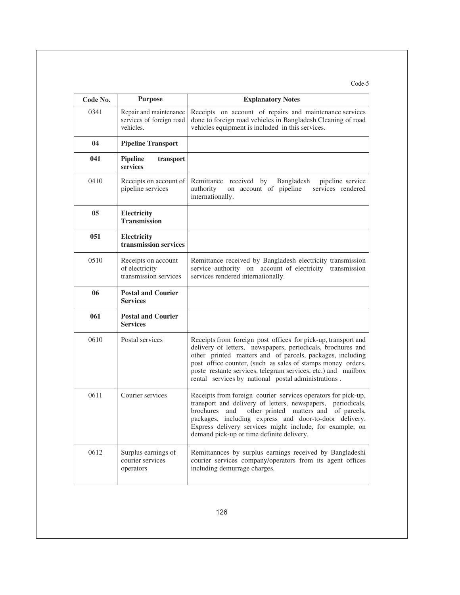| Code No.       | <b>Purpose</b>                                                  | <b>Explanatory Notes</b>                                                                                                                                                                                                                                                                                                                                                         |
|----------------|-----------------------------------------------------------------|----------------------------------------------------------------------------------------------------------------------------------------------------------------------------------------------------------------------------------------------------------------------------------------------------------------------------------------------------------------------------------|
| 0341           | Repair and maintenance<br>services of foreign road<br>vehicles. | Receipts on account of repairs and maintenance services<br>done to foreign road vehicles in Bangladesh. Cleaning of road<br>vehicles equipment is included in this services.                                                                                                                                                                                                     |
| 04             | <b>Pipeline Transport</b>                                       |                                                                                                                                                                                                                                                                                                                                                                                  |
| 041            | Pipeline<br>transport<br>services                               |                                                                                                                                                                                                                                                                                                                                                                                  |
| 0410           | Receipts on account of<br>pipeline services                     | Remittance received by<br>pipeline service<br>Bangladesh<br>on account of pipeline<br>services rendered<br>authority<br>internationally.                                                                                                                                                                                                                                         |
| 0 <sub>5</sub> | <b>Electricity</b><br><b>Transmission</b>                       |                                                                                                                                                                                                                                                                                                                                                                                  |
| 051            | Electricity<br>transmission services                            |                                                                                                                                                                                                                                                                                                                                                                                  |
| 0510           | Receipts on account<br>of electricity<br>transmission services  | Remittance received by Bangladesh electricity transmission<br>service authority on account of electricity transmission<br>services rendered internationally.                                                                                                                                                                                                                     |
| 06             | <b>Postal and Courier</b><br><b>Services</b>                    |                                                                                                                                                                                                                                                                                                                                                                                  |
| 061            | <b>Postal and Courier</b><br><b>Services</b>                    |                                                                                                                                                                                                                                                                                                                                                                                  |
| 0610           | Postal services                                                 | Receipts from foreign post offices for pick-up, transport and<br>delivery of letters, newspapers, periodicals, brochures and<br>other printed matters and of parcels, packages, including<br>post office counter, (such as sales of stamps money orders,<br>poste restante services, telegram services, etc.) and mailbox<br>rental services by national postal administrations. |
| 0611           | Courier services                                                | Receipts from foreign courier services operators for pick-up,<br>transport and delivery of letters, newspapers, periodicals,<br>other printed matters and of parcels,<br>brochures<br>and<br>packages, including express and door-to-door delivery.<br>Express delivery services might include, for example, on<br>demand pick-up or time definite delivery.                     |
| 0612           | Surplus earnings of<br>courier services<br>operators            | Remittannees by surplus earnings received by Bangladeshi<br>courier services company/operators from its agent offices<br>including demurrage charges.                                                                                                                                                                                                                            |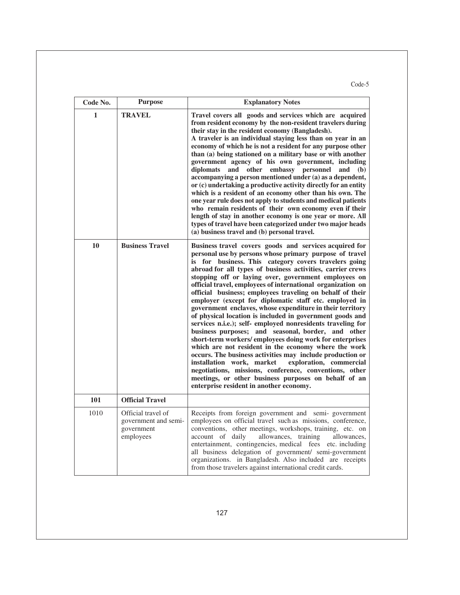| Code No. | <b>Purpose</b>                                                        | <b>Explanatory Notes</b>                                                                                                                                                                                                                                                                                                                                                                                                                                                                                                                                                                                                                                                                                                                                                                                                                                                                                                                                                                                                                                                                                                                  |
|----------|-----------------------------------------------------------------------|-------------------------------------------------------------------------------------------------------------------------------------------------------------------------------------------------------------------------------------------------------------------------------------------------------------------------------------------------------------------------------------------------------------------------------------------------------------------------------------------------------------------------------------------------------------------------------------------------------------------------------------------------------------------------------------------------------------------------------------------------------------------------------------------------------------------------------------------------------------------------------------------------------------------------------------------------------------------------------------------------------------------------------------------------------------------------------------------------------------------------------------------|
| 1        | <b>TRAVEL</b>                                                         | Travel covers all goods and services which are acquired<br>from resident economy by the non-resident travelers during<br>their stay in the resident economy (Bangladesh).<br>A traveler is an individual staying less than on year in an<br>economy of which he is not a resident for any purpose other<br>than (a) being stationed on a military base or with another<br>government agency of his own government, including<br>and other embassy personnel<br>diplomats<br>and<br>(b)<br>accompanying a person mentioned under (a) as a dependent,<br>or (c) undertaking a productive activity directly for an entity<br>which is a resident of an economy other than his own. The<br>one year rule does not apply to students and medical patients<br>who remain residents of their own economy even if their<br>length of stay in another economy is one year or more. All<br>types of travel have been categorized under two major heads<br>(a) business travel and (b) personal travel.                                                                                                                                              |
| 10       | <b>Business Travel</b>                                                | Business travel covers goods and services acquired for<br>personal use by persons whose primary purpose of travel<br>is for business. This category covers travelers going<br>abroad for all types of business activities, carrier crews<br>stopping off or laying over, government employees on<br>official travel, employees of international organization on<br>official business; employees traveling on behalf of their<br>employer (except for diplomatic staff etc. employed in<br>government enclaves, whose expenditure in their territory<br>of physical location is included in government goods and<br>services n.i.e.); self- employed nonresidents traveling for<br>business purposes; and seasonal, border, and other<br>short-term workers/employees doing work for enterprises<br>which are not resident in the economy where the work<br>occurs. The business activities may include production or<br>installation work, market<br>exploration, commercial<br>negotiations, missions, conference, conventions, other<br>meetings, or other business purposes on behalf of an<br>enterprise resident in another economy. |
| 101      | <b>Official Travel</b>                                                |                                                                                                                                                                                                                                                                                                                                                                                                                                                                                                                                                                                                                                                                                                                                                                                                                                                                                                                                                                                                                                                                                                                                           |
| 1010     | Official travel of<br>government and semi-<br>government<br>employees | Receipts from foreign government and semi-government<br>employees on official travel such as missions, conference,<br>conventions, other meetings, workshops, training, etc. on<br>account of daily<br>allowances, training<br>allowances,<br>entertainment, contingencies, medical fees etc. including<br>all business delegation of government/ semi-government<br>organizations. in Bangladesh. Also included are receipts<br>from those travelers against international credit cards.                                                                                                                                                                                                                                                                                                                                                                                                                                                                                                                                                                                                                                                 |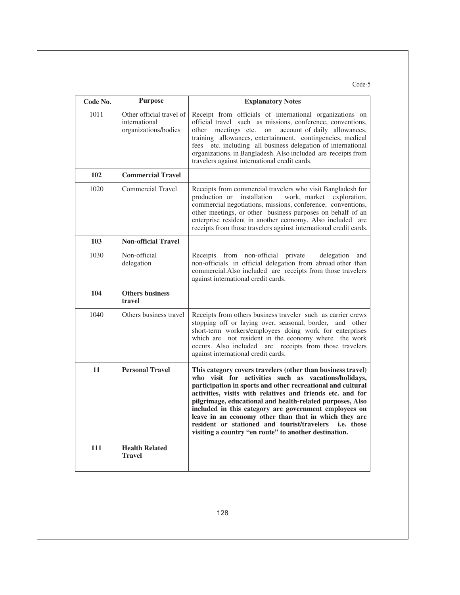| Code No. | <b>Purpose</b>                                                    | <b>Explanatory Notes</b>                                                                                                                                                                                                                                                                                                                                                                                                                                                                                                                              |
|----------|-------------------------------------------------------------------|-------------------------------------------------------------------------------------------------------------------------------------------------------------------------------------------------------------------------------------------------------------------------------------------------------------------------------------------------------------------------------------------------------------------------------------------------------------------------------------------------------------------------------------------------------|
| 1011     | Other official travel of<br>international<br>organizations/bodies | Receipt from officials of international organizations on<br>official travel such as missions, conference, conventions,<br>meetings etc.<br>account of daily allowances,<br>other<br>on<br>training allowances, entertainment, contingencies, medical<br>fees etc. including all business delegation of international<br>organizations. in Bangladesh. Also included are receipts from<br>travelers against international credit cards.                                                                                                                |
| 102      | <b>Commercial Travel</b>                                          |                                                                                                                                                                                                                                                                                                                                                                                                                                                                                                                                                       |
| 1020     | <b>Commercial Travel</b>                                          | Receipts from commercial travelers who visit Bangladesh for<br>installation<br>work, market<br>production or<br>exploration,<br>commercial negotiations, missions, conference, conventions,<br>other meetings, or other business purposes on behalf of an<br>enterprise resident in another economy. Also included are<br>receipts from those travelers against international credit cards.                                                                                                                                                           |
| 103      | <b>Non-official Travel</b>                                        |                                                                                                                                                                                                                                                                                                                                                                                                                                                                                                                                                       |
| 1030     | Non-official<br>delegation                                        | from non-official private<br>delegation<br>Receipts<br>and<br>non-officials in official delegation from abroad other than<br>commercial. Also included are receipts from those travelers<br>against international credit cards.                                                                                                                                                                                                                                                                                                                       |
| 104      | <b>Others business</b><br>travel                                  |                                                                                                                                                                                                                                                                                                                                                                                                                                                                                                                                                       |
| 1040     | Others business travel                                            | Receipts from others business traveler such as carrier crews<br>stopping off or laying over, seasonal, border, and other<br>short-term workers/employees doing work for enterprises<br>which are not resident in the economy where the work<br>occurs. Also included are receipts from those travelers<br>against international credit cards.                                                                                                                                                                                                         |
| 11       | <b>Personal Travel</b>                                            | This category covers travelers (other than business travel)<br>who visit for activities such as vacations/holidays,<br>participation in sports and other recreational and cultural<br>activities, visits with relatives and friends etc. and for<br>pilgrimage, educational and health-related purposes, Also<br>included in this category are government employees on<br>leave in an economy other than that in which they are<br>resident or stationed and tourist/travelers<br>i.e. those<br>visiting a country "en route" to another destination. |
| 111      | <b>Health Related</b><br><b>Travel</b>                            |                                                                                                                                                                                                                                                                                                                                                                                                                                                                                                                                                       |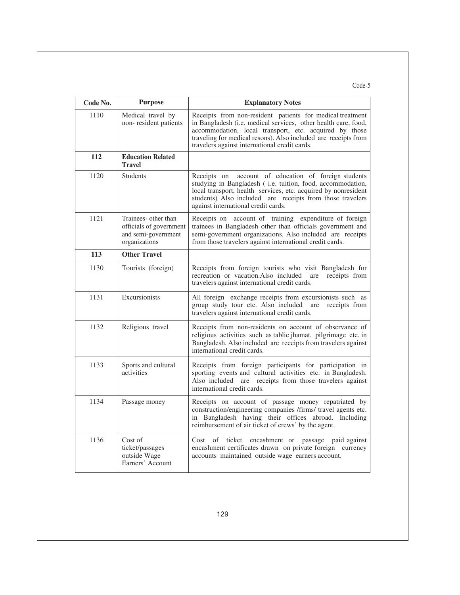| Code No. | <b>Purpose</b>                                                                          | <b>Explanatory Notes</b>                                                                                                                                                                                                                                                                                 |
|----------|-----------------------------------------------------------------------------------------|----------------------------------------------------------------------------------------------------------------------------------------------------------------------------------------------------------------------------------------------------------------------------------------------------------|
| 1110     | Medical travel by<br>non-resident patients                                              | Receipts from non-resident patients for medical treatment<br>in Bangladesh (i.e. medical services, other health care, food,<br>accommodation, local transport, etc. acquired by those<br>traveling for medical resons). Also included are receipts from<br>travelers against international credit cards. |
| 112      | <b>Education Related</b><br><b>Travel</b>                                               |                                                                                                                                                                                                                                                                                                          |
| 1120     | <b>Students</b>                                                                         | account of education of foreign students<br>Receipts on<br>studying in Bangladesh (i.e. tuition, food, accommodation,<br>local transport, health services, etc. acquired by nonresident<br>students) Also included are receipts from those travelers<br>against international credit cards.              |
| 1121     | Trainees- other than<br>officials of government<br>and semi-government<br>organizations | Receipts on account of training expenditure of foreign<br>trainees in Bangladesh other than officials government and<br>semi-government organizations. Also included are receipts<br>from those travelers against international credit cards.                                                            |
| 113      | <b>Other Travel</b>                                                                     |                                                                                                                                                                                                                                                                                                          |
| 1130     | Tourists (foreign)                                                                      | Receipts from foreign tourists who visit Bangladesh for<br>recreation or vacation.Also included<br>are<br>receipts from<br>travelers against international credit cards.                                                                                                                                 |
| 1131     | Excursionists                                                                           | All foreign exchange receipts from excursionists such as<br>group study tour etc. Also included<br>are<br>receipts from<br>travelers against international credit cards.                                                                                                                                 |
| 1132     | Religious travel                                                                        | Receipts from non-residents on account of observance of<br>religious activities such as tablic jhamat, pilgrimage etc. in<br>Bangladesh. Also included are receipts from travelers against<br>international credit cards.                                                                                |
| 1133     | Sports and cultural<br>activities                                                       | Receipts from foreign participants for participation in<br>sporting events and cultural activities etc. in Bangladesh.<br>Also included are receipts from those travelers against<br>international credit cards.                                                                                         |
| 1134     | Passage money                                                                           | Receipts on account of passage money repatriated by<br>construction/engineering companies /firms/ travel agents etc.<br>in Bangladesh having their offices abroad. Including<br>reimbursement of air ticket of crews' by the agent.                                                                      |
| 1136     | Cost of<br>ticket/passages<br>outside Wage<br>Earners' Account                          | Cost of<br>ticket encashment or passage<br>paid against<br>encashment certificates drawn on private foreign currency<br>accounts maintained outside wage earners account.                                                                                                                                |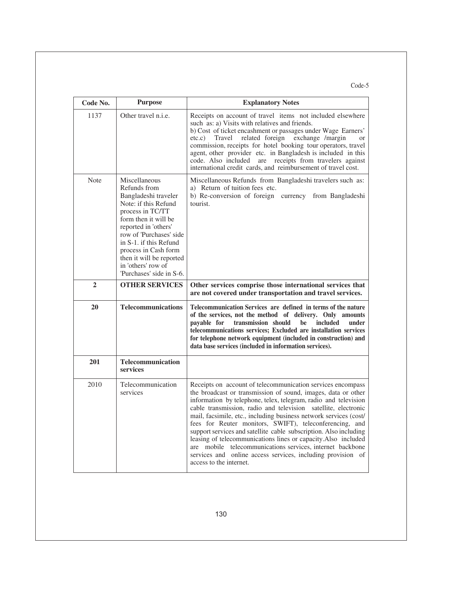| Code No.       | <b>Purpose</b>                                                                                                                                                                                                                                                                                               | <b>Explanatory Notes</b>                                                                                                                                                                                                                                                                                                                                                                                                                                                                                                                                                                                                                                                                        |
|----------------|--------------------------------------------------------------------------------------------------------------------------------------------------------------------------------------------------------------------------------------------------------------------------------------------------------------|-------------------------------------------------------------------------------------------------------------------------------------------------------------------------------------------------------------------------------------------------------------------------------------------------------------------------------------------------------------------------------------------------------------------------------------------------------------------------------------------------------------------------------------------------------------------------------------------------------------------------------------------------------------------------------------------------|
| 1137           | Other travel n.i.e.                                                                                                                                                                                                                                                                                          | Receipts on account of travel items not included elsewhere<br>such as: a) Visits with relatives and friends.<br>b) Cost of ticket encashment or passages under Wage Earners'<br>related foreign exchange /margin<br>Travel<br>etc.c)<br><sub>or</sub><br>commission, receipts for hotel booking tour operators, travel<br>agent, other provider etc. in Bangladesh is included in this<br>code. Also included<br>receipts from travelers against<br>are<br>international credit cards, and reimbursement of travel cost.                                                                                                                                                                        |
| Note           | Miscellaneous<br>Refunds from<br>Bangladeshi traveler<br>Note: if this Refund<br>process in TC/TT<br>form then it will be<br>reported in 'others'<br>row of 'Purchases' side<br>in S-1. if this Refund<br>process in Cash form<br>then it will be reported<br>in 'others' row of<br>'Purchases' side in S-6. | Miscellaneous Refunds from Bangladeshi travelers such as:<br>a) Return of tuition fees etc.<br>b) Re-conversion of foreign<br>currency from Bangladeshi<br>tourist.                                                                                                                                                                                                                                                                                                                                                                                                                                                                                                                             |
| $\overline{2}$ | <b>OTHER SERVICES</b>                                                                                                                                                                                                                                                                                        | Other services comprise those international services that<br>are not covered under transportation and travel services.                                                                                                                                                                                                                                                                                                                                                                                                                                                                                                                                                                          |
| 20             | <b>Telecommunications</b>                                                                                                                                                                                                                                                                                    | Telecommunication Services are defined in terms of the nature<br>of the services, not the method of delivery. Only amounts<br>transmission should<br>be<br>included<br>under<br>payable for<br>telecommunications services; Excluded are installation services<br>for telephone network equipment (included in construction) and<br>data base services (included in information services).                                                                                                                                                                                                                                                                                                      |
| 201            | <b>Telecommunication</b><br>services                                                                                                                                                                                                                                                                         |                                                                                                                                                                                                                                                                                                                                                                                                                                                                                                                                                                                                                                                                                                 |
| 2010           | Telecommunication<br>services                                                                                                                                                                                                                                                                                | Receipts on account of telecommunication services encompass<br>the broadcast or transmission of sound, images, data or other<br>information by telephone, telex, telegram, radio and television<br>cable transmission, radio and television satellite, electronic<br>mail, facsimile, etc., including business network services (cost/<br>fees for Reuter monitors, SWIFT), teleconferencing, and<br>support services and satellite cable subscription. Also including<br>leasing of telecommunications lines or capacity. Also included<br>are mobile telecommunications services, internet backbone<br>services and online access services, including provision of<br>access to the internet. |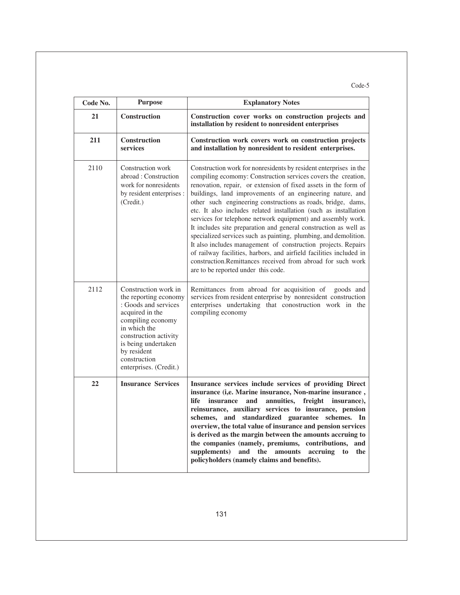| Code No. | <b>Purpose</b>                                                                                                                                                                                                                         | <b>Explanatory Notes</b>                                                                                                                                                                                                                                                                                                                                                                                                                                                                                                                                                                                                                                                                                                                                                                                                                                      |
|----------|----------------------------------------------------------------------------------------------------------------------------------------------------------------------------------------------------------------------------------------|---------------------------------------------------------------------------------------------------------------------------------------------------------------------------------------------------------------------------------------------------------------------------------------------------------------------------------------------------------------------------------------------------------------------------------------------------------------------------------------------------------------------------------------------------------------------------------------------------------------------------------------------------------------------------------------------------------------------------------------------------------------------------------------------------------------------------------------------------------------|
| 21       | <b>Construction</b>                                                                                                                                                                                                                    | Construction cover works on construction projects and<br>installation by resident to nonresident enterprises                                                                                                                                                                                                                                                                                                                                                                                                                                                                                                                                                                                                                                                                                                                                                  |
| 211      | <b>Construction</b><br>services                                                                                                                                                                                                        | Construction work covers work on construction projects<br>and installation by nonresident to resident enterprises.                                                                                                                                                                                                                                                                                                                                                                                                                                                                                                                                                                                                                                                                                                                                            |
| 2110     | Construction work<br>abroad: Construction<br>work for nonresidents<br>by resident enterprises :<br>(Credit.)                                                                                                                           | Construction work for nonresidents by resident enterprises in the<br>compiling ecomomy: Construction services covers the creation,<br>renovation, repair, or extension of fixed assets in the form of<br>buildings, land improvements of an engineering nature, and<br>other such engineering constructions as roads, bridge, dams,<br>etc. It also includes related installation (such as installation<br>services for telephone network equipment) and assembly work.<br>It includes site preparation and general construction as well as<br>specialized services such as painting, plumbing, and demolition.<br>It also includes management of construction projects. Repairs<br>of railway facilities, harbors, and airfield facilities included in<br>construction.Remittances received from abroad for such work<br>are to be reported under this code. |
| 2112     | Construction work in<br>the reporting economy<br>: Goods and services<br>acquired in the<br>compiling economy<br>in which the<br>construction activity<br>is being undertaken<br>by resident<br>construction<br>enterprises. (Credit.) | Remittances from abroad for acquisition of<br>goods and<br>services from resident enterprise by nonresident construction<br>enterprises undertaking that conostruction work in the<br>compiling economy                                                                                                                                                                                                                                                                                                                                                                                                                                                                                                                                                                                                                                                       |
| 22       | <b>Insurance Services</b>                                                                                                                                                                                                              | Insurance services include services of providing Direct<br>insurance (i,e. Marine insurance, Non-marine insurance,<br>life<br>insurance<br>and<br>annuities, freight<br>insurance),<br>reinsurance, auxiliary services to insurance, pension<br>and standardized guarantee schemes.<br>schemes,<br>In<br>overview, the total value of insurance and pension services<br>is derived as the margin between the amounts accruing to<br>the companies (namely, premiums, contributions,<br>and<br>supplements)<br>and the amounts<br>accruing<br>the<br>to<br>policyholders (namely claims and benefits).                                                                                                                                                                                                                                                         |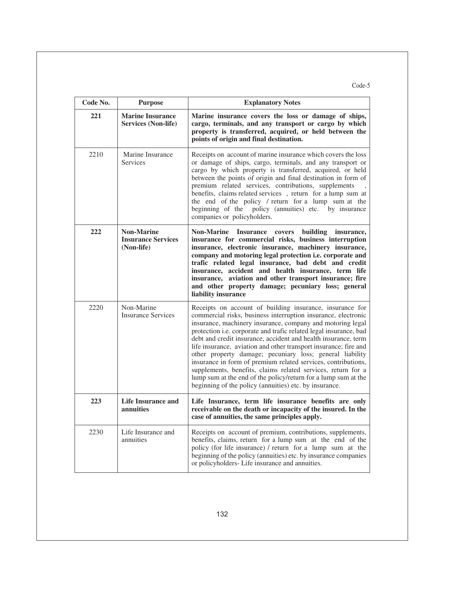| Code No. | <b>Purpose</b>                                               | <b>Explanatory Notes</b>                                                                                                                                                                                                                                                                                                                                                                                                                                                                                                                                                                                                                                                                                                    |
|----------|--------------------------------------------------------------|-----------------------------------------------------------------------------------------------------------------------------------------------------------------------------------------------------------------------------------------------------------------------------------------------------------------------------------------------------------------------------------------------------------------------------------------------------------------------------------------------------------------------------------------------------------------------------------------------------------------------------------------------------------------------------------------------------------------------------|
| 221      | <b>Marine Insurance</b><br><b>Services (Non-life)</b>        | Marine insurance covers the loss or damage of ships,<br>cargo, terminals, and any transport or cargo by which<br>property is transferred, acquired, or held between the<br>points of origin and final destination.                                                                                                                                                                                                                                                                                                                                                                                                                                                                                                          |
| 2210     | Marine Insurance<br><b>Services</b>                          | Receipts on account of marine insurance which covers the loss<br>or damage of ships, cargo, terminals, and any transport or<br>cargo by which property is transferred, acquired, or held<br>between the points of origin and final destination in form of<br>premium related services, contributions, supplements<br>benefits, claims related services, return for a lump sum at<br>the end of the policy / return for a lump sum at the<br>beginning of the policy (annuities) etc. by insurance<br>companies or policyholders.                                                                                                                                                                                            |
| 222      | <b>Non-Marine</b><br><b>Insurance Services</b><br>(Non-life) | <b>Non-Marine Insurance covers</b><br>building<br>insurance,<br>insurance for commercial risks, business interruption<br>insurance, electronic insurance, machinery insurance,<br>company and motoring legal protection i.e. corporate and<br>trafic related legal insurance, bad debt and credit<br>insurance, accident and health insurance, term life<br>insurance, aviation and other transport insurance; fire<br>and other property damage; pecuniary loss; general<br>liability insurance                                                                                                                                                                                                                            |
| 2220     | Non-Marine<br><b>Insurance Services</b>                      | Receipts on account of building insurance, insurance for<br>commercial risks, business interruption insurance, electronic<br>insurance, machinery insurance, company and motoring legal<br>protection i.e. corporate and trafic related legal insurance, bad<br>debt and credit insurance, accident and health insurance, term<br>life insurance, aviation and other transport insurance; fire and<br>other property damage; pecuniary loss; general liability<br>insurance in form of premium related services, contributions,<br>supplements, benefits, claims related services, return for a<br>lump sum at the end of the policy/return for a lump sum at the<br>beginning of the policy (annuities) etc. by insurance. |
| 223      | <b>Life Insurance and</b><br>annuities                       | Life Insurance, term life insurance benefits are only<br>receivable on the death or incapacity of the insured. In the<br>case of annuities, the same principles apply.                                                                                                                                                                                                                                                                                                                                                                                                                                                                                                                                                      |
| 2230     | Life Insurance and<br>annuities                              | Receipts on account of premium, contributions, supplements,<br>benefits, claims, return for a lump sum at the end of the<br>policy (for life insurance) / return for a lump sum at the<br>beginning of the policy (annuities) etc. by insurance companies<br>or policyholders- Life insurance and annuities.                                                                                                                                                                                                                                                                                                                                                                                                                |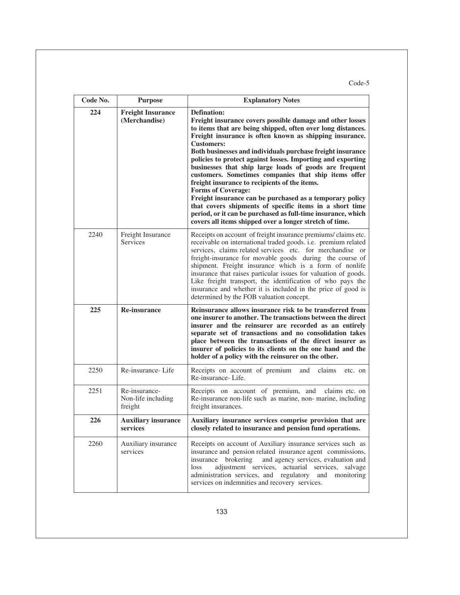| Code No. | <b>Purpose</b>                                 | <b>Explanatory Notes</b>                                                                                                                                                                                                                                                                                                                                                                                                                                                                                                                                                                                                                                                                                                                                                                               |
|----------|------------------------------------------------|--------------------------------------------------------------------------------------------------------------------------------------------------------------------------------------------------------------------------------------------------------------------------------------------------------------------------------------------------------------------------------------------------------------------------------------------------------------------------------------------------------------------------------------------------------------------------------------------------------------------------------------------------------------------------------------------------------------------------------------------------------------------------------------------------------|
| 224      | <b>Freight Insurance</b><br>(Merchandise)      | Defination:<br>Freight insurance covers possible damage and other losses<br>to items that are being shipped, often over long distances.<br>Freight insurance is often known as shipping insurance.<br><b>Customers:</b><br>Both businesses and individuals purchase freight insurance<br>policies to protect against losses. Importing and exporting<br>businesses that ship large loads of goods are frequent<br>customers. Sometimes companies that ship items offer<br>freight insurance to recipients of the items.<br><b>Forms of Coverage:</b><br>Freight insurance can be purchased as a temporary policy<br>that covers shipments of specific items in a short time<br>period, or it can be purchased as full-time insurance, which<br>covers all items shipped over a longer stretch of time. |
| 2240     | Freight Insurance<br><b>Services</b>           | Receipts on account of freight insurance premiums/claims etc.<br>receivable on international traded goods. i.e. premium related<br>services, claims related services etc. for merchandise or<br>freight-insurance for movable goods during the course of<br>shipment. Freight insurance which is a form of nonlife<br>insurance that raises particular issues for valuation of goods.<br>Like freight transport, the identification of who pays the<br>insurance and whether it is included in the price of good is<br>determined by the FOB valuation concept.                                                                                                                                                                                                                                        |
| 225      | <b>Re-insurance</b>                            | Reinsurance allows insurance risk to be transferred from<br>one insurer to another. The transactions between the direct<br>insurer and the reinsurer are recorded as an entirely<br>separate set of transactions and no consolidation takes<br>place between the transactions of the direct insurer as<br>insurer of policies to its clients on the one hand and the<br>holder of a policy with the reinsurer on the other.                                                                                                                                                                                                                                                                                                                                                                            |
| 2250     | Re-insurance-Life                              | Receipts on account of premium<br>and<br>claims<br>etc. on<br>Re-insurance-Life.                                                                                                                                                                                                                                                                                                                                                                                                                                                                                                                                                                                                                                                                                                                       |
| 2251     | Re-insurance-<br>Non-life including<br>freight | Receipts on account of premium, and<br>claims etc. on<br>Re-insurance non-life such as marine, non- marine, including<br>freight insurances.                                                                                                                                                                                                                                                                                                                                                                                                                                                                                                                                                                                                                                                           |
| 226      | <b>Auxiliary insurance</b><br>services         | Auxiliary insurance services comprise provision that are<br>closely related to insurance and pension fund operations.                                                                                                                                                                                                                                                                                                                                                                                                                                                                                                                                                                                                                                                                                  |
| 2260     | Auxiliary insurance<br>services                | Receipts on account of Auxiliary insurance services such as<br>insurance and pension related insurance agent commissions,<br>and agency services, evaluation and<br>insurance<br>brokering<br>adjustment services, actuarial services, salvage<br>loss<br>administration services, and regulatory<br>and monitoring<br>services on indemnities and recovery services.                                                                                                                                                                                                                                                                                                                                                                                                                                  |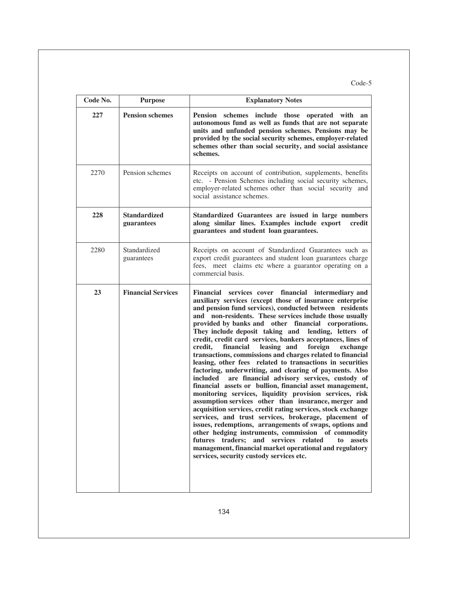| Code No. | <b>Purpose</b>                    | <b>Explanatory Notes</b>                                                                                                                                                                                                                                                                                                                                                                                                                                                                                                                                                                                                                                                                                                                                                                                                                                                                                                                                                                                                                                                                                                                                                                                                                                                                                                         |
|----------|-----------------------------------|----------------------------------------------------------------------------------------------------------------------------------------------------------------------------------------------------------------------------------------------------------------------------------------------------------------------------------------------------------------------------------------------------------------------------------------------------------------------------------------------------------------------------------------------------------------------------------------------------------------------------------------------------------------------------------------------------------------------------------------------------------------------------------------------------------------------------------------------------------------------------------------------------------------------------------------------------------------------------------------------------------------------------------------------------------------------------------------------------------------------------------------------------------------------------------------------------------------------------------------------------------------------------------------------------------------------------------|
| 227      | <b>Pension schemes</b>            | Pension schemes include those operated with an<br>autonomous fund as well as funds that are not separate<br>units and unfunded pension schemes. Pensions may be<br>provided by the social security schemes, employer-related<br>schemes other than social security, and social assistance<br>schemes.                                                                                                                                                                                                                                                                                                                                                                                                                                                                                                                                                                                                                                                                                                                                                                                                                                                                                                                                                                                                                            |
| 2270     | Pension schemes                   | Receipts on account of contribution, supplements, benefits<br>etc. - Pension Schemes including social security schemes,<br>employer-related schemes other than social security and<br>social assistance schemes.                                                                                                                                                                                                                                                                                                                                                                                                                                                                                                                                                                                                                                                                                                                                                                                                                                                                                                                                                                                                                                                                                                                 |
| 228      | <b>Standardized</b><br>guarantees | Standardized Guarantees are issued in large numbers<br>along similar lines. Examples include export<br>credit<br>guarantees and student loan guarantees.                                                                                                                                                                                                                                                                                                                                                                                                                                                                                                                                                                                                                                                                                                                                                                                                                                                                                                                                                                                                                                                                                                                                                                         |
| 2280     | Standardized<br>guarantees        | Receipts on account of Standardized Guarantees such as<br>export credit guarantees and student loan guarantees charge<br>fees, meet claims etc where a guarantor operating on a<br>commercial basis.                                                                                                                                                                                                                                                                                                                                                                                                                                                                                                                                                                                                                                                                                                                                                                                                                                                                                                                                                                                                                                                                                                                             |
| 23       | <b>Financial Services</b>         | Financial services cover financial intermediary and<br>auxiliary services (except those of insurance enterprise<br>and pension fund services), conducted between residents<br>and non-residents. These services include those usually<br>provided by banks and other financial corporations.<br>They include deposit taking and lending, letters of<br>credit, credit card services, bankers acceptances, lines of<br>leasing and<br>credit.<br>financial<br>foreign<br>exchange<br>transactions, commissions and charges related to financial<br>leasing, other fees related to transactions in securities<br>factoring, underwriting, and clearing of payments. Also<br>are financial advisory services, custody of<br>included<br>financial assets or bullion, financial asset management,<br>monitoring services, liquidity provision services, risk<br>assumption services other than insurance, merger and<br>acquisition services, credit rating services, stock exchange<br>services, and trust services, brokerage, placement of<br>issues, redemptions, arrangements of swaps, options and<br>other hedging instruments, commission of commodity<br>and services<br>futures traders;<br>related<br>to<br>assets<br>management, financial market operational and regulatory<br>services, security custody services etc. |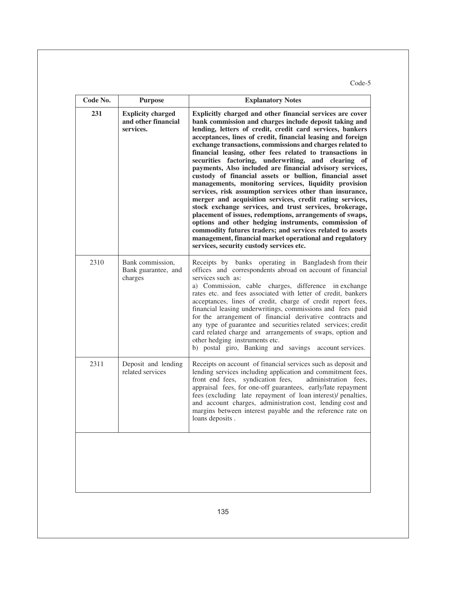| Code No. | <b>Purpose</b>                                               | <b>Explanatory Notes</b>                                                                                                                                                                                                                                                                                                                                                                                                                                                                                                                                                                                                                                                                                                                                                                                                                                                                                                                                                                                                                                                                   |
|----------|--------------------------------------------------------------|--------------------------------------------------------------------------------------------------------------------------------------------------------------------------------------------------------------------------------------------------------------------------------------------------------------------------------------------------------------------------------------------------------------------------------------------------------------------------------------------------------------------------------------------------------------------------------------------------------------------------------------------------------------------------------------------------------------------------------------------------------------------------------------------------------------------------------------------------------------------------------------------------------------------------------------------------------------------------------------------------------------------------------------------------------------------------------------------|
| 231      | <b>Explicity charged</b><br>and other financial<br>services. | Explicitly charged and other financial services are cover<br>bank commission and charges include deposit taking and<br>lending, letters of credit, credit card services, bankers<br>acceptances, lines of credit, financial leasing and foreign<br>exchange transactions, commissions and charges related to<br>financial leasing, other fees related to transactions in<br>securities factoring, underwriting, and clearing of<br>payments, Also included are financial advisory services,<br>custody of financial assets or bullion, financial asset<br>managements, monitoring services, liquidity provision<br>services, risk assumption services other than insurance,<br>merger and acquisition services, credit rating services,<br>stock exchange services, and trust services, brokerage,<br>placement of issues, redemptions, arrangements of swaps,<br>options and other hedging instruments, commission of<br>commodity futures traders; and services related to assets<br>management, financial market operational and regulatory<br>services, security custody services etc. |
| 2310     | Bank commission,<br>Bank guarantee, and<br>charges           | Receipts by banks operating in Bangladesh from their<br>offices and correspondents abroad on account of financial<br>services such as:<br>a) Commission, cable charges, difference in exchange<br>rates etc. and fees associated with letter of credit, bankers<br>acceptances, lines of credit, charge of credit report fees,<br>financial leasing underwritings, commissions and fees paid<br>for the arrangement of financial derivative contracts and<br>any type of guarantee and securities related services; credit<br>card related charge and arrangements of swaps, option and<br>other hedging instruments etc.<br>b) postal giro, Banking and savings account services.                                                                                                                                                                                                                                                                                                                                                                                                         |
| 2311     | Deposit and lending<br>related services                      | Receipts on account of financial services such as deposit and<br>lending services including application and commitment fees,<br>front end fees, syndication fees,<br>administration fees,<br>appraisal fees, for one-off guarantees, early/late repayment<br>fees (excluding late repayment of loan interest)/ penalties,<br>and account charges, administration cost, lending cost and<br>margins between interest payable and the reference rate on<br>loans deposits.                                                                                                                                                                                                                                                                                                                                                                                                                                                                                                                                                                                                                   |
|          |                                                              |                                                                                                                                                                                                                                                                                                                                                                                                                                                                                                                                                                                                                                                                                                                                                                                                                                                                                                                                                                                                                                                                                            |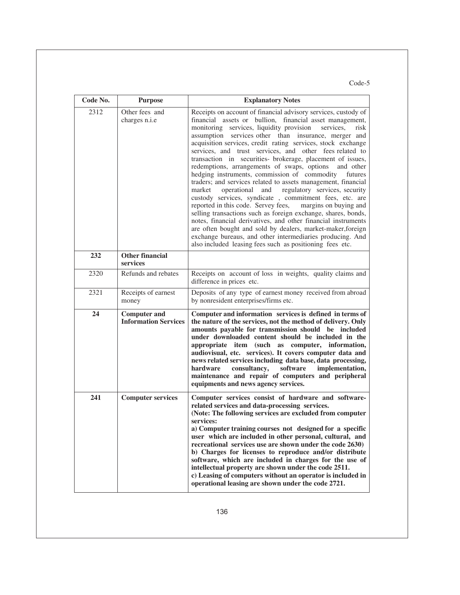| Code No. | <b>Purpose</b>                                     | <b>Explanatory Notes</b>                                                                                                                                                                                                                                                                                                                                                                                                                                                                                                                                                                                                                                                                                                                                                                                                                                                                                                                                                                                                                                                                                                                                  |
|----------|----------------------------------------------------|-----------------------------------------------------------------------------------------------------------------------------------------------------------------------------------------------------------------------------------------------------------------------------------------------------------------------------------------------------------------------------------------------------------------------------------------------------------------------------------------------------------------------------------------------------------------------------------------------------------------------------------------------------------------------------------------------------------------------------------------------------------------------------------------------------------------------------------------------------------------------------------------------------------------------------------------------------------------------------------------------------------------------------------------------------------------------------------------------------------------------------------------------------------|
| 2312     | Other fees and<br>charges n.i.e                    | Receipts on account of financial advisory services, custody of<br>financial assets or bullion, financial asset management,<br>monitoring services, liquidity provision<br>services.<br>risk<br>assumption services other than insurance, merger and<br>acquisition services, credit rating services, stock exchange<br>services, and trust services, and other fees related to<br>transaction in securities- brokerage, placement of issues,<br>redemptions, arrangements of swaps, options<br>and other<br>hedging instruments, commission of commodity<br>futures<br>traders; and services related to assets management, financial<br>and<br>regulatory services, security<br>market<br>operational<br>custody services, syndicate, commitment fees, etc. are<br>reported in this code. Servey fees,<br>margins on buying and<br>selling transactions such as foreign exchange, shares, bonds,<br>notes, financial derivatives, and other financial instruments<br>are often bought and sold by dealers, market-maker, foreign<br>exchange bureaus, and other intermediaries producing. And<br>also included leasing fees such as positioning fees etc. |
| 232      | <b>Other financial</b><br>services                 |                                                                                                                                                                                                                                                                                                                                                                                                                                                                                                                                                                                                                                                                                                                                                                                                                                                                                                                                                                                                                                                                                                                                                           |
| 2320     | Refunds and rebates                                | Receipts on account of loss in weights, quality claims and<br>difference in prices etc.                                                                                                                                                                                                                                                                                                                                                                                                                                                                                                                                                                                                                                                                                                                                                                                                                                                                                                                                                                                                                                                                   |
| 2321     | Receipts of earnest<br>money                       | Deposits of any type of earnest money received from abroad<br>by nonresident enterprises/firms etc.                                                                                                                                                                                                                                                                                                                                                                                                                                                                                                                                                                                                                                                                                                                                                                                                                                                                                                                                                                                                                                                       |
| 24       | <b>Computer and</b><br><b>Information Services</b> | Computer and information services is defined in terms of<br>the nature of the services, not the method of delivery. Only<br>amounts payable for transmission should be included<br>under downloaded content should be included in the<br>appropriate item (such as computer, information,<br>audiovisual, etc. services). It covers computer data and<br>news related services including data base, data processing,<br>software<br>consultancy,<br>implementation,<br>hardware<br>maintenance and repair of computers and peripheral<br>equipments and news agency services.                                                                                                                                                                                                                                                                                                                                                                                                                                                                                                                                                                             |
| 241      | <b>Computer services</b>                           | Computer services consist of hardware and software-<br>related services and data-processing services.<br>(Note: The following services are excluded from computer<br>services:<br>a) Computer training courses not designed for a specific<br>user which are included in other personal, cultural, and<br>recreational services use are shown under the code 2630)<br>b) Charges for licenses to reproduce and/or distribute<br>software, which are included in charges for the use of<br>intellectual property are shown under the code 2511.<br>c) Leasing of computers without an operator is included in<br>operational leasing are shown under the code 2721.                                                                                                                                                                                                                                                                                                                                                                                                                                                                                        |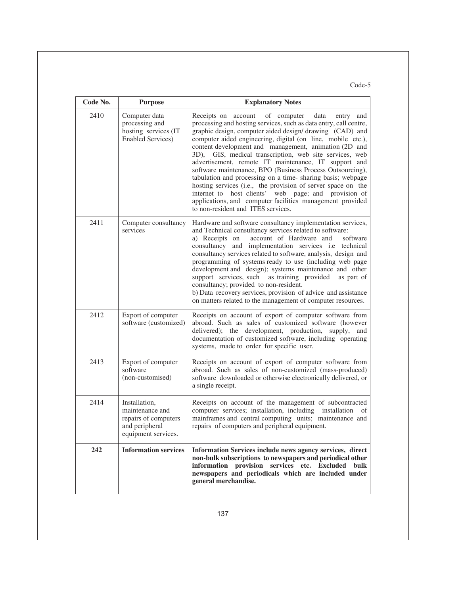| Code No. | <b>Purpose</b>                                                                                    | <b>Explanatory Notes</b>                                                                                                                                                                                                                                                                                                                                                                                                                                                                                                                                                                                                                                                                                                                                                                           |
|----------|---------------------------------------------------------------------------------------------------|----------------------------------------------------------------------------------------------------------------------------------------------------------------------------------------------------------------------------------------------------------------------------------------------------------------------------------------------------------------------------------------------------------------------------------------------------------------------------------------------------------------------------------------------------------------------------------------------------------------------------------------------------------------------------------------------------------------------------------------------------------------------------------------------------|
| 2410     | Computer data<br>processing and<br>hosting services (IT<br><b>Enabled Services</b> )              | Receipts on account<br>of computer<br>data<br>entry<br>and<br>processing and hosting services, such as data entry, call centre,<br>graphic design, computer aided design/ drawing (CAD) and<br>computer aided engineering, digital (on line, mobile etc.),<br>content development and management, animation (2D and<br>GIS, medical transcription, web site services, web<br>3D).<br>advertisement, remote IT maintenance, IT support and<br>software maintenance, BPO (Business Process Outsourcing),<br>tabulation and processing on a time-sharing basis; webpage<br>hosting services (i.e., the provision of server space on the<br>internet to host clients'<br>web page; and provision of<br>applications, and computer facilities management provided<br>to non-resident and ITES services. |
| 2411     | Computer consultancy<br>services                                                                  | Hardware and software consultancy implementation services,<br>and Technical consultancy services related to software:<br>a) Receipts on<br>account of Hardware and<br>software<br>consultancy and implementation services i.e technical<br>consultancy services related to software, analysis, design and<br>programming of systems ready to use (including web page<br>development and design); systems maintenance and other<br>support services, such as training provided<br>as part of<br>consultancy; provided to non-resident.<br>b) Data recovery services, provision of advice and assistance<br>on matters related to the management of computer resources.                                                                                                                              |
| 2412     | Export of computer<br>software (customized)                                                       | Receipts on account of export of computer software from<br>abroad. Such as sales of customized software (however<br>delivered); the development, production, supply,<br>and<br>documentation of customized software, including operating<br>systems, made to order for specific user.                                                                                                                                                                                                                                                                                                                                                                                                                                                                                                              |
| 2413     | Export of computer<br>software<br>(non-customised)                                                | Receipts on account of export of computer software from<br>abroad. Such as sales of non-customized (mass-produced)<br>software downloaded or otherwise electronically delivered, or<br>a single receipt.                                                                                                                                                                                                                                                                                                                                                                                                                                                                                                                                                                                           |
| 2414     | Installation,<br>maintenance and<br>repairs of computers<br>and peripheral<br>equipment services. | Receipts on account of the management of subcontracted<br>computer services; installation, including<br>installation<br>οf<br>mainframes and central computing units; maintenance and<br>repairs of computers and peripheral equipment.                                                                                                                                                                                                                                                                                                                                                                                                                                                                                                                                                            |
| 242      | <b>Information services</b>                                                                       | Information Services include news agency services, direct<br>non-bulk subscriptions to newspapers and periodical other<br>information provision services etc. Excluded bulk<br>newspapers and periodicals which are included under<br>general merchandise.                                                                                                                                                                                                                                                                                                                                                                                                                                                                                                                                         |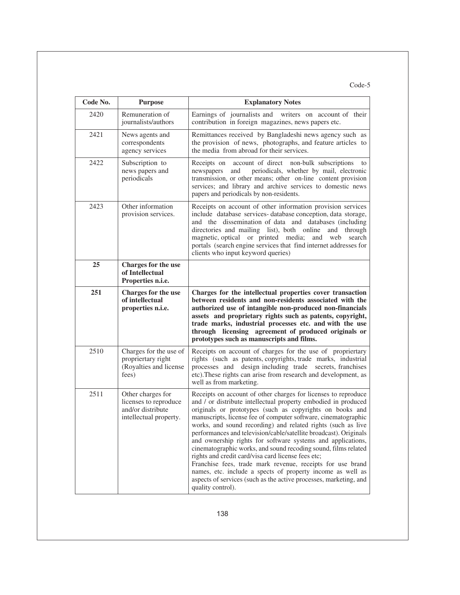| Code No. | <b>Purpose</b>                                                                            | <b>Explanatory Notes</b>                                                                                                                                                                                                                                                                                                                                                                                                                                                                                                                                                                                                                                                                                                                                                                                         |
|----------|-------------------------------------------------------------------------------------------|------------------------------------------------------------------------------------------------------------------------------------------------------------------------------------------------------------------------------------------------------------------------------------------------------------------------------------------------------------------------------------------------------------------------------------------------------------------------------------------------------------------------------------------------------------------------------------------------------------------------------------------------------------------------------------------------------------------------------------------------------------------------------------------------------------------|
| 2420     | Remuneration of<br>journalists/authors                                                    | Earnings of journalists and<br>writers on account of their<br>contribution in foreign magazines, news papers etc.                                                                                                                                                                                                                                                                                                                                                                                                                                                                                                                                                                                                                                                                                                |
| 2421     | News agents and<br>correspondents<br>agency services                                      | Remittances received by Bangladeshi news agency such as<br>the provision of news, photographs, and feature articles to<br>the media from abroad for their services.                                                                                                                                                                                                                                                                                                                                                                                                                                                                                                                                                                                                                                              |
| 2422     | Subscription to<br>news papers and<br>periodicals                                         | account of direct non-bulk subscriptions<br>Receipts on<br>to<br>periodicals, whether by mail, electronic<br>newspapers and<br>transmission, or other means; other on-line content provision<br>services; and library and archive services to domestic news<br>papers and periodicals by non-residents.                                                                                                                                                                                                                                                                                                                                                                                                                                                                                                          |
| 2423     | Other information<br>provision services.                                                  | Receipts on account of other information provision services<br>include database services-database conception, data storage,<br>and the dissemination of data and databases (including<br>directories and mailing list), both online<br>and through<br>magnetic, optical or printed media; and web search<br>portals (search engine services that find internet addresses for<br>clients who input keyword queries)                                                                                                                                                                                                                                                                                                                                                                                               |
| 25       | Charges for the use<br>of Intellectual<br>Properties n.i.e.                               |                                                                                                                                                                                                                                                                                                                                                                                                                                                                                                                                                                                                                                                                                                                                                                                                                  |
| 251      | Charges for the use<br>of intellectual<br>properties n.i.e.                               | Charges for the intellectual properties cover transaction<br>between residents and non-residents associated with the<br>authorized use of intangible non-produced non-financials<br>assets and proprietary rights such as patents, copyright,<br>trade marks, industrial processes etc. and with the use<br>through licensing agreement of produced originals or<br>prototypes such as manuscripts and films.                                                                                                                                                                                                                                                                                                                                                                                                    |
| 2510     | Charges for the use of<br>propriertary right<br>(Royalties and license<br>fees)           | Receipts on account of charges for the use of propriertary<br>rights (such as patents, copyrights, trade marks, industrial<br>design including trade secrets, franchises<br>processes and<br>etc). These rights can arise from research and development, as<br>well as from marketing.                                                                                                                                                                                                                                                                                                                                                                                                                                                                                                                           |
| 2511     | Other charges for<br>licenses to reproduce<br>and/or distribute<br>intellectual property. | Receipts on account of other charges for licenses to reproduce<br>and / or distribute intellectual property embodied in produced<br>originals or prototypes (such as copyrights on books and<br>manuscripts, license fee of computer software, cinematographic<br>works, and sound recording) and related rights (such as live<br>performances and television/cable/satellite broadcast). Originals<br>and ownership rights for software systems and applications,<br>cinematographic works, and sound recoding sound, films related<br>rights and credit card/visa card license fees etc;<br>Franchise fees, trade mark revenue, receipts for use brand<br>names, etc. include a spects of property income as well as<br>aspects of services (such as the active processes, marketing, and<br>quality control). |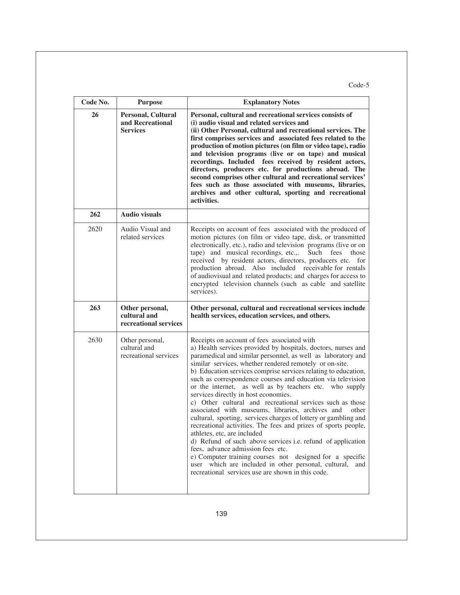| Code No. | <b>Purpose</b>                                            | <b>Explanatory Notes</b>                                                                                                                                                                                                                                                                                                                                                                                                                                                                                                                                                                                                                                                                                                                                                                                                                                                                                                                                                                                                                                      |
|----------|-----------------------------------------------------------|---------------------------------------------------------------------------------------------------------------------------------------------------------------------------------------------------------------------------------------------------------------------------------------------------------------------------------------------------------------------------------------------------------------------------------------------------------------------------------------------------------------------------------------------------------------------------------------------------------------------------------------------------------------------------------------------------------------------------------------------------------------------------------------------------------------------------------------------------------------------------------------------------------------------------------------------------------------------------------------------------------------------------------------------------------------|
| 26       | Personal, Cultural<br>and Recreational<br><b>Services</b> | Personal, cultural and recreational services consists of<br>(i) audio visual and related services and<br>(ii) Other Personal, cultural and recreational services. The<br>first comprises services and associated fees related to the<br>production of motion pictures (on film or video tape), radio<br>and television programs (live or on tape) and musical<br>recordings. Included fees received by resident actors,<br>directors, producers etc. for productions abroad. The<br>second comprises other cultural and recreational services'<br>fees such as those associated with museums, libraries,<br>archives and other cultural, sporting and recreational<br>activities.                                                                                                                                                                                                                                                                                                                                                                             |
| 262      | <b>Audio visuals</b>                                      |                                                                                                                                                                                                                                                                                                                                                                                                                                                                                                                                                                                                                                                                                                                                                                                                                                                                                                                                                                                                                                                               |
| 2620     | Audio Visual and<br>related services                      | Receipts on account of fees associated with the produced of<br>motion pictures (on film or video tape, disk, or transmitted<br>electronically, etc.), radio and television programs (live or on<br>tape) and musical recordings, etc.,. Such fees<br>those<br>received by resident actors, directors, producers etc. for<br>production abroad. Also included receivable for rentals<br>of audiovisual and related products; and charges for access to<br>encrypted television channels (such as cable and satellite<br>services).                                                                                                                                                                                                                                                                                                                                                                                                                                                                                                                             |
| 263      | Other personal,<br>cultural and<br>recreational services  | Other personal, cultural and recreational services include<br>health services, education services, and others.                                                                                                                                                                                                                                                                                                                                                                                                                                                                                                                                                                                                                                                                                                                                                                                                                                                                                                                                                |
| 2630     | Other personal,<br>cultural and<br>recreational services  | Receipts on account of fees associated with<br>a) Health services provided by hospitals, doctors, nurses and<br>paramedical and similar personnel, as well as laboratory and<br>similar services, whether rendered remotely or on-site.<br>b) Education services comprise services relating to education,<br>such as correspondence courses and education via television<br>or the internet, as well as by teachers etc. who supply<br>services directly in host economies.<br>c) Other cultural and recreational services such as those<br>associated with museums, libraries, archives and<br>other<br>cultural, sporting, services charges of lottery or gambling and<br>recreational activities. The fees and prizes of sports people,<br>athletes, etc, are included<br>d) Refund of such above services i.e. refund of application<br>fees, advance admission fees etc.<br>e) Computer training courses not designed for a specific<br>user which are included in other personal, cultural,<br>and<br>recreational services use are shown in this code. |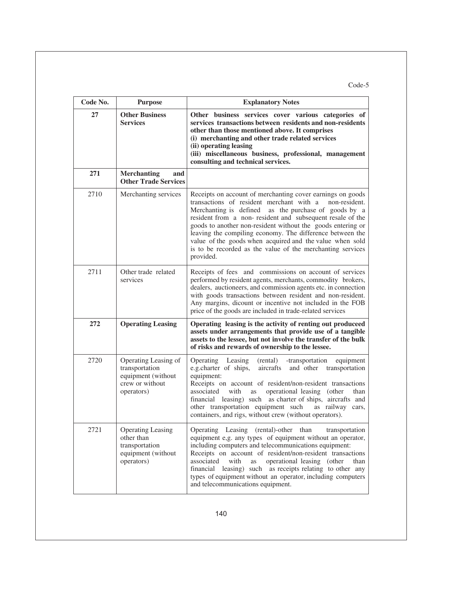| Code No. | <b>Purpose</b>                                                                                | <b>Explanatory Notes</b>                                                                                                                                                                                                                                                                                                                                                                                                                                                                                        |
|----------|-----------------------------------------------------------------------------------------------|-----------------------------------------------------------------------------------------------------------------------------------------------------------------------------------------------------------------------------------------------------------------------------------------------------------------------------------------------------------------------------------------------------------------------------------------------------------------------------------------------------------------|
| 27       | <b>Other Business</b><br><b>Services</b>                                                      | Other business services cover various categories of<br>services transactions between residents and non-residents<br>other than those mentioned above. It comprises<br>(i) merchanting and other trade related services<br>(ii) operating leasing<br>(iii) miscellaneous business, professional, management<br>consulting and technical services.                                                                                                                                                                |
| 271      | <b>Merchanting</b><br>and<br><b>Other Trade Services</b>                                      |                                                                                                                                                                                                                                                                                                                                                                                                                                                                                                                 |
| 2710     | Merchanting services                                                                          | Receipts on account of merchanting cover earnings on goods<br>transactions of resident merchant with a<br>non-resident.<br>Merchanting is defined as the purchase of goods by a<br>resident from a non-resident and subsequent resale of the<br>goods to another non-resident without the goods entering or<br>leaving the compiling economy. The difference between the<br>value of the goods when acquired and the value when sold<br>is to be recorded as the value of the merchanting services<br>provided. |
| 2711     | Other trade related<br>services                                                               | Receipts of fees and commissions on account of services<br>performed by resident agents, merchants, commodity brokers,<br>dealers, auctioneers, and commission agents etc. in connection<br>with goods transactions between resident and non-resident.<br>Any margins, dicount or incentive not included in the FOB<br>price of the goods are included in trade-related services                                                                                                                                |
| 272      | <b>Operating Leasing</b>                                                                      | Operating leasing is the activity of renting out produceed<br>assets under arrangements that provide use of a tangible<br>assets to the lessee, but not involve the transfer of the bulk<br>of risks and rewards of ownership to the lessee.                                                                                                                                                                                                                                                                    |
| 2720     | Operating Leasing of<br>transportation<br>equipment (without<br>crew or without<br>operators) | (rental)<br>Operating<br>Leasing<br>-transportation<br>equipment<br>e.g.charter of ships,<br>aircrafts<br>and other transportation<br>equipment:<br>Receipts on account of resident/non-resident transactions<br>with<br>associated<br>as<br>operational leasing (other<br>than<br>financial leasing) such as charter of ships, aircrafts and<br>other transportation equipment such<br>as railway cars,<br>containers, and rigs, without crew (without operators).                                             |
| 2721     | <b>Operating Leasing</b><br>other than<br>transportation<br>equipment (without<br>operators)  | Operating Leasing (rental)-other than<br>transportation<br>equipment e,g. any types of equipment without an operator,<br>including computers and telecommunications equipment:<br>Receipts on account of resident/non-resident transactions<br>operational leasing (other<br>associated<br>with<br>as<br>than<br>financial leasing) such as receipts relating to other any<br>types of equipment without an operator, including computers<br>and telecommunications equipment.                                  |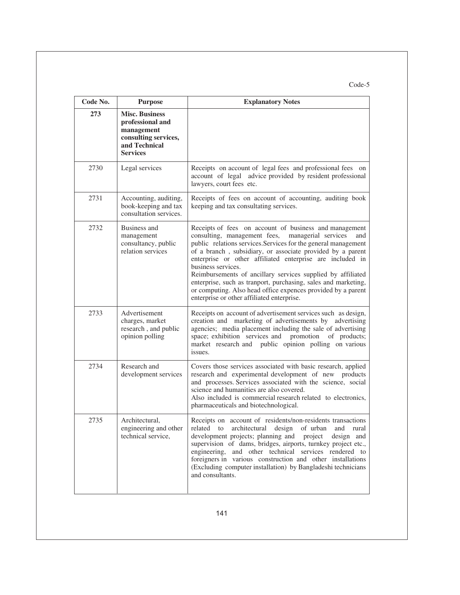| Code No. | <b>Purpose</b>                                                                                                      | <b>Explanatory Notes</b>                                                                                                                                                                                                                                                                                                                                                                                                                                                                                                                                                            |
|----------|---------------------------------------------------------------------------------------------------------------------|-------------------------------------------------------------------------------------------------------------------------------------------------------------------------------------------------------------------------------------------------------------------------------------------------------------------------------------------------------------------------------------------------------------------------------------------------------------------------------------------------------------------------------------------------------------------------------------|
| 273      | <b>Misc. Business</b><br>professional and<br>management<br>consulting services,<br>and Technical<br><b>Services</b> |                                                                                                                                                                                                                                                                                                                                                                                                                                                                                                                                                                                     |
| 2730     | Legal services                                                                                                      | Receipts on account of legal fees and professional fees on<br>account of legal advice provided by resident professional<br>lawyers, court fees etc.                                                                                                                                                                                                                                                                                                                                                                                                                                 |
| 2731     | Accounting, auditing,<br>book-keeping and tax<br>consultation services.                                             | Receipts of fees on account of accounting, auditing book<br>keeping and tax consultating services.                                                                                                                                                                                                                                                                                                                                                                                                                                                                                  |
| 2732     | Business and<br>management<br>consultancy, public<br>relation services                                              | Receipts of fees on account of business and management<br>consulting, management fees, managerial services<br>and<br>public relations services. Services for the general management<br>of a branch, subsidiary, or associate provided by a parent<br>enterprise or other affiliated enterprise are included in<br>business services.<br>Reimbursements of ancillary services supplied by affiliated<br>enterprise, such as tranport, purchasing, sales and marketing,<br>or computing. Also head office expences provided by a parent<br>enterprise or other affiliated enterprise. |
| 2733     | Advertisement<br>charges, market<br>research, and public<br>opinion polling                                         | Receipts on account of advertisement services such as design,<br>creation and marketing of advertisements by advertising<br>agencies; media placement including the sale of advertising<br>space; exhibition services and promotion of products;<br>market research and public opinion polling on various<br>issues.                                                                                                                                                                                                                                                                |
| 2734     | Research and<br>development services                                                                                | Covers those services associated with basic research, applied<br>research and experimental development of new<br>products<br>and processes. Services associated with the science, social<br>science and humanities are also covered.<br>Also included is commercial research related to electronics,<br>pharmaceuticals and biotechnological.                                                                                                                                                                                                                                       |
| 2735     | Architectural,<br>engineering and other<br>technical service,                                                       | Receipts on account of residents/non-residents transactions<br>related to<br>architectural<br>design<br>of urban<br>and<br>rural<br>development projects; planning and project<br>design and<br>supervision of dams, bridges, airports, turnkey project etc.,<br>and other technical services rendered to<br>engineering,<br>foreigners in various construction and other installations<br>(Excluding computer installation) by Bangladeshi technicians<br>and consultants.                                                                                                         |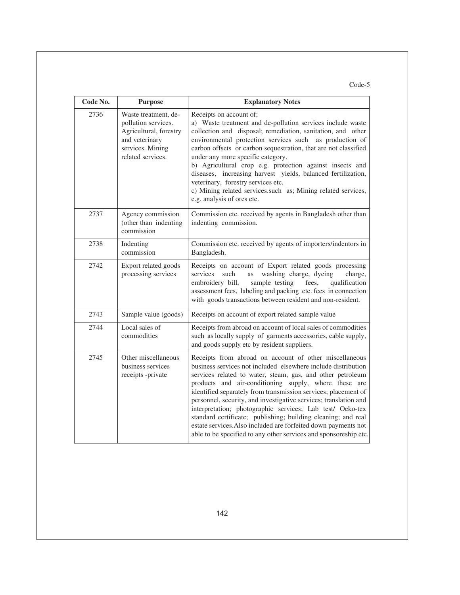| Code No. | <b>Purpose</b>                                                                                                                   | <b>Explanatory Notes</b>                                                                                                                                                                                                                                                                                                                                                                                                                                                                                                                                                                                                                                 |
|----------|----------------------------------------------------------------------------------------------------------------------------------|----------------------------------------------------------------------------------------------------------------------------------------------------------------------------------------------------------------------------------------------------------------------------------------------------------------------------------------------------------------------------------------------------------------------------------------------------------------------------------------------------------------------------------------------------------------------------------------------------------------------------------------------------------|
| 2736     | Waste treatment, de-<br>pollution services.<br>Agricultural, forestry<br>and veterinary<br>services. Mining<br>related services. | Receipts on account of;<br>a) Waste treatment and de-pollution services include waste<br>collection and disposal; remediation, sanitation, and other<br>environmental protection services such as production of<br>carbon offsets or carbon sequestration, that are not classified<br>under any more specific category.<br>b) Agricultural crop e.g. protection against insects and<br>diseases, increasing harvest yields, balanced fertilization,<br>veterinary, forestry services etc.<br>c) Mining related services.such as; Mining related services,<br>e.g. analysis of ores etc.                                                                  |
| 2737     | Agency commission<br>(other than indenting<br>commission                                                                         | Commission etc. received by agents in Bangladesh other than<br>indenting commission.                                                                                                                                                                                                                                                                                                                                                                                                                                                                                                                                                                     |
| 2738     | Indenting<br>commission                                                                                                          | Commission etc. received by agents of importers/indentors in<br>Bangladesh.                                                                                                                                                                                                                                                                                                                                                                                                                                                                                                                                                                              |
| 2742     | Export related goods<br>processing services                                                                                      | Receipts on account of Export related goods processing<br>services<br>washing charge, dyeing<br>such<br>as<br>charge,<br>sample testing<br>embroidery bill,<br>fees,<br>qualification<br>assessment fees, labeling and packing etc. fees in connection<br>with goods transactions between resident and non-resident.                                                                                                                                                                                                                                                                                                                                     |
| 2743     | Sample value (goods)                                                                                                             | Receipts on account of export related sample value                                                                                                                                                                                                                                                                                                                                                                                                                                                                                                                                                                                                       |
| 2744     | Local sales of<br>commodities                                                                                                    | Receipts from abroad on account of local sales of commodities<br>such as locally supply of garments accessories, cable supply,<br>and goods supply etc by resident suppliers.                                                                                                                                                                                                                                                                                                                                                                                                                                                                            |
| 2745     | Other miscellaneous<br>business services<br>receipts -private                                                                    | Receipts from abroad on account of other miscellaneous<br>business services not included elsewhere include distribution<br>services related to water, steam, gas, and other petroleum<br>products and air-conditioning supply, where these are<br>identified separately from transmission services; placement of<br>personnel, security, and investigative services; translation and<br>interpretation; photographic services; Lab test/ Oeko-tex<br>standard certificate; publishing; building cleaning; and real<br>estate services. Also included are forfeited down payments not<br>able to be specified to any other services and sponsoreship etc. |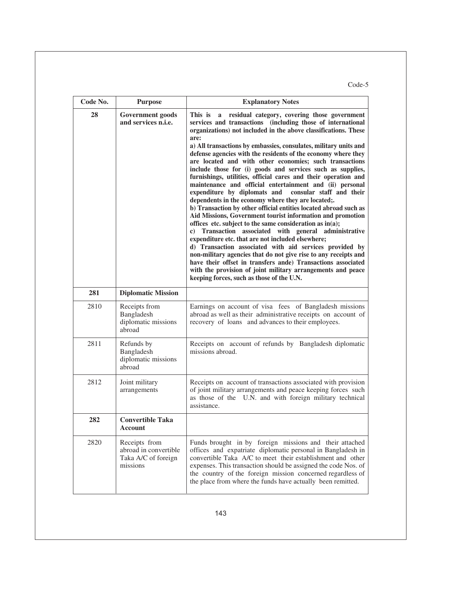| Code No. | <b>Purpose</b>                                                            | <b>Explanatory Notes</b>                                                                                                                                                                                                                                                                                                                                                                                                                                                                                                                                                                                                                                                                                                                                                                                                                                                                                                                                                                                                                                                                                                                                                                                                                                                                                                             |
|----------|---------------------------------------------------------------------------|--------------------------------------------------------------------------------------------------------------------------------------------------------------------------------------------------------------------------------------------------------------------------------------------------------------------------------------------------------------------------------------------------------------------------------------------------------------------------------------------------------------------------------------------------------------------------------------------------------------------------------------------------------------------------------------------------------------------------------------------------------------------------------------------------------------------------------------------------------------------------------------------------------------------------------------------------------------------------------------------------------------------------------------------------------------------------------------------------------------------------------------------------------------------------------------------------------------------------------------------------------------------------------------------------------------------------------------|
| 28       | <b>Government</b> goods<br>and services n.i.e.                            | a residual category, covering those government<br>This is<br>services and transactions (including those of international<br>organizations) not included in the above classifications. These<br>are:<br>a) All transactions by embassies, consulates, military units and<br>defense agencies with the residents of the economy where they<br>are located and with other economies; such transactions<br>include those for (i) goods and services such as supplies,<br>furnishings, utilities, official cares and their operation and<br>maintenance and official entertainment and (ii) personal<br>expenditure by diplomats and consular staff and their<br>dependents in the economy where they are located;.<br>b) Transaction by other official entities located abroad such as<br>Aid Missions, Government tourist information and promotion<br>offices etc. subject to the same consideration as in(a);<br>c) Transaction associated with general administrative<br>expenditure etc. that are not included elsewhere;<br>d) Transaction associated with aid services provided by<br>non-military agencies that do not give rise to any receipts and<br>have their offset in transfers ande) Transactions associated<br>with the provision of joint military arrangements and peace<br>keeping forces, such as those of the U.N. |
| 281      | <b>Diplomatic Mission</b>                                                 |                                                                                                                                                                                                                                                                                                                                                                                                                                                                                                                                                                                                                                                                                                                                                                                                                                                                                                                                                                                                                                                                                                                                                                                                                                                                                                                                      |
| 2810     | Receipts from<br>Bangladesh<br>diplomatic missions<br>abroad              | Earnings on account of visa fees of Bangladesh missions<br>abroad as well as their administrative receipts on account of<br>recovery of loans and advances to their employees.                                                                                                                                                                                                                                                                                                                                                                                                                                                                                                                                                                                                                                                                                                                                                                                                                                                                                                                                                                                                                                                                                                                                                       |
| 2811     | Refunds by<br>Bangladesh<br>diplomatic missions<br>abroad                 | Receipts on account of refunds by Bangladesh diplomatic<br>missions abroad.                                                                                                                                                                                                                                                                                                                                                                                                                                                                                                                                                                                                                                                                                                                                                                                                                                                                                                                                                                                                                                                                                                                                                                                                                                                          |
| 2812     | Joint military<br>arrangements                                            | Receipts on account of transactions associated with provision<br>of joint military arrangements and peace keeping forces such<br>as those of the U.N. and with foreign military technical<br>assistance.                                                                                                                                                                                                                                                                                                                                                                                                                                                                                                                                                                                                                                                                                                                                                                                                                                                                                                                                                                                                                                                                                                                             |
| 282      | <b>Convertible Taka</b><br>Account                                        |                                                                                                                                                                                                                                                                                                                                                                                                                                                                                                                                                                                                                                                                                                                                                                                                                                                                                                                                                                                                                                                                                                                                                                                                                                                                                                                                      |
| 2820     | Receipts from<br>abroad in convertible<br>Taka A/C of foreign<br>missions | Funds brought in by foreign missions and their attached<br>offices and expatriate diplomatic personal in Bangladesh in<br>convertible Taka A/C to meet their establishment and other<br>expenses. This transaction should be assigned the code Nos. of<br>the country of the foreign mission concerned regardless of<br>the place from where the funds have actually been remitted.                                                                                                                                                                                                                                                                                                                                                                                                                                                                                                                                                                                                                                                                                                                                                                                                                                                                                                                                                  |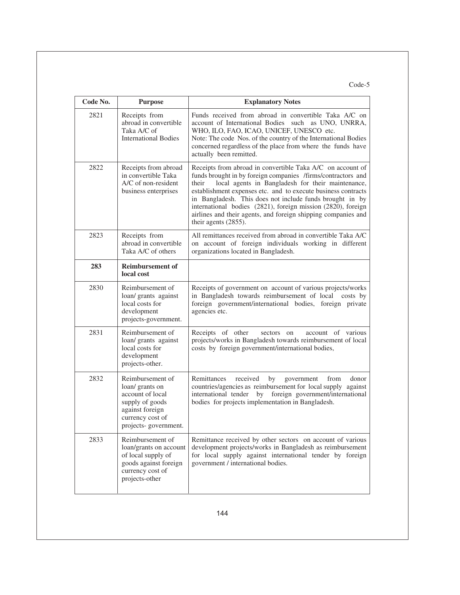| Code No. | <b>Purpose</b>                                                                                                                            | <b>Explanatory Notes</b>                                                                                                                                                                                                                                                                                                                                                                                                                                                       |
|----------|-------------------------------------------------------------------------------------------------------------------------------------------|--------------------------------------------------------------------------------------------------------------------------------------------------------------------------------------------------------------------------------------------------------------------------------------------------------------------------------------------------------------------------------------------------------------------------------------------------------------------------------|
| 2821     | Receipts from<br>abroad in convertible<br>Taka A/C of<br><b>International Bodies</b>                                                      | Funds received from abroad in convertible Taka A/C on<br>account of International Bodies such as UNO, UNRRA,<br>WHO, ILO, FAO, ICAO, UNICEF, UNESCO etc.<br>Note: The code Nos. of the country of the International Bodies<br>concerned regardless of the place from where the funds have<br>actually been remitted.                                                                                                                                                           |
| 2822     | Receipts from abroad<br>in convertible Taka<br>A/C of non-resident<br>business enterprises                                                | Receipts from abroad in convertible Taka A/C on account of<br>funds brought in by foreign companies /firms/contractors and<br>local agents in Bangladesh for their maintenance,<br>their<br>establishment expenses etc. and to execute business contracts<br>in Bangladesh. This does not include funds brought in by<br>international bodies (2821), foreign mission (2820), foreign<br>airlines and their agents, and foreign shipping companies and<br>their agents (2855). |
| 2823     | Receipts from<br>abroad in convertible<br>Taka A/C of others                                                                              | All remittances received from abroad in convertible Taka A/C<br>on account of foreign individuals working in different<br>organizations located in Bangladesh.                                                                                                                                                                                                                                                                                                                 |
| 283      | Reimbursement of<br>local cost                                                                                                            |                                                                                                                                                                                                                                                                                                                                                                                                                                                                                |
| 2830     | Reimbursement of<br>loan/ grants against<br>local costs for<br>development<br>projects-government.                                        | Receipts of government on account of various projects/works<br>in Bangladesh towards reimbursement of local costs by<br>foreign government/international bodies, foreign private<br>agencies etc.                                                                                                                                                                                                                                                                              |
| 2831     | Reimbursement of<br>loan/grants against<br>local costs for<br>development<br>projects-other.                                              | Receipts of other<br>account of various<br>sectors on<br>projects/works in Bangladesh towards reimbursement of local<br>costs by foreign government/international bodies,                                                                                                                                                                                                                                                                                                      |
| 2832     | Reimbursement of<br>loan/ grants on<br>account of local<br>supply of goods<br>against foreign<br>currency cost of<br>projects-government. | received<br>by<br>Remittances<br>government<br>from<br>donor<br>countries/agencies as reimbursement for local supply against<br>international tender by foreign government/international<br>bodies for projects implementation in Bangladesh.                                                                                                                                                                                                                                  |
| 2833     | Reimbursement of<br>loan/grants on account<br>of local supply of<br>goods against foreign<br>currency cost of<br>projects-other           | Remittance received by other sectors on account of various<br>development projects/works in Bangladesh as reimbursement<br>for local supply against international tender by foreign<br>government / international bodies.                                                                                                                                                                                                                                                      |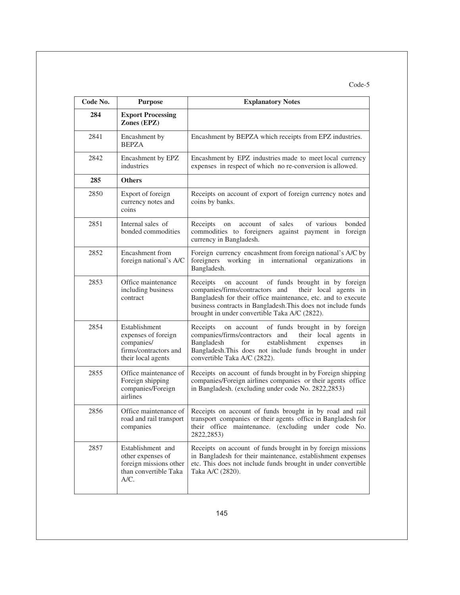| Code No. | <b>Purpose</b>                                                                                    | <b>Explanatory Notes</b>                                                                                                                                                                                                                                                                               |
|----------|---------------------------------------------------------------------------------------------------|--------------------------------------------------------------------------------------------------------------------------------------------------------------------------------------------------------------------------------------------------------------------------------------------------------|
| 284      | <b>Export Processing</b><br>Zones (EPZ)                                                           |                                                                                                                                                                                                                                                                                                        |
| 2841     | Encashment by<br><b>BEPZA</b>                                                                     | Encashment by BEPZA which receipts from EPZ industries.                                                                                                                                                                                                                                                |
| 2842     | Encashment by EPZ<br>industries                                                                   | Encashment by EPZ industries made to meet local currency<br>expenses in respect of which no re-conversion is allowed.                                                                                                                                                                                  |
| 285      | <b>Others</b>                                                                                     |                                                                                                                                                                                                                                                                                                        |
| 2850     | Export of foreign<br>currency notes and<br>coins                                                  | Receipts on account of export of foreign currency notes and<br>coins by banks.                                                                                                                                                                                                                         |
| 2851     | Internal sales of<br>bonded commodities                                                           | of sales<br>of various<br>bonded<br>Receipts<br>account<br>on<br>commodities to foreigners against payment in foreign<br>currency in Bangladesh.                                                                                                                                                       |
| 2852     | Encashment from<br>foreign national's A/C                                                         | Foreign currency encashment from foreign national's A/C by<br>foreigners working in international organizations<br>in<br>Bangladesh.                                                                                                                                                                   |
| 2853     | Office maintenance<br>including business<br>contract                                              | of funds brought in by foreign<br>Receipts<br>on account<br>their local agents in<br>companies/firms/contractors and<br>Bangladesh for their office maintenance, etc. and to execute<br>business contracts in Bangladesh. This does not include funds<br>brought in under convertible Taka A/C (2822). |
| 2854     | Establishment<br>expenses of foreign<br>companies/<br>firms/contractors and<br>their local agents | on account of funds brought in by foreign<br>Receipts<br>companies/firms/contractors and<br>their local agents in<br>establishment<br>Bangladesh<br>for<br>expenses<br>in<br>Bangladesh. This does not include funds brought in under<br>convertible Taka A/C (2822).                                  |
| 2855     | Office maintenance of<br>Foreign shipping<br>companies/Foreign<br>airlines                        | Receipts on account of funds brought in by Foreign shipping<br>companies/Foreign airlines companies or their agents office<br>in Bangladesh. (excluding under code No. 2822,2853)                                                                                                                      |
| 2856     | Office maintenance of<br>road and rail transport<br>companies                                     | Receipts on account of funds brought in by road and rail<br>transport companies or their agents office in Bangladesh for<br>their office maintenance. (excluding under code No.<br>2822,2853)                                                                                                          |
| 2857     | Establishment and<br>other expenses of<br>foreign missions other<br>than convertible Taka<br>A/C. | Receipts on account of funds brought in by foreign missions<br>in Bangladesh for their maintenance, establishment expenses<br>etc. This does not include funds brought in under convertible<br>Taka A/C (2820).                                                                                        |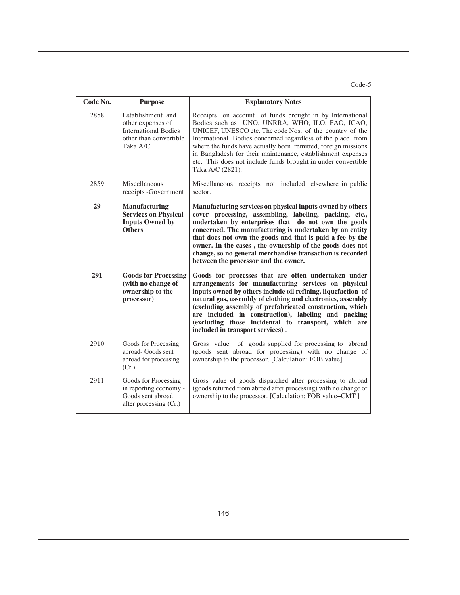| Code No. | <b>Purpose</b>                                                                                               | <b>Explanatory Notes</b>                                                                                                                                                                                                                                                                                                                                                                                                                                            |
|----------|--------------------------------------------------------------------------------------------------------------|---------------------------------------------------------------------------------------------------------------------------------------------------------------------------------------------------------------------------------------------------------------------------------------------------------------------------------------------------------------------------------------------------------------------------------------------------------------------|
| 2858     | Establishment and<br>other expenses of<br><b>International Bodies</b><br>other than convertible<br>Taka A/C. | Receipts on account of funds brought in by International<br>Bodies such as UNO, UNRRA, WHO, ILO, FAO, ICAO,<br>UNICEF, UNESCO etc. The code Nos. of the country of the<br>International Bodies concerned regardless of the place from<br>where the funds have actually been remitted, foreign missions<br>in Bangladesh for their maintenance, establishment expenses<br>etc. This does not include funds brought in under convertible<br>Taka A/C (2821).          |
| 2859     | Miscellaneous<br>receipts -Government                                                                        | Miscellaneous receipts not included elsewhere in public<br>sector.                                                                                                                                                                                                                                                                                                                                                                                                  |
| 29       | <b>Manufacturing</b><br><b>Services on Physical</b><br><b>Inputs Owned by</b><br><b>Others</b>               | Manufacturing services on physical inputs owned by others<br>cover processing, assembling, labeling, packing, etc.,<br>undertaken by enterprises that do not own the goods<br>concerned. The manufacturing is undertaken by an entity<br>that does not own the goods and that is paid a fee by the<br>owner. In the cases, the ownership of the goods does not<br>change, so no general merchandise transaction is recorded<br>between the processor and the owner. |
| 291      | <b>Goods for Processing</b><br>(with no change of<br>ownership to the<br>processor)                          | Goods for processes that are often undertaken under<br>arrangements for manufacturing services on physical<br>inputs owned by others include oil refining, liquefaction of<br>natural gas, assembly of clothing and electronics, assembly<br>(excluding assembly of prefabricated construction, which<br>are included in construction), labeling and packing<br>(excluding those incidental to transport, which are<br>included in transport services).             |
| 2910     | Goods for Processing<br>abroad- Goods sent<br>abroad for processing<br>(Cr.)                                 | Gross value of goods supplied for processing to abroad<br>(goods sent abroad for processing) with no change of<br>ownership to the processor. [Calculation: FOB value]                                                                                                                                                                                                                                                                                              |
| 2911     | Goods for Processing<br>in reporting economy -<br>Goods sent abroad<br>after processing (Cr.)                | Gross value of goods dispatched after processing to abroad<br>(goods returned from abroad after processing) with no change of<br>ownership to the processor. [Calculation: FOB value+CMT]                                                                                                                                                                                                                                                                           |

146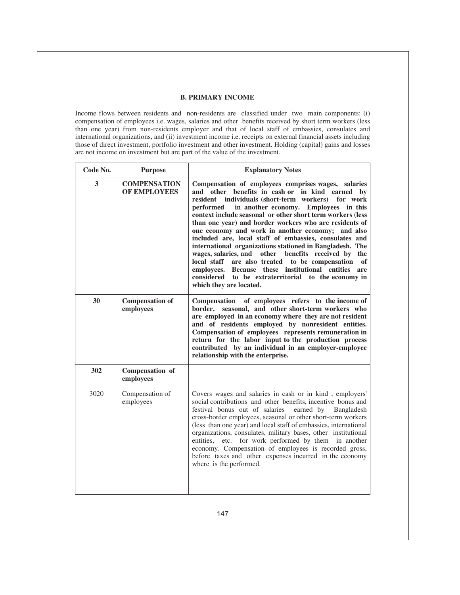## **B. PRIMARY INCOME**

Income flows between residents and non-residents are classified under two main components: (i) compensation of employees i.e. wages, salaries and other benefits received by short term workers (less than one year) from non-residents employer and that of local staff of embassies, consulates and international organizations, and (ii) investment income i.e. receipts on external financial assets including those of direct investment, portfolio investment and other investment. Holding (capital) gains and losses are not income on investment but are part of the value of the investment.

| Code No. | <b>Purpose</b>                             | <b>Explanatory Notes</b>                                                                                                                                                                                                                                                                                                                                                                                                                                                                                                                                                                                                                                                                                                                                                                   |
|----------|--------------------------------------------|--------------------------------------------------------------------------------------------------------------------------------------------------------------------------------------------------------------------------------------------------------------------------------------------------------------------------------------------------------------------------------------------------------------------------------------------------------------------------------------------------------------------------------------------------------------------------------------------------------------------------------------------------------------------------------------------------------------------------------------------------------------------------------------------|
| 3        | <b>COMPENSATION</b><br><b>OF EMPLOYEES</b> | Compensation of employees comprises wages, salaries<br>and other benefits in cash or in kind earned<br>by<br>resident individuals (short-term workers) for work<br>in another economy. Employees in this<br>performed<br>context include seasonal or other short term workers (less<br>than one year) and border workers who are residents of<br>one economy and work in another economy; and also<br>included are, local staff of embassies, consulates and<br>international organizations stationed in Bangladesh. The<br>benefits received by the<br>wages, salaries, and<br>other<br>local staff are also treated to be compensation<br>of<br>employees. Because these institutional entities<br>are<br>considered to be extraterritorial to the economy in<br>which they are located. |
| 30       | <b>Compensation of</b><br>employees        | of employees refers to the income of<br>Compensation<br>border, seasonal, and other short-term workers who<br>are employed in an economy where they are not resident<br>and of residents employed by nonresident entities.<br>Compensation of employees represents remuneration in<br>return for the labor input to the production process<br>contributed by an individual in an employer-employee<br>relationship with the enterprise.                                                                                                                                                                                                                                                                                                                                                    |
| 302      | Compensation of<br>employees               |                                                                                                                                                                                                                                                                                                                                                                                                                                                                                                                                                                                                                                                                                                                                                                                            |
| 3020     | Compensation of<br>employees               | Covers wages and salaries in cash or in kind, employers'<br>social contributions and other benefits, incentive bonus and<br>festival bonus out of salaries<br>earned by<br>Bangladesh<br>cross-border employees, seasonal or other short-term workers<br>(less than one year) and local staff of embassies, international<br>organizations, consulates, military bases, other institutional<br>entities, etc. for work performed by them in another<br>economy. Compensation of employees is recorded gross,<br>before taxes and other expenses incurred in the economy<br>where is the performed.                                                                                                                                                                                         |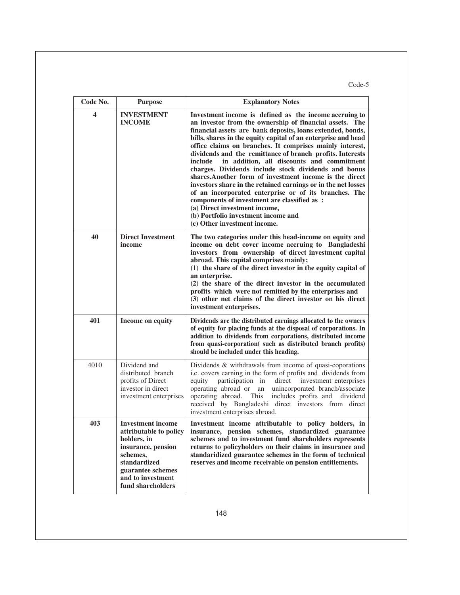| Code No. | <b>Purpose</b>                                                                                                                                                                     | <b>Explanatory Notes</b>                                                                                                                                                                                                                                                                                                                                                                                                                                                                                                                                                                                                                                                                                                                                                                                                               |
|----------|------------------------------------------------------------------------------------------------------------------------------------------------------------------------------------|----------------------------------------------------------------------------------------------------------------------------------------------------------------------------------------------------------------------------------------------------------------------------------------------------------------------------------------------------------------------------------------------------------------------------------------------------------------------------------------------------------------------------------------------------------------------------------------------------------------------------------------------------------------------------------------------------------------------------------------------------------------------------------------------------------------------------------------|
| 4        | <b>INVESTMENT</b><br><b>INCOME</b>                                                                                                                                                 | Investment income is defined as the income accruing to<br>an investor from the ownership of financial assets. The<br>financial assets are bank deposits, loans extended, bonds,<br>bills, shares in the equity capital of an enterprise and head<br>office claims on branches. It comprises mainly interest,<br>dividends and the remittance of branch profits. Interests<br>in addition, all discounts and commitment<br>include<br>charges. Dividends include stock dividends and bonus<br>shares. Another form of investment income is the direct<br>investors share in the retained earnings or in the net losses<br>of an incorporated enterprise or of its branches. The<br>components of investment are classified as :<br>(a) Direct investment income,<br>(b) Portfolio investment income and<br>(c) Other investment income. |
| 40       | <b>Direct Investment</b><br>income                                                                                                                                                 | The two categories under this head-income on equity and<br>income on debt cover income accruing to Bangladeshi<br>investors from ownership of direct investment capital<br>abroad. This capital comprises mainly;<br>(1) the share of the direct investor in the equity capital of<br>an enterprise.<br>(2) the share of the direct investor in the accumulated<br>profits which were not remitted by the enterprises and<br>(3) other net claims of the direct investor on his direct<br>investment enterprises.                                                                                                                                                                                                                                                                                                                      |
| 401      | Income on equity                                                                                                                                                                   | Dividends are the distributed earnings allocated to the owners<br>of equity for placing funds at the disposal of corporations. In<br>addition to dividends from corporations, distributed income<br>from quasi-corporation(such as distributed branch profits)<br>should be included under this heading.                                                                                                                                                                                                                                                                                                                                                                                                                                                                                                                               |
| 4010     | Dividend and<br>distributed branch<br>profits of Direct<br>investor in direct<br>investment enterprises                                                                            | Dividends & withdrawals from income of quasi-coporations<br>i.e. covers earning in the form of profits and dividends from<br>equity<br>participation in<br>direct<br>investment enterprises<br>unincorporated branch/associate<br>operating abroad or<br>an<br>operating abroad. This<br>includes profits and dividend<br>received by Bangladeshi direct investors from direct<br>investment enterprises abroad.                                                                                                                                                                                                                                                                                                                                                                                                                       |
| 403      | <b>Investment</b> income<br>attributable to policy<br>holders, in<br>insurance, pension<br>schemes,<br>standardized<br>guarantee schemes<br>and to investment<br>fund shareholders | Investment income attributable to policy holders, in<br>insurance, pension schemes, standardized guarantee<br>schemes and to investment fund shareholders represents<br>returns to policyholders on their claims in insurance and<br>standaridized guarantee schemes in the form of technical<br>reserves and income receivable on pension entitlements.                                                                                                                                                                                                                                                                                                                                                                                                                                                                               |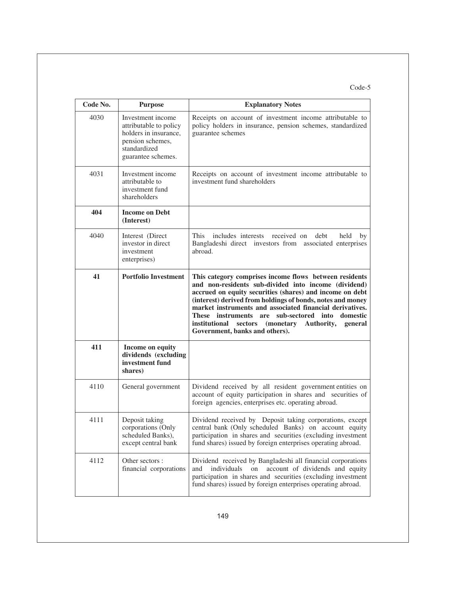| Code No. | <b>Purpose</b>                                                                                                                 | <b>Explanatory Notes</b>                                                                                                                                                                                                                                                                                                                                                                                                                                     |
|----------|--------------------------------------------------------------------------------------------------------------------------------|--------------------------------------------------------------------------------------------------------------------------------------------------------------------------------------------------------------------------------------------------------------------------------------------------------------------------------------------------------------------------------------------------------------------------------------------------------------|
| 4030     | Investment income<br>attributable to policy<br>holders in insurance,<br>pension schemes,<br>standardized<br>guarantee schemes. | Receipts on account of investment income attributable to<br>policy holders in insurance, pension schemes, standardized<br>guarantee schemes                                                                                                                                                                                                                                                                                                                  |
| 4031     | Investment income<br>attributable to<br>investment fund<br>shareholders                                                        | Receipts on account of investment income attributable to<br>investment fund shareholders                                                                                                                                                                                                                                                                                                                                                                     |
| 404      | <b>Income on Debt</b><br>(Interest)                                                                                            |                                                                                                                                                                                                                                                                                                                                                                                                                                                              |
| 4040     | Interest (Direct)<br>investor in direct<br>investment<br>enterprises)                                                          | includes interests received on<br>held<br>This-<br>debt<br>by<br>Bangladeshi direct investors from associated enterprises<br>abroad.                                                                                                                                                                                                                                                                                                                         |
| 41       | <b>Portfolio Investment</b>                                                                                                    | This category comprises income flows between residents<br>and non-residents sub-divided into income (dividend)<br>accrued on equity securities (shares) and income on debt<br>(interest) derived from holdings of bonds, notes and money<br>market instruments and associated financial derivatives.<br>These instruments are sub-sectored into domestic<br>institutional<br>Authority,<br>sectors<br>(monetary<br>general<br>Government, banks and others). |
| 411      | Income on equity<br>dividends (excluding<br>investment fund<br>shares)                                                         |                                                                                                                                                                                                                                                                                                                                                                                                                                                              |
| 4110     | General government                                                                                                             | Dividend received by all resident government entities on<br>account of equity participation in shares and securities of<br>foreign agencies, enterprises etc. operating abroad.                                                                                                                                                                                                                                                                              |
| 4111     | Deposit taking<br>corporations (Only<br>scheduled Banks),<br>except central bank                                               | Dividend received by Deposit taking corporations, except<br>central bank (Only scheduled Banks) on account equity<br>participation in shares and securities (excluding investment<br>fund shares) issued by foreign enterprises operating abroad.                                                                                                                                                                                                            |
| 4112     | Other sectors :<br>financial corporations                                                                                      | Dividend received by Bangladeshi all financial corporations<br>individuals<br>account of dividends and equity<br>and<br>on<br>participation in shares and securities (excluding investment<br>fund shares) issued by foreign enterprises operating abroad.                                                                                                                                                                                                   |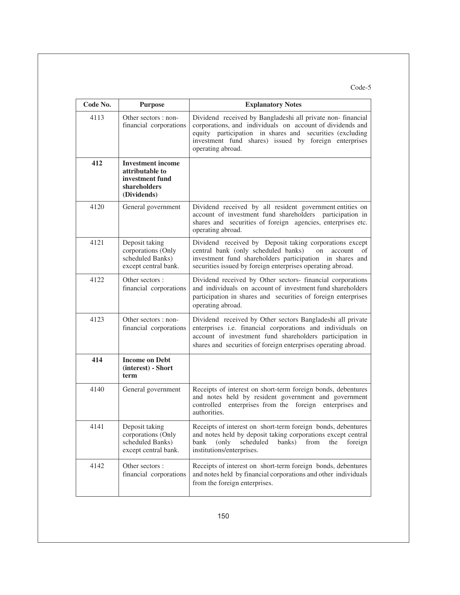| Code No. | <b>Purpose</b>                                                                                | <b>Explanatory Notes</b>                                                                                                                                                                                                                                          |
|----------|-----------------------------------------------------------------------------------------------|-------------------------------------------------------------------------------------------------------------------------------------------------------------------------------------------------------------------------------------------------------------------|
| 4113     | Other sectors : non-<br>financial corporations                                                | Dividend received by Bangladeshi all private non-financial<br>corporations, and individuals on account of dividends and<br>equity participation in shares and securities (excluding<br>investment fund shares) issued by foreign enterprises<br>operating abroad. |
| 412      | <b>Investment</b> income<br>attributable to<br>investment fund<br>shareholders<br>(Dividends) |                                                                                                                                                                                                                                                                   |
| 4120     | General government                                                                            | Dividend received by all resident government entities on<br>account of investment fund shareholders participation in<br>shares and securities of foreign agencies, enterprises etc.<br>operating abroad.                                                          |
| 4121     | Deposit taking<br>corporations (Only<br>scheduled Banks)<br>except central bank.              | Dividend received by Deposit taking corporations except<br>central bank (only scheduled banks)<br>on<br>account<br>οf<br>investment fund shareholders participation in shares and<br>securities issued by foreign enterprises operating abroad.                   |
| 4122     | Other sectors:<br>financial corporations                                                      | Dividend received by Other sectors- financial corporations<br>and individuals on account of investment fund shareholders<br>participation in shares and securities of foreign enterprises<br>operating abroad.                                                    |
| 4123     | Other sectors : non-<br>financial corporations                                                | Dividend received by Other sectors Bangladeshi all private<br>enterprises i.e. financial corporations and individuals on<br>account of investment fund shareholders participation in<br>shares and securities of foreign enterprises operating abroad.            |
| 414      | <b>Income on Debt</b><br>(interest) - Short<br>term                                           |                                                                                                                                                                                                                                                                   |
| 4140     | General government                                                                            | Receipts of interest on short-term foreign bonds, debentures<br>and notes held by resident government and government<br>controlled enterprises from the foreign enterprises and<br>authorities.                                                                   |
| 4141     | Deposit taking<br>corporations (Only<br>scheduled Banks)<br>except central bank.              | Receipts of interest on short-term foreign bonds, debentures<br>and notes held by deposit taking corporations except central<br>from<br>bank<br>(only)<br>scheduled<br>banks)<br>the<br>foreign<br>institutions/enterprises.                                      |
| 4142     | Other sectors :<br>financial corporations                                                     | Receipts of interest on short-term foreign bonds, debentures<br>and notes held by financial corporations and other individuals<br>from the foreign enterprises.                                                                                                   |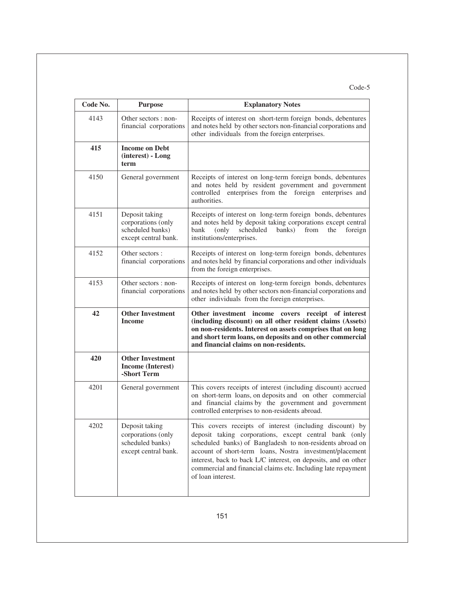| Code No. | <b>Purpose</b>                                                                   | <b>Explanatory Notes</b>                                                                                                                                                                                                                                                                                                                                                                            |
|----------|----------------------------------------------------------------------------------|-----------------------------------------------------------------------------------------------------------------------------------------------------------------------------------------------------------------------------------------------------------------------------------------------------------------------------------------------------------------------------------------------------|
| 4143     | Other sectors : non-<br>financial corporations                                   | Receipts of interest on short-term foreign bonds, debentures<br>and notes held by other sectors non-financial corporations and<br>other individuals from the foreign enterprises.                                                                                                                                                                                                                   |
| 415      | <b>Income on Debt</b><br>(interest) - Long<br>term                               |                                                                                                                                                                                                                                                                                                                                                                                                     |
| 4150     | General government                                                               | Receipts of interest on long-term foreign bonds, debentures<br>and notes held by resident government and government<br>controlled enterprises from the foreign enterprises and<br>authorities.                                                                                                                                                                                                      |
| 4151     | Deposit taking<br>corporations (only<br>scheduled banks)<br>except central bank. | Receipts of interest on long-term foreign bonds, debentures<br>and notes held by deposit taking corporations except central<br>(only<br>scheduled<br>banks)<br>from<br>foreign<br>bank<br>the<br>institutions/enterprises.                                                                                                                                                                          |
| 4152     | Other sectors :<br>financial corporations                                        | Receipts of interest on long-term foreign bonds, debentures<br>and notes held by financial corporations and other individuals<br>from the foreign enterprises.                                                                                                                                                                                                                                      |
| 4153     | Other sectors : non-<br>financial corporations                                   | Receipts of interest on long-term foreign bonds, debentures<br>and notes held by other sectors non-financial corporations and<br>other individuals from the foreign enterprises.                                                                                                                                                                                                                    |
| 42       | <b>Other Investment</b><br><b>Income</b>                                         | Other investment income covers receipt of interest<br>(including discount) on all other resident claims (Assets)<br>on non-residents. Interest on assets comprises that on long<br>and short term loans, on deposits and on other commercial<br>and financial claims on non-residents.                                                                                                              |
| 420      | <b>Other Investment</b><br><b>Income</b> (Interest)<br>-Short Term               |                                                                                                                                                                                                                                                                                                                                                                                                     |
| 4201     | General government                                                               | This covers receipts of interest (including discount) accrued<br>on short-term loans, on deposits and on other commercial<br>and financial claims by the government and government<br>controlled enterprises to non-residents abroad.                                                                                                                                                               |
| 4202     | Deposit taking<br>corporations (only<br>scheduled banks)<br>except central bank. | This covers receipts of interest (including discount) by<br>deposit taking corporations, except central bank (only<br>scheduled banks) of Bangladesh to non-residents abroad on<br>account of short-term loans, Nostra investment/placement<br>interest, back to back L/C interest, on deposits, and on other<br>commercial and financial claims etc. Including late repayment<br>of loan interest. |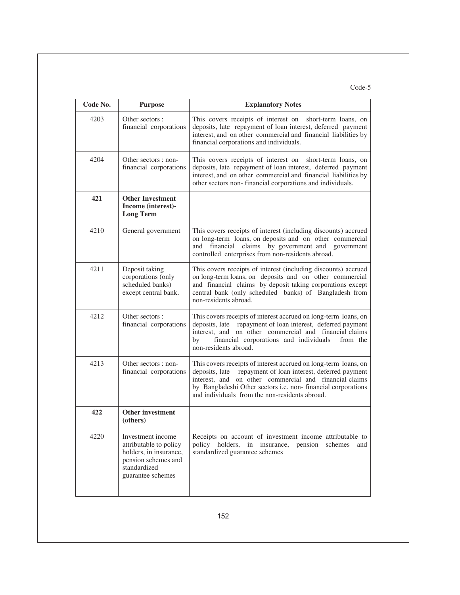| Code No. | <b>Purpose</b>                                                                                                                    | <b>Explanatory Notes</b>                                                                                                                                                                                                                                                                                      |
|----------|-----------------------------------------------------------------------------------------------------------------------------------|---------------------------------------------------------------------------------------------------------------------------------------------------------------------------------------------------------------------------------------------------------------------------------------------------------------|
| 4203     | Other sectors :<br>financial corporations                                                                                         | This covers receipts of interest on short-term loans, on<br>deposits, late repayment of loan interest, deferred payment<br>interest, and on other commercial and financial liabilities by<br>financial corporations and individuals.                                                                          |
| 4204     | Other sectors : non-<br>financial corporations                                                                                    | This covers receipts of interest on<br>short-term loans, on<br>deposits, late repayment of loan interest, deferred payment<br>interest, and on other commercial and financial liabilities by<br>other sectors non- financial corporations and individuals.                                                    |
| 421      | <b>Other Investment</b><br>Income (interest)-<br><b>Long Term</b>                                                                 |                                                                                                                                                                                                                                                                                                               |
| 4210     | General government                                                                                                                | This covers receipts of interest (including discounts) accrued<br>on long-term loans, on deposits and on other commercial<br>and financial claims by government and government<br>controlled enterprises from non-residents abroad.                                                                           |
| 4211     | Deposit taking<br>corporations (only<br>scheduled banks)<br>except central bank.                                                  | This covers receipts of interest (including discounts) accrued<br>on long-term loans, on deposits and on other commercial<br>and financial claims by deposit taking corporations except<br>central bank (only scheduled banks) of Bangladesh from<br>non-residents abroad.                                    |
| 4212     | Other sectors:<br>financial corporations                                                                                          | This covers receipts of interest accrued on long-term loans, on<br>repayment of loan interest, deferred payment<br>deposits, late<br>interest, and on other commercial and financial claims<br>financial corporations and individuals<br>by<br>from the<br>non-residents abroad.                              |
| 4213     | Other sectors : non-<br>financial corporations                                                                                    | This covers receipts of interest accrued on long-term loans, on<br>repayment of loan interest, deferred payment<br>deposits, late<br>interest, and on other commercial and financial claims<br>by Bangladeshi Other sectors i.e. non-financial corporations<br>and individuals from the non-residents abroad. |
| 422      | <b>Other investment</b><br>(others)                                                                                               |                                                                                                                                                                                                                                                                                                               |
| 4220     | Investment income<br>attributable to policy<br>holders, in insurance,<br>pension schemes and<br>standardized<br>guarantee schemes | Receipts on account of investment income attributable to<br>policy holders, in insurance, pension schemes<br>and<br>standardized guarantee schemes                                                                                                                                                            |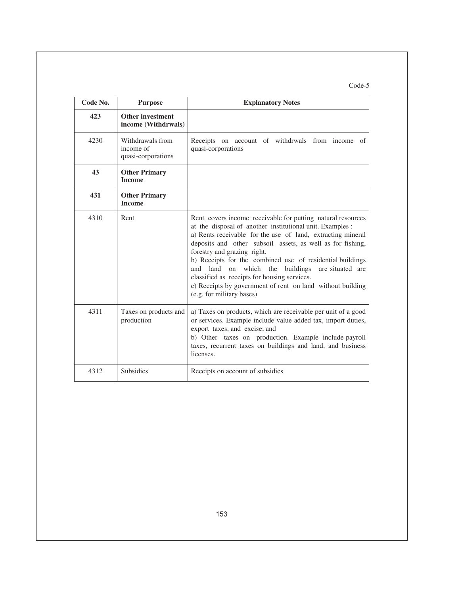| Code No. | <b>Purpose</b>                                      | <b>Explanatory Notes</b>                                                                                                                                                                                                                                                                                                                                                                                                                                                                                                                               |
|----------|-----------------------------------------------------|--------------------------------------------------------------------------------------------------------------------------------------------------------------------------------------------------------------------------------------------------------------------------------------------------------------------------------------------------------------------------------------------------------------------------------------------------------------------------------------------------------------------------------------------------------|
| 423      | <b>Other investment</b><br>income (Withdrwals)      |                                                                                                                                                                                                                                                                                                                                                                                                                                                                                                                                                        |
| 4230     | Withdrawals from<br>income of<br>quasi-corporations | Receipts on account of withdrwals from income<br>of<br>quasi-corporations                                                                                                                                                                                                                                                                                                                                                                                                                                                                              |
| 43       | <b>Other Primary</b><br><b>Income</b>               |                                                                                                                                                                                                                                                                                                                                                                                                                                                                                                                                                        |
| 431      | <b>Other Primary</b><br><b>Income</b>               |                                                                                                                                                                                                                                                                                                                                                                                                                                                                                                                                                        |
| 4310     | Rent                                                | Rent covers income receivable for putting natural resources<br>at the disposal of another institutional unit. Examples :<br>a) Rents receivable for the use of land, extracting mineral<br>deposits and other subsoil assets, as well as for fishing,<br>forestry and grazing right.<br>b) Receipts for the combined use of residential buildings<br>which the buildings<br>are situated are<br>and land on<br>classified as receipts for housing services.<br>c) Receipts by government of rent on land without building<br>(e.g. for military bases) |
| 4311     | Taxes on products and<br>production                 | a) Taxes on products, which are receivable per unit of a good<br>or services. Example include value added tax, import duties,<br>export taxes, and excise; and<br>b) Other taxes on production. Example include payroll<br>taxes, recurrent taxes on buildings and land, and business<br>licenses.                                                                                                                                                                                                                                                     |
| 4312     | <b>Subsidies</b>                                    | Receipts on account of subsidies                                                                                                                                                                                                                                                                                                                                                                                                                                                                                                                       |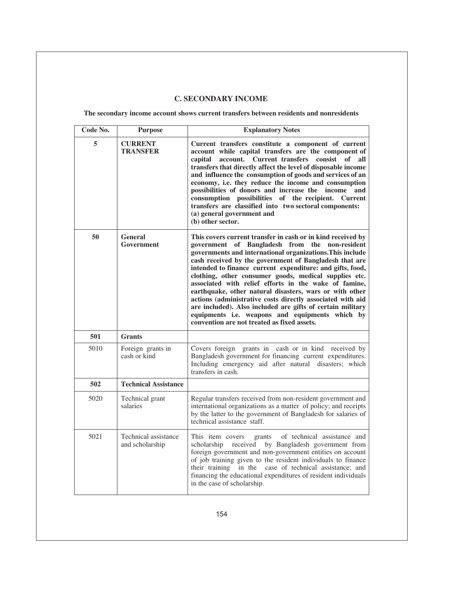## **C. SECONDARY INCOME**

**The secondary income account shows current transfers between residents and nonresidents**

| Code No. | <b>Purpose</b>                          | <b>Explanatory Notes</b>                                                                                                                                                                                                                                                                                                                                                                                                                                                                                                                                                                                                                                                                                     |
|----------|-----------------------------------------|--------------------------------------------------------------------------------------------------------------------------------------------------------------------------------------------------------------------------------------------------------------------------------------------------------------------------------------------------------------------------------------------------------------------------------------------------------------------------------------------------------------------------------------------------------------------------------------------------------------------------------------------------------------------------------------------------------------|
| 5        | <b>CURRENT</b><br><b>TRANSFER</b>       | Current transfers constitute a component of current<br>account while capital transfers are the component of<br>capital account. Current transfers consist<br>all<br>of<br>transfers that directly affect the level of disposable income<br>and influence the consumption of goods and services of an<br>economy, i.e. they reduce the income and consumption<br>possibilities of donors and increase the income<br>and<br>consumption possibilities of the recipient.<br><b>Current</b><br>transfers are classified into two sectoral components:<br>(a) general government and<br>(b) other sector.                                                                                                         |
| 50       | <b>General</b><br><b>Government</b>     | This covers current transfer in cash or in kind received by<br>government of Bangladesh from the non-resident<br>governments and international organizations. This include<br>cash received by the government of Bangladesh that are<br>intended to finance current expenditure: and gifts, food,<br>clothing, other consumer goods, medical supplies etc.<br>associated with relief efforts in the wake of famine,<br>earthquake, other natural disasters, wars or with other<br>actions (administrative costs directly associated with aid<br>are included). Also included are gifts of certain military<br>equipments i.e. weapons and equipments which by<br>convention are not treated as fixed assets. |
| 501      | <b>Grants</b>                           |                                                                                                                                                                                                                                                                                                                                                                                                                                                                                                                                                                                                                                                                                                              |
| 5010     | Foreign grants in<br>cash or kind       | Covers foreign grants in cash or in kind received by<br>Bangladesh government for financing current expenditures.<br>Including emergency aid after natural disasters; which<br>transfers in cash.                                                                                                                                                                                                                                                                                                                                                                                                                                                                                                            |
| 502      | <b>Technical Assistance</b>             |                                                                                                                                                                                                                                                                                                                                                                                                                                                                                                                                                                                                                                                                                                              |
| 5020     | Technical grant<br>salaries             | Regular transfers received from non-resident government and<br>international organizations as a matter of policy; and receipts<br>by the latter to the government of Bangladesh for salaries of<br>technical assistance staff.                                                                                                                                                                                                                                                                                                                                                                                                                                                                               |
| 5021     | Technical assistance<br>and scholarship | of technical assistance and<br>This item covers<br>grants<br>received<br>by Bangladesh government from<br>scholarship<br>foreign government and non-government entities on account<br>of job training given to the resident individuals to finance<br>their training in the case of technical assistance; and<br>financing the educational expenditures of resident individuals<br>in the case of scholarship.                                                                                                                                                                                                                                                                                               |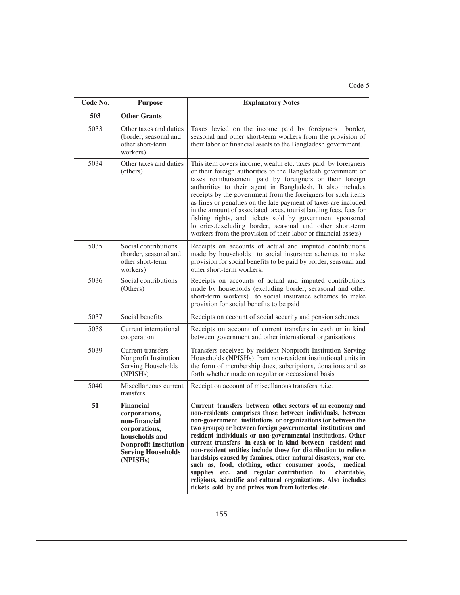| Code No. | <b>Purpose</b>                                                                                                                                                 | <b>Explanatory Notes</b>                                                                                                                                                                                                                                                                                                                                                                                                                                                                                                                                                                                                                                                                                                                                                    |
|----------|----------------------------------------------------------------------------------------------------------------------------------------------------------------|-----------------------------------------------------------------------------------------------------------------------------------------------------------------------------------------------------------------------------------------------------------------------------------------------------------------------------------------------------------------------------------------------------------------------------------------------------------------------------------------------------------------------------------------------------------------------------------------------------------------------------------------------------------------------------------------------------------------------------------------------------------------------------|
| 503      | <b>Other Grants</b>                                                                                                                                            |                                                                                                                                                                                                                                                                                                                                                                                                                                                                                                                                                                                                                                                                                                                                                                             |
| 5033     | Other taxes and duties<br>(border, seasonal and<br>other short-term<br>workers)                                                                                | Taxes levied on the income paid by foreigners<br>border,<br>seasonal and other short-term workers from the provision of<br>their labor or financial assets to the Bangladesh government.                                                                                                                                                                                                                                                                                                                                                                                                                                                                                                                                                                                    |
| 5034     | Other taxes and duties<br>(others)                                                                                                                             | This item covers income, wealth etc. taxes paid by foreigners<br>or their foreign authorities to the Bangladesh government or<br>taxes reimbursement paid by foreigners or their foreign<br>authorities to their agent in Bangladesh. It also includes<br>receipts by the government from the foreigners for such items<br>as fines or penalties on the late payment of taxes are included<br>in the amount of associated taxes, tourist landing fees, fees for<br>fishing rights, and tickets sold by government sponsored<br>lotteries.(excluding border, seasonal and other short-term<br>workers from the provision of their labor or financial assets)                                                                                                                 |
| 5035     | Social contributions<br>(border, seasonal and<br>other short-term<br>workers)                                                                                  | Receipts on accounts of actual and imputed contributions<br>made by households to social insurance schemes to make<br>provision for social benefits to be paid by border, seasonal and<br>other short-term workers.                                                                                                                                                                                                                                                                                                                                                                                                                                                                                                                                                         |
| 5036     | Social contributions<br>(Others)                                                                                                                               | Receipts on accounts of actual and imputed contributions<br>made by households (excluding border, serasonal and other<br>short-term workers) to social insurance schemes to make<br>provision for social benefits to be paid                                                                                                                                                                                                                                                                                                                                                                                                                                                                                                                                                |
| 5037     | Social benefits                                                                                                                                                | Receipts on account of social security and pension schemes                                                                                                                                                                                                                                                                                                                                                                                                                                                                                                                                                                                                                                                                                                                  |
| 5038     | Current international<br>cooperation                                                                                                                           | Receipts on account of current transfers in cash or in kind<br>between government and other international organisations                                                                                                                                                                                                                                                                                                                                                                                                                                                                                                                                                                                                                                                     |
| 5039     | Current transfers -<br>Nonprofit Institution<br>Serving Households<br>(NPISHs)                                                                                 | Transfers received by resident Nonprofit Institution Serving<br>Households (NPISHs) from non-resident institutional units in<br>the form of membership dues, subcriptions, donations and so<br>forth whether made on regular or occassional basis                                                                                                                                                                                                                                                                                                                                                                                                                                                                                                                           |
| 5040     | Miscellaneous current<br>transfers                                                                                                                             | Receipt on account of miscellanous transfers n.i.e.                                                                                                                                                                                                                                                                                                                                                                                                                                                                                                                                                                                                                                                                                                                         |
| 51       | <b>Financial</b><br>corporations,<br>non-financial<br>corporations,<br>households and<br><b>Nonprofit Institution</b><br><b>Serving Households</b><br>(NPISHs) | Current transfers between other sectors of an economy and<br>non-residents comprises those between individuals, between<br>non-government institutions or organizations (or between the<br>two groups) or between foreign governmental institutions and<br>resident individuals or non-governmental institutions. Other<br>current transfers in cash or in kind between resident and<br>non-resident entities include those for distribution to relieve<br>hardships caused by famines, other natural disasters, war etc.<br>such as, food, clothing, other consumer goods,<br>medical<br>supplies etc. and regular contribution to<br>charitable,<br>religious, scientific and cultural organizations. Also includes<br>tickets sold by and prizes won from lotteries etc. |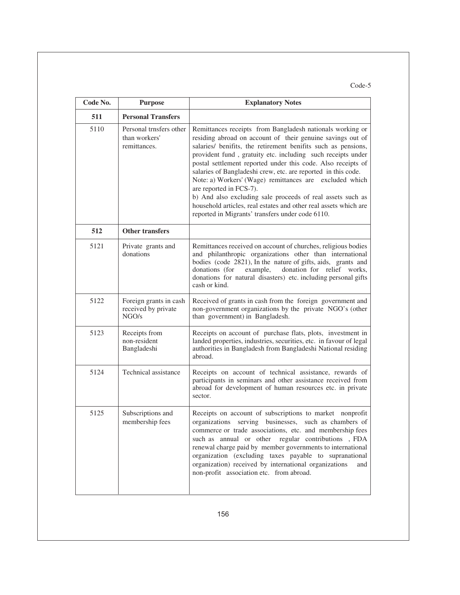| Code No. | <b>Purpose</b>                                           | <b>Explanatory Notes</b>                                                                                                                                                                                                                                                                                                                                                                                                                                                                                                                                                                                                                                             |
|----------|----------------------------------------------------------|----------------------------------------------------------------------------------------------------------------------------------------------------------------------------------------------------------------------------------------------------------------------------------------------------------------------------------------------------------------------------------------------------------------------------------------------------------------------------------------------------------------------------------------------------------------------------------------------------------------------------------------------------------------------|
| 511      | <b>Personal Transfers</b>                                |                                                                                                                                                                                                                                                                                                                                                                                                                                                                                                                                                                                                                                                                      |
| 5110     | Personal trnsfers other<br>than workers'<br>remittances. | Remittances receipts from Bangladesh nationals working or<br>residing abroad on account of their genuine savings out of<br>salaries/ benifits, the retirement benifits such as pensions,<br>provident fund, gratuity etc. including such receipts under<br>postal settlement reported under this code. Also receipts of<br>salaries of Bangladeshi crew, etc. are reported in this code.<br>Note: a) Workers' (Wage) remittances are excluded which<br>are reported in FCS-7).<br>b) And also excluding sale proceeds of real assets such as<br>household articles, real estates and other real assets which are<br>reported in Migrants' transfers under code 6110. |
| 512      | <b>Other transfers</b>                                   |                                                                                                                                                                                                                                                                                                                                                                                                                                                                                                                                                                                                                                                                      |
| 5121     | Private grants and<br>donations                          | Remittances received on account of churches, religious bodies<br>and philanthropic organizations other than international<br>bodies (code 2821), In the nature of gifts, aids, grants and<br>donation for relief works,<br>donations (for<br>example,<br>donations for natural disasters) etc. including personal gifts<br>cash or kind.                                                                                                                                                                                                                                                                                                                             |
| 5122     | Foreign grants in cash<br>received by private<br>NGO/s   | Received of grants in cash from the foreign government and<br>non-government organizations by the private NGO's (other<br>than government) in Bangladesh.                                                                                                                                                                                                                                                                                                                                                                                                                                                                                                            |
| 5123     | Receipts from<br>non-resident<br>Bangladeshi             | Receipts on account of purchase flats, plots, investment in<br>landed properties, industries, securities, etc. in favour of legal<br>authorities in Bangladesh from Bangladeshi National residing<br>abroad.                                                                                                                                                                                                                                                                                                                                                                                                                                                         |
| 5124     | Technical assistance                                     | Receipts on account of technical assistance, rewards of<br>participants in seminars and other assistance received from<br>abroad for development of human resources etc. in private<br>sector.                                                                                                                                                                                                                                                                                                                                                                                                                                                                       |
| 5125     | Subscriptions and<br>membership fees                     | Receipts on account of subscriptions to market nonprofit<br>organizations serving businesses, such as chambers of<br>commerce or trade associations, etc. and membership fees  <br>such as annual or other regular contributions, FDA<br>renewal charge paid by member governments to international<br>organization (excluding taxes payable to supranational<br>organization) received by international organizations<br>and<br>non-profit association etc. from abroad.                                                                                                                                                                                            |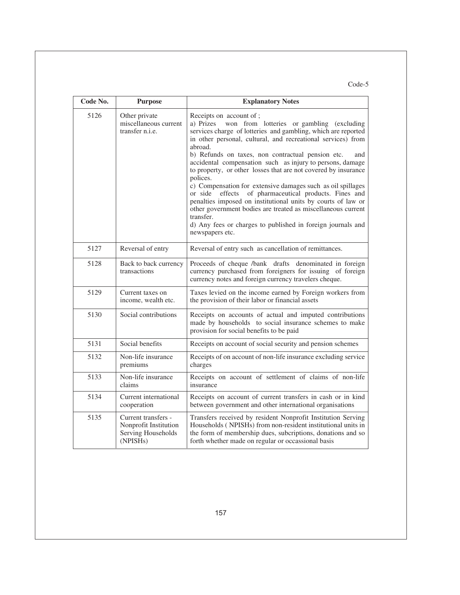| Code No. | <b>Purpose</b>                                                                              | <b>Explanatory Notes</b>                                                                                                                                                                                                                                                                                                                                                                                                                                                                                                                                                                                                                                                                                                                                                                       |
|----------|---------------------------------------------------------------------------------------------|------------------------------------------------------------------------------------------------------------------------------------------------------------------------------------------------------------------------------------------------------------------------------------------------------------------------------------------------------------------------------------------------------------------------------------------------------------------------------------------------------------------------------------------------------------------------------------------------------------------------------------------------------------------------------------------------------------------------------------------------------------------------------------------------|
| 5126     | Other private<br>miscellaneous current<br>transfer n.i.e.                                   | Receipts on account of;<br>a) Prizes<br>won from lotteries or gambling (excluding<br>services charge of lotteries and gambling, which are reported<br>in other personal, cultural, and recreational services) from<br>abroad.<br>b) Refunds on taxes, non contractual pension etc.<br>and<br>accidental compensation such as injury to persons, damage<br>to property, or other losses that are not covered by insurance<br>polices.<br>c) Compensation for extensive damages such as oil spillages<br>effects of pharmaceutical products. Fines and<br>or side<br>penalties imposed on institutional units by courts of law or<br>other government bodies are treated as miscellaneous current<br>transfer.<br>d) Any fees or charges to published in foreign journals and<br>newspapers etc. |
| 5127     | Reversal of entry                                                                           | Reversal of entry such as cancellation of remittances.                                                                                                                                                                                                                                                                                                                                                                                                                                                                                                                                                                                                                                                                                                                                         |
| 5128     | Back to back currency<br>transactions                                                       | Proceeds of cheque /bank drafts denominated in foreign<br>currency purchased from foreigners for issuing of foreign<br>currency notes and foreign currency travelers cheque.                                                                                                                                                                                                                                                                                                                                                                                                                                                                                                                                                                                                                   |
| 5129     | Current taxes on<br>income, wealth etc.                                                     | Taxes levied on the income earned by Foreign workers from<br>the provision of their labor or financial assets                                                                                                                                                                                                                                                                                                                                                                                                                                                                                                                                                                                                                                                                                  |
| 5130     | Social contributions                                                                        | Receipts on accounts of actual and imputed contributions<br>made by households to social insurance schemes to make<br>provision for social benefits to be paid                                                                                                                                                                                                                                                                                                                                                                                                                                                                                                                                                                                                                                 |
| 5131     | Social benefits                                                                             | Receipts on account of social security and pension schemes                                                                                                                                                                                                                                                                                                                                                                                                                                                                                                                                                                                                                                                                                                                                     |
| 5132     | Non-life insurance<br>premiums                                                              | Receipts of on account of non-life insurance excluding service<br>charges                                                                                                                                                                                                                                                                                                                                                                                                                                                                                                                                                                                                                                                                                                                      |
| 5133     | Non-life insurance<br>claims                                                                | Receipts on account of settlement of claims of non-life<br>insurance                                                                                                                                                                                                                                                                                                                                                                                                                                                                                                                                                                                                                                                                                                                           |
| 5134     | Current international<br>cooperation                                                        | Receipts on account of current transfers in cash or in kind<br>between government and other international organisations                                                                                                                                                                                                                                                                                                                                                                                                                                                                                                                                                                                                                                                                        |
| 5135     | Current transfers -<br>Nonprofit Institution<br>Serving Households<br>(NPISH <sub>s</sub> ) | Transfers received by resident Nonprofit Institution Serving<br>Households (NPISHs) from non-resident institutional units in<br>the form of membership dues, subcriptions, donations and so<br>forth whether made on regular or occassional basis                                                                                                                                                                                                                                                                                                                                                                                                                                                                                                                                              |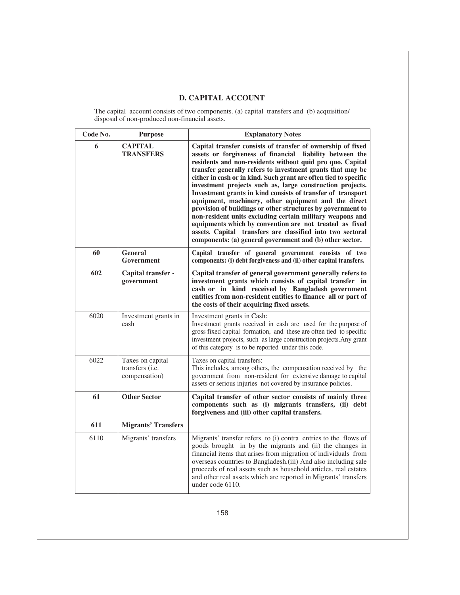## **D. CAPITAL ACCOUNT**

The capital account consists of two components. (a) capital transfers and (b) acquisition/ disposal of non-produced non-financial assets.

| Code No. | <b>Purpose</b>                                               | <b>Explanatory Notes</b>                                                                                                                                                                                                                                                                                                                                                                                                                                                                                                                                                                                                                                                                                                                                                                                                    |
|----------|--------------------------------------------------------------|-----------------------------------------------------------------------------------------------------------------------------------------------------------------------------------------------------------------------------------------------------------------------------------------------------------------------------------------------------------------------------------------------------------------------------------------------------------------------------------------------------------------------------------------------------------------------------------------------------------------------------------------------------------------------------------------------------------------------------------------------------------------------------------------------------------------------------|
| 6        | <b>CAPITAL</b><br><b>TRANSFERS</b>                           | Capital transfer consists of transfer of ownership of fixed<br>assets or forgiveness of financial liability between the<br>residents and non-residents without quid pro quo. Capital<br>transfer generally refers to investment grants that may be<br>cither in cash or in kind. Such grant are often tied to specific<br>investment projects such as, large construction projects.<br>Investment grants in kind consists of transfer of transport<br>equipment, machinery, other equipment and the direct<br>provision of buildings or other structures by government to<br>non-resident units excluding certain military weapons and<br>equipments which by convention are not treated as fixed<br>assets. Capital transfers are classified into two sectoral<br>components: (a) general government and (b) other sector. |
| 60       | General<br>Government                                        | Capital transfer of general government consists of two<br>components: (i) debt forgiveness and (ii) other capital transfers.                                                                                                                                                                                                                                                                                                                                                                                                                                                                                                                                                                                                                                                                                                |
| 602      | Capital transfer -<br>government                             | Capital transfer of general government generally refers to<br>investment grants which consists of capital transfer in<br>cash or in kind received by Bangladesh government<br>entities from non-resident entities to finance all or part of<br>the costs of their acquiring fixed assets.                                                                                                                                                                                                                                                                                                                                                                                                                                                                                                                                   |
| 6020     | Investment grants in<br>cash                                 | Investment grants in Cash:<br>Investment grants received in cash are used for the purpose of<br>gross fixed capital formation, and these are often tied to specific<br>investment projects, such as large construction projects. Any grant<br>of this category is to be reported under this code.                                                                                                                                                                                                                                                                                                                                                                                                                                                                                                                           |
| 6022     | Taxes on capital<br>transfers ( <i>i.e.</i><br>compensation) | Taxes on capital transfers:<br>This includes, among others, the compensation received by the<br>government from non-resident for extensive damage to capital<br>assets or serious injuries not covered by insurance policies.                                                                                                                                                                                                                                                                                                                                                                                                                                                                                                                                                                                               |
| 61       | <b>Other Sector</b>                                          | Capital transfer of other sector consists of mainly three<br>components such as (i) migrants transfers, (ii) debt<br>forgiveness and (iii) other capital transfers.                                                                                                                                                                                                                                                                                                                                                                                                                                                                                                                                                                                                                                                         |
| 611      | <b>Migrants' Transfers</b>                                   |                                                                                                                                                                                                                                                                                                                                                                                                                                                                                                                                                                                                                                                                                                                                                                                                                             |
| 6110     | Migrants' transfers                                          | Migrants' transfer refers to (i) contra entries to the flows of<br>goods brought in by the migrants and (ii) the changes in<br>financial items that arises from migration of individuals from<br>overseas countries to Bangladesh.(iii) And also including sale<br>proceeds of real assets such as household articles, real estates<br>and other real assets which are reported in Migrants' transfers<br>under code 6110.                                                                                                                                                                                                                                                                                                                                                                                                  |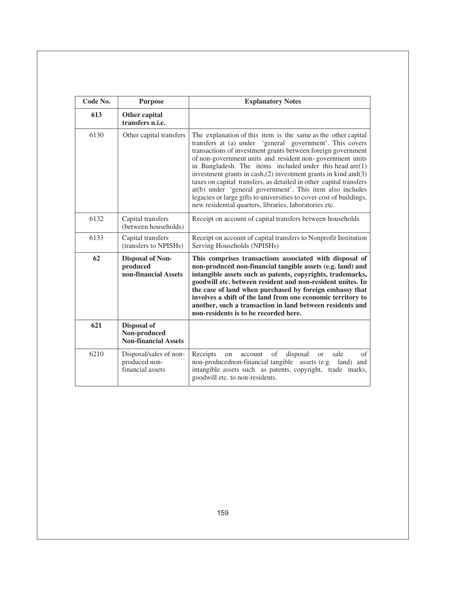| Code No. | <b>Purpose</b>                                              | <b>Explanatory Notes</b>                                                                                                                                                                                                                                                                                                                                                                                                                                                                                                                                                                                                                                      |
|----------|-------------------------------------------------------------|---------------------------------------------------------------------------------------------------------------------------------------------------------------------------------------------------------------------------------------------------------------------------------------------------------------------------------------------------------------------------------------------------------------------------------------------------------------------------------------------------------------------------------------------------------------------------------------------------------------------------------------------------------------|
| 613      | Other capital<br>transfers n.i.e.                           |                                                                                                                                                                                                                                                                                                                                                                                                                                                                                                                                                                                                                                                               |
| 6130     | Other capital transfers                                     | The explanation of this item is the same as the other capital<br>transfers at (a) under 'general government'. This covers<br>transactions of investment grants between foreign government<br>of non-government units and resident non-government units<br>in Bangladesh. The items included under this head $are(1)$<br>investment grants in $\cosh(2)$ investment grants in kind and (3)<br>taxes on capital transfers, as detailed in other capital transfers<br>at(b) under 'general government'. This item also includes<br>legacies or large gifts to universities to cover cost of buildings,<br>new residential quarters, libraries, laboratories etc. |
| 6132     | Capital transfers<br>(between households)                   | Receipt on account of capital transfers between households                                                                                                                                                                                                                                                                                                                                                                                                                                                                                                                                                                                                    |
| 6133     | Capital transfers<br>(transfers to NPISHs)                  | Receipt on account of capital transfers to Nonprofit Institution<br>Serving Households (NPISHs)                                                                                                                                                                                                                                                                                                                                                                                                                                                                                                                                                               |
| 62       | <b>Disposal of Non-</b><br>produced<br>non-financial Assets | This comprises transactions associated with disposal of<br>non-produced non-financial tangible assets (e.g. land) and<br>intangible assets such as patents, copyrights, trademarks,<br>goodwill etc. between resident and non-resident unites. In<br>the case of land when purchased by foreign embassy that<br>involves a shift of the land from one economic territory to<br>another, such a transaction in land between residents and<br>non-residents is to be recorded here.                                                                                                                                                                             |
| 621      | Disposal of<br>Non-produced<br><b>Non-financial Assets</b>  |                                                                                                                                                                                                                                                                                                                                                                                                                                                                                                                                                                                                                                                               |
| 6210     | Disposal/sales of non-<br>produced non-<br>financial assets | Receipts<br>of<br>account<br>of<br>disposal<br>sale<br>on<br><b>or</b><br>non-producednon-financial tangible assets (e.g. land) and<br>intangible assets such as patents, copyright, trade marks,<br>goodwill etc. to non-residents.                                                                                                                                                                                                                                                                                                                                                                                                                          |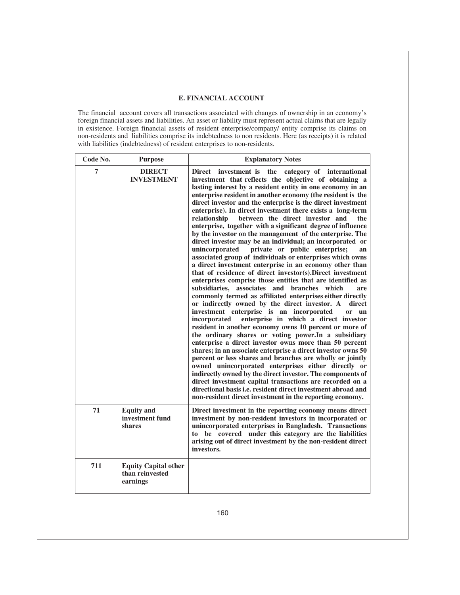## **E. FINANCIAL ACCOUNT**

The financial account covers all transactions associated with changes of ownership in an economy's foreign financial assets and liabilities. An asset or liability must represent actual claims that are legally in existence. Foreign financial assets of resident enterprise/company/ entity comprise its claims on non-residents and liabilities comprise its indebtedness to non residents. Here (as receipts) it is related with liabilities (indebtedness) of resident enterprises to non-residents.

| Code No. | <b>Purpose</b>                                             | <b>Explanatory Notes</b>                                                                                                                                                                                                                                                                                                                                                                                                                                                                                                                                                                                                                                                                                                                                                                                                                                                                                                                                                                                                                                                                                                                                                                                                                                                                                                                                                                                                                                                                                                                                                                                                                                                                                                                                                                                                                                               |
|----------|------------------------------------------------------------|------------------------------------------------------------------------------------------------------------------------------------------------------------------------------------------------------------------------------------------------------------------------------------------------------------------------------------------------------------------------------------------------------------------------------------------------------------------------------------------------------------------------------------------------------------------------------------------------------------------------------------------------------------------------------------------------------------------------------------------------------------------------------------------------------------------------------------------------------------------------------------------------------------------------------------------------------------------------------------------------------------------------------------------------------------------------------------------------------------------------------------------------------------------------------------------------------------------------------------------------------------------------------------------------------------------------------------------------------------------------------------------------------------------------------------------------------------------------------------------------------------------------------------------------------------------------------------------------------------------------------------------------------------------------------------------------------------------------------------------------------------------------------------------------------------------------------------------------------------------------|
| 7        | <b>DIRECT</b><br><b>INVESTMENT</b>                         | investment is the category of international<br><b>Direct</b><br>investment that reflects the objective of obtaining a<br>lasting interest by a resident entity in one economy in an<br>enterprise resident in another economy (the resident is the<br>direct investor and the enterprise is the direct investment<br>enterprise). In direct investment there exists a long-term<br>between the direct investor and<br>relationship<br>the<br>enterprise, together with a significant degree of influence<br>by the investor on the management of the enterprise. The<br>direct investor may be an individual; an incorporated or<br>private or public enterprise;<br>unincorporated<br>an<br>associated group of individuals or enterprises which owns<br>a direct investment enterprise in an economy other than<br>that of residence of direct investor(s). Direct investment<br>enterprises comprise those entities that are identified as<br>subsidiaries, associates and branches which<br>are<br>commonly termed as affiliated enterprises either directly<br>or indirectly owned by the direct investor. A<br>direct<br>investment enterprise is an incorporated<br>or un<br>incorporated<br>enterprise in which a direct investor<br>resident in another economy owns 10 percent or more of<br>the ordinary shares or voting power. In a subsidiary<br>enterprise a direct investor owns more than 50 percent<br>shares; in an associate enterprise a direct investor owns 50<br>percent or less shares and branches are wholly or jointly<br>owned unincorporated enterprises either directly or<br>indirectly owned by the direct investor. The components of<br>direct investment capital transactions are recorded on a<br>directional basis <i>i.e.</i> resident direct investment abroad and<br>non-resident direct investment in the reporting economy. |
| 71       | <b>Equity</b> and<br>investment fund<br>shares             | Direct investment in the reporting economy means direct<br>investment by non-resident investors in incorporated or<br>unincorporated enterprises in Bangladesh. Transactions<br>to be covered under this category are the liabilities<br>arising out of direct investment by the non-resident direct<br>investors.                                                                                                                                                                                                                                                                                                                                                                                                                                                                                                                                                                                                                                                                                                                                                                                                                                                                                                                                                                                                                                                                                                                                                                                                                                                                                                                                                                                                                                                                                                                                                     |
| 711      | <b>Equity Capital other</b><br>than reinvested<br>earnings |                                                                                                                                                                                                                                                                                                                                                                                                                                                                                                                                                                                                                                                                                                                                                                                                                                                                                                                                                                                                                                                                                                                                                                                                                                                                                                                                                                                                                                                                                                                                                                                                                                                                                                                                                                                                                                                                        |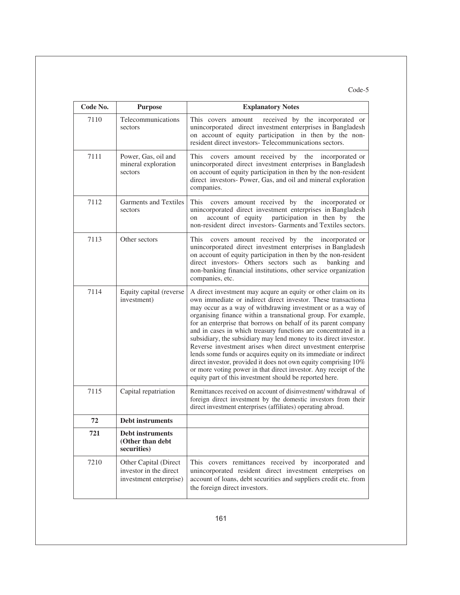| Code No. | <b>Purpose</b>                                                            | <b>Explanatory Notes</b>                                                                                                                                                                                                                                                                                                                                                                                                                                                                                                                                                                                                                                                                                                                                                                                       |
|----------|---------------------------------------------------------------------------|----------------------------------------------------------------------------------------------------------------------------------------------------------------------------------------------------------------------------------------------------------------------------------------------------------------------------------------------------------------------------------------------------------------------------------------------------------------------------------------------------------------------------------------------------------------------------------------------------------------------------------------------------------------------------------------------------------------------------------------------------------------------------------------------------------------|
| 7110     | Telecommunications<br>sectors                                             | received by the incorporated or<br>This covers amount<br>unincorporated direct investment enterprises in Bangladesh<br>on account of equity participation in then by the non-<br>resident direct investors- Telecommunications sectors.                                                                                                                                                                                                                                                                                                                                                                                                                                                                                                                                                                        |
| 7111     | Power, Gas, oil and<br>mineral exploration<br>sectors                     | This<br>covers amount received by the incorporated or<br>unincorporated direct investment enterprises in Bangladesh<br>on account of equity participation in then by the non-resident<br>direct investors- Power, Gas, and oil and mineral exploration<br>companies.                                                                                                                                                                                                                                                                                                                                                                                                                                                                                                                                           |
| 7112     | <b>Garments and Textiles</b><br>sectors                                   | This<br>covers amount received by the incorporated or<br>unincorporated direct investment enterprises in Bangladesh<br>account of equity<br>participation in then by<br>the<br>on<br>non-resident direct investors- Garments and Textiles sectors.                                                                                                                                                                                                                                                                                                                                                                                                                                                                                                                                                             |
| 7113     | Other sectors                                                             | covers amount received by<br>This<br>the<br>incorporated or<br>unincorporated direct investment enterprises in Bangladesh<br>on account of equity participation in then by the non-resident<br>direct investors- Others sectors such as<br>banking and<br>non-banking financial institutions, other service organization<br>companies, etc.                                                                                                                                                                                                                                                                                                                                                                                                                                                                    |
| 7114     | Equity capital (reverse<br>investment)                                    | A direct investment may acqure an equity or other claim on its<br>own immediate or indirect direct investor. These transactional<br>may occur as a way of withdrawing investment or as a way of<br>organising finance within a transnational group. For example,<br>for an enterprise that borrows on behalf of its parent company<br>and in cases in which treasury functions are concentrated in a<br>subsidiary, the subsidiary may lend money to its direct investor.<br>Reverse investment arises when direct unvestment enterprise<br>lends some funds or acquires equity on its immediate or indirect<br>direct investor, provided it does not own equity comprising 10%<br>or more voting power in that direct investor. Any receipt of the<br>equity part of this investment should be reported here. |
| 7115     | Capital repatriation                                                      | Remittances received on account of disinvestment/ withdrawal of<br>foreign direct investment by the domestic investors from their<br>direct investment enterprises (affiliates) operating abroad.                                                                                                                                                                                                                                                                                                                                                                                                                                                                                                                                                                                                              |
| 72       | <b>Debt instruments</b>                                                   |                                                                                                                                                                                                                                                                                                                                                                                                                                                                                                                                                                                                                                                                                                                                                                                                                |
| 721      | Debt instruments<br>(Other than debt<br>securities)                       |                                                                                                                                                                                                                                                                                                                                                                                                                                                                                                                                                                                                                                                                                                                                                                                                                |
| 7210     | Other Capital (Direct<br>investor in the direct<br>investment enterprise) | This covers remittances received by incorporated and<br>unincorporated resident direct investment enterprises on<br>account of loans, debt securities and suppliers credit etc. from<br>the foreign direct investors.                                                                                                                                                                                                                                                                                                                                                                                                                                                                                                                                                                                          |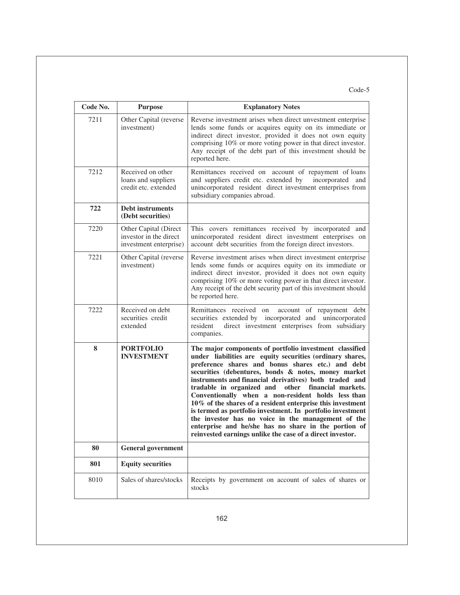| Code No. | <b>Purpose</b>                                                             | <b>Explanatory Notes</b>                                                                                                                                                                                                                                                                                                                                                                                                                                                                                                                                                                                                                                                                                      |
|----------|----------------------------------------------------------------------------|---------------------------------------------------------------------------------------------------------------------------------------------------------------------------------------------------------------------------------------------------------------------------------------------------------------------------------------------------------------------------------------------------------------------------------------------------------------------------------------------------------------------------------------------------------------------------------------------------------------------------------------------------------------------------------------------------------------|
| 7211     | Other Capital (reverse<br>investment)                                      | Reverse investment arises when direct unvestment enterprise<br>lends some funds or acquires equity on its immediate or<br>indirect direct investor, provided it does not own equity<br>comprising 10% or more voting power in that direct investor.<br>Any receipt of the debt part of this investment should be<br>reported here.                                                                                                                                                                                                                                                                                                                                                                            |
| 7212     | Received on other<br>loans and suppliers<br>credit etc. extended           | Remittances received on account of repayment of loans<br>and suppliers credit etc. extended by<br>incorporated<br>and<br>unincorporated resident direct investment enterprises from<br>subsidiary companies abroad.                                                                                                                                                                                                                                                                                                                                                                                                                                                                                           |
| 722      | <b>Debt instruments</b><br>(Debt securities)                               |                                                                                                                                                                                                                                                                                                                                                                                                                                                                                                                                                                                                                                                                                                               |
| 7220     | Other Capital (Direct)<br>investor in the direct<br>investment enterprise) | This covers remittances received by incorporated and<br>unincorporated resident direct investment enterprises on<br>account debt securities from the foreign direct investors.                                                                                                                                                                                                                                                                                                                                                                                                                                                                                                                                |
| 7221     | Other Capital (reverse)<br>investment)                                     | Reverse investment arises when direct investment enterprise<br>lends some funds or acquires equity on its immediate or<br>indirect direct investor, provided it does not own equity<br>comprising 10% or more voting power in that direct investor.<br>Any receipt of the debt security part of this investment should<br>be reported here.                                                                                                                                                                                                                                                                                                                                                                   |
| 7222     | Received on debt<br>securities credit<br>extended                          | Remittances received on<br>account of repayment debt<br>securities extended by incorporated and unincorporated<br>direct investment enterprises from subsidiary<br>resident<br>companies.                                                                                                                                                                                                                                                                                                                                                                                                                                                                                                                     |
| 8        | <b>PORTFOLIO</b><br><b>INVESTMENT</b>                                      | The major components of portfolio investment classified<br>under liabilities are equity securities (ordinary shares,<br>preference shares and bonus shares etc.) and debt<br>securities (debentures, bonds & notes, money market<br>instruments and financial derivatives) both traded and<br>tradable in organized and other financial markets.<br>Conventionally when a non-resident holds less than<br>10% of the shares of a resident enterprise this investment<br>is termed as portfolio investment. In portfolio investment<br>the investor has no voice in the management of the<br>enterprise and he/she has no share in the portion of<br>reinvested earnings unlike the case of a direct investor. |
| 80       | <b>General government</b>                                                  |                                                                                                                                                                                                                                                                                                                                                                                                                                                                                                                                                                                                                                                                                                               |
| 801      | <b>Equity securities</b>                                                   |                                                                                                                                                                                                                                                                                                                                                                                                                                                                                                                                                                                                                                                                                                               |
| 8010     | Sales of shares/stocks                                                     | Receipts by government on account of sales of shares or<br>stocks                                                                                                                                                                                                                                                                                                                                                                                                                                                                                                                                                                                                                                             |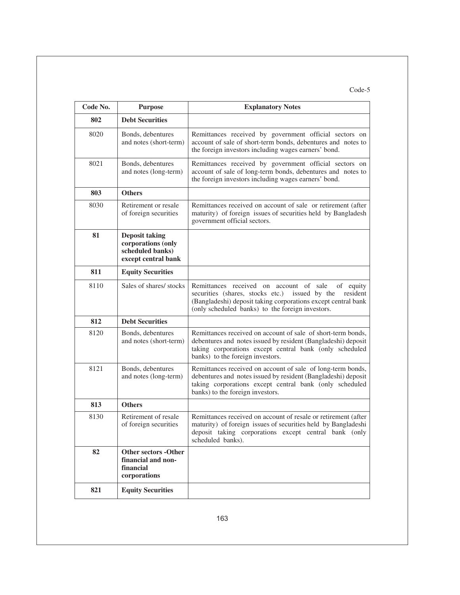| Code No. | <b>Purpose</b>                                                                         | <b>Explanatory Notes</b>                                                                                                                                                                                                                   |
|----------|----------------------------------------------------------------------------------------|--------------------------------------------------------------------------------------------------------------------------------------------------------------------------------------------------------------------------------------------|
| 802      | <b>Debt Securities</b>                                                                 |                                                                                                                                                                                                                                            |
| 8020     | Bonds, debentures<br>and notes (short-term)                                            | Remittances received by government official sectors on<br>account of sale of short-term bonds, debentures and notes to<br>the foreign investors including wages earners' bond.                                                             |
| 8021     | Bonds, debentures<br>and notes (long-term)                                             | Remittances received by government official sectors on<br>account of sale of long-term bonds, debentures and notes to<br>the foreign investors including wages earners' bond.                                                              |
| 803      | <b>Others</b>                                                                          |                                                                                                                                                                                                                                            |
| 8030     | Retirement or resale<br>of foreign securities                                          | Remittances received on account of sale or retirement (after<br>maturity) of foreign issues of securities held by Bangladesh<br>government official sectors.                                                                               |
| 81       | <b>Deposit taking</b><br>corporations (only<br>scheduled banks)<br>except central bank |                                                                                                                                                                                                                                            |
| 811      | <b>Equity Securities</b>                                                               |                                                                                                                                                                                                                                            |
| 8110     | Sales of shares/ stocks                                                                | Remittances received on account of sale<br>of equity<br>issued by the<br>securities (shares, stocks etc.)<br>resident<br>(Bangladeshi) deposit taking corporations except central bank<br>(only scheduled banks) to the foreign investors. |
| 812      | <b>Debt Securities</b>                                                                 |                                                                                                                                                                                                                                            |
| 8120     | Bonds, debentures<br>and notes (short-term)                                            | Remittances received on account of sale of short-term bonds,<br>debentures and notes issued by resident (Bangladeshi) deposit<br>taking corporations except central bank (only scheduled<br>banks) to the foreign investors.               |
| 8121     | Bonds, debentures<br>and notes (long-term)                                             | Remittances received on account of sale of long-term bonds,<br>debentures and notes issued by resident (Bangladeshi) deposit<br>taking corporations except central bank (only scheduled<br>banks) to the foreign investors.                |
| 813      | <b>Others</b>                                                                          |                                                                                                                                                                                                                                            |
| 8130     | Retirement of resale<br>of foreign securities                                          | Remittances received on account of resale or retirement (after<br>maturity) of foreign issues of securities held by Bangladeshi<br>deposit taking corporations except central bank (only<br>scheduled banks).                              |
| 82       | <b>Other sectors -Other</b><br>financial and non-<br>financial<br>corporations         |                                                                                                                                                                                                                                            |
| 821      | <b>Equity Securities</b>                                                               |                                                                                                                                                                                                                                            |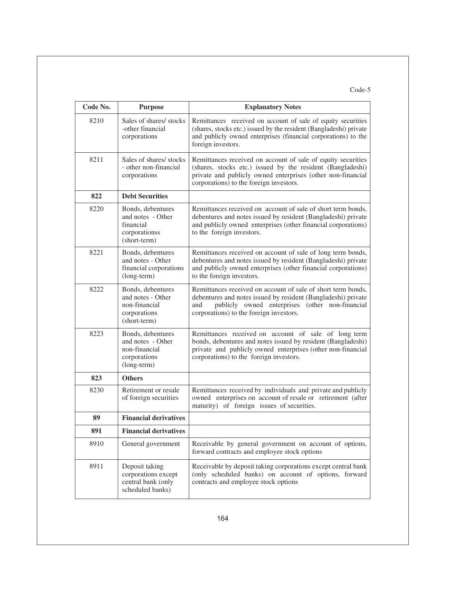| Code No. | <b>Purpose</b>                                                                          | <b>Explanatory Notes</b>                                                                                                                                                                                                             |
|----------|-----------------------------------------------------------------------------------------|--------------------------------------------------------------------------------------------------------------------------------------------------------------------------------------------------------------------------------------|
| 8210     | Sales of shares/ stocks<br>-other financial<br>corporations                             | Remittances received on account of sale of equity securities<br>(shares, stocks etc.) issued by the resident (Bangladeshi) private<br>and publicly owned enterprises (financial corporations) to the<br>foreign investors.           |
| 8211     | Sales of shares/ stocks<br>- other non-financial<br>corporations                        | Remittances received on account of sale of equity securities<br>(shares, stocks etc.) issued by the resident (Bangladeshi)<br>private and publicly owned enterprises (other non-financial<br>corporations) to the foreign investors. |
| 822      | <b>Debt Securities</b>                                                                  |                                                                                                                                                                                                                                      |
| 8220     | Bonds, debentures<br>and notes - Other<br>financial<br>corporationss<br>(short-term)    | Remittances received on account of sale of short term bonds.<br>debentures and notes issued by resident (Bangladeshi) private<br>and publicly owned enterprises (other financial corporations)<br>to the foreign investors.          |
| 8221     | Bonds, debentures<br>and notes - Other<br>financial corporations<br>(long-term)         | Remittances received on account of sale of long term bonds,<br>debentures and notes issued by resident (Bangladeshi) private<br>and publicly owned enterprises (other financial corporations)<br>to the foreign investors.           |
| 8222     | Bonds, debentures<br>and notes - Other<br>non-financial<br>corporations<br>(short-term) | Remittances received on account of sale of short term bonds.<br>debentures and notes issued by resident (Bangladeshi) private<br>publicly owned enterprises (other non-financial<br>and<br>corporations) to the foreign investors.   |
| 8223     | Bonds, debentures<br>and notes - Other<br>non-financial<br>corporations<br>(long-term)  | Remittances received on account of sale of long term<br>bonds, debentures and notes issued by resident (Bangladeshi)<br>private and publicly owned enterprises (other non-financial<br>corporations) to the foreign investors.       |
| 823      | <b>Others</b>                                                                           |                                                                                                                                                                                                                                      |
| 8230     | Retirement or resale<br>of foreign securities                                           | Remittances received by individuals and private and publicly<br>owned enterprises on account of resale or retirement (after<br>maturity) of foreign issues of securities.                                                            |
| 89       | <b>Financial derivatives</b>                                                            |                                                                                                                                                                                                                                      |
| 891      | <b>Financial derivatives</b>                                                            |                                                                                                                                                                                                                                      |
| 8910     | General government                                                                      | Receivable by general government on account of options,<br>forward contracts and employee stock options                                                                                                                              |
| 8911     | Deposit taking<br>corporations except<br>central bank (only<br>scheduled banks)         | Receivable by deposit taking corporations except central bank<br>(only scheduled banks) on account of options, forward<br>contracts and employee stock options                                                                       |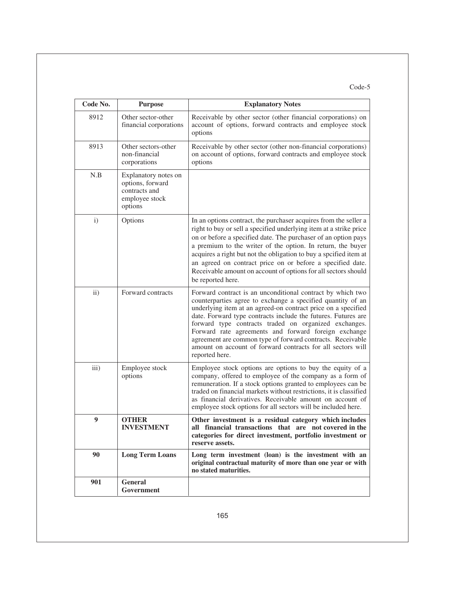| Code No.              | <b>Purpose</b>                                                                         | <b>Explanatory Notes</b>                                                                                                                                                                                                                                                                                                                                                                                                                                                                                                    |
|-----------------------|----------------------------------------------------------------------------------------|-----------------------------------------------------------------------------------------------------------------------------------------------------------------------------------------------------------------------------------------------------------------------------------------------------------------------------------------------------------------------------------------------------------------------------------------------------------------------------------------------------------------------------|
| 8912                  | Other sector-other<br>financial corporations                                           | Receivable by other sector (other financial corporations) on<br>account of options, forward contracts and employee stock<br>options                                                                                                                                                                                                                                                                                                                                                                                         |
| 8913                  | Other sectors-other<br>non-financial<br>corporations                                   | Receivable by other sector (other non-financial corporations)<br>on account of options, forward contracts and employee stock<br>options                                                                                                                                                                                                                                                                                                                                                                                     |
| N.B                   | Explanatory notes on<br>options, forward<br>contracts and<br>employee stock<br>options |                                                                                                                                                                                                                                                                                                                                                                                                                                                                                                                             |
| $\mathbf{i}$          | Options                                                                                | In an options contract, the purchaser acquires from the seller a<br>right to buy or sell a specified underlying item at a strike price<br>on or before a specified date. The purchaser of an option pays<br>a premium to the writer of the option. In return, the buyer<br>acquires a right but not the obligation to buy a spcified item at<br>an agreed on contract price on or before a specified date.<br>Receivable amount on account of options for all sectors should<br>be reported here.                           |
| $\ddot{\mathrm{11}})$ | Forward contracts                                                                      | Forward contract is an unconditional contract by which two<br>counterparties agree to exchange a specified quantity of an<br>underlying item at an agreed-on contract price on a specified<br>date. Forward type contracts include the futures. Futures are<br>forward type contracts traded on organized exchanges.<br>Forward rate agreements and forward foreign exchange<br>agreement are common type of forward contracts. Receivable<br>amount on account of forward contracts for all sectors will<br>reported here. |
| iii)                  | Employee stock<br>options                                                              | Employee stock options are options to buy the equity of a<br>company, offered to employee of the company as a form of<br>remuneration. If a stock options granted to employees can be<br>traded on financial markets without restrictions, it is classified<br>as financial derivatives. Receivable amount on account of<br>employee stock options for all sectors will be included here.                                                                                                                                   |
| $\boldsymbol{9}$      | <b>OTHER</b><br><b>INVESTMENT</b>                                                      | Other investment is a residual category which includes<br>all financial transactions that are not covered in the<br>categories for direct investment, portfolio investment or<br>reserve assets.                                                                                                                                                                                                                                                                                                                            |
| 90                    | <b>Long Term Loans</b>                                                                 | Long term investment (loan) is the investment with an<br>original contractual maturity of more than one year or with<br>no stated maturities.                                                                                                                                                                                                                                                                                                                                                                               |
| 901                   | <b>General</b><br>Government                                                           |                                                                                                                                                                                                                                                                                                                                                                                                                                                                                                                             |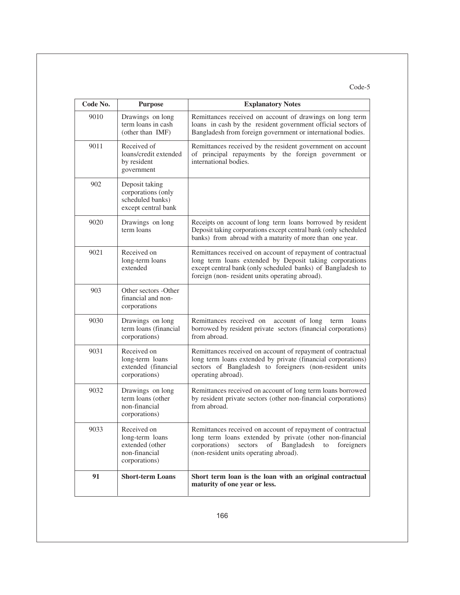| Code No. | <b>Purpose</b>                                                                      | <b>Explanatory Notes</b>                                                                                                                                                                                                                |
|----------|-------------------------------------------------------------------------------------|-----------------------------------------------------------------------------------------------------------------------------------------------------------------------------------------------------------------------------------------|
| 9010     | Drawings on long<br>term loans in cash<br>(other than IMF)                          | Remittances received on account of drawings on long term<br>loans in cash by the resident government official sectors of<br>Bangladesh from foreign government or international bodies.                                                 |
| 9011     | Received of<br>loans/credit extended<br>by resident<br>government                   | Remittances received by the resident government on account<br>of principal repayments by the foreign government or<br>international bodies.                                                                                             |
| 902      | Deposit taking<br>corporations (only<br>scheduled banks)<br>except central bank     |                                                                                                                                                                                                                                         |
| 9020     | Drawings on long<br>term loans                                                      | Receipts on account of long term loans borrowed by resident<br>Deposit taking corporations except central bank (only scheduled<br>banks) from abroad with a maturity of more than one year.                                             |
| 9021     | Received on<br>long-term loans<br>extended                                          | Remittances received on account of repayment of contractual<br>long term loans extended by Deposit taking corporations<br>except central bank (only scheduled banks) of Bangladesh to<br>foreign (non-resident units operating abroad). |
| 903      | Other sectors - Other<br>financial and non-<br>corporations                         |                                                                                                                                                                                                                                         |
| 9030     | Drawings on long<br>term loans (financial<br>corporations)                          | Remittances received on<br>account of long<br>loans<br>term<br>borrowed by resident private sectors (financial corporations)<br>from abroad.                                                                                            |
| 9031     | Received on<br>long-term loans<br>extended (financial<br>corporations)              | Remittances received on account of repayment of contractual<br>long term loans extended by private (financial corporations)<br>sectors of Bangladesh to foreigners (non-resident units<br>operating abroad).                            |
| 9032     | Drawings on long<br>term loans (other<br>non-financial<br>corporations)             | Remittances received on account of long term loans borrowed<br>by resident private sectors (other non-financial corporations)<br>from abroad.                                                                                           |
| 9033     | Received on<br>long-term loans<br>extended (other<br>non-financial<br>corporations) | Remittances received on account of repayment of contractual<br>long term loans extended by private (other non-financial<br>sectors<br>of Bangladesh<br>corporations)<br>to<br>foreigners<br>(non-resident units operating abroad).      |
| 91       | <b>Short-term Loans</b>                                                             | Short term loan is the loan with an original contractual<br>maturity of one year or less.                                                                                                                                               |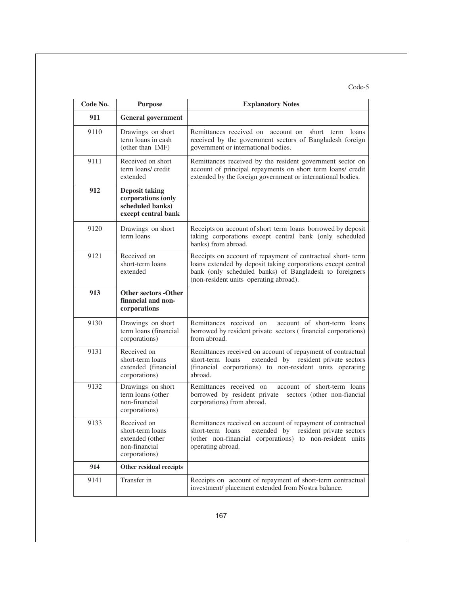| Code No. | <b>Purpose</b>                                                                         | <b>Explanatory Notes</b>                                                                                                                                                                                                         |
|----------|----------------------------------------------------------------------------------------|----------------------------------------------------------------------------------------------------------------------------------------------------------------------------------------------------------------------------------|
| 911      | <b>General government</b>                                                              |                                                                                                                                                                                                                                  |
| 9110     | Drawings on short<br>term loans in cash<br>(other than IMF)                            | Remittances received on account on short term loans<br>received by the government sectors of Bangladesh foreign<br>government or international bodies.                                                                           |
| 9111     | Received on short<br>term loans/credit<br>extended                                     | Remittances received by the resident government sector on<br>account of principal repayments on short term loans/ credit<br>extended by the foreign government or international bodies.                                          |
| 912      | <b>Deposit taking</b><br>corporations (only<br>scheduled banks)<br>except central bank |                                                                                                                                                                                                                                  |
| 9120     | Drawings on short<br>term loans                                                        | Receipts on account of short term loans borrowed by deposit<br>taking corporations except central bank (only scheduled<br>banks) from abroad.                                                                                    |
| 9121     | Received on<br>short-term loans<br>extended                                            | Receipts on account of repayment of contractual short- term<br>loans extended by deposit taking corporations except central<br>bank (only scheduled banks) of Bangladesh to foreigners<br>(non-resident units operating abroad). |
| 913      | <b>Other sectors - Other</b><br>financial and non-<br>corporations                     |                                                                                                                                                                                                                                  |
| 9130     | Drawings on short<br>term loans (financial<br>corporations)                            | Remittances received on<br>account of short-term loans<br>borrowed by resident private sectors (financial corporations)<br>from abroad.                                                                                          |
| 9131     | Received on<br>short-term loans<br>extended (financial<br>corporations)                | Remittances received on account of repayment of contractual<br>short-term loans<br>extended by resident private sectors<br>(financial corporations) to non-resident units operating<br>abroad.                                   |
| 9132     | Drawings on short<br>term loans (other<br>non-financial<br>corporations)               | Remittances received on<br>account of short-term loans<br>borrowed by resident private<br>sectors (other non-fiancial<br>corporations) from abroad.                                                                              |
| 9133     | Received on<br>short-term loans<br>extended (other<br>non-financial<br>corporations)   | Remittances received on account of repayment of contractual<br>short-term loans extended by resident private sectors<br>(other non-financial corporations) to non-resident units<br>operating abroad.                            |
| 914      | Other residual receipts                                                                |                                                                                                                                                                                                                                  |
| 9141     | Transfer in                                                                            | Receipts on account of repayment of short-term contractual<br>investment/ placement extended from Nostra balance.                                                                                                                |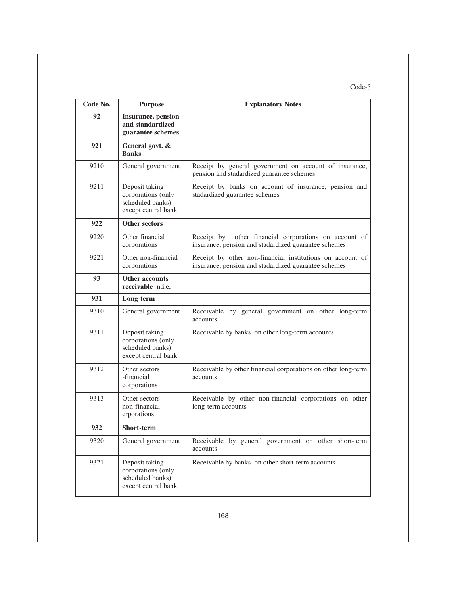| Code No. | <b>Purpose</b>                                                                  | <b>Explanatory Notes</b>                                                                                          |
|----------|---------------------------------------------------------------------------------|-------------------------------------------------------------------------------------------------------------------|
| 92       | <b>Insurance</b> , pension<br>and standardized<br>guarantee schemes             |                                                                                                                   |
| 921      | General govt. &<br><b>Banks</b>                                                 |                                                                                                                   |
| 9210     | General government                                                              | Receipt by general government on account of insurance,<br>pension and stadardized guarantee schemes               |
| 9211     | Deposit taking<br>corporations (only<br>scheduled banks)<br>except central bank | Receipt by banks on account of insurance, pension and<br>stadardized guarantee schemes                            |
| 922      | <b>Other sectors</b>                                                            |                                                                                                                   |
| 9220     | Other financial<br>corporations                                                 | Receipt by<br>other financial corporations on account of<br>insurance, pension and stadardized guarantee schemes  |
| 9221     | Other non-financial<br>corporations                                             | Receipt by other non-financial institutions on account of<br>insurance, pension and stadardized guarantee schemes |
| 93       | <b>Other accounts</b><br>receivable n.i.e.                                      |                                                                                                                   |
| 931      | Long-term                                                                       |                                                                                                                   |
| 9310     | General government                                                              | Receivable by general government on other long-term<br>accounts                                                   |
| 9311     | Deposit taking<br>corporations (only<br>scheduled banks)<br>except central bank | Receivable by banks on other long-term accounts                                                                   |
| 9312     | Other sectors<br>-financial<br>corporations                                     | Receivable by other financial corporations on other long-term<br>accounts                                         |
| 9313     | Other sectors -<br>non-financial<br>crporations                                 | Receivable by other non-financial corporations on other<br>long-term accounts                                     |
| 932      | <b>Short-term</b>                                                               |                                                                                                                   |
| 9320     | General government                                                              | Receivable by general government on other short-term<br>accounts                                                  |
| 9321     | Deposit taking<br>corporations (only<br>scheduled banks)<br>except central bank | Receivable by banks on other short-term accounts                                                                  |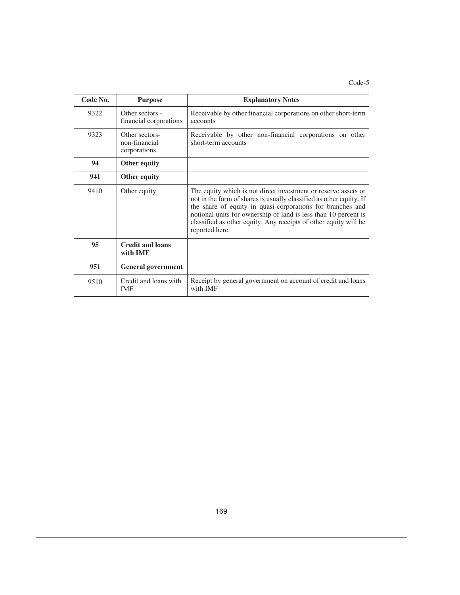| Code No. | <b>Purpose</b>                                  | <b>Explanatory Notes</b>                                                                                                                                                                                                                                                                                                                                     |
|----------|-------------------------------------------------|--------------------------------------------------------------------------------------------------------------------------------------------------------------------------------------------------------------------------------------------------------------------------------------------------------------------------------------------------------------|
| 9322     | Other sectors -<br>financial corporations       | Receivable by other financial corporations on other short-term<br>accounts                                                                                                                                                                                                                                                                                   |
| 9323     | Other sectors-<br>non-financial<br>corporations | Receivable by other non-financial corporations on other<br>short-term accounts                                                                                                                                                                                                                                                                               |
| 94       | Other equity                                    |                                                                                                                                                                                                                                                                                                                                                              |
| 941      | Other equity                                    |                                                                                                                                                                                                                                                                                                                                                              |
| 9410     | Other equity                                    | The equity which is not direct investment or reserve assets or<br>not in the form of shares is usually classified as other equity. If<br>the share of equity in quasi-corporations for branches and<br>notional units for ownership of land is less than 10 percent is<br>classified as other equity. Any receipts of other equity will be<br>reported here. |
| 95       | <b>Credit and loans</b><br>with IMF             |                                                                                                                                                                                                                                                                                                                                                              |
| 951      | <b>General government</b>                       |                                                                                                                                                                                                                                                                                                                                                              |
| 9510     | Credit and loans with<br><b>IMF</b>             | Receipt by general government on account of credit and loans<br>with IMF                                                                                                                                                                                                                                                                                     |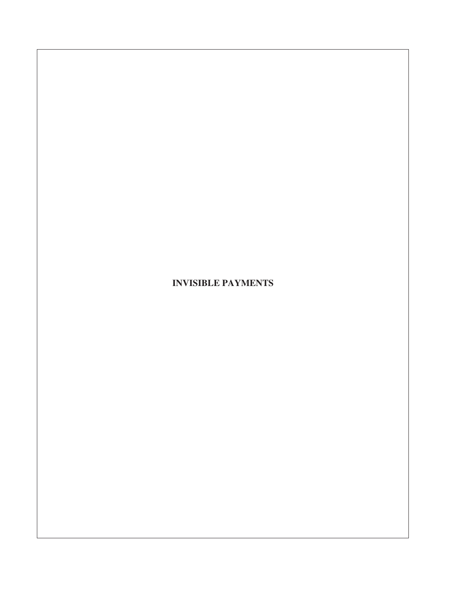## **INVISIBLE PAYMENTS**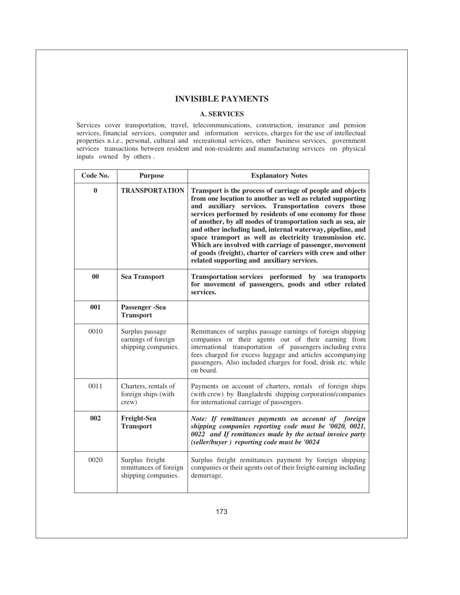## **INVISIBLE PAYMENTS**

## **A. SERVICES**

Services cover transportation, travel, telecommunications, construction, insurance and pension services, financial services, computer and information services, charges for the use of intellectual properties n.i.e., personal, cultural and recreational services, other business services, government services transactions between resident and non-residents and manufacturing services on physical inputs owned by others .

| Code No.       | <b>Purpose</b>                                                   | <b>Explanatory Notes</b>                                                                                                                                                                                                                                                                                                                                                                                                                                                                                                                                                                                     |
|----------------|------------------------------------------------------------------|--------------------------------------------------------------------------------------------------------------------------------------------------------------------------------------------------------------------------------------------------------------------------------------------------------------------------------------------------------------------------------------------------------------------------------------------------------------------------------------------------------------------------------------------------------------------------------------------------------------|
| $\bf{0}$       | <b>TRANSPORTATION</b>                                            | Transport is the process of carriage of people and objects<br>from one location to another as well as related supporting<br>and auxiliary services. Transportation covers those<br>services performed by residents of one economy for those<br>of another, by all modes of transportation such as sea, air<br>and other including land, internal waterway, pipeline, and<br>space transport as well as electricity transmission etc.<br>Which are involved with carriage of passenger, movement<br>of goods (freight), charter of carriers with crew and other<br>related supporting and auxiliary services. |
| 0 <sub>0</sub> | <b>Sea Transport</b>                                             | Transportation services performed by sea transports<br>for movement of passengers, goods and other related<br>services.                                                                                                                                                                                                                                                                                                                                                                                                                                                                                      |
| 001            | Passenger - Sea<br><b>Transport</b>                              |                                                                                                                                                                                                                                                                                                                                                                                                                                                                                                                                                                                                              |
| 0010           | Surplus passage<br>earnings of foreign<br>shipping companies.    | Remittances of surplus passage earnings of foreign shipping<br>companies or their agents out of their earning from<br>international transportation of passengers including extra<br>fees charged for excess luggage and articles accompanying<br>passengers. Also included charges for food, drink etc. while<br>on board.                                                                                                                                                                                                                                                                                   |
| 0011           | Charters, rentals of<br>foreign ships (with<br>crew)             | Payments on account of charters, rentals of foreign ships<br>(with crew) by Bangladeshi shipping corporation/companies<br>for international carriage of passengers.                                                                                                                                                                                                                                                                                                                                                                                                                                          |
| 002            | <b>Freight-Sea</b><br><b>Transport</b>                           | Note: If remittances payments on account of foreign<br>shipping companies reporting code must be '0020, 0021,<br>0022 and If remittances made by the actual invoice party<br>(seller/buyer) reporting code must be '0024                                                                                                                                                                                                                                                                                                                                                                                     |
| 0020           | Surplus freight<br>remittances of foreign<br>shipping companies. | Surplus freight remittances payment by foreign shipping<br>companies or their agents out of their freight earning including<br>demurrage.                                                                                                                                                                                                                                                                                                                                                                                                                                                                    |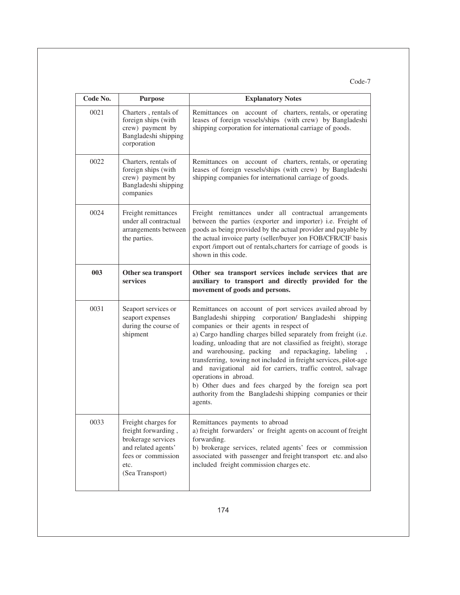| Code No. | <b>Purpose</b>                                                                                                                           | <b>Explanatory Notes</b>                                                                                                                                                                                                                                                                                                                                                                                                                                                                                                                                                                                                                                    |
|----------|------------------------------------------------------------------------------------------------------------------------------------------|-------------------------------------------------------------------------------------------------------------------------------------------------------------------------------------------------------------------------------------------------------------------------------------------------------------------------------------------------------------------------------------------------------------------------------------------------------------------------------------------------------------------------------------------------------------------------------------------------------------------------------------------------------------|
| 0021     | Charters, rentals of<br>foreign ships (with<br>crew) payment by<br>Bangladeshi shipping<br>corporation                                   | Remittances on account of charters, rentals, or operating<br>leases of foreign vessels/ships (with crew) by Bangladeshi<br>shipping corporation for international carriage of goods.                                                                                                                                                                                                                                                                                                                                                                                                                                                                        |
| 0022     | Charters, rentals of<br>foreign ships (with<br>crew) payment by<br>Bangladeshi shipping<br>companies                                     | Remittances on account of charters, rentals, or operating<br>leases of foreign vessels/ships (with crew) by Bangladeshi<br>shipping companies for international carriage of goods.                                                                                                                                                                                                                                                                                                                                                                                                                                                                          |
| 0024     | Freight remittances<br>under all contractual<br>arrangements between<br>the parties.                                                     | Freight remittances under all contractual arrangements<br>between the parties (exporter and importer) i.e. Freight of<br>goods as being provided by the actual provider and payable by<br>the actual invoice party (seller/buyer )on FOB/CFR/CIF basis<br>export /import out of rentals, charters for carriage of goods is<br>shown in this code.                                                                                                                                                                                                                                                                                                           |
| 003      | Other sea transport<br>services                                                                                                          | Other sea transport services include services that are<br>auxiliary to transport and directly provided for the<br>movement of goods and persons.                                                                                                                                                                                                                                                                                                                                                                                                                                                                                                            |
| 0031     | Seaport services or<br>seaport expenses<br>during the course of<br>shipment                                                              | Remittances on account of port services availed abroad by<br>Bangladeshi shipping corporation/ Bangladeshi<br>shipping<br>companies or their agents in respect of<br>a) Cargo handling charges billed separately from freight (i,e.<br>loading, unloading that are not classified as freight), storage<br>and warehousing, packing and repackaging, labeling<br>transferring, towing not included in freight services, pilot-age<br>and navigational aid for carriers, traffic control, salvage<br>operations in abroad.<br>b) Other dues and fees charged by the foreign sea port<br>authority from the Bangladeshi shipping companies or their<br>agents. |
| 0033     | Freight charges for<br>freight forwarding,<br>brokerage services<br>and related agents'<br>fees or commission<br>etc.<br>(Sea Transport) | Remittances payments to abroad<br>a) freight forwarders' or freight agents on account of freight<br>forwarding.<br>b) brokerage services, related agents' fees or commission<br>associated with passenger and freight transport etc. and also<br>included freight commission charges etc.                                                                                                                                                                                                                                                                                                                                                                   |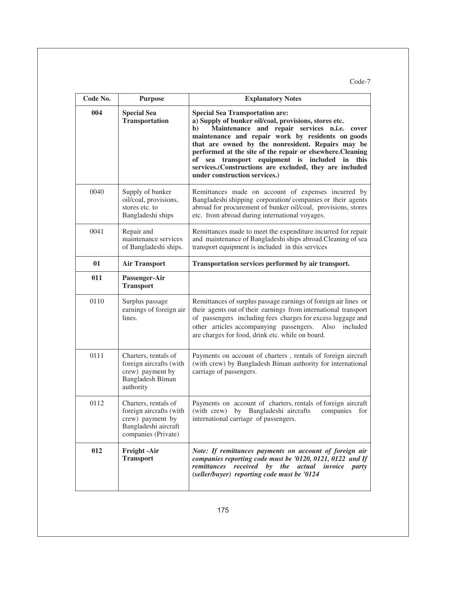| Code No. | <b>Purpose</b>                                                                                                     | <b>Explanatory Notes</b>                                                                                                                                                                                                                                                                                                                                                                                                                                                          |
|----------|--------------------------------------------------------------------------------------------------------------------|-----------------------------------------------------------------------------------------------------------------------------------------------------------------------------------------------------------------------------------------------------------------------------------------------------------------------------------------------------------------------------------------------------------------------------------------------------------------------------------|
| 004      | <b>Special Sea</b><br><b>Transportation</b>                                                                        | <b>Special Sea Transportation are:</b><br>a) Supply of bunker oil/coal, provisions, stores etc.<br>Maintenance and repair services n.i.e. cover<br>b)<br>maintenance and repair work by residents on goods<br>that are owned by the nonresident. Repairs may be<br>performed at the site of the repair or elsewhere. Cleaning<br>transport equipment is included in this<br>of<br>sea<br>services.(Constructions are excluded, they are included<br>under construction services.) |
| 0040     | Supply of bunker<br>oil/coal, provisions,<br>stores etc. to<br>Bangladeshi ships                                   | Remittances made on account of expenses incurred by<br>Bangladeshi shipping corporation/companies or their agents<br>abroad for procurement of bunker oil/coal, provisions, stores<br>etc. from abroad during international voyages.                                                                                                                                                                                                                                              |
| 0041     | Repair and<br>maintenance services<br>of Bangladeshi ships.                                                        | Remittances made to meet the expenditure incurred for repair<br>and maintenance of Bangladeshi ships abroad. Cleaning of sea<br>transport equipment is included in this services                                                                                                                                                                                                                                                                                                  |
| 01       | <b>Air Transport</b>                                                                                               | Transportation services performed by air transport.                                                                                                                                                                                                                                                                                                                                                                                                                               |
| 011      | Passenger-Air<br><b>Transport</b>                                                                                  |                                                                                                                                                                                                                                                                                                                                                                                                                                                                                   |
| 0110     | Surplus passage<br>earnings of foreign air<br>lines.                                                               | Remittances of surplus passage earnings of foreign air lines or<br>their agents out of their earnings from international transport<br>of passengers including fees charges for excess luggage and<br>other articles accompanying passengers.<br>Also<br>included<br>are charges for food, drink etc. while on board.                                                                                                                                                              |
| 0111     | Charters, rentals of<br>foreign aircrafts (with<br>crew) payment by<br><b>Bangladesh Biman</b><br>authority        | Payments on account of charters, rentals of foreign aircraft<br>(with crew) by Bangladesh Biman authority for international<br>carriage of passengers.                                                                                                                                                                                                                                                                                                                            |
| 0112     | Charters, rentals of<br>foreign aircrafts (with<br>crew) payment by<br>Bangladeshi aircraft<br>companies (Private) | Payments on account of charters, rentals of foreign aircraft<br>(with crew) by Bangladeshi aircrafts<br>companies for<br>international carriage of passengers.                                                                                                                                                                                                                                                                                                                    |
| 012      | <b>Freight-Air</b><br><b>Transport</b>                                                                             | Note: If remittances payments on account of foreign air<br>companies reporting code must be '0120, 0121, 0122 and If<br>received by<br>the actual invoice party<br>remittances<br>(seller/buyer) reporting code must be '0124                                                                                                                                                                                                                                                     |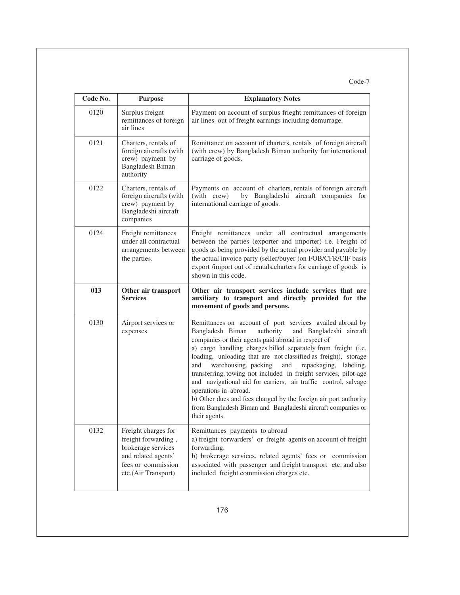| Code No. | <b>Purpose</b>                                                                                                                       | <b>Explanatory Notes</b>                                                                                                                                                                                                                                                                                                                                                                                                                                                                                                                                                                                                                                                                               |
|----------|--------------------------------------------------------------------------------------------------------------------------------------|--------------------------------------------------------------------------------------------------------------------------------------------------------------------------------------------------------------------------------------------------------------------------------------------------------------------------------------------------------------------------------------------------------------------------------------------------------------------------------------------------------------------------------------------------------------------------------------------------------------------------------------------------------------------------------------------------------|
| 0120     | Surplus freignt<br>remittances of foreign<br>air lines                                                                               | Payment on account of surplus frieght remittances of foreign<br>air lines out of freight earnings including demurrage.                                                                                                                                                                                                                                                                                                                                                                                                                                                                                                                                                                                 |
| 0121     | Charters, rentals of<br>foreign aircrafts (with<br>crew) payment by<br><b>Bangladesh Biman</b><br>authority                          | Remittance on account of charters, rentals of foreign aircraft<br>(with crew) by Bangladesh Biman authority for international<br>carriage of goods.                                                                                                                                                                                                                                                                                                                                                                                                                                                                                                                                                    |
| 0122     | Charters, rentals of<br>foreign aircrafts (with<br>crew) payment by<br>Bangladeshi aircraft<br>companies                             | Payments on account of charters, rentals of foreign aircraft<br>by Bangladeshi aircraft companies for<br>(with crew)<br>international carriage of goods.                                                                                                                                                                                                                                                                                                                                                                                                                                                                                                                                               |
| 0124     | Freight remittances<br>under all contractual<br>arrangements between<br>the parties.                                                 | Freight remittances under all contractual arrangements<br>between the parties (exporter and importer) i.e. Freight of<br>goods as being provided by the actual provider and payable by<br>the actual invoice party (seller/buyer )on FOB/CFR/CIF basis<br>export /import out of rentals, charters for carriage of goods is<br>shown in this code.                                                                                                                                                                                                                                                                                                                                                      |
| 013      | Other air transport<br><b>Services</b>                                                                                               | Other air transport services include services that are<br>auxiliary to transport and directly provided for the<br>movement of goods and persons.                                                                                                                                                                                                                                                                                                                                                                                                                                                                                                                                                       |
| 0130     | Airport services or<br>expenses                                                                                                      | Remittances on account of port services availed abroad by<br>Bangladesh Biman<br>authority<br>and Bangladeshi aircraft<br>companies or their agents paid abroad in respect of<br>a) cargo handling charges billed separately from freight (i,e.<br>loading, unloading that are not classified as freight), storage<br>warehousing, packing<br>and<br>and<br>repackaging, labeling,<br>transferring, towing not included in freight services, pilot-age<br>and navigational aid for carriers, air traffic control, salvage<br>operations in abroad.<br>b) Other dues and fees charged by the foreign air port authority<br>from Bangladesh Biman and Bangladeshi aircraft companies or<br>their agents. |
| 0132     | Freight charges for<br>freight forwarding,<br>brokerage services<br>and related agents'<br>fees or commission<br>etc.(Air Transport) | Remittances payments to abroad<br>a) freight forwarders' or freight agents on account of freight<br>forwarding.<br>b) brokerage services, related agents' fees or commission<br>associated with passenger and freight transport etc. and also<br>included freight commission charges etc.                                                                                                                                                                                                                                                                                                                                                                                                              |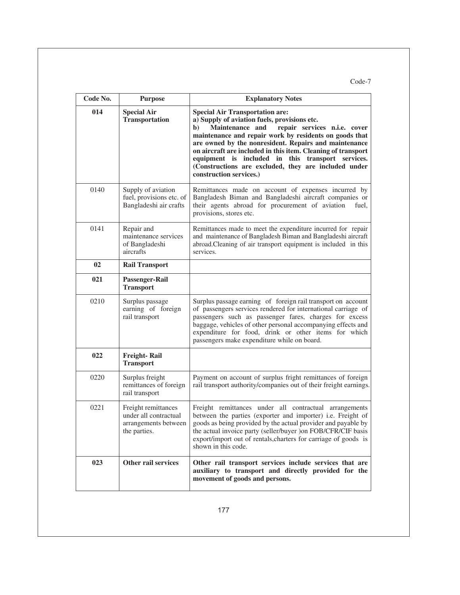| Code No. | <b>Purpose</b>                                                                       | <b>Explanatory Notes</b>                                                                                                                                                                                                                                                                                                                                                                                                                                                   |
|----------|--------------------------------------------------------------------------------------|----------------------------------------------------------------------------------------------------------------------------------------------------------------------------------------------------------------------------------------------------------------------------------------------------------------------------------------------------------------------------------------------------------------------------------------------------------------------------|
| 014      | <b>Special Air</b><br><b>Transportation</b>                                          | <b>Special Air Transportation are:</b><br>a) Supply of aviation fuels, provisions etc.<br>repair services n.i.e. cover<br>b)<br>Maintenance and<br>maintenance and repair work by residents on goods that<br>are owned by the nonresident. Repairs and maintenance<br>on aircraft are included in this item. Cleaning of transport<br>equipment is included in this transport services.<br>(Constructions are excluded, they are included under<br>construction services.) |
| 0140     | Supply of aviation<br>fuel, provisions etc. of<br>Bangladeshi air crafts             | Remittances made on account of expenses incurred by<br>Bangladesh Biman and Bangladeshi aircraft companies or<br>their agents abroad for procurement of aviation<br>fuel,<br>provisions, stores etc.                                                                                                                                                                                                                                                                       |
| 0141     | Repair and<br>maintenance services<br>of Bangladeshi<br>aircrafts                    | Remittances made to meet the expenditure incurred for repair<br>and maintenance of Bangladesh Biman and Bangladeshi aircraft<br>abroad. Cleaning of air transport equipment is included in this<br>services.                                                                                                                                                                                                                                                               |
| 02       | <b>Rail Transport</b>                                                                |                                                                                                                                                                                                                                                                                                                                                                                                                                                                            |
| 021      | Passenger-Rail<br><b>Transport</b>                                                   |                                                                                                                                                                                                                                                                                                                                                                                                                                                                            |
| 0210     | Surplus passage<br>earning of foreign<br>rail transport                              | Surplus passage earning of foreign rail transport on account<br>of passengers services rendered for international carriage of<br>passengers such as passenger fares, charges for excess<br>baggage, vehicles of other personal accompanying effects and<br>expenditure for food, drink or other items for which<br>passengers make expenditure while on board.                                                                                                             |
| 022      | <b>Freight-Rail</b><br><b>Transport</b>                                              |                                                                                                                                                                                                                                                                                                                                                                                                                                                                            |
| 0220     | Surplus freight<br>remittances of foreign<br>rail transport                          | Payment on account of surplus fright remittances of foreign<br>rail transport authority/companies out of their freight earnings.                                                                                                                                                                                                                                                                                                                                           |
| 0221     | Freight remittances<br>under all contractual<br>arrangements between<br>the parties. | Freight remittances under all contractual arrangements<br>between the parties (exporter and importer) i.e. Freight of<br>goods as being provided by the actual provider and payable by<br>the actual invoice party (seller/buyer )on FOB/CFR/CIF basis<br>export/import out of rentals, charters for carriage of goods is<br>shown in this code.                                                                                                                           |
| 023      | Other rail services                                                                  | Other rail transport services include services that are<br>auxiliary to transport and directly provided for the<br>movement of goods and persons.                                                                                                                                                                                                                                                                                                                          |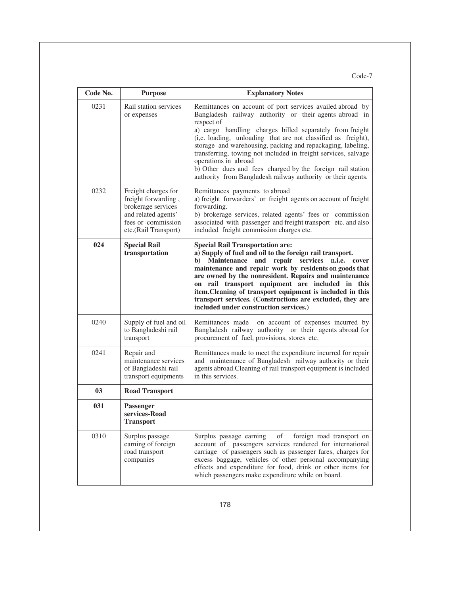| Code No. | <b>Purpose</b>                                                                                                                        | <b>Explanatory Notes</b>                                                                                                                                                                                                                                                                                                                                                                                                                                                                                                                              |
|----------|---------------------------------------------------------------------------------------------------------------------------------------|-------------------------------------------------------------------------------------------------------------------------------------------------------------------------------------------------------------------------------------------------------------------------------------------------------------------------------------------------------------------------------------------------------------------------------------------------------------------------------------------------------------------------------------------------------|
| 0231     | Rail station services<br>or expenses                                                                                                  | Remittances on account of port services availed abroad by<br>Bangladesh railway authority or their agents abroad in<br>respect of<br>a) cargo handling charges billed separately from freight<br>(i,e. loading, unloading that are not classified as freight),<br>storage and warehousing, packing and repackaging, labeling,<br>transferring, towing not included in freight services, salvage<br>operations in abroad<br>b) Other dues and fees charged by the foreign rail station<br>authority from Bangladesh railway authority or their agents. |
| 0232     | Freight charges for<br>freight forwarding,<br>brokerage services<br>and related agents'<br>fees or commission<br>etc.(Rail Transport) | Remittances payments to abroad<br>a) freight forwarders' or freight agents on account of freight<br>forwarding.<br>b) brokerage services, related agents' fees or commission<br>associated with passenger and freight transport etc. and also<br>included freight commission charges etc.                                                                                                                                                                                                                                                             |
| 024      | <b>Special Rail</b><br>transportation                                                                                                 | <b>Special Rail Transportation are:</b><br>a) Supply of fuel and oil to the foreign rail transport.<br>Maintenance and repair services n.i.e. cover<br>b)<br>maintenance and repair work by residents on goods that<br>are owned by the nonresident. Repairs and maintenance<br>on rail transport equipment are included in this<br>item.Cleaning of transport equipment is included in this<br>transport services. (Constructions are excluded, they are<br>included under construction services.)                                                   |
| 0240     | Supply of fuel and oil<br>to Bangladeshi rail<br>transport                                                                            | Remittances made<br>on account of expenses incurred by<br>Bangladesh railway authority or their agents abroad for<br>procurement of fuel, provisions, stores etc.                                                                                                                                                                                                                                                                                                                                                                                     |
| 0241     | Repair and<br>maintenance services<br>of Bangladeshi rail<br>transport equipments                                                     | Remittances made to meet the expenditure incurred for repair<br>and maintenance of Bangladesh railway authority or their<br>agents abroad. Cleaning of rail transport equipment is included<br>in this services.                                                                                                                                                                                                                                                                                                                                      |
| 03       | <b>Road Transport</b>                                                                                                                 |                                                                                                                                                                                                                                                                                                                                                                                                                                                                                                                                                       |
| 031      | Passenger<br>services-Road<br><b>Transport</b>                                                                                        |                                                                                                                                                                                                                                                                                                                                                                                                                                                                                                                                                       |
| 0310     | Surplus passage<br>earning of foreign<br>road transport<br>companies                                                                  | foreign road transport on<br>Surplus passage earning<br>of<br>account of<br>passengers services rendered for international<br>carriage of passengers such as passenger fares, charges for<br>excess baggage, vehicles of other personal accompanying<br>effects and expenditure for food, drink or other items for<br>which passengers make expenditure while on board.                                                                                                                                                                               |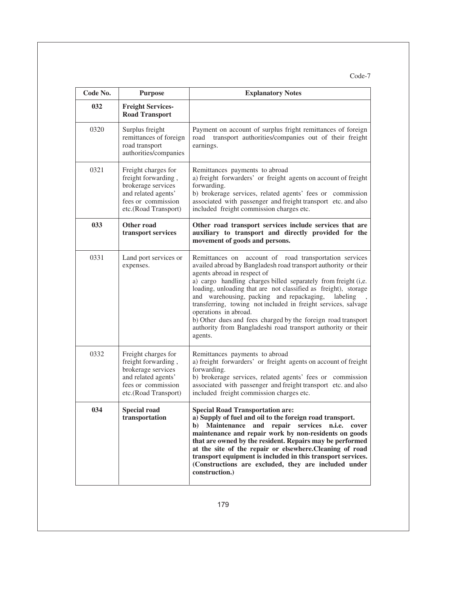| Code No. | <b>Purpose</b>                                                                                                                        | <b>Explanatory Notes</b>                                                                                                                                                                                                                                                                                                                                                                                                                                                                                                                                                                       |
|----------|---------------------------------------------------------------------------------------------------------------------------------------|------------------------------------------------------------------------------------------------------------------------------------------------------------------------------------------------------------------------------------------------------------------------------------------------------------------------------------------------------------------------------------------------------------------------------------------------------------------------------------------------------------------------------------------------------------------------------------------------|
| 032      | <b>Freight Services-</b><br><b>Road Transport</b>                                                                                     |                                                                                                                                                                                                                                                                                                                                                                                                                                                                                                                                                                                                |
| 0320     | Surplus freight<br>remittances of foreign<br>road transport<br>authorities/companies                                                  | Payment on account of surplus fright remittances of foreign<br>transport authorities/companies out of their freight<br>road<br>earnings.                                                                                                                                                                                                                                                                                                                                                                                                                                                       |
| 0321     | Freight charges for<br>freight forwarding,<br>brokerage services<br>and related agents'<br>fees or commission<br>etc.(Road Transport) | Remittances payments to abroad<br>a) freight forwarders' or freight agents on account of freight<br>forwarding.<br>b) brokerage services, related agents' fees or commission<br>associated with passenger and freight transport etc. and also<br>included freight commission charges etc.                                                                                                                                                                                                                                                                                                      |
| 033      | Other road<br>transport services                                                                                                      | Other road transport services include services that are<br>auxiliary to transport and directly provided for the<br>movement of goods and persons.                                                                                                                                                                                                                                                                                                                                                                                                                                              |
| 0331     | Land port services or<br>expenses.                                                                                                    | Remittances on<br>account of road transportation services<br>availed abroad by Bangladesh road transport authority or their<br>agents abroad in respect of<br>a) cargo handling charges billed separately from freight (i,e.<br>loading, unloading that are not classified as freight), storage<br>and warehousing, packing and repackaging,<br>labeling<br>transferring, towing not included in freight services, salvage<br>operations in abroad.<br>b) Other dues and fees charged by the foreign road transport<br>authority from Bangladeshi road transport authority or their<br>agents. |
| 0332     | Freight charges for<br>freight forwarding,<br>brokerage services<br>and related agents'<br>fees or commission<br>etc.(Road Transport) | Remittances payments to abroad<br>a) freight forwarders' or freight agents on account of freight<br>forwarding.<br>b) brokerage services, related agents' fees or commission<br>associated with passenger and freight transport etc. and also<br>included freight commission charges etc.                                                                                                                                                                                                                                                                                                      |
| 034      | <b>Special road</b><br>transportation                                                                                                 | <b>Special Road Transportation are:</b><br>a) Supply of fuel and oil to the foreign road transport.<br>Maintenance and repair services n.i.e.<br>b)<br>cover<br>maintenance and repair work by non-residents on goods<br>that are owned by the resident. Repairs may be performed<br>at the site of the repair or elsewhere. Cleaning of road<br>transport equipment is included in this transport services.<br>(Constructions are excluded, they are included under<br>construction.)                                                                                                         |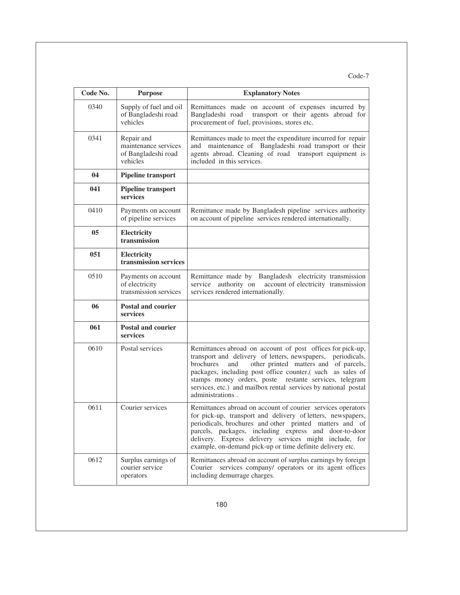| Code No. | <b>Purpose</b>                                                        | <b>Explanatory Notes</b>                                                                                                                                                                                                                                                                                                                                                                             |
|----------|-----------------------------------------------------------------------|------------------------------------------------------------------------------------------------------------------------------------------------------------------------------------------------------------------------------------------------------------------------------------------------------------------------------------------------------------------------------------------------------|
| 0340     | Supply of fuel and oil<br>of Bangladeshi road<br>vehicles             | Remittances made on account of expenses incurred by<br>Bangladeshi road<br>transport or their agents abroad for<br>procurement of fuel, provisions, stores etc.                                                                                                                                                                                                                                      |
| 0341     | Repair and<br>maintenance services<br>of Bangladeshi road<br>vehicles | Remittances made to meet the expenditure incurred for repair<br>and maintenance of Bangladeshi road transport or their<br>agents abroad. Cleaning of road transport equipment is<br>included in this services.                                                                                                                                                                                       |
| 04       | <b>Pipeline transport</b>                                             |                                                                                                                                                                                                                                                                                                                                                                                                      |
| 041      | <b>Pipeline transport</b><br>services                                 |                                                                                                                                                                                                                                                                                                                                                                                                      |
| 0410     | Payments on account<br>of pipeline services                           | Remittance made by Bangladesh pipeline services authority<br>on account of pipeline services rendered internationally.                                                                                                                                                                                                                                                                               |
| 05       | Electricity<br>transmission                                           |                                                                                                                                                                                                                                                                                                                                                                                                      |
| 051      | <b>Electricity</b><br>transmission services                           |                                                                                                                                                                                                                                                                                                                                                                                                      |
| 0510     | Payments on account<br>of electricity<br>transmission services        | Remittance made by Bangladesh electricity transmission<br>authority on<br>account of electricity transmission<br>service<br>services rendered internationally.                                                                                                                                                                                                                                       |
| 06       | <b>Postal and courier</b><br>services                                 |                                                                                                                                                                                                                                                                                                                                                                                                      |
| 061      | <b>Postal and courier</b><br>services                                 |                                                                                                                                                                                                                                                                                                                                                                                                      |
| 0610     | Postal services                                                       | Remittances abroad on account of post offices for pick-up,<br>transport and delivery of letters, newspapers, periodicals,<br>other printed matters and of parcels,<br>brochures<br>and<br>packages, including post office counter, (such as sales of<br>stamps money orders, poste restante services, telegram<br>services, etc.) and mailbox rental services by national postal<br>administrations. |
| 0611     | Courier services                                                      | Remittances abroad on account of courier services operators<br>for pick-up, transport and delivery of letters, newspapers,<br>periodicals, brochures and other printed matters and of<br>parcels, packages, including express and door-to-door<br>delivery. Express delivery services might include, for<br>example, on-demand pick-up or time definite delivery etc.                                |
| 0612     | Surplus earnings of<br>courier service<br>operators                   | Remittances abroad on account of surplus earnings by foreign<br>Courier services company/ operators or its agent offices<br>including demurrage charges.                                                                                                                                                                                                                                             |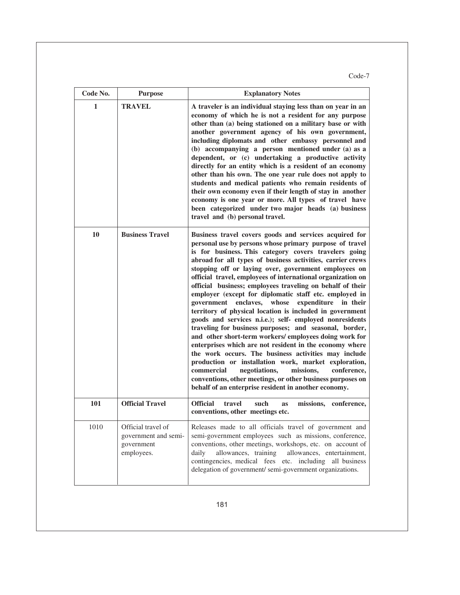| Code No. | <b>Purpose</b>                                                         | <b>Explanatory Notes</b>                                                                                                                                                                                                                                                                                                                                                                                                                                                                                                                                                                                                                                                                                                                                                                                                                                                                                                                                                                                                                                                                                                                                     |
|----------|------------------------------------------------------------------------|--------------------------------------------------------------------------------------------------------------------------------------------------------------------------------------------------------------------------------------------------------------------------------------------------------------------------------------------------------------------------------------------------------------------------------------------------------------------------------------------------------------------------------------------------------------------------------------------------------------------------------------------------------------------------------------------------------------------------------------------------------------------------------------------------------------------------------------------------------------------------------------------------------------------------------------------------------------------------------------------------------------------------------------------------------------------------------------------------------------------------------------------------------------|
| 1        | <b>TRAVEL</b>                                                          | A traveler is an individual staying less than on year in an<br>economy of which he is not a resident for any purpose<br>other than (a) being stationed on a military base or with<br>another government agency of his own government,<br>including diplomats and other embassy personnel and<br>(b) accompanying a person mentioned under (a) as a<br>dependent, or (c) undertaking a productive activity<br>directly for an entity which is a resident of an economy<br>other than his own. The one year rule does not apply to<br>students and medical patients who remain residents of<br>their own economy even if their length of stay in another<br>economy is one year or more. All types of travel have<br>been categorized under two major heads (a) business<br>travel and (b) personal travel.                                                                                                                                                                                                                                                                                                                                                    |
| 10       | <b>Business Travel</b>                                                 | Business travel covers goods and services acquired for<br>personal use by persons whose primary purpose of travel<br>is for business. This category covers travelers going<br>abroad for all types of business activities, carrier crews<br>stopping off or laying over, government employees on<br>official travel, employees of international organization on<br>official business; employees traveling on behalf of their<br>employer (except for diplomatic staff etc. employed in<br>government<br>enclaves,<br>whose<br>expenditure<br>in their<br>territory of physical location is included in government<br>goods and services n.i.e.); self- employed nonresidents<br>traveling for business purposes; and seasonal, border,<br>and other short-term workers/ employees doing work for<br>enterprises which are not resident in the economy where<br>the work occurs. The business activities may include<br>production or installation work, market exploration,<br>negotiations,<br>missions,<br>commercial<br>conference,<br>conventions, other meetings, or other business purposes on<br>behalf of an enterprise resident in another economy. |
| 101      | <b>Official Travel</b>                                                 | <b>Official</b><br>travel<br>such<br>missions, conference,<br><b>as</b><br>conventions, other meetings etc.                                                                                                                                                                                                                                                                                                                                                                                                                                                                                                                                                                                                                                                                                                                                                                                                                                                                                                                                                                                                                                                  |
| 1010     | Official travel of<br>government and semi-<br>government<br>employees. | Releases made to all officials travel of government and<br>semi-government employees such as missions, conference,<br>conventions, other meetings, workshops, etc. on account of<br>daily<br>allowances, training<br>allowances, entertainment,<br>contingencies, medical fees etc. including all business<br>delegation of government/semi-government organizations.                                                                                                                                                                                                                                                                                                                                                                                                                                                                                                                                                                                                                                                                                                                                                                                        |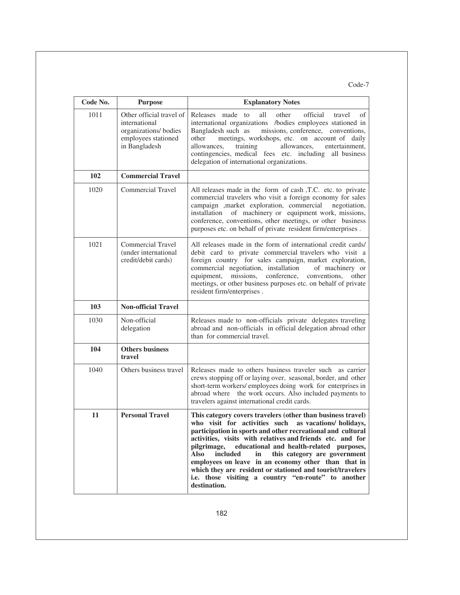| Code No. | <b>Purpose</b>                                                                                            | <b>Explanatory Notes</b>                                                                                                                                                                                                                                                                                                                                                                                                                                                                                                                                                  |
|----------|-----------------------------------------------------------------------------------------------------------|---------------------------------------------------------------------------------------------------------------------------------------------------------------------------------------------------------------------------------------------------------------------------------------------------------------------------------------------------------------------------------------------------------------------------------------------------------------------------------------------------------------------------------------------------------------------------|
| 1011     | Other official travel of<br>international<br>organizations/bodies<br>employees stationed<br>in Bangladesh | official<br>Releases made to<br>all<br>other<br>travel<br>of<br>international organizations /bodies employees stationed in<br>missions, conference, conventions,<br>Bangladesh such as<br>meetings, workshops, etc. on account of daily<br>other<br>allowances,<br>allowances,<br>training<br>entertainment.<br>contingencies, medical fees etc. including all business<br>delegation of international organizations.                                                                                                                                                     |
| 102      | <b>Commercial Travel</b>                                                                                  |                                                                                                                                                                                                                                                                                                                                                                                                                                                                                                                                                                           |
| 1020     | Commercial Travel                                                                                         | All releases made in the form of cash, T.C. etc. to private<br>commercial travelers who visit a foreign economy for sales<br>campaign , market exploration, commercial<br>negotiation,<br>installation<br>of machinery or equipment work, missions,<br>conference, conventions, other meetings, or other business<br>purposes etc. on behalf of private resident firm/enterprises.                                                                                                                                                                                        |
| 1021     | Commercial Travel<br>(under international<br>credit/debit cards)                                          | All releases made in the form of international credit cards/<br>debit card to private commercial travelers who visit a<br>foreign country for sales campaign, market exploration,<br>commercial negotiation, installation<br>of machinery or<br>conference,<br>equipment,<br>missions,<br>conventions,<br>other<br>meetings, or other business purposes etc. on behalf of private<br>resident firm/enterprises.                                                                                                                                                           |
| 103      | <b>Non-official Travel</b>                                                                                |                                                                                                                                                                                                                                                                                                                                                                                                                                                                                                                                                                           |
| 1030     | Non-official<br>delegation                                                                                | Releases made to non-officials private delegates traveling<br>abroad and non-officials in official delegation abroad other<br>than for commercial travel.                                                                                                                                                                                                                                                                                                                                                                                                                 |
| 104      | <b>Others business</b><br>travel                                                                          |                                                                                                                                                                                                                                                                                                                                                                                                                                                                                                                                                                           |
| 1040     | Others business travel                                                                                    | Releases made to others business traveler such as carrier<br>crews stopping off or laying over, seasonal, border, and other<br>short-term workers/employees doing work for enterprises in<br>abroad where the work occurs. Also included payments to<br>travelers against international credit cards.                                                                                                                                                                                                                                                                     |
| 11       | <b>Personal Travel</b>                                                                                    | This category covers travelers (other than business travel)<br>who visit for activities such as vacations/ holidays,<br>participation in sports and other recreational and cultural<br>activities, visits with relatives and friends etc. and for<br>pilgrimage,<br>educational and health-related purposes,<br>included<br><b>Also</b><br>this category are government<br>in<br>employees on leave in an economy other than that in<br>which they are resident or stationed and tourist/travelers<br>i.e. those visiting a country "en-route" to another<br>destination. |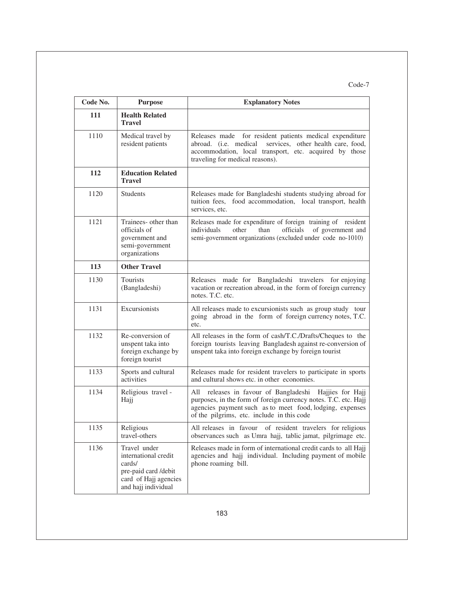| Code No. | <b>Purpose</b>                                                                                                         | <b>Explanatory Notes</b>                                                                                                                                                                                                               |
|----------|------------------------------------------------------------------------------------------------------------------------|----------------------------------------------------------------------------------------------------------------------------------------------------------------------------------------------------------------------------------------|
| 111      | <b>Health Related</b><br><b>Travel</b>                                                                                 |                                                                                                                                                                                                                                        |
| 1110     | Medical travel by<br>resident patients                                                                                 | Releases made<br>for resident patients medical expenditure<br>abroad. (i.e. medical<br>services, other health care, food,<br>accommodation, local transport, etc. acquired by those<br>traveling for medical reasons).                 |
| 112      | <b>Education Related</b><br><b>Travel</b>                                                                              |                                                                                                                                                                                                                                        |
| 1120     | <b>Students</b>                                                                                                        | Releases made for Bangladeshi students studying abroad for<br>tuition fees, food accommodation, local transport, health<br>services, etc.                                                                                              |
| 1121     | Trainees- other than<br>officials of<br>government and<br>semi-government<br>organizations                             | Releases made for expenditure of foreign training of resident<br>individuals<br>other<br>than<br>officials<br>of government and<br>semi-government organizations (excluded under code no-1010)                                         |
| 113      | <b>Other Travel</b>                                                                                                    |                                                                                                                                                                                                                                        |
| 1130     | Tourists<br>(Bangladeshi)                                                                                              | Releases made for Bangladeshi travelers for enjoying<br>vacation or recreation abroad, in the form of foreign currency<br>notes. T.C. etc.                                                                                             |
| 1131     | Excursionists                                                                                                          | All releases made to excursionists such as group study tour<br>going abroad in the form of foreign currency notes, T.C.<br>etc.                                                                                                        |
| 1132     | Re-conversion of<br>unspent taka into<br>foreign exchange by<br>foreign tourist                                        | All releases in the form of cash/T.C./Drafts/Cheques to the<br>foreign tourists leaving Bangladesh against re-conversion of<br>unspent taka into foreign exchange by foreign tourist                                                   |
| 1133     | Sports and cultural<br>activities                                                                                      | Releases made for resident travelers to participate in sports<br>and cultural shows etc. in other economies.                                                                                                                           |
| 1134     | Religious travel -<br>Hajj                                                                                             | releases in favour of Bangladeshi Hajjies for Hajj<br>All<br>purposes, in the form of foreign currency notes. T.C. etc. Hajj<br>agencies payment such as to meet food, lodging, expenses<br>of the pilgrims, etc. include in this code |
| 1135     | Religious<br>travel-others                                                                                             | All releases in favour of resident travelers for religious<br>observances such as Umra hajj, tablic jamat, pilgrimage etc.                                                                                                             |
| 1136     | Travel under<br>international credit<br>cards/<br>pre-paid card /debit<br>card of Hajj agencies<br>and hajj individual | Releases made in form of international credit cards to all Hajj<br>agencies and hajj individual. Including payment of mobile<br>phone roaming bill.                                                                                    |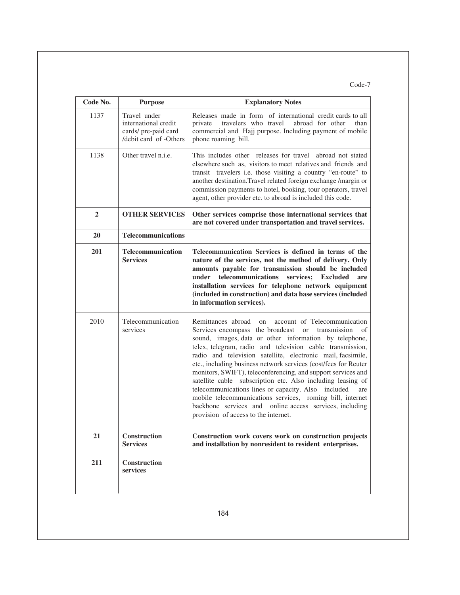| Code No.       | <b>Purpose</b>                                                                         | <b>Explanatory Notes</b>                                                                                                                                                                                                                                                                                                                                                                                                                                                                                                                                                                                                                                                                                                                              |
|----------------|----------------------------------------------------------------------------------------|-------------------------------------------------------------------------------------------------------------------------------------------------------------------------------------------------------------------------------------------------------------------------------------------------------------------------------------------------------------------------------------------------------------------------------------------------------------------------------------------------------------------------------------------------------------------------------------------------------------------------------------------------------------------------------------------------------------------------------------------------------|
| 1137           | Travel under<br>international credit<br>cards/ pre-paid card<br>/debit card of -Others | Releases made in form of international credit cards to all<br>travelers who travel<br>private<br>abroad for other<br>than<br>commercial and Hajj purpose. Including payment of mobile<br>phone roaming bill.                                                                                                                                                                                                                                                                                                                                                                                                                                                                                                                                          |
| 1138           | Other travel n.i.e.                                                                    | This includes other releases for travel abroad not stated<br>elsewhere such as, visitors to meet relatives and friends and<br>transit travelers i.e. those visiting a country "en-route" to<br>another destination. Travel related foreign exchange /margin or<br>commission payments to hotel, booking, tour operators, travel<br>agent, other provider etc. to abroad is included this code.                                                                                                                                                                                                                                                                                                                                                        |
| $\overline{2}$ | <b>OTHER SERVICES</b>                                                                  | Other services comprise those international services that<br>are not covered under transportation and travel services.                                                                                                                                                                                                                                                                                                                                                                                                                                                                                                                                                                                                                                |
| 20             | <b>Telecommunications</b>                                                              |                                                                                                                                                                                                                                                                                                                                                                                                                                                                                                                                                                                                                                                                                                                                                       |
| 201            | <b>Telecommunication</b><br><b>Services</b>                                            | Telecommunication Services is defined in terms of the<br>nature of the services, not the method of delivery. Only<br>amounts payable for transmission should be included<br>telecommunications<br>services;<br>under<br><b>Excluded</b><br>are<br>installation services for telephone network equipment<br>(included in construction) and data base services (included<br>in information services).                                                                                                                                                                                                                                                                                                                                                   |
| 2010           | Telecommunication<br>services                                                          | account of Telecommunication<br>Remittances abroad<br>on<br>Services encompass the broadcast<br><b>or</b><br>transmission<br>of<br>sound, images, data or other information by telephone,<br>telex, telegram, radio and television cable transmission,<br>radio and television satellite, electronic mail, facsimile,<br>etc., including business network services (cost/fees for Reuter<br>monitors, SWIFT), teleconferencing, and support services and<br>satellite cable subscription etc. Also including leasing of<br>telecommunications lines or capacity. Also included<br>are<br>mobile telecommunications services, roming bill, internet<br>backbone services and online access services, including<br>provision of access to the internet. |
| 21             | Construction<br><b>Services</b>                                                        | Construction work covers work on construction projects<br>and installation by nonresident to resident enterprises.                                                                                                                                                                                                                                                                                                                                                                                                                                                                                                                                                                                                                                    |
| 211            | Construction<br>services                                                               |                                                                                                                                                                                                                                                                                                                                                                                                                                                                                                                                                                                                                                                                                                                                                       |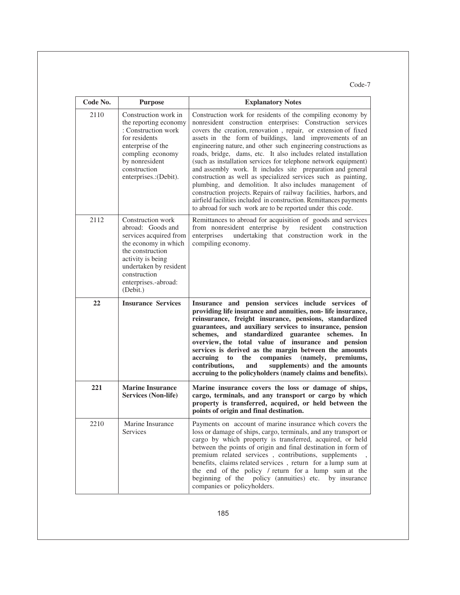| Code No. | <b>Purpose</b>                                                                                                                                                                                                  | <b>Explanatory Notes</b>                                                                                                                                                                                                                                                                                                                                                                                                                                                                                                                                                                                                                                                                                                                                                                                                                                                  |
|----------|-----------------------------------------------------------------------------------------------------------------------------------------------------------------------------------------------------------------|---------------------------------------------------------------------------------------------------------------------------------------------------------------------------------------------------------------------------------------------------------------------------------------------------------------------------------------------------------------------------------------------------------------------------------------------------------------------------------------------------------------------------------------------------------------------------------------------------------------------------------------------------------------------------------------------------------------------------------------------------------------------------------------------------------------------------------------------------------------------------|
| 2110     | Construction work in<br>the reporting economy<br>: Construction work<br>for residents<br>enterprise of the<br>compling economy<br>by nonresident<br>construction<br>enterprises.: (Debit).                      | Construction work for residents of the compiling economy by<br>nonresident construction enterprises: Construction services<br>covers the creation, renovation, repair, or extension of fixed<br>assets in the form of buildings, land improvements of an<br>engineering nature, and other such engineering constructions as<br>roads, bridge, dams, etc. It also includes related installation<br>(such as installation services for telephone network equipment)<br>and assembly work. It includes site preparation and general<br>construction as well as specialized services such as painting,<br>plumbing, and demolition. It also includes management of<br>construction projects. Repairs of railway facilities, harbors, and<br>airfield facilities included in construction. Remittances payments<br>to abroad for such work are to be reported under this code. |
| 2112     | Construction work<br>abroad: Goods and<br>services acquired from<br>the economy in which<br>the construction<br>activity is being<br>undertaken by resident<br>construction<br>enterprises.-abroad:<br>(Debit.) | Remittances to abroad for acquisition of goods and services<br>from nonresident enterprise by<br>resident<br>construction<br>undertaking that construction work in the<br>enterprises<br>compiling economy.                                                                                                                                                                                                                                                                                                                                                                                                                                                                                                                                                                                                                                                               |
| 22       | <b>Insurance Services</b>                                                                                                                                                                                       | Insurance and pension services include services of<br>providing life insurance and annuities, non-life insurance,<br>reinsurance, freight insurance, pensions, standardized<br>guarantees, and auxiliary services to insurance, pension<br>standardized guarantee<br>schemes,<br>and<br>schemes. In<br>overview, the total value of insurance and pension<br>services is derived as the margin between the amounts<br>accruing<br>to<br>the<br>companies<br>(namely, premiums,<br>contributions,<br>supplements) and the amounts<br>and<br>accruing to the policyholders (namely claims and benefits).                                                                                                                                                                                                                                                                    |
| 221      | <b>Marine Insurance</b><br><b>Services (Non-life)</b>                                                                                                                                                           | Marine insurance covers the loss or damage of ships,<br>cargo, terminals, and any transport or cargo by which<br>property is transferred, acquired, or held between the<br>points of origin and final destination.                                                                                                                                                                                                                                                                                                                                                                                                                                                                                                                                                                                                                                                        |
| 2210     | Marine Insurance<br>Services                                                                                                                                                                                    | Payments on account of marine insurance which covers the<br>loss or damage of ships, cargo, terminals, and any transport or<br>cargo by which property is transferred, acquired, or held<br>between the points of origin and final destination in form of<br>premium related services, contributions, supplements<br>benefits, claims related services, return for a lump sum at<br>the end of the policy / return for a lump sum at the<br>beginning of the policy (annuities) etc.<br>by insurance<br>companies or policyholders.                                                                                                                                                                                                                                                                                                                                       |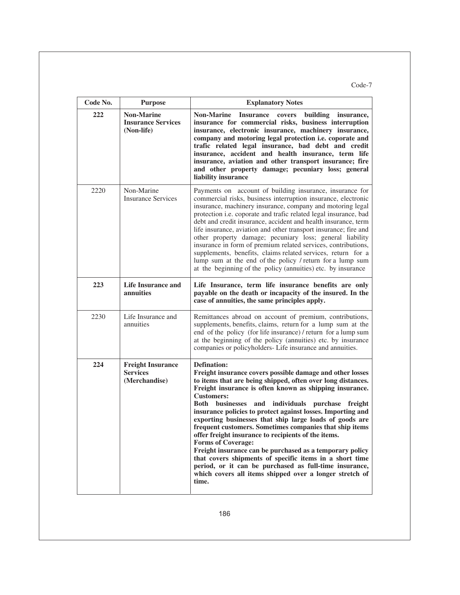| Code No. | <b>Purpose</b>                                               | <b>Explanatory Notes</b>                                                                                                                                                                                                                                                                                                                                                                                                                                                                                                                                                                                                                                                                                                                                                                                     |
|----------|--------------------------------------------------------------|--------------------------------------------------------------------------------------------------------------------------------------------------------------------------------------------------------------------------------------------------------------------------------------------------------------------------------------------------------------------------------------------------------------------------------------------------------------------------------------------------------------------------------------------------------------------------------------------------------------------------------------------------------------------------------------------------------------------------------------------------------------------------------------------------------------|
| 222      | <b>Non-Marine</b><br><b>Insurance Services</b><br>(Non-life) | <b>Non-Marine</b><br>Insurance covers building<br>insurance,<br>insurance for commercial risks, business interruption<br>insurance, electronic insurance, machinery insurance,<br>company and motoring legal protection i.e. coporate and<br>trafic related legal insurance, bad debt and credit<br>insurance, accident and health insurance, term life<br>insurance, aviation and other transport insurance; fire<br>and other property damage; pecuniary loss; general<br>liability insurance                                                                                                                                                                                                                                                                                                              |
| 2220     | Non-Marine<br><b>Insurance Services</b>                      | Payments on account of building insurance, insurance for<br>commercial risks, business interruption insurance, electronic<br>insurance, machinery insurance, company and motoring legal<br>protection i.e. coporate and trafic related legal insurance, bad<br>debt and credit insurance, accident and health insurance, term<br>life insurance, aviation and other transport insurance; fire and<br>other property damage; pecuniary loss; general liability<br>insurance in form of premium related services, contributions,<br>supplements, benefits, claims related services, return for a<br>lump sum at the end of the policy / return for a lump sum<br>at the beginning of the policy (annuities) etc. by insurance                                                                                  |
| 223      | Life Insurance and<br>annuities                              | Life Insurance, term life insurance benefits are only<br>payable on the death or incapacity of the insured. In the<br>case of annuities, the same principles apply.                                                                                                                                                                                                                                                                                                                                                                                                                                                                                                                                                                                                                                          |
| 2230     | Life Insurance and<br>annuities                              | Remittances abroad on account of premium, contributions,<br>supplements, benefits, claims, return for a lump sum at the<br>end of the policy (for life insurance) / return for a lump sum<br>at the beginning of the policy (annuities) etc. by insurance<br>companies or policyholders- Life insurance and annuities.                                                                                                                                                                                                                                                                                                                                                                                                                                                                                       |
| 224      | <b>Freight Insurance</b><br><b>Services</b><br>(Merchandise) | Defination:<br>Freight insurance covers possible damage and other losses<br>to items that are being shipped, often over long distances.<br>Freight insurance is often known as shipping insurance.<br><b>Customers:</b><br>Both businesses<br>and individuals purchase freight<br>insurance policies to protect against losses. Importing and<br>exporting businesses that ship large loads of goods are<br>frequent customers. Sometimes companies that ship items<br>offer freight insurance to recipients of the items.<br><b>Forms of Coverage:</b><br>Freight insurance can be purchased as a temporary policy<br>that covers shipments of specific items in a short time<br>period, or it can be purchased as full-time insurance,<br>which covers all items shipped over a longer stretch of<br>time. |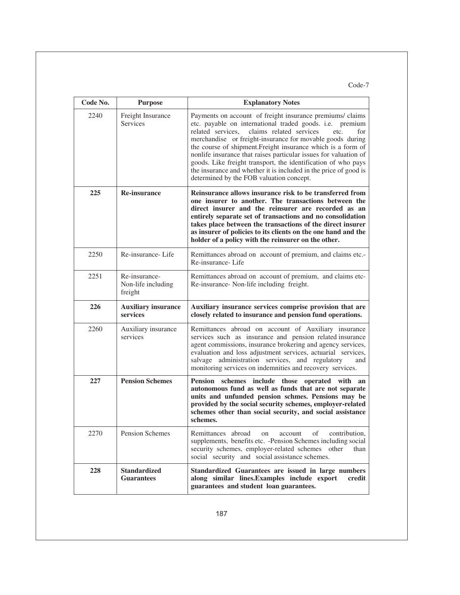| Code No. | <b>Purpose</b>                                 | <b>Explanatory Notes</b>                                                                                                                                                                                                                                                                                                                                                                                                                                                                                                                                               |
|----------|------------------------------------------------|------------------------------------------------------------------------------------------------------------------------------------------------------------------------------------------------------------------------------------------------------------------------------------------------------------------------------------------------------------------------------------------------------------------------------------------------------------------------------------------------------------------------------------------------------------------------|
| 2240     | Freight Insurance<br><b>Services</b>           | Payments on account of freight insurance premiums/ claims<br>etc. payable on international traded goods. i.e. premium<br>claims related services<br>related services.<br>etc.<br>for<br>merchandise or freight-insurance for movable goods during<br>the course of shipment. Freight insurance which is a form of<br>nonlife insurance that raises particular issues for valuation of<br>goods. Like freight transport, the identification of who pays<br>the insurance and whether it is included in the price of good is<br>determined by the FOB valuation concept. |
| 225      | <b>Re-insurance</b>                            | Reinsurance allows insurance risk to be transferred from<br>one insurer to another. The transactions between the<br>direct insurer and the reinsurer are recorded as an<br>entirely separate set of transactions and no consolidation<br>takes place between the transactions of the direct insurer<br>as insurer of policies to its clients on the one hand and the<br>holder of a policy with the reinsurer on the other.                                                                                                                                            |
| 2250     | Re-insurance-Life                              | Remittances abroad on account of premium, and claims etc.-<br>Re-insurance-Life                                                                                                                                                                                                                                                                                                                                                                                                                                                                                        |
| 2251     | Re-insurance-<br>Non-life including<br>freight | Remittances abroad on account of premium, and claims etc-<br>Re-insurance- Non-life including freight.                                                                                                                                                                                                                                                                                                                                                                                                                                                                 |
| 226      | <b>Auxiliary insurance</b><br>services         | Auxiliary insurance services comprise provision that are<br>closely related to insurance and pension fund operations.                                                                                                                                                                                                                                                                                                                                                                                                                                                  |
| 2260     | Auxiliary insurance<br>services                | Remittances abroad on account of Auxiliary insurance<br>services such as insurance and pension related insurance<br>agent commissions, insurance brokering and agency services,<br>evaluation and loss adjustment services, actuarial services,<br>salvage administration services, and regulatory<br>and<br>monitoring services on indemnities and recovery services.                                                                                                                                                                                                 |
| 227      | <b>Pension Schemes</b>                         | Pension schemes include those operated with an<br>autonomous fund as well as funds that are not separate<br>units and unfunded pension schmes. Pensions may be<br>provided by the social security schemes, employer-related<br>schemes other than social security, and social assistance<br>schemes.                                                                                                                                                                                                                                                                   |
| 2270     | Pension Schemes                                | Remittances abroad on<br>account of contribution,<br>supplements, benefits etc. - Pension Schemes including social<br>security schemes, employer-related schemes other<br>than<br>social security and social assistance schemes.                                                                                                                                                                                                                                                                                                                                       |
| 228      | <b>Standardized</b><br><b>Guarantees</b>       | Standardized Guarantees are issued in large numbers<br>along similar lines. Examples include export<br>credit<br>guarantees and student loan guarantees.                                                                                                                                                                                                                                                                                                                                                                                                               |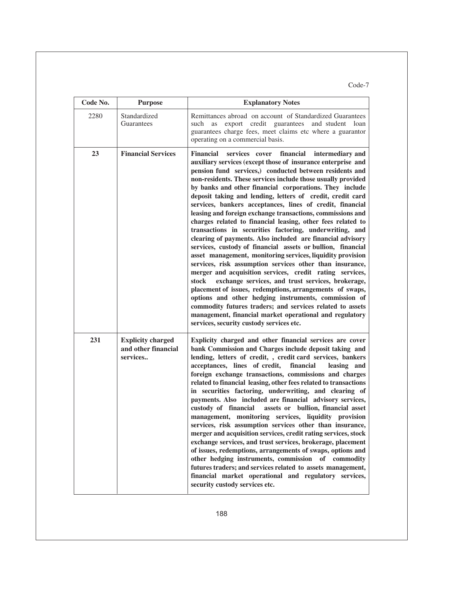| Code No. | <b>Purpose</b>                                              | <b>Explanatory Notes</b>                                                                                                                                                                                                                                                                                                                                                                                                                                                                                                                                                                                                                                                                                                                                                                                                                                                                                                                                                                                                                                                                                                                                                                                                                                                                                           |
|----------|-------------------------------------------------------------|--------------------------------------------------------------------------------------------------------------------------------------------------------------------------------------------------------------------------------------------------------------------------------------------------------------------------------------------------------------------------------------------------------------------------------------------------------------------------------------------------------------------------------------------------------------------------------------------------------------------------------------------------------------------------------------------------------------------------------------------------------------------------------------------------------------------------------------------------------------------------------------------------------------------------------------------------------------------------------------------------------------------------------------------------------------------------------------------------------------------------------------------------------------------------------------------------------------------------------------------------------------------------------------------------------------------|
| 2280     | Standardized<br>Guarantees                                  | Remittances abroad on account of Standardized Guarantees<br>credit<br>guarantees<br>and student loan<br>such<br>as<br>export<br>guarantees charge fees, meet claims etc where a guarantor<br>operating on a commercial basis.                                                                                                                                                                                                                                                                                                                                                                                                                                                                                                                                                                                                                                                                                                                                                                                                                                                                                                                                                                                                                                                                                      |
| 23       | <b>Financial Services</b>                                   | <b>Financial</b><br>services cover financial<br>intermediary and<br>auxiliary services (except those of insurance enterprise and<br>pension fund services,) conducted between residents and<br>non-residents. These services include those usually provided<br>by banks and other financial corporations. They include<br>deposit taking and lending, letters of credit, credit card<br>services, bankers acceptances, lines of credit, financial<br>leasing and foreign exchange transactions, commissions and<br>charges related to financial leasing, other fees related to<br>transactions in securities factoring, underwriting, and<br>clearing of payments. Also included are financial advisory<br>services, custody of financial assets or bullion, financial<br>asset management, monitoring services, liquidity provision<br>services, risk assumption services other than insurance,<br>merger and acquisition services, credit rating services,<br>exchange services, and trust services, brokerage,<br>stock<br>placement of issues, redemptions, arrangements of swaps,<br>options and other hedging instruments, commission of<br>commodity futures traders; and services related to assets<br>management, financial market operational and regulatory<br>services, security custody services etc. |
| 231      | <b>Explicity charged</b><br>and other financial<br>services | Explicity charged and other financial services are cover<br>bank Commission and Charges include deposit taking and<br>lending, letters of credit, , credit card services, bankers<br>acceptances, lines of credit,<br>financial<br>leasing<br>and<br>foreign exchange transactions, commissions and charges<br>related to financial leasing, other fees related to transactions<br>in securities factoring, underwriting, and clearing of<br>payments. Also included are financial advisory services,<br>assets or bullion, financial asset<br>custody of financial<br>management, monitoring services, liquidity provision<br>services, risk assumption services other than insurance,<br>merger and acquisition services, credit rating services, stock<br>exchange services, and trust services, brokerage, placement<br>of issues, redemptions, arrangements of swaps, options and<br>other hedging instruments, commission<br>of<br>commodity<br>futures traders; and services related to assets management,<br>financial market operational and regulatory services,<br>security custody services etc.                                                                                                                                                                                                       |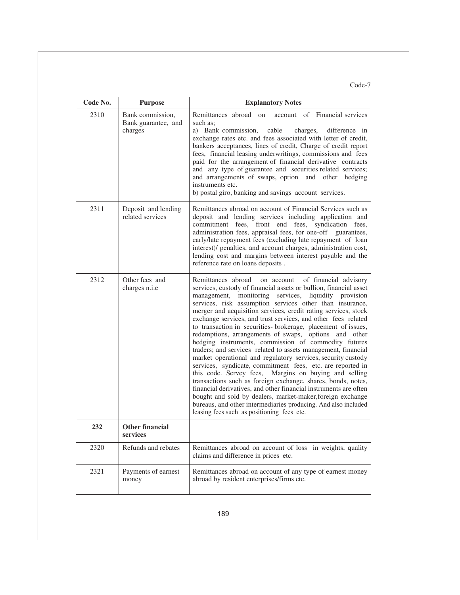| Code No. | <b>Purpose</b>                                     | <b>Explanatory Notes</b>                                                                                                                                                                                                                                                                                                                                                                                                                                                                                                                                                                                                                                                                                                                                                                                                                                                                                                                                                                                                                                                                                                                       |
|----------|----------------------------------------------------|------------------------------------------------------------------------------------------------------------------------------------------------------------------------------------------------------------------------------------------------------------------------------------------------------------------------------------------------------------------------------------------------------------------------------------------------------------------------------------------------------------------------------------------------------------------------------------------------------------------------------------------------------------------------------------------------------------------------------------------------------------------------------------------------------------------------------------------------------------------------------------------------------------------------------------------------------------------------------------------------------------------------------------------------------------------------------------------------------------------------------------------------|
| 2310     | Bank commission,<br>Bank guarantee, and<br>charges | account of Financial services<br>Remittances abroad on<br>such as:<br>a) Bank commission, cable<br>charges,<br>difference in<br>exchange rates etc. and fees associated with letter of credit,<br>bankers acceptances, lines of credit, Charge of credit report<br>fees, financial leasing underwritings, commissions and fees<br>paid for the arrangement of financial derivative contracts<br>and any type of guarantee and securities related services;<br>and arrangements of swaps, option and other<br>hedging<br>instruments etc.<br>b) postal giro, banking and savings account services.                                                                                                                                                                                                                                                                                                                                                                                                                                                                                                                                              |
| 2311     | Deposit and lending<br>related services            | Remittances abroad on account of Financial Services such as<br>deposit and lending services including application and<br>commitment fees, front end fees, syndication fees,<br>administration fees, appraisal fees, for one-off guarantees,<br>early/late repayment fees (excluding late repayment of loan<br>interest)/ penalties, and account charges, administration cost,<br>lending cost and margins between interest payable and the<br>reference rate on loans deposits.                                                                                                                                                                                                                                                                                                                                                                                                                                                                                                                                                                                                                                                                |
| 2312     | Other fees and<br>charges n.i.e                    | Remittances abroad on account of financial advisory<br>services, custody of financial assets or bullion, financial asset<br>management,<br>monitoring services, liquidity provision<br>services, risk assumption services other than insurance,<br>merger and acquisition services, credit rating services, stock<br>exchange services, and trust services, and other fees related<br>to transaction in securities- brokerage, placement of issues,<br>redemptions, arrangements of swaps, options and other<br>hedging instruments, commission of commodity futures<br>traders; and services related to assets management, financial<br>market operational and regulatory services, security custody<br>services, syndicate, commitment fees, etc. are reported in<br>this code. Servey fees, Margins on buying and selling<br>transactions such as foreign exchange, shares, bonds, notes,<br>financial derivatives, and other financial instruments are often<br>bought and sold by dealers, market-maker, foreign exchange<br>bureaus, and other intermediaries producing. And also included<br>leasing fees such as positioning fees etc. |
| 232      | <b>Other financial</b><br>services                 |                                                                                                                                                                                                                                                                                                                                                                                                                                                                                                                                                                                                                                                                                                                                                                                                                                                                                                                                                                                                                                                                                                                                                |
| 2320     | Refunds and rebates                                | Remittances abroad on account of loss in weights, quality<br>claims and difference in prices etc.                                                                                                                                                                                                                                                                                                                                                                                                                                                                                                                                                                                                                                                                                                                                                                                                                                                                                                                                                                                                                                              |
| 2321     | Payments of earnest<br>money                       | Remittances abroad on account of any type of earnest money<br>abroad by resident enterprises/firms etc.                                                                                                                                                                                                                                                                                                                                                                                                                                                                                                                                                                                                                                                                                                                                                                                                                                                                                                                                                                                                                                        |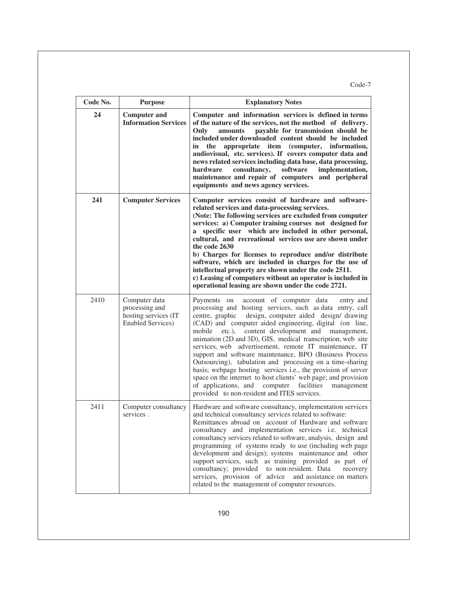| Code No. | <b>Purpose</b>                                                                      | <b>Explanatory Notes</b>                                                                                                                                                                                                                                                                                                                                                                                                                                                                                                                                                                                                                                                                                                                                                                                |
|----------|-------------------------------------------------------------------------------------|---------------------------------------------------------------------------------------------------------------------------------------------------------------------------------------------------------------------------------------------------------------------------------------------------------------------------------------------------------------------------------------------------------------------------------------------------------------------------------------------------------------------------------------------------------------------------------------------------------------------------------------------------------------------------------------------------------------------------------------------------------------------------------------------------------|
| 24       | <b>Computer and</b><br><b>Information Services</b>                                  | Computer and information services is defined in terms<br>of the nature of the services, not the method of delivery.<br>payable for transmission should be<br>Only<br>amounts<br>included under downloaded content should be included<br>the appropriate item (computer, information,<br>in<br>audiovisual, etc. services). If covers computer data and<br>news related services including data base, data processing,<br>hardware<br>consultancy,<br>software<br>implementation,<br>maintenance and repair of computers and peripheral<br>equipments and news agency services.                                                                                                                                                                                                                          |
| 241      | <b>Computer Services</b>                                                            | Computer services consist of hardware and software-<br>related services and data-processing services.<br>(Note: The following services are excluded from computer<br>services: a) Computer training courses not designed for<br>a specific user which are included in other personal,<br>cultural, and recreational services use are shown under<br>the code 2630<br>b) Charges for licenses to reproduce and/or distribute<br>software, which are included in charges for the use of<br>intellectual property are shown under the code 2511.<br>c) Leasing of computers without an operator is included in<br>operational leasing are shown under the code 2721.                                                                                                                                       |
| 2410     | Computer data<br>processing and<br>hosting services (IT<br><b>Enabled Services)</b> | account of computer data<br>Payments on<br>entry and<br>processing and hosting services, such as data entry, call<br>centre, graphic<br>design, computer aided design/ drawing<br>(CAD) and computer aided engineering, digital (on line,<br>content development and management,<br>mobile<br>$etc.$ ),<br>animation (2D and 3D), GIS, medical transcription, web site<br>services, web advertisement, remote IT maintenance, IT<br>support and software maintenance, BPO (Business Process<br>Outsourcing), tabulation and processing on a time-sharing<br>basis; webpage hosting services i.e., the provision of server<br>space on the internet to host clients' web page; and provision<br>of applications, and computer<br>facilities<br>management<br>provided to non-resident and ITES services. |
| 2411     | Computer consultancy<br>services.                                                   | Hardware and software consultancy, implementation services<br>and technical consultancy services related to software:<br>Remittances abroad on account of Hardware and software<br>consultancy and implementation services i.e. technical<br>consultancy services related to software, analysis, design and<br>programming of systems ready to use (including web page<br>development and design); systems maintenance and other<br>support services, such as training provided as part of<br>consultancy; provided to non-resident. Data<br>recovery<br>services, provision of advice and assistance on matters<br>related to the management of computer resources.                                                                                                                                    |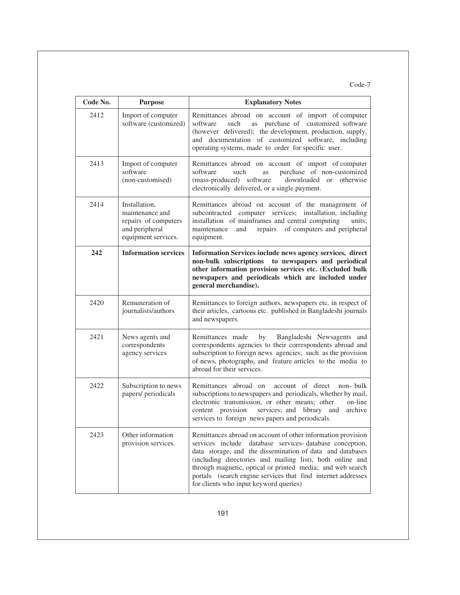| Code No. | <b>Purpose</b>                                                                                    | <b>Explanatory Notes</b>                                                                                                                                                                                                                                                                                                                                                                                                     |
|----------|---------------------------------------------------------------------------------------------------|------------------------------------------------------------------------------------------------------------------------------------------------------------------------------------------------------------------------------------------------------------------------------------------------------------------------------------------------------------------------------------------------------------------------------|
| 2412     | Import of computer<br>software (customized)                                                       | Remittances abroad on account of import of computer<br>as purchase of customized software<br>software<br>such<br>(however delivered); the development, production, supply,<br>and documentation of customized software, including<br>operating systems, made to order for specific user.                                                                                                                                     |
| 2413     | Import of computer<br>software<br>(non-customised)                                                | Remittances abroad on account of import of computer<br>purchase of non-customized<br>such<br>as<br>software<br>downloaded or otherwise<br>(mass-produced) software<br>electronically delivered, or a single payment.                                                                                                                                                                                                         |
| 2414     | Installation,<br>maintenance and<br>repairs of computers<br>and peripheral<br>equipment services. | Remittances abroad on account of the management of<br>subcontracted computer services; installation, including<br>installation of mainframes and central computing<br>units:<br>of computers and peripheral<br>maintenance<br>and<br>repairs<br>equipment.                                                                                                                                                                   |
| 242      | <b>Information services</b>                                                                       | Information Services include news agency services, direct<br>non-bulk subscriptions<br>to newspapers and periodical<br>other information provision services etc. (Excluded bulk<br>newspapers and periodicals which are included under<br>general merchandise).                                                                                                                                                              |
| 2420     | Remuneration of<br>journalists/authors                                                            | Remittances to foreign authors, newspapers etc. in respect of<br>their articles, cartoons etc. published in Bangladeshi journals<br>and newspapers.                                                                                                                                                                                                                                                                          |
| 2421     | News agents and<br>correspondents<br>agency services                                              | by<br>Bangladeshi Newsagents and<br>Remittances made<br>correspondents agencies to their correspondents abroad and<br>subscription to foreign news agencies; such as the provision<br>of news, photographs, and feature articles to the media to<br>abroad for their services.                                                                                                                                               |
| 2422     | Subscription to news<br>papers/ periodicals                                                       | Remittances abroad on<br>account of direct<br>non-bulk<br>subscriptions to newspapers and periodicals, whether by mail,<br>electronic transmission, or other means; other<br>on-line<br>content provision<br>services; and library and<br>archive<br>services to foreign news papers and periodicals.                                                                                                                        |
| 2423     | Other information<br>provision services.                                                          | Remittances abroad on account of other information provision<br>services include<br>database services-database conception,<br>data storage, and the dissemination of data and databases<br>(including directories and mailing list), both online and<br>through magnetic, optical or printed media; and web search<br>portals (search engine services that find internet addresses<br>for clients who input keyword queries) |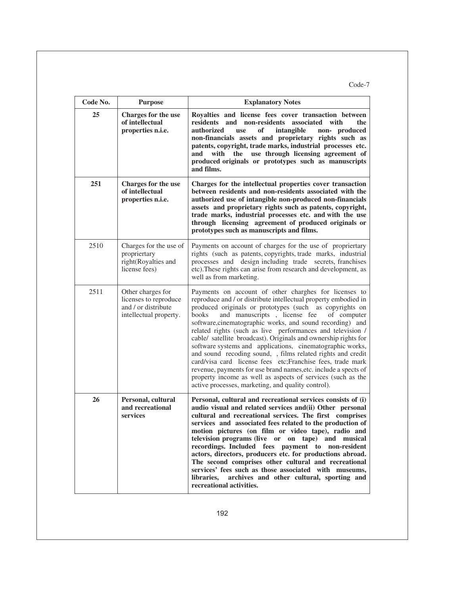| Code No. | <b>Purpose</b>                                                                              | <b>Explanatory Notes</b>                                                                                                                                                                                                                                                                                                                                                                                                                                                                                                                                                                                                                                                                                                                                                                                                     |
|----------|---------------------------------------------------------------------------------------------|------------------------------------------------------------------------------------------------------------------------------------------------------------------------------------------------------------------------------------------------------------------------------------------------------------------------------------------------------------------------------------------------------------------------------------------------------------------------------------------------------------------------------------------------------------------------------------------------------------------------------------------------------------------------------------------------------------------------------------------------------------------------------------------------------------------------------|
| 25       | Charges for the use<br>of intellectual<br>properties n.i.e.                                 | Royalties and license fees cover transaction between<br>residents and non-residents<br>associated<br>with<br>the<br>of<br>intangible<br>authorized<br><b>use</b><br>non- produced<br>non-financials assets and proprietary rights such as<br>patents, copyright, trade marks, industrial processes etc.<br>the use through licensing agreement of<br>with<br>and<br>produced originals or prototypes such as manuscripts<br>and films.                                                                                                                                                                                                                                                                                                                                                                                       |
| 251      | Charges for the use<br>of intellectual<br>properties n.i.e.                                 | Charges for the intellectual properties cover transaction<br>between residents and non-residents associated with the<br>authorized use of intangible non-produced non-financials<br>assets and proprietary rights such as patents, copyright,<br>trade marks, industrial processes etc. and with the use<br>through licensing agreement of produced originals or<br>prototypes such as manuscripts and films.                                                                                                                                                                                                                                                                                                                                                                                                                |
| 2510     | Charges for the use of<br>propriertary<br>right(Royalties and<br>license fees)              | Payments on account of charges for the use of propriertary<br>rights (such as patents, copyrights, trade marks, industrial<br>processes and design including trade secrets, franchises<br>etc). These rights can arise from research and development, as<br>well as from marketing.                                                                                                                                                                                                                                                                                                                                                                                                                                                                                                                                          |
| 2511     | Other charges for<br>licenses to reproduce<br>and / or distribute<br>intellectual property. | Payments on account of other charghes for licenses to<br>reproduce and / or distribute intellectual property embodied in<br>produced originals or prototypes (such as copyrights on<br>and manuscripts, license fee<br>books<br>of computer<br>software, cinematographic works, and sound recording) and<br>related rights (such as live performances and television /<br>cable/ satellite broadcast). Originals and ownership rights for<br>software systems and applications, cinematographic works,<br>and sound recoding sound, , films related rights and credit<br>card/visa card license fees etc; Franchise fees, trade mark<br>revenue, payments for use brand names, etc. include a spects of<br>property income as well as aspects of services (such as the<br>active processes, marketing, and quality control). |
| 26       | Personal, cultural<br>and recreational<br>services                                          | Personal, cultural and recreational services consists of (i)<br>audio visual and related services and (ii) Other personal<br>cultural and recreational services. The first comprises<br>services and associated fees related to the production of<br>motion pictures (on film or video tape), radio and<br>television programs (live or on tape) and musical<br>recordings. Included fees payment to non-resident<br>actors, directors, producers etc. for productions abroad.<br>The second comprises other cultural and recreational<br>services' fees such as those associated with museums,<br>archives and other cultural, sporting and<br>libraries,<br>recreational activities.                                                                                                                                       |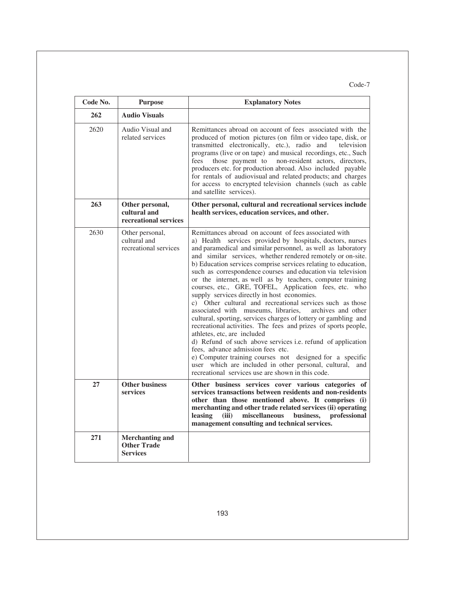| Code No. | <b>Purpose</b>                                                  | <b>Explanatory Notes</b>                                                                                                                                                                                                                                                                                                                                                                                                                                                                                                                                                                                                                                                                                                                                                                                                                                                                                                                                                                                                                                                                                                                   |
|----------|-----------------------------------------------------------------|--------------------------------------------------------------------------------------------------------------------------------------------------------------------------------------------------------------------------------------------------------------------------------------------------------------------------------------------------------------------------------------------------------------------------------------------------------------------------------------------------------------------------------------------------------------------------------------------------------------------------------------------------------------------------------------------------------------------------------------------------------------------------------------------------------------------------------------------------------------------------------------------------------------------------------------------------------------------------------------------------------------------------------------------------------------------------------------------------------------------------------------------|
| 262      | <b>Audio Visuals</b>                                            |                                                                                                                                                                                                                                                                                                                                                                                                                                                                                                                                                                                                                                                                                                                                                                                                                                                                                                                                                                                                                                                                                                                                            |
| 2620     | Audio Visual and<br>related services                            | Remittances abroad on account of fees associated with the<br>produced of motion pictures (on film or video tape, disk, or<br>transmitted electronically, etc.), radio and<br>television<br>programs (live or on tape) and musical recordings, etc., Such<br>those payment to non-resident actors, directors,<br>fees<br>producers etc. for production abroad. Also included payable<br>for rentals of audiovisual and related products; and charges<br>for access to encrypted television channels (such as cable<br>and satellite services).                                                                                                                                                                                                                                                                                                                                                                                                                                                                                                                                                                                              |
| 263      | Other personal,<br>cultural and<br>recreational services        | Other personal, cultural and recreational services include<br>health services, education services, and other.                                                                                                                                                                                                                                                                                                                                                                                                                                                                                                                                                                                                                                                                                                                                                                                                                                                                                                                                                                                                                              |
| 2630     | Other personal,<br>cultural and<br>recreational services        | Remittances abroad on account of fees associated with<br>a) Health services provided by hospitals, doctors, nurses<br>and paramedical and similar personnel, as well as laboratory<br>and similar services, whether rendered remotely or on-site.<br>b) Education services comprise services relating to education,<br>such as correspondence courses and education via television<br>or the internet, as well as by teachers, computer training<br>courses, etc., GRE, TOFEL, Application fees, etc. who<br>supply services directly in host economies.<br>c) Other cultural and recreational services such as those<br>associated with museums, libraries,<br>archives and other<br>cultural, sporting, services charges of lottery or gambling and<br>recreational activities. The fees and prizes of sports people,<br>athletes, etc, are included<br>d) Refund of such above services i.e. refund of application<br>fees, advance admission fees etc.<br>e) Computer training courses not designed for a specific<br>user which are included in other personal, cultural,<br>and<br>recreational services use are shown in this code. |
| 27       | <b>Other business</b><br>services                               | Other business services cover various categories of<br>services transactions between residents and non-residents<br>other than those mentioned above. It comprises (i)<br>merchanting and other trade related services (ii) operating<br>miscellaneous<br>professional<br>leasing<br>(iii)<br>business,<br>management consulting and technical services.                                                                                                                                                                                                                                                                                                                                                                                                                                                                                                                                                                                                                                                                                                                                                                                   |
| 271      | <b>Merchanting and</b><br><b>Other Trade</b><br><b>Services</b> |                                                                                                                                                                                                                                                                                                                                                                                                                                                                                                                                                                                                                                                                                                                                                                                                                                                                                                                                                                                                                                                                                                                                            |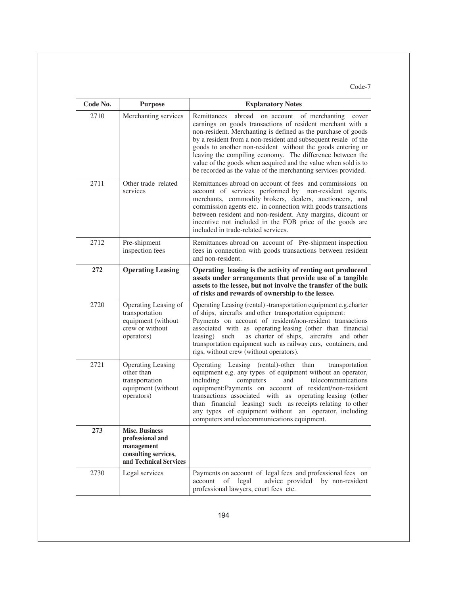| Code No. | <b>Purpose</b>                                                                                            | <b>Explanatory Notes</b>                                                                                                                                                                                                                                                                                                                                                                                                                                                                                                     |
|----------|-----------------------------------------------------------------------------------------------------------|------------------------------------------------------------------------------------------------------------------------------------------------------------------------------------------------------------------------------------------------------------------------------------------------------------------------------------------------------------------------------------------------------------------------------------------------------------------------------------------------------------------------------|
| 2710     | Merchanting services                                                                                      | Remittances<br>abroad<br>on account of merchanting<br>cover<br>earnings on goods transactions of resident merchant with a<br>non-resident. Merchanting is defined as the purchase of goods<br>by a resident from a non-resident and subsequent resale of the<br>goods to another non-resident without the goods entering or<br>leaving the compiling economy. The difference between the<br>value of the goods when acquired and the value when sold is to<br>be recorded as the value of the merchanting services provided. |
| 2711     | Other trade related<br>services                                                                           | Remittances abroad on account of fees and commissions on<br>account of services performed by non-resident agents,<br>merchants, commodity brokers, dealers, auctioneers, and<br>commission agents etc. in connection with goods transactions<br>between resident and non-resident. Any margins, dicount or<br>incentive not included in the FOB price of the goods are<br>included in trade-related services.                                                                                                                |
| 2712     | Pre-shipment<br>inspection fees                                                                           | Remittances abroad on account of Pre-shipment inspection<br>fees in connection with goods transactions between resident<br>and non-resident.                                                                                                                                                                                                                                                                                                                                                                                 |
| 272      | <b>Operating Leasing</b>                                                                                  | Operating leasing is the activity of renting out produceed<br>assets under arrangements that provide use of a tangible<br>assets to the lessee, but not involve the transfer of the bulk<br>of risks and rewards of ownership to the lessee.                                                                                                                                                                                                                                                                                 |
| 2720     | Operating Leasing of<br>transportation<br>equipment (without<br>crew or without<br>operators)             | Operating Leasing (rental) -transportation equipment e.g.charter<br>of ships, aircrafts and other transportation equipment:<br>Payments on account of resident/non-resident transactions<br>associated with as operating leasing (other than financial<br>as charter of ships, aircrafts<br>leasing)<br>such<br>and other<br>transportation equipment such as railway cars, containers, and<br>rigs, without crew (without operators).                                                                                       |
| 2721     | <b>Operating Leasing</b><br>other than<br>transportation<br>equipment (without<br>operators)              | Operating Leasing (rental)-other than<br>transportation<br>equipment e,g. any types of equipment without an operator,<br>including<br>computers<br>and<br>telecommunications<br>equipment:Payments on account of resident/non-resident<br>transactions associated with as operating leasing (other<br>than financial leasing) such as receipts relating to other<br>any types of equipment without an operator, including<br>computers and telecommunications equipment.                                                     |
| 273      | <b>Misc. Business</b><br>professional and<br>management<br>consulting services,<br>and Technical Services |                                                                                                                                                                                                                                                                                                                                                                                                                                                                                                                              |
| 2730     | Legal services                                                                                            | Payments on account of legal fees and professional fees on<br>advice provided<br>account<br>of<br>legal<br>by non-resident<br>professional lawyers, court fees etc.                                                                                                                                                                                                                                                                                                                                                          |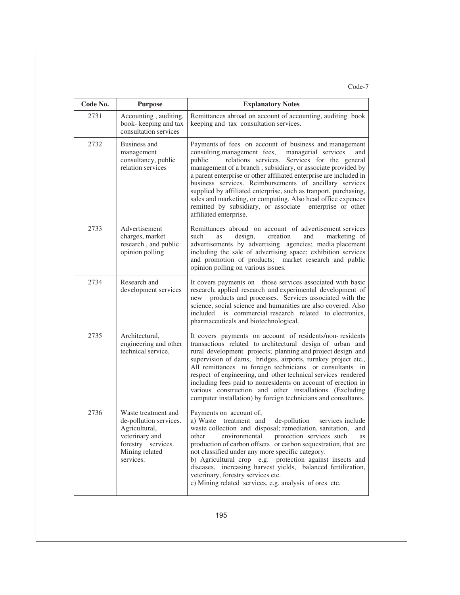| Code No. | <b>Purpose</b>                                                                                                                        | <b>Explanatory Notes</b>                                                                                                                                                                                                                                                                                                                                                                                                                                                                                                                                                                                     |
|----------|---------------------------------------------------------------------------------------------------------------------------------------|--------------------------------------------------------------------------------------------------------------------------------------------------------------------------------------------------------------------------------------------------------------------------------------------------------------------------------------------------------------------------------------------------------------------------------------------------------------------------------------------------------------------------------------------------------------------------------------------------------------|
| 2731     | Accounting, auditing,<br>book- keeping and tax<br>consultation services                                                               | Remittances abroad on account of accounting, auditing book<br>keeping and tax consultation services.                                                                                                                                                                                                                                                                                                                                                                                                                                                                                                         |
| 2732     | Business and<br>management<br>consultancy, public<br>relation services                                                                | Payments of fees on account of business and management<br>consulting, management fees,<br>managerial services<br>and<br>relations services. Services for the general<br>public<br>management of a branch, subsidiary, or associate provided by<br>a parent enterprise or other affiliated enterprise are included in<br>business services. Reimbursements of ancillary services<br>supplied by affiliated enterprise, such as tranport, purchasing,<br>sales and marketing, or computing. Also head office expences<br>remitted by subsidiary, or associate<br>enterprise or other<br>affiliated enterprise. |
| 2733     | Advertisement<br>charges, market<br>research, and public<br>opinion polling                                                           | Remittances abroad on account of advertisement services<br>creation<br>and<br>such<br>as<br>design,<br>marketing of<br>advertisements by advertising agencies; media placement<br>including the sale of advertising space; exhibition services<br>and promotion of products; market research and public<br>opinion polling on various issues.                                                                                                                                                                                                                                                                |
| 2734     | Research and<br>development services                                                                                                  | It covers payments on those services associated with basic<br>research, applied research and experimental development of<br>products and processes. Services associated with the<br>new<br>science, social science and humanities are also covered. Also<br>is commercial research related to electronics,<br>included<br>pharmaceuticals and biotechnological.                                                                                                                                                                                                                                              |
| 2735     | Architectural,<br>engineering and other<br>technical service,                                                                         | It covers payments on account of residents/non-residents<br>transactions related to architectural design of urban and<br>rural development projects; planning and project design and<br>supervision of dams, bridges, airports, turnkey project etc.,<br>All remittances to foreign technicians or consultants in<br>respect of engineering, and other technical services rendered<br>including fees paid to nonresidents on account of erection in<br>various construction and other installations (Excluding<br>computer installation) by foreign technicians and consultants.                             |
| 2736     | Waste treatment and<br>de-pollution services.<br>Agricultural,<br>veterinary and<br>forestry services.<br>Mining related<br>services. | Payments on account of;<br>a) Waste<br>treatment and<br>de-pollution<br>services include<br>waste collection and disposal; remediation, sanitation, and<br>other<br>environmental<br>protection services such<br>as<br>production of carbon offsets or carbon sequestration, that are<br>not classified under any more specific category.<br>b) Agricultural crop e.g. protection against insects and<br>diseases, increasing harvest yields, balanced fertilization,<br>veterinary, forestry services etc.<br>c) Mining related services, e.g. analysis of ores etc.                                        |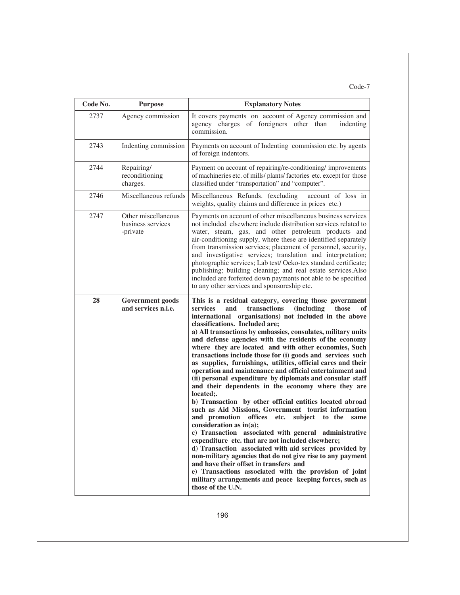| Code No. | <b>Purpose</b>                                       | <b>Explanatory Notes</b>                                                                                                                                                                                                                                                                                                                                                                                                                                                                                                                                                                                                                                                                                                                                                                                                                                                                                                                                                                                                                                                                                                                                                                                                                                                                                                                                                      |
|----------|------------------------------------------------------|-------------------------------------------------------------------------------------------------------------------------------------------------------------------------------------------------------------------------------------------------------------------------------------------------------------------------------------------------------------------------------------------------------------------------------------------------------------------------------------------------------------------------------------------------------------------------------------------------------------------------------------------------------------------------------------------------------------------------------------------------------------------------------------------------------------------------------------------------------------------------------------------------------------------------------------------------------------------------------------------------------------------------------------------------------------------------------------------------------------------------------------------------------------------------------------------------------------------------------------------------------------------------------------------------------------------------------------------------------------------------------|
| 2737     | Agency commission                                    | It covers payments on account of Agency commission and<br>agency charges of foreigners other than<br>indenting<br>commission.                                                                                                                                                                                                                                                                                                                                                                                                                                                                                                                                                                                                                                                                                                                                                                                                                                                                                                                                                                                                                                                                                                                                                                                                                                                 |
| 2743     | Indenting commission                                 | Payments on account of Indenting commission etc. by agents<br>of foreign indentors.                                                                                                                                                                                                                                                                                                                                                                                                                                                                                                                                                                                                                                                                                                                                                                                                                                                                                                                                                                                                                                                                                                                                                                                                                                                                                           |
| 2744     | Repairing/<br>reconditioning<br>charges.             | Payment on account of repairing/re-conditioning/ improvements<br>of machineries etc. of mills/ plants/ factories etc. except for those<br>classified under "transportation" and "computer".                                                                                                                                                                                                                                                                                                                                                                                                                                                                                                                                                                                                                                                                                                                                                                                                                                                                                                                                                                                                                                                                                                                                                                                   |
| 2746     | Miscellaneous refunds                                | Miscellaneous Refunds. (excluding<br>account of loss in<br>weights, quality claims and difference in prices etc.)                                                                                                                                                                                                                                                                                                                                                                                                                                                                                                                                                                                                                                                                                                                                                                                                                                                                                                                                                                                                                                                                                                                                                                                                                                                             |
| 2747     | Other miscellaneous<br>business services<br>-private | Payments on account of other miscellaneous business services<br>not included elsewhere include distribution services related to<br>water, steam, gas, and other petroleum products and<br>air-conditioning supply, where these are identified separately<br>from transmission services; placement of personnel, security,<br>and investigative services; translation and interpretation;<br>photographic services; Lab test/Oeko-tex standard certificate;<br>publishing; building cleaning; and real estate services. Also<br>included are forfeited down payments not able to be specified<br>to any other services and sponsoreship etc.                                                                                                                                                                                                                                                                                                                                                                                                                                                                                                                                                                                                                                                                                                                                   |
| 28       | <b>Government</b> goods<br>and services n.i.e.       | This is a residual category, covering those government<br>services<br>and<br>transactions<br><i>(including)</i><br>those<br>оf<br>international organisations) not included in the above<br>classifications. Included are;<br>a) All transactions by embassies, consulates, military units<br>and defense agencies with the residents of the economy<br>where they are located and with other economies, Such<br>transactions include those for (i) goods and services such<br>as supplies, furnishings, utilities, official cares and their<br>operation and maintenance and official entertainment and<br>(ii) personal expenditure by diplomats and consular staff<br>and their dependents in the economy where they are<br>located:.<br>b) Transaction by other official entities located abroad<br>such as Aid Missions, Government tourist information<br>offices etc. subject to the<br>and promotion<br>same<br>consideration as $in(a)$ ;<br>c) Transaction associated with general administrative<br>expenditure etc. that are not included elsewhere;<br>d) Transaction associated with aid services provided by<br>non-military agencies that do not give rise to any payment<br>and have their offset in transfers and<br>e) Transactions associated with the provision of joint<br>military arrangements and peace keeping forces, such as<br>those of the U.N. |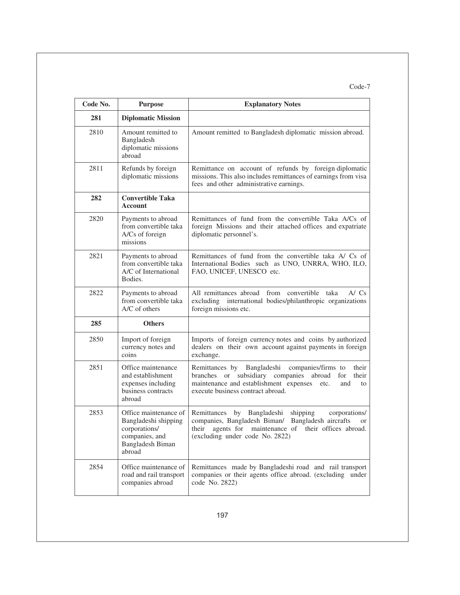| Code No. | <b>Purpose</b>                                                                                                        | <b>Explanatory Notes</b>                                                                                                                                                                                                       |
|----------|-----------------------------------------------------------------------------------------------------------------------|--------------------------------------------------------------------------------------------------------------------------------------------------------------------------------------------------------------------------------|
| 281      | <b>Diplomatic Mission</b>                                                                                             |                                                                                                                                                                                                                                |
| 2810     | Amount remitted to<br>Bangladesh<br>diplomatic missions<br>abroad                                                     | Amount remitted to Bangladesh diplomatic mission abroad.                                                                                                                                                                       |
| 2811     | Refunds by foreign<br>diplomatic missions                                                                             | Remittance on account of refunds by foreign diplomatic<br>missions. This also includes remittances of earnings from visa<br>fees and other administrative earnings.                                                            |
| 282      | <b>Convertible Taka</b><br>Account                                                                                    |                                                                                                                                                                                                                                |
| 2820     | Payments to abroad<br>from convertible taka<br>A/Cs of foreign<br>missions                                            | Remittances of fund from the convertible Taka A/Cs of<br>foreign Missions and their attached offices and expatriate<br>diplomatic personnel's.                                                                                 |
| 2821     | Payments to abroad<br>from convertible taka<br>A/C of International<br>Bodies.                                        | Remittances of fund from the convertible taka A/ Cs of<br>International Bodies such as UNO, UNRRA, WHO, ILO,<br>FAO, UNICEF, UNESCO etc.                                                                                       |
| 2822     | Payments to abroad<br>from convertible taka<br>A/C of others                                                          | All remittances abroad from convertible taka<br>A/Cs<br>excluding international bodies/philanthropic organizations<br>foreign missions etc.                                                                                    |
| 285      | <b>Others</b>                                                                                                         |                                                                                                                                                                                                                                |
| 2850     | Import of foreign<br>currency notes and<br>coins                                                                      | Imports of foreign currency notes and coins by authorized<br>dealers on their own account against payments in foreign<br>exchange.                                                                                             |
| 2851     | Office maintenance<br>and establishment<br>expenses including<br>business contracts<br>abroad                         | Remittances by Bangladeshi<br>companies/firms to<br>their<br>or subsidiary companies<br>branches<br>abroad<br>their<br>for<br>maintenance and establishment expenses<br>etc.<br>and<br>to<br>execute business contract abroad. |
| 2853     | Office maintenance of<br>Bangladeshi shipping<br>corporations/<br>companies, and<br><b>Bangladesh Biman</b><br>abroad | Remittances<br>by<br>Bangladeshi<br>shipping<br>corporations/<br>companies, Bangladesh Biman/<br>Bangladesh aircrafts<br>or<br>agents for<br>maintenance of their offices abroad.<br>their<br>(excluding under code No. 2822)  |
| 2854     | Office maintenance of<br>road and rail transport<br>companies abroad                                                  | Remittances made by Bangladeshi road and rail transport<br>companies or their agents office abroad. (excluding under<br>code No. 2822)                                                                                         |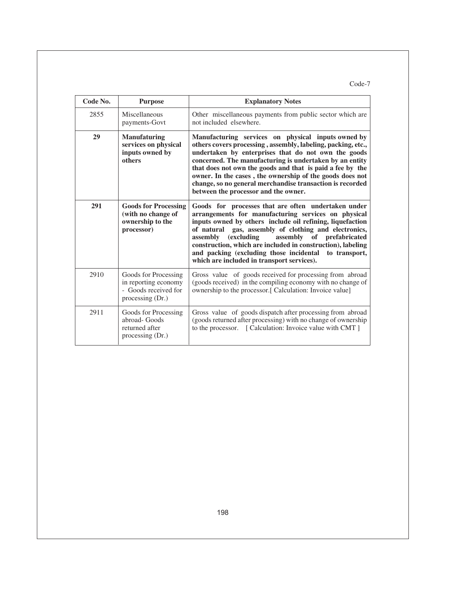| Code No. | <b>Purpose</b>                                                                           | <b>Explanatory Notes</b>                                                                                                                                                                                                                                                                                                                                                                                                                                              |
|----------|------------------------------------------------------------------------------------------|-----------------------------------------------------------------------------------------------------------------------------------------------------------------------------------------------------------------------------------------------------------------------------------------------------------------------------------------------------------------------------------------------------------------------------------------------------------------------|
| 2855     | Miscellaneous<br>payments-Govt                                                           | Other miscellaneous payments from public sector which are<br>not included elsewhere.                                                                                                                                                                                                                                                                                                                                                                                  |
| 29       | <b>Manufaturing</b><br>services on physical<br>inputs owned by<br>others                 | Manufacturing services on physical inputs owned by<br>others covers processing, assembly, labeling, packing, etc.,<br>undertaken by enterprises that do not own the goods<br>concerned. The manufacturing is undertaken by an entity<br>that does not own the goods and that is paid a fee by the<br>owner. In the cases, the ownership of the goods does not<br>change, so no general merchandise transaction is recorded<br>between the processor and the owner.    |
| 291      | <b>Goods for Processing</b><br>(with no change of<br>ownership to the<br>processor)      | Goods for processes that are often undertaken under<br>arrangements for manufacturing services on physical<br>inputs owned by others include oil refining, liquefaction<br>of natural gas, assembly of clothing and electronics,<br><i>(excluding)</i><br>assembly of prefabricated<br>assembly<br>construction, which are included in construction), labeling<br>and packing (excluding those incidental to transport,<br>which are included in transport services). |
| 2910     | Goods for Processing<br>in reporting economy<br>- Goods received for<br>processing (Dr.) | Gross value of goods received for processing from abroad<br>(goods received) in the compiling economy with no change of<br>ownership to the processor.[ Calculation: Invoice value]                                                                                                                                                                                                                                                                                   |
| 2911     | Goods for Processing<br>abroad- Goods<br>returned after<br>processing (Dr.)              | Gross value of goods dispatch after processing from abroad<br>(goods returned after processing) with no change of ownership<br>to the processor. [Calculation: Invoice value with CMT]                                                                                                                                                                                                                                                                                |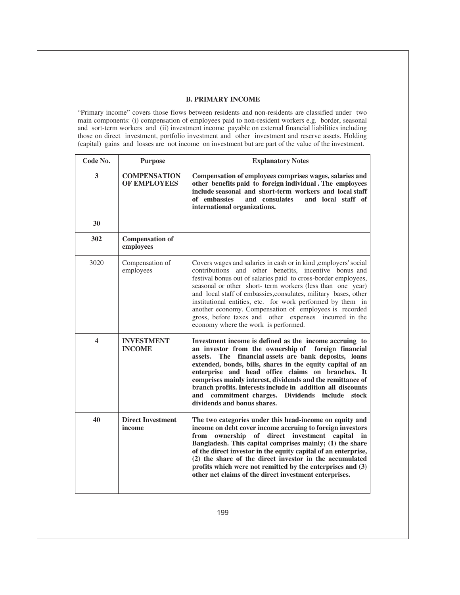## **B. PRIMARY INCOME**

"Primary income" covers those flows between residents and non-residents are classified under two main components: (i) compensation of employees paid to non-resident workers e.g. border, seasonal and sort-term workers and (ii) investment income payable on external financial liabilities including those on direct investment, portfolio investment and other investment and reserve assets. Holding (capital) gains and losses are not income on investment but are part of the value of the investment.

| Code No.         | <b>Purpose</b>                             | <b>Explanatory Notes</b>                                                                                                                                                                                                                                                                                                                                                                                                                                                                                                                              |
|------------------|--------------------------------------------|-------------------------------------------------------------------------------------------------------------------------------------------------------------------------------------------------------------------------------------------------------------------------------------------------------------------------------------------------------------------------------------------------------------------------------------------------------------------------------------------------------------------------------------------------------|
| 3                | <b>COMPENSATION</b><br><b>OF EMPLOYEES</b> | Compensation of employees comprises wages, salaries and<br>other benefits paid to foreign individual. The employees<br>include seasonal and short-term workers and local staff<br>and consulates<br>and local staff of<br>of embassies<br>international organizations.                                                                                                                                                                                                                                                                                |
| 30               |                                            |                                                                                                                                                                                                                                                                                                                                                                                                                                                                                                                                                       |
| 302              | <b>Compensation of</b><br>employees        |                                                                                                                                                                                                                                                                                                                                                                                                                                                                                                                                                       |
| 3020             | Compensation of<br>employees               | Covers wages and salaries in cash or in kind, employers' social<br>contributions and other benefits, incentive bonus and<br>festival bonus out of salaries paid to cross-border employees,<br>seasonal or other short- term workers (less than one year)<br>and local staff of embassies, consulates, military bases, other<br>institutional entities, etc. for work performed by them in<br>another economy. Compensation of employees is recorded<br>gross, before taxes and other expenses incurred in the<br>economy where the work is performed. |
| $\blacktriangle$ | <b>INVESTMENT</b><br><b>INCOME</b>         | Investment income is defined as the income accruing to<br>an investor from the ownership of foreign financial<br>The financial assets are bank deposits, loans<br>assets.<br>extended, bonds, bills, shares in the equity capital of an<br>enterprise and head office claims on branches. It<br>comprises mainly interest, dividends and the remittance of<br>branch profits. Interests include in addition all discounts<br>and commitment charges. Dividends include stock<br>dividends and bonus shares.                                           |
| 40               | <b>Direct Investment</b><br>income         | The two categories under this head-income on equity and<br>income on debt cover income accruing to foreign investors<br>from ownership of direct investment<br>capital<br>in<br>Bangladesh. This capital comprises mainly; (1) the share<br>of the direct investor in the equity capital of an enterprise,<br>(2) the share of the direct investor in the accumulated<br>profits which were not remitted by the enterprises and (3)<br>other net claims of the direct investment enterprises.                                                         |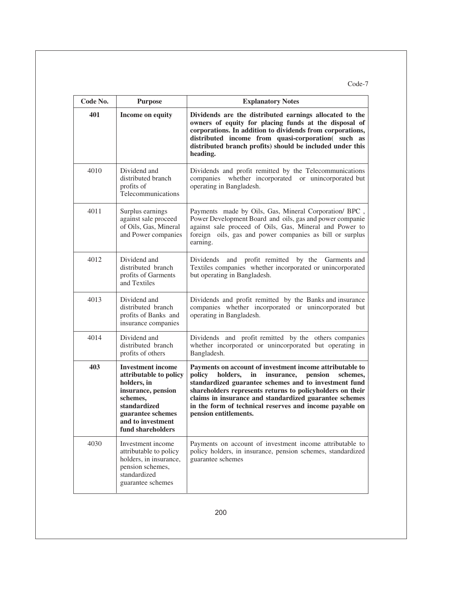| Code No. | <b>Purpose</b>                                                                                                                                                                     | <b>Explanatory Notes</b>                                                                                                                                                                                                                                                                                                                                                                      |
|----------|------------------------------------------------------------------------------------------------------------------------------------------------------------------------------------|-----------------------------------------------------------------------------------------------------------------------------------------------------------------------------------------------------------------------------------------------------------------------------------------------------------------------------------------------------------------------------------------------|
| 401      | Income on equity                                                                                                                                                                   | Dividends are the distributed earnings allocated to the<br>owners of equity for placing funds at the disposal of<br>corporations. In addition to dividends from corporations,<br>distributed income from quasi-corporation( such as<br>distributed branch profits) should be included under this<br>heading.                                                                                  |
| 4010     | Dividend and<br>distributed branch<br>profits of<br>Telecommunications                                                                                                             | Dividends and profit remitted by the Telecommunications<br>companies whether incorporated or unincorporated but<br>operating in Bangladesh.                                                                                                                                                                                                                                                   |
| 4011     | Surplus earnings<br>against sale proceed<br>of Oils, Gas, Mineral<br>and Power companies                                                                                           | Payments made by Oils, Gas, Mineral Corporation/ BPC,<br>Power Development Board and oils, gas and power companie<br>against sale proceed of Oils, Gas, Mineral and Power to<br>foreign oils, gas and power companies as bill or surplus<br>earning.                                                                                                                                          |
| 4012     | Dividend and<br>distributed branch<br>profits of Garments<br>and Textiles                                                                                                          | Dividends and profit remitted by the Garments and<br>Textiles companies whether incorporated or unincorporated<br>but operating in Bangladesh.                                                                                                                                                                                                                                                |
| 4013     | Dividend and<br>distributed branch<br>profits of Banks and<br>insurance companies                                                                                                  | Dividends and profit remitted by the Banks and insurance<br>companies whether incorporated or unincorporated but<br>operating in Bangladesh.                                                                                                                                                                                                                                                  |
| 4014     | Dividend and<br>distributed branch<br>profits of others                                                                                                                            | Dividends and profit remitted by the others companies<br>whether incorporated or unincorporated but operating in<br>Bangladesh.                                                                                                                                                                                                                                                               |
| 403      | <b>Investment</b> income<br>attributable to policy<br>holders, in<br>insurance, pension<br>schemes,<br>standardized<br>guarantee schemes<br>and to investment<br>fund shareholders | Payments on account of investment income attributable to<br>policy<br>holders,<br>in<br>insurance,<br>pension<br>schemes,<br>standardized guarantee schemes and to investment fund<br>shareholders represents returns to policyholders on their<br>claims in insurance and standardized guarantee schemes<br>in the form of technical reserves and income payable on<br>pension entitlements. |
| 4030     | Investment income<br>attributable to policy<br>holders, in insurance,<br>pension schemes,<br>standardized<br>guarantee schemes                                                     | Payments on account of investment income attributable to<br>policy holders, in insurance, pension schemes, standardized<br>guarantee schemes                                                                                                                                                                                                                                                  |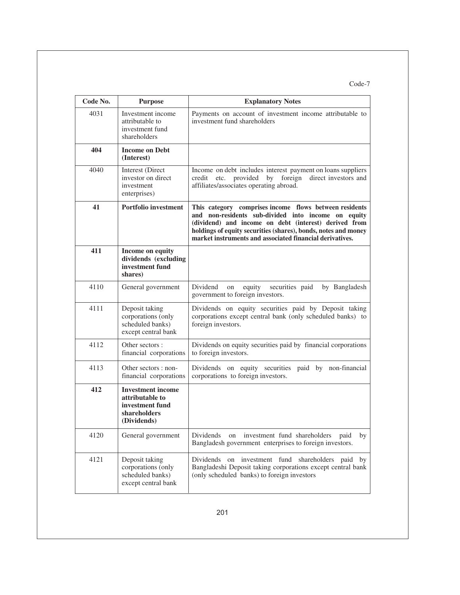| Code No. | <b>Purpose</b>                                                                                | <b>Explanatory Notes</b>                                                                                                                                                                                                                                                                             |
|----------|-----------------------------------------------------------------------------------------------|------------------------------------------------------------------------------------------------------------------------------------------------------------------------------------------------------------------------------------------------------------------------------------------------------|
| 4031     | Investment income<br>attributable to<br>investment fund<br>shareholders                       | Payments on account of investment income attributable to<br>investment fund shareholders                                                                                                                                                                                                             |
| 404      | <b>Income on Debt</b><br>(Interest)                                                           |                                                                                                                                                                                                                                                                                                      |
| 4040     | Interest (Direct<br>investor on direct<br>investment<br>enterprises)                          | Income on debt includes interest payment on loans suppliers<br>provided by foreign<br>direct investors and<br>credit<br>etc.<br>affiliates/associates operating abroad.                                                                                                                              |
| 41       | <b>Portfolio investment</b>                                                                   | This category comprises income flows between residents<br>and non-residents sub-divided into income on equity<br>(dividend) and income on debt (interest) derived from<br>holdings of equity securities (shares), bonds, notes and money<br>market instruments and associated financial derivatives. |
| 411      | Income on equity<br>dividends (excluding<br>investment fund<br>shares)                        |                                                                                                                                                                                                                                                                                                      |
| 4110     | General government                                                                            | Dividend<br>equity<br>securities paid<br>by Bangladesh<br>on<br>government to foreign investors.                                                                                                                                                                                                     |
| 4111     | Deposit taking<br>corporations (only<br>scheduled banks)<br>except central bank               | Dividends on equity securities paid by Deposit taking<br>corporations except central bank (only scheduled banks) to<br>foreign investors.                                                                                                                                                            |
| 4112     | Other sectors :<br>financial corporations                                                     | Dividends on equity securities paid by financial corporations<br>to foreign investors.                                                                                                                                                                                                               |
| 4113     | Other sectors : non-<br>financial corporations                                                | Dividends on equity securities paid by non-financial<br>corporations to foreign investors.                                                                                                                                                                                                           |
| 412      | <b>Investment income</b><br>attributable to<br>investment fund<br>shareholders<br>(Dividends) |                                                                                                                                                                                                                                                                                                      |
| 4120     | General government                                                                            | Dividends<br>investment fund shareholders<br>on<br>paid<br>by<br>Bangladesh government enterprises to foreign investors.                                                                                                                                                                             |
| 4121     | Deposit taking<br>corporations (only<br>scheduled banks)<br>except central bank               | Dividends on investment fund shareholders paid by<br>Bangladeshi Deposit taking corporations except central bank<br>(only scheduled banks) to foreign investors                                                                                                                                      |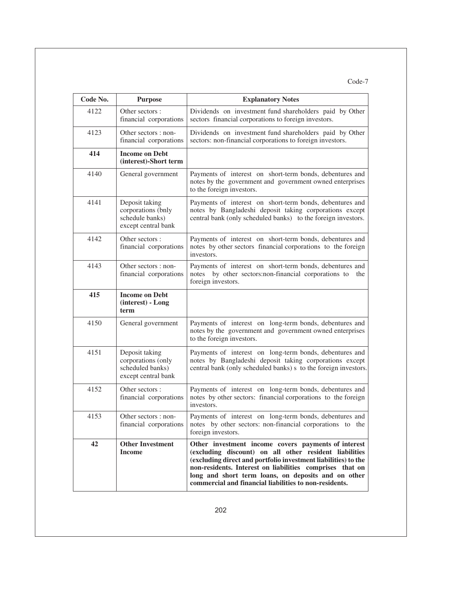| Code No. | <b>Purpose</b>                                                                  | <b>Explanatory Notes</b>                                                                                                                                                                                                                                                                                                                                     |
|----------|---------------------------------------------------------------------------------|--------------------------------------------------------------------------------------------------------------------------------------------------------------------------------------------------------------------------------------------------------------------------------------------------------------------------------------------------------------|
| 4122     | Other sectors :<br>financial corporations                                       | Dividends on investment fund shareholders paid by Other<br>sectors financial corporations to foreign investors.                                                                                                                                                                                                                                              |
| 4123     | Other sectors : non-<br>financial corporations                                  | Dividends on investment fund shareholders paid by Other<br>sectors: non-financial corporations to foreign investors.                                                                                                                                                                                                                                         |
| 414      | <b>Income on Debt</b><br>(interest)-Short term                                  |                                                                                                                                                                                                                                                                                                                                                              |
| 4140     | General government                                                              | Payments of interest on short-term bonds, debentures and<br>notes by the government and government owned enterprises<br>to the foreign investors.                                                                                                                                                                                                            |
| 4141     | Deposit taking<br>corporations (bnly<br>schedule banks)<br>except central bank  | Payments of interest on short-term bonds, debentures and<br>notes by Bangladeshi deposit taking corporations except<br>central bank (only scheduled banks) to the foreign investors.                                                                                                                                                                         |
| 4142     | Other sectors:<br>financial corporations                                        | Payments of interest on short-term bonds, debentures and<br>notes by other sectors financial corporations to the foreign<br>investors.                                                                                                                                                                                                                       |
| 4143     | Other sectors : non-<br>financial corporations                                  | Payments of interest on short-term bonds, debentures and<br>by other sectors:non-financial corporations to<br>notes<br>the<br>foreign investors.                                                                                                                                                                                                             |
| 415      | <b>Income on Debt</b><br>(interest) - Long<br>term                              |                                                                                                                                                                                                                                                                                                                                                              |
| 4150     | General government                                                              | Payments of interest on long-term bonds, debentures and<br>notes by the government and government owned enterprises<br>to the foreign investors.                                                                                                                                                                                                             |
| 4151     | Deposit taking<br>corporations (only<br>scheduled banks)<br>except central bank | Payments of interest on long-term bonds, debentures and<br>notes by Bangladeshi deposit taking corporations except<br>central bank (only scheduled banks) s to the foreign investors.                                                                                                                                                                        |
| 4152     | Other sectors:<br>financial corporations                                        | Payments of interest on long-term bonds, debentures and<br>notes by other sectors: financial corporations to the foreign<br>investors.                                                                                                                                                                                                                       |
| 4153     | Other sectors : non-<br>financial corporations                                  | Payments of interest on long-term bonds, debentures and<br>notes by other sectors: non-financial corporations to the<br>foreign investors.                                                                                                                                                                                                                   |
| 42       | <b>Other Investment</b><br><b>Income</b>                                        | Other investment income covers payments of interest<br>(excluding discount) on all other resident liabilities<br>(excluding direct and portfolio investment liabilities) to the<br>non-residents. Interest on liabilities comprises that on<br>long and short term loans, on deposits and on other<br>commercial and financial liabilities to non-residents. |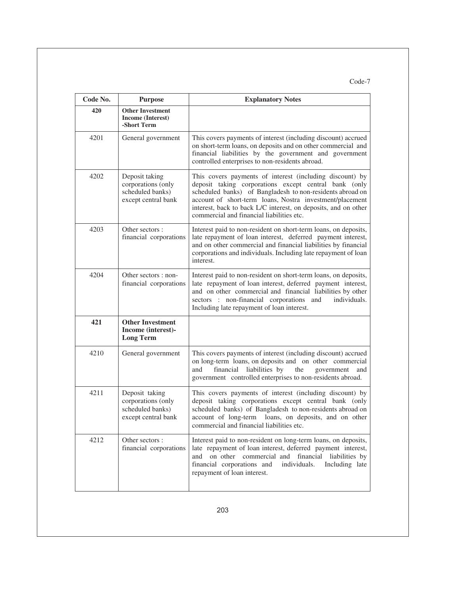| Code No. | <b>Purpose</b>                                                                  | <b>Explanatory Notes</b>                                                                                                                                                                                                                                                                                                                                  |
|----------|---------------------------------------------------------------------------------|-----------------------------------------------------------------------------------------------------------------------------------------------------------------------------------------------------------------------------------------------------------------------------------------------------------------------------------------------------------|
| 420      | <b>Other Investment</b><br><b>Income</b> (Interest)<br>-Short Term              |                                                                                                                                                                                                                                                                                                                                                           |
| 4201     | General government                                                              | This covers payments of interest (including discount) accrued<br>on short-term loans, on deposits and on other commercial and<br>financial liabilities by the government and government<br>controlled enterprises to non-residents abroad.                                                                                                                |
| 4202     | Deposit taking<br>corporations (only<br>scheduled banks)<br>except central bank | This covers payments of interest (including discount) by<br>deposit taking corporations except central bank (only<br>scheduled banks) of Bangladesh to non-residents abroad on<br>account of short-term loans, Nostra investment/placement<br>interest, back to back L/C interest, on deposits, and on other<br>commercial and financial liabilities etc. |
| 4203     | Other sectors :<br>financial corporations                                       | Interest paid to non-resident on short-term loans, on deposits,<br>late repayment of loan interest, deferred payment interest,<br>and on other commercial and financial liabilities by financial<br>corporations and individuals. Including late repayment of loan<br>interest.                                                                           |
| 4204     | Other sectors : non-<br>financial corporations                                  | Interest paid to non-resident on short-term loans, on deposits,<br>late repayment of loan interest, deferred payment interest,<br>and on other commercial and financial liabilities by other<br>sectors : non-financial corporations and<br>individuals.<br>Including late repayment of loan interest.                                                    |
| 421      | <b>Other Investment</b><br>Income (interest)-<br><b>Long Term</b>               |                                                                                                                                                                                                                                                                                                                                                           |
| 4210     | General government                                                              | This covers payments of interest (including discount) accrued<br>on long-term loans, on deposits and on other commercial<br>financial liabilities by<br>the<br>and<br>government<br>and<br>government controlled enterprises to non-residents abroad.                                                                                                     |
| 4211     | Deposit taking<br>corporations (only<br>scheduled banks)<br>except central bank | This covers payments of interest (including discount) by<br>deposit taking corporations except central bank (only<br>scheduled banks) of Bangladesh to non-residents abroad on<br>account of long-term<br>loans, on deposits, and on other<br>commercial and financial liabilities etc.                                                                   |
| 4212     | Other sectors :<br>financial corporations                                       | Interest paid to non-resident on long-term loans, on deposits,<br>late repayment of loan interest, deferred payment interest,<br>commercial and financial liabilities by<br>and<br>on other<br>individuals.<br>financial corporations and<br>Including late<br>repayment of loan interest.                                                                |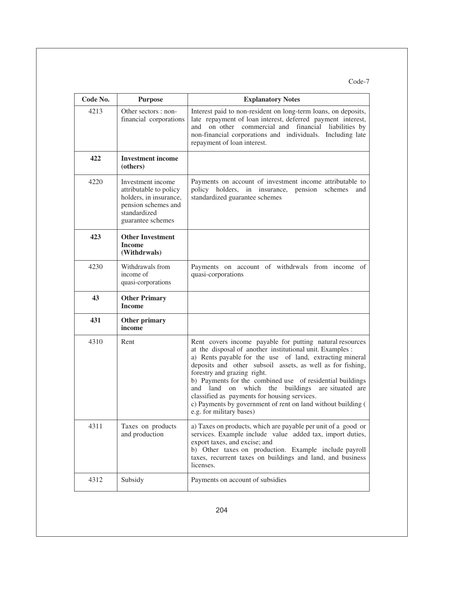| Code No. | <b>Purpose</b>                                                                                                                    | <b>Explanatory Notes</b>                                                                                                                                                                                                                                                                                                                                                                                                                                                                                                                          |
|----------|-----------------------------------------------------------------------------------------------------------------------------------|---------------------------------------------------------------------------------------------------------------------------------------------------------------------------------------------------------------------------------------------------------------------------------------------------------------------------------------------------------------------------------------------------------------------------------------------------------------------------------------------------------------------------------------------------|
| 4213     | Other sectors : non-<br>financial corporations                                                                                    | Interest paid to non-resident on long-term loans, on deposits,<br>late repayment of loan interest, deferred payment interest,<br>and on other commercial and financial liabilities by<br>non-financial corporations and individuals. Including late<br>repayment of loan interest.                                                                                                                                                                                                                                                                |
| 422      | <b>Investment income</b><br>(others)                                                                                              |                                                                                                                                                                                                                                                                                                                                                                                                                                                                                                                                                   |
| 4220     | Investment income<br>attributable to policy<br>holders, in insurance,<br>pension schemes and<br>standardized<br>guarantee schemes | Payments on account of investment income attributable to<br>policy holders, in insurance,<br>pension schemes<br>and<br>standardized guarantee schemes                                                                                                                                                                                                                                                                                                                                                                                             |
| 423      | <b>Other Investment</b><br><b>Income</b><br>(Withdrwals)                                                                          |                                                                                                                                                                                                                                                                                                                                                                                                                                                                                                                                                   |
| 4230     | Withdrawals from<br>income of<br>quasi-corporations                                                                               | Payments on account of withdrwals from income of<br>quasi-corporations                                                                                                                                                                                                                                                                                                                                                                                                                                                                            |
| 43       | <b>Other Primary</b><br><b>Income</b>                                                                                             |                                                                                                                                                                                                                                                                                                                                                                                                                                                                                                                                                   |
| 431      | Other primary<br>income                                                                                                           |                                                                                                                                                                                                                                                                                                                                                                                                                                                                                                                                                   |
| 4310     | Rent                                                                                                                              | Rent covers income payable for putting natural resources<br>at the disposal of another institutional unit. Examples :<br>a) Rents payable for the use of land, extracting mineral<br>deposits and other subsoil assets, as well as for fishing,<br>forestry and grazing right.<br>b) Payments for the combined use of residential buildings<br>and land on<br>which the buildings<br>are situated are<br>classified as payments for housing services.<br>c) Payments by government of rent on land without building (<br>e.g. for military bases) |
| 4311     | Taxes on products<br>and production                                                                                               | a) Taxes on products, which are payable per unit of a good or<br>services. Example include value added tax, import duties,<br>export taxes, and excise; and<br>b) Other taxes on production. Example include payroll<br>taxes, recurrent taxes on buildings and land, and business<br>licenses.                                                                                                                                                                                                                                                   |
| 4312     | Subsidy                                                                                                                           | Payments on account of subsidies                                                                                                                                                                                                                                                                                                                                                                                                                                                                                                                  |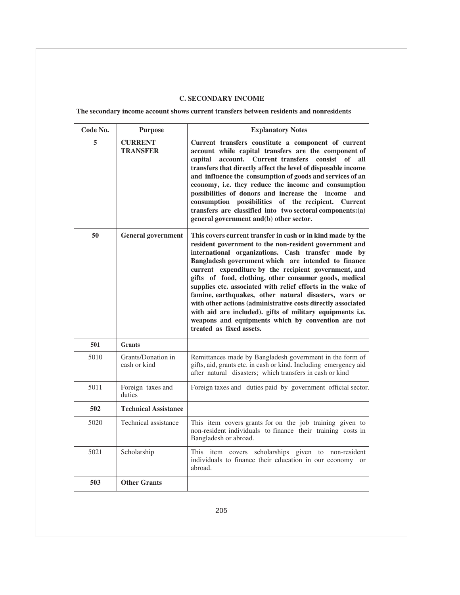### **C. SECONDARY INCOME**

**The secondary income account shows current transfers between residents and nonresidents** 

| Code No. | <b>Purpose</b>                     | <b>Explanatory Notes</b>                                                                                                                                                                                                                                                                                                                                                                                                                                                                                                                                                                                                                                                                    |
|----------|------------------------------------|---------------------------------------------------------------------------------------------------------------------------------------------------------------------------------------------------------------------------------------------------------------------------------------------------------------------------------------------------------------------------------------------------------------------------------------------------------------------------------------------------------------------------------------------------------------------------------------------------------------------------------------------------------------------------------------------|
| 5        | <b>CURRENT</b><br><b>TRANSFER</b>  | Current transfers constitute a component of current<br>account while capital transfers are the component of<br>account. Current transfers consist<br>of<br>capital<br>all<br>transfers that directly affect the level of disposable income<br>and influence the consumption of goods and services of an<br>economy, i.e. they reduce the income and consumption<br>possibilities of donors and increase the income<br>and<br>consumption possibilities of the recipient.<br><b>Current</b><br>transfers are classified into two sectoral components:(a)<br>general government and(b) other sector.                                                                                          |
| 50       | <b>General government</b>          | This covers current transfer in cash or in kind made by the<br>resident government to the non-resident government and<br>international organizations. Cash transfer made by<br>Bangladesh government which are intended to finance<br>current expenditure by the recipient government, and<br>gifts of food, clothing, other consumer goods, medical<br>supplies etc. associated with relief efforts in the wake of<br>famine, earthquakes, other natural disasters, wars or<br>with other actions (administrative costs directly associated<br>with aid are included). gifts of military equipments i.e.<br>weapons and equipments which by convention are not<br>treated as fixed assets. |
| 501      | <b>Grants</b>                      |                                                                                                                                                                                                                                                                                                                                                                                                                                                                                                                                                                                                                                                                                             |
| 5010     | Grants/Donation in<br>cash or kind | Remittances made by Bangladesh government in the form of<br>gifts, aid, grants etc. in cash or kind. Including emergency aid<br>after natural disasters; which transfers in cash or kind                                                                                                                                                                                                                                                                                                                                                                                                                                                                                                    |
| 5011     | Foreign taxes and<br>duties        | Foreign taxes and duties paid by government official sector.                                                                                                                                                                                                                                                                                                                                                                                                                                                                                                                                                                                                                                |
| 502      | <b>Technical Assistance</b>        |                                                                                                                                                                                                                                                                                                                                                                                                                                                                                                                                                                                                                                                                                             |
| 5020     | Technical assistance               | This item covers grants for on the job training given to<br>non-resident individuals to finance their training costs in<br>Bangladesh or abroad.                                                                                                                                                                                                                                                                                                                                                                                                                                                                                                                                            |
| 5021     | Scholarship                        | This item covers scholarships given to non-resident<br>individuals to finance their education in our economy or<br>abroad.                                                                                                                                                                                                                                                                                                                                                                                                                                                                                                                                                                  |
| 503      | <b>Other Grants</b>                |                                                                                                                                                                                                                                                                                                                                                                                                                                                                                                                                                                                                                                                                                             |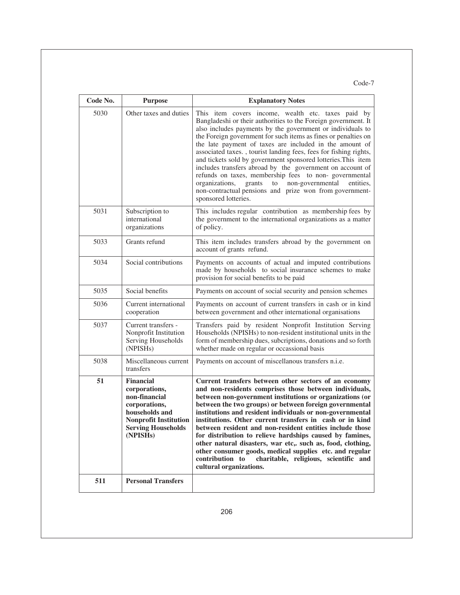| Code No. | <b>Purpose</b>                                                                                                                                                 | <b>Explanatory Notes</b>                                                                                                                                                                                                                                                                                                                                                                                                                                                                                                                                                                                                                                                                                                          |
|----------|----------------------------------------------------------------------------------------------------------------------------------------------------------------|-----------------------------------------------------------------------------------------------------------------------------------------------------------------------------------------------------------------------------------------------------------------------------------------------------------------------------------------------------------------------------------------------------------------------------------------------------------------------------------------------------------------------------------------------------------------------------------------------------------------------------------------------------------------------------------------------------------------------------------|
| 5030     | Other taxes and duties                                                                                                                                         | This item covers income, wealth etc. taxes paid by<br>Bangladeshi or their authorities to the Foreign government. It<br>also includes payments by the government or individuals to<br>the Foreign government for such items as fines or penalties on<br>the late payment of taxes are included in the amount of<br>associated taxes., tourist landing fees, fees for fishing rights,<br>and tickets sold by government sponsored lotteries. This item<br>includes transfers abroad by the government on account of<br>refunds on taxes, membership fees to non-governmental<br>grants<br>non-governmental<br>organizations,<br>to<br>entities.<br>non-contractual pensions and prize won from government-<br>sponsored lotteries. |
| 5031     | Subscription to<br>international<br>organizations                                                                                                              | This includes regular contribution as membership fees by<br>the government to the international organizations as a matter<br>of policy.                                                                                                                                                                                                                                                                                                                                                                                                                                                                                                                                                                                           |
| 5033     | Grants refund                                                                                                                                                  | This item includes transfers abroad by the government on<br>account of grants refund.                                                                                                                                                                                                                                                                                                                                                                                                                                                                                                                                                                                                                                             |
| 5034     | Social contributions                                                                                                                                           | Payments on accounts of actual and imputed contributions<br>made by households to social insurance schemes to make<br>provision for social benefits to be paid                                                                                                                                                                                                                                                                                                                                                                                                                                                                                                                                                                    |
| 5035     | Social benefits                                                                                                                                                | Payments on account of social security and pension schemes                                                                                                                                                                                                                                                                                                                                                                                                                                                                                                                                                                                                                                                                        |
| 5036     | Current international<br>cooperation                                                                                                                           | Payments on account of current transfers in cash or in kind<br>between government and other international organisations                                                                                                                                                                                                                                                                                                                                                                                                                                                                                                                                                                                                           |
| 5037     | Current transfers -<br>Nonprofit Institution<br>Serving Households<br>(NPISH <sub>s</sub> )                                                                    | Transfers paid by resident Nonprofit Institution Serving<br>Households (NPISHs) to non-resident institutional units in the<br>form of membership dues, subcriptions, donations and so forth<br>whether made on regular or occassional basis                                                                                                                                                                                                                                                                                                                                                                                                                                                                                       |
| 5038     | Miscellaneous current<br>transfers                                                                                                                             | Payments on account of miscellanous transfers n.i.e.                                                                                                                                                                                                                                                                                                                                                                                                                                                                                                                                                                                                                                                                              |
| 51       | <b>Financial</b><br>corporations,<br>non-financial<br>corporations,<br>households and<br><b>Nonprofit Institution</b><br><b>Serving Households</b><br>(NPISHs) | Current transfers between other sectors of an economy<br>and non-residents comprises those between individuals,<br>between non-government institutions or organizations (or<br>between the two groups) or between foreign governmental<br>institutions and resident individuals or non-governmental<br>institutions. Other current transfers in cash or in kind<br>between resident and non-resident entities include those<br>for distribution to relieve hardships caused by famines,<br>other natural disasters, war etc,. such as, food, clothing,<br>other consumer goods, medical supplies etc. and regular<br>contribution to<br>charitable, religious, scientific and<br>cultural organizations.                          |
| 511      | <b>Personal Transfers</b>                                                                                                                                      |                                                                                                                                                                                                                                                                                                                                                                                                                                                                                                                                                                                                                                                                                                                                   |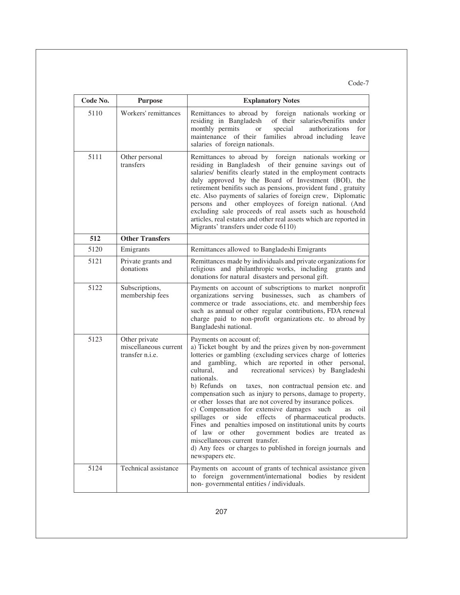| Code No. | <b>Purpose</b>                                            | <b>Explanatory Notes</b>                                                                                                                                                                                                                                                                                                                                                                                                                                                                                                                                                                                                                                                                                                                                                                                                                                                |
|----------|-----------------------------------------------------------|-------------------------------------------------------------------------------------------------------------------------------------------------------------------------------------------------------------------------------------------------------------------------------------------------------------------------------------------------------------------------------------------------------------------------------------------------------------------------------------------------------------------------------------------------------------------------------------------------------------------------------------------------------------------------------------------------------------------------------------------------------------------------------------------------------------------------------------------------------------------------|
| 5110     | Workers' remittances                                      | Remittances to abroad by foreign nationals working or<br>of their salaries/benifits under<br>residing in Bangladesh<br>monthly permits<br>special<br>authorizations for<br><b>or</b><br>maintenance of their families abroad including leave<br>salaries of foreign nationals.                                                                                                                                                                                                                                                                                                                                                                                                                                                                                                                                                                                          |
| 5111     | Other personal<br>transfers                               | Remittances to abroad by foreign nationals working or<br>residing in Bangladesh of their genuine savings out of<br>salaries/ benifits clearly stated in the employment contracts<br>duly approved by the Board of Investment (BOI), the<br>retirement benifits such as pensions, provident fund, gratuity<br>etc. Also payments of salaries of foreign crew, Diplomatic<br>other employees of foreign national. (And<br>persons and<br>excluding sale proceeds of real assets such as household<br>articles, real estates and other real assets which are reported in<br>Migrants' transfers under code 6110)                                                                                                                                                                                                                                                           |
| 512      | <b>Other Transfers</b>                                    |                                                                                                                                                                                                                                                                                                                                                                                                                                                                                                                                                                                                                                                                                                                                                                                                                                                                         |
| 5120     | Emigrants                                                 | Remittances allowed to Bangladeshi Emigrants                                                                                                                                                                                                                                                                                                                                                                                                                                                                                                                                                                                                                                                                                                                                                                                                                            |
| 5121     | Private grants and<br>donations                           | Remittances made by individuals and private organizations for<br>religious and philanthropic works, including<br>grants and<br>donations for natural disasters and personal gift.                                                                                                                                                                                                                                                                                                                                                                                                                                                                                                                                                                                                                                                                                       |
| 5122     | Subscriptions,<br>membership fees                         | Payments on account of subscriptions to market nonprofit<br>organizations serving businesses, such as chambers of<br>commerce or trade associations, etc. and membership fees<br>such as annual or other regular contributions, FDA renewal<br>charge paid to non-profit organizations etc. to abroad by<br>Bangladeshi national.                                                                                                                                                                                                                                                                                                                                                                                                                                                                                                                                       |
| 5123     | Other private<br>miscellaneous current<br>transfer n.i.e. | Payments on account of;<br>a) Ticket bought by and the prizes given by non-government<br>lotteries or gambling (excluding services charge of lotteries<br>which are reported in other personal,<br>and gambling,<br>cultural,<br>recreational services) by Bangladeshi<br>and<br>nationals.<br>b) Refunds on<br>taxes, non contractual pension etc. and<br>compensation such as injury to persons, damage to property,<br>or other losses that are not covered by insurance polices.<br>c) Compensation for extensive damages such<br>oil<br>as<br>spillages<br>of pharmaceutical products.<br><b>or</b><br>side<br>effects<br>Fines and penalties imposed on institutional units by courts<br>of law or other<br>government bodies are treated as<br>miscellaneous current transfer.<br>d) Any fees or charges to published in foreign journals and<br>newspapers etc. |
| 5124     | Technical assistance                                      | Payments on account of grants of technical assistance given<br>to foreign government/international bodies by resident<br>non-governmental entities / individuals.                                                                                                                                                                                                                                                                                                                                                                                                                                                                                                                                                                                                                                                                                                       |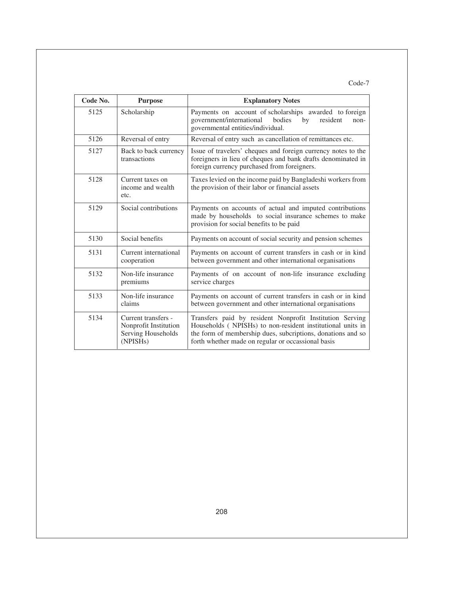| Code No. | <b>Purpose</b>                                                                 | <b>Explanatory Notes</b>                                                                                                                                                                                                                    |
|----------|--------------------------------------------------------------------------------|---------------------------------------------------------------------------------------------------------------------------------------------------------------------------------------------------------------------------------------------|
| 5125     | Scholarship                                                                    | Payments on account of scholarships awarded to foreign<br>government/international<br>bodies<br>by<br>resident<br>non-<br>governmental entities/individual.                                                                                 |
| 5126     | Reversal of entry                                                              | Reversal of entry such as cancellation of remittances etc.                                                                                                                                                                                  |
| 5127     | Back to back currency<br>transactions                                          | Issue of travelers' cheques and foreign currency notes to the<br>foreigners in lieu of cheques and bank drafts denominated in<br>foreign currency purchased from foreigners.                                                                |
| 5128     | Current taxes on<br>income and wealth<br>etc.                                  | Taxes levied on the income paid by Bangladeshi workers from<br>the provision of their labor or financial assets                                                                                                                             |
| 5129     | Social contributions                                                           | Payments on accounts of actual and imputed contributions<br>made by households to social insurance schemes to make<br>provision for social benefits to be paid                                                                              |
| 5130     | Social benefits                                                                | Payments on account of social security and pension schemes                                                                                                                                                                                  |
| 5131     | Current international<br>cooperation                                           | Payments on account of current transfers in cash or in kind<br>between government and other international organisations                                                                                                                     |
| 5132     | Non-life insurance<br>premiums                                                 | Payments of on account of non-life insurance excluding<br>service charges                                                                                                                                                                   |
| 5133     | Non-life insurance<br>claims                                                   | Payments on account of current transfers in cash or in kind<br>between government and other international organisations                                                                                                                     |
| 5134     | Current transfers -<br>Nonprofit Institution<br>Serving Households<br>(NPISHs) | Transfers paid by resident Nonprofit Institution Serving<br>Households (NPISHs) to non-resident institutional units in<br>the form of membership dues, subcriptions, donations and so<br>forth whether made on regular or occassional basis |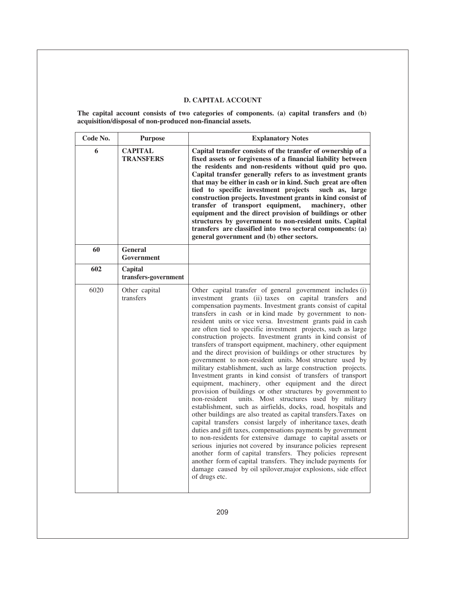### **D. CAPITAL ACCOUNT**

**The capital account consists of two categories of components. (a) capital transfers and (b) acquisition/disposal of non-produced non-financial assets.** 

| Code No. | <b>Purpose</b>                     | <b>Explanatory Notes</b>                                                                                                                                                                                                                                                                                                                                                                                                                                                                                                                                                                                                                                                                                                                                                                                                                                                                                                                                                                                                                                                                                                                                                                                                                                                                                                                                                                                                                                                                                                                                                     |
|----------|------------------------------------|------------------------------------------------------------------------------------------------------------------------------------------------------------------------------------------------------------------------------------------------------------------------------------------------------------------------------------------------------------------------------------------------------------------------------------------------------------------------------------------------------------------------------------------------------------------------------------------------------------------------------------------------------------------------------------------------------------------------------------------------------------------------------------------------------------------------------------------------------------------------------------------------------------------------------------------------------------------------------------------------------------------------------------------------------------------------------------------------------------------------------------------------------------------------------------------------------------------------------------------------------------------------------------------------------------------------------------------------------------------------------------------------------------------------------------------------------------------------------------------------------------------------------------------------------------------------------|
| 6        | <b>CAPITAL</b><br><b>TRANSFERS</b> | Capital transfer consists of the transfer of ownership of a<br>fixed assets or forgiveness of a financial liability between<br>the residents and non-residents without quid pro quo.<br>Capital transfer generally refers to as investment grants<br>that may be either in cash or in kind. Such great are often<br>tied to specific investment projects<br>such as, large<br>construction projects. Investment grants in kind consist of<br>transfer of transport equipment,<br>machinery, other<br>equipment and the direct provision of buildings or other<br>structures by government to non-resident units. Capital<br>transfers are classified into two sectoral components: (a)<br>general government and (b) other sectors.                                                                                                                                                                                                                                                                                                                                                                                                                                                                                                                                                                                                                                                                                                                                                                                                                                          |
| 60       | <b>General</b><br>Government       |                                                                                                                                                                                                                                                                                                                                                                                                                                                                                                                                                                                                                                                                                                                                                                                                                                                                                                                                                                                                                                                                                                                                                                                                                                                                                                                                                                                                                                                                                                                                                                              |
| 602      | Capital<br>transfers-government    |                                                                                                                                                                                                                                                                                                                                                                                                                                                                                                                                                                                                                                                                                                                                                                                                                                                                                                                                                                                                                                                                                                                                                                                                                                                                                                                                                                                                                                                                                                                                                                              |
| 6020     | Other capital<br>transfers         | Other capital transfer of general government includes (i)<br>investment grants (ii) taxes on capital transfers<br>and<br>compensation payments. Investment grants consist of capital<br>transfers in cash or in kind made by government to non-<br>resident units or vice versa. Investment grants paid in cash<br>are often tied to specific investment projects, such as large<br>construction projects. Investment grants in kind consist of<br>transfers of transport equipment, machinery, other equipment<br>and the direct provision of buildings or other structures by<br>government to non-resident units. Most structure used by<br>military establishment, such as large construction projects.<br>Investment grants in kind consist of transfers of transport<br>equipment, machinery, other equipment and the direct<br>provision of buildings or other structures by government to<br>units. Most structures used by military<br>non-resident<br>establishment, such as airfields, docks, road, hospitals and<br>other buildings are also treated as capital transfers. Taxes on<br>capital transfers consist largely of inheritance taxes, death<br>duties and gift taxes, compensations payments by government<br>to non-residents for extensive damage to capital assets or<br>serious injuries not covered by insurance policies represent<br>another form of capital transfers. They policies represent<br>another form of capital transfers. They include payments for<br>damage caused by oil spilover, major explosions, side effect<br>of drugs etc. |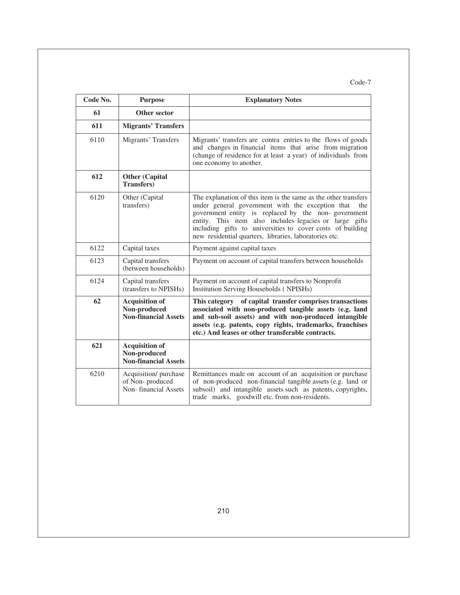| Code No. | <b>Purpose</b>                                                       | <b>Explanatory Notes</b>                                                                                                                                                                                                                                                                                                                                             |
|----------|----------------------------------------------------------------------|----------------------------------------------------------------------------------------------------------------------------------------------------------------------------------------------------------------------------------------------------------------------------------------------------------------------------------------------------------------------|
| 61       | Other sector                                                         |                                                                                                                                                                                                                                                                                                                                                                      |
| 611      | <b>Migrants' Transfers</b>                                           |                                                                                                                                                                                                                                                                                                                                                                      |
| 6110     | Migrants' Transfers                                                  | Migrants' transfers are contra entries to the flows of goods<br>and changes in financial items that arise from migration<br>(change of residence for at least a year) of individuals from<br>one economy to another.                                                                                                                                                 |
| 612      | <b>Other (Capital</b><br><b>Transfers</b> )                          |                                                                                                                                                                                                                                                                                                                                                                      |
| 6120     | Other (Capital)<br>transfers)                                        | The explanation of this item is the same as the other transfers<br>under general government with the exception that<br>the<br>government entity is replaced by the non-government<br>entity. This item also includes legacies or large gifts<br>including gifts to universities to cover costs of building<br>new residential quarters, libraries, laboratories etc. |
| 6122     | Capital taxes                                                        | Payment against capital taxes                                                                                                                                                                                                                                                                                                                                        |
| 6123     | Capital transfers<br>(between households)                            | Payment on account of capital transfers between households                                                                                                                                                                                                                                                                                                           |
| 6124     | Capital transfers<br>(transfers to NPISHs)                           | Payment on account of capital transfers to Nonprofit<br>Institution Serving Households (NPISHs)                                                                                                                                                                                                                                                                      |
| 62       | <b>Acquisition of</b><br>Non-produced<br><b>Non-financial Assets</b> | of capital transfer comprises transactions<br>This category<br>associated with non-produced tangible assets (e.g. land<br>and sub-soil assets) and with non-produced intangible<br>assets (e.g. patents, copy rights, trademarks, franchises<br>etc.) And leases or other transferable contracts.                                                                    |
| 621      | <b>Acquisition of</b><br>Non-produced<br><b>Non-financial Assets</b> |                                                                                                                                                                                                                                                                                                                                                                      |
| 6210     | Acquisition/ purchase<br>of Non-produced<br>Non-financial Assets     | Remittances made on account of an acquisition or purchase<br>of non-produced non-financial tangible assets (e.g. land or<br>subsoil) and intangible assets such as patents, copyrights,<br>trade marks, goodwill etc. from non-residents.                                                                                                                            |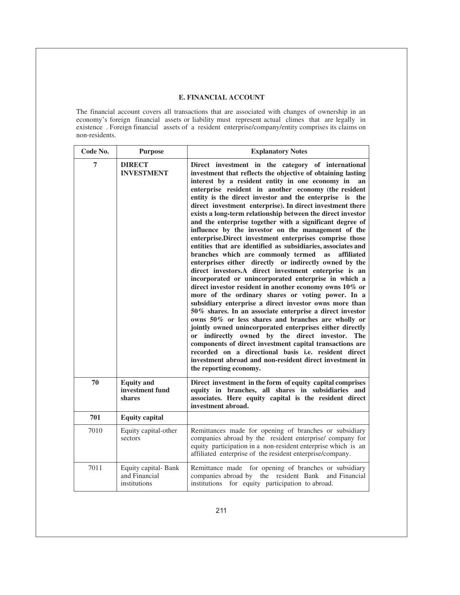#### **E. FINANCIAL ACCOUNT**

The financial account covers all transactions that are associated with changes of ownership in an economy's foreign financial assets or liability must represent actual climes that are legally in existence . Foreign financial assets of a resident enterprise/company/entity comprises its claims on non-residents.

| Code No. | <b>Purpose</b>                                       | <b>Explanatory Notes</b>                                                                                                                                                                                                                                                                                                                                                                                                                                                                                                                                                                                                                                                                                                                                                                                                                                                                                                                                                                                                                                                                                                                                                                                                                                                                                                                                                                                                                                                                                                     |
|----------|------------------------------------------------------|------------------------------------------------------------------------------------------------------------------------------------------------------------------------------------------------------------------------------------------------------------------------------------------------------------------------------------------------------------------------------------------------------------------------------------------------------------------------------------------------------------------------------------------------------------------------------------------------------------------------------------------------------------------------------------------------------------------------------------------------------------------------------------------------------------------------------------------------------------------------------------------------------------------------------------------------------------------------------------------------------------------------------------------------------------------------------------------------------------------------------------------------------------------------------------------------------------------------------------------------------------------------------------------------------------------------------------------------------------------------------------------------------------------------------------------------------------------------------------------------------------------------------|
| 7        | <b>DIRECT</b><br><b>INVESTMENT</b>                   | Direct investment in the category of international<br>investment that reflects the objective of obtaining lasting<br>interest by a resident entity in one economy in<br>an<br>enterprise resident in another economy (the resident<br>entity is the direct investor and the enterprise is the<br>direct investment enterprise). In direct investment there<br>exists a long-term relationship between the direct investor<br>and the enterprise together with a significant degree of<br>influence by the investor on the management of the<br>enterprise.Direct investment enterprises comprise those<br>entities that are identified as subsidiaries, associates and<br>branches which are commonly termed as<br>affiliated<br>enterprises either directly or indirectly owned by the<br>direct investors.A direct investment enterprise is an<br>incorporated or unincorporated enterprise in which a<br>direct investor resident in another economy owns 10% or<br>more of the ordinary shares or voting power. In a<br>subsidiary enterprise a direct investor owns more than<br>50% shares. In an associate enterprise a direct investor<br>owns 50% or less shares and branches are wholly or<br>jointly owned unincorporated enterprises either directly<br>or indirectly owned by the direct investor. The<br>components of direct investment capital transactions are<br>recorded on a directional basis i.e. resident direct<br>investment abroad and non-resident direct investment in<br>the reporting economy. |
| 70       | <b>Equity</b> and<br>investment fund<br>shares       | Direct investment in the form of equity capital comprises<br>equity in branches, all shares in subsidiaries and<br>associates. Here equity capital is the resident direct<br>investment abroad.                                                                                                                                                                                                                                                                                                                                                                                                                                                                                                                                                                                                                                                                                                                                                                                                                                                                                                                                                                                                                                                                                                                                                                                                                                                                                                                              |
| 701      | <b>Equity capital</b>                                |                                                                                                                                                                                                                                                                                                                                                                                                                                                                                                                                                                                                                                                                                                                                                                                                                                                                                                                                                                                                                                                                                                                                                                                                                                                                                                                                                                                                                                                                                                                              |
| 7010     | Equity capital-other<br>sectors                      | Remittances made for opening of branches or subsidiary<br>companies abroad by the resident enterprise/ company for<br>equity participation in a non-resident enterprise which is an<br>affiliated enterprise of the resident enterprise/company.                                                                                                                                                                                                                                                                                                                                                                                                                                                                                                                                                                                                                                                                                                                                                                                                                                                                                                                                                                                                                                                                                                                                                                                                                                                                             |
| 7011     | Equity capital-Bank<br>and Financial<br>institutions | for opening of branches or subsidiary<br>Remittance made<br>companies abroad by the resident Bank<br>and Financial<br>institutions for equity participation to abroad.                                                                                                                                                                                                                                                                                                                                                                                                                                                                                                                                                                                                                                                                                                                                                                                                                                                                                                                                                                                                                                                                                                                                                                                                                                                                                                                                                       |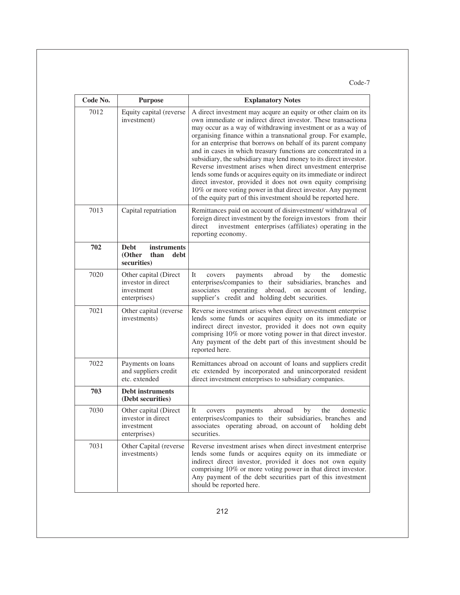| Code No. | <b>Purpose</b>                                                             | <b>Explanatory Notes</b>                                                                                                                                                                                                                                                                                                                                                                                                                                                                                                                                                                                                                                                                                                                                                                                       |
|----------|----------------------------------------------------------------------------|----------------------------------------------------------------------------------------------------------------------------------------------------------------------------------------------------------------------------------------------------------------------------------------------------------------------------------------------------------------------------------------------------------------------------------------------------------------------------------------------------------------------------------------------------------------------------------------------------------------------------------------------------------------------------------------------------------------------------------------------------------------------------------------------------------------|
| 7012     | Equity capital (reverse<br>investment)                                     | A direct investment may acqure an equity or other claim on its<br>own immediate or indirect direct investor. These transactional<br>may occur as a way of withdrawing investment or as a way of<br>organising finance within a transnational group. For example,<br>for an enterprise that borrows on behalf of its parent company<br>and in cases in which treasury functions are concentrated in a<br>subsidiary, the subsidiary may lend money to its direct investor.<br>Reverse investment arises when direct unvestment enterprise<br>lends some funds or acquires equity on its immediate or indirect<br>direct investor, provided it does not own equity comprising<br>10% or more voting power in that direct investor. Any payment<br>of the equity part of this investment should be reported here. |
| 7013     | Capital repatriation                                                       | Remittances paid on account of disinvestment/ withdrawal of<br>foreign direct investment by the foreign investors from their<br>investment enterprises (affiliates) operating in the<br>direct<br>reporting economy.                                                                                                                                                                                                                                                                                                                                                                                                                                                                                                                                                                                           |
| 702      | Debt<br>instruments<br>(Other<br>than<br>debt<br>securities)               |                                                                                                                                                                                                                                                                                                                                                                                                                                                                                                                                                                                                                                                                                                                                                                                                                |
| 7020     | Other capital (Direct)<br>investor in direct<br>investment<br>enterprises) | the<br>domestic<br>It<br>abroad<br>by<br>covers<br>payments<br>enterprises/companies to their subsidiaries, branches and<br>operating abroad, on account of lending,<br>associates<br>supplier's credit and holding debt securities.                                                                                                                                                                                                                                                                                                                                                                                                                                                                                                                                                                           |
| 7021     | Other capital (reverse)<br>investments)                                    | Reverse investment arises when direct unvestment enterprise<br>lends some funds or acquires equity on its immediate or<br>indirect direct investor, provided it does not own equity<br>comprising 10% or more voting power in that direct investor.<br>Any payment of the debt part of this investment should be<br>reported here.                                                                                                                                                                                                                                                                                                                                                                                                                                                                             |
| 7022     | Payments on loans<br>and suppliers credit<br>etc. extended                 | Remittances abroad on account of loans and suppliers credit<br>etc extended by incorporated and unincorporated resident<br>direct investment enterprises to subsidiary companies.                                                                                                                                                                                                                                                                                                                                                                                                                                                                                                                                                                                                                              |
| 703      | <b>Debt instruments</b><br>(Debt securities)                               |                                                                                                                                                                                                                                                                                                                                                                                                                                                                                                                                                                                                                                                                                                                                                                                                                |
| 7030     | Other capital (Direct)<br>investor in direct<br>investment<br>enterprises) | abroad<br>the<br>domestic<br>It<br>by<br>payments<br>covers<br>enterprises/companies to their subsidiaries, branches and<br>associates operating abroad, on account of<br>holding debt<br>securities.                                                                                                                                                                                                                                                                                                                                                                                                                                                                                                                                                                                                          |
| 7031     | Other Capital (reverse<br>investments)                                     | Reverse investment arises when direct investment enterprise<br>lends some funds or acquires equity on its immediate or<br>indirect direct investor, provided it does not own equity<br>comprising 10% or more voting power in that direct investor.<br>Any payment of the debt securities part of this investment<br>should be reported here.                                                                                                                                                                                                                                                                                                                                                                                                                                                                  |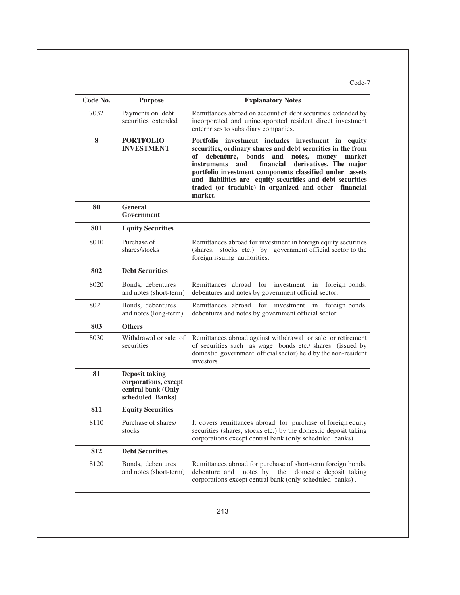| Code No. | <b>Purpose</b>                                                                          | <b>Explanatory Notes</b>                                                                                                                                                                                                                                                                                                                                                                                                                       |
|----------|-----------------------------------------------------------------------------------------|------------------------------------------------------------------------------------------------------------------------------------------------------------------------------------------------------------------------------------------------------------------------------------------------------------------------------------------------------------------------------------------------------------------------------------------------|
| 7032     | Payments on debt<br>securities extended                                                 | Remittances abroad on account of debt securities extended by<br>incorporated and unincorporated resident direct investment<br>enterprises to subsidiary companies.                                                                                                                                                                                                                                                                             |
| 8        | <b>PORTFOLIO</b><br><b>INVESTMENT</b>                                                   | Portfolio investment includes investment in<br>equity<br>securities, ordinary shares and debt securities in the from<br>debenture,<br>bonds<br>and<br>notes,<br>of<br>money<br>market<br>derivatives. The major<br>instruments<br>and<br>financial<br>portfolio investment components classified under assets<br>and liabilities are equity securities and debt securities<br>traded (or tradable) in organized and other financial<br>market. |
| 80       | General<br>Government                                                                   |                                                                                                                                                                                                                                                                                                                                                                                                                                                |
| 801      | <b>Equity Securities</b>                                                                |                                                                                                                                                                                                                                                                                                                                                                                                                                                |
| 8010     | Purchase of<br>shares/stocks                                                            | Remittances abroad for investment in foreign equity securities<br>(shares, stocks etc.) by government official sector to the<br>foreign issuing authorities.                                                                                                                                                                                                                                                                                   |
| 802      | <b>Debt Securities</b>                                                                  |                                                                                                                                                                                                                                                                                                                                                                                                                                                |
| 8020     | Bonds, debentures<br>and notes (short-term)                                             | Remittances abroad<br>for<br>investment<br>in<br>foreign bonds,<br>debentures and notes by government official sector.                                                                                                                                                                                                                                                                                                                         |
| 8021     | Bonds, debentures<br>and notes (long-term)                                              | Remittances abroad for investment in<br>foreign bonds,<br>debentures and notes by government official sector.                                                                                                                                                                                                                                                                                                                                  |
| 803      | <b>Others</b>                                                                           |                                                                                                                                                                                                                                                                                                                                                                                                                                                |
| 8030     | Withdrawal or sale of<br>securities                                                     | Remittances abroad against withdrawal or sale or retirement<br>of securities such as wage bonds etc./ shares (issued by<br>domestic government official sector) held by the non-resident<br>investors.                                                                                                                                                                                                                                         |
| 81       | <b>Deposit taking</b><br>corporations, except<br>central bank (Only<br>scheduled Banks) |                                                                                                                                                                                                                                                                                                                                                                                                                                                |
| 811      | <b>Equity Securities</b>                                                                |                                                                                                                                                                                                                                                                                                                                                                                                                                                |
| 8110     | Purchase of shares/<br>stocks                                                           | It covers remittances abroad for purchase of foreign equity<br>securities (shares, stocks etc.) by the domestic deposit taking<br>corporations except central bank (only scheduled banks).                                                                                                                                                                                                                                                     |
| 812      | <b>Debt Securities</b>                                                                  |                                                                                                                                                                                                                                                                                                                                                                                                                                                |
| 8120     | Bonds, debentures<br>and notes (short-term)                                             | Remittances abroad for purchase of short-term foreign bonds,<br>notes by the<br>domestic deposit taking<br>debenture and<br>corporations except central bank (only scheduled banks).                                                                                                                                                                                                                                                           |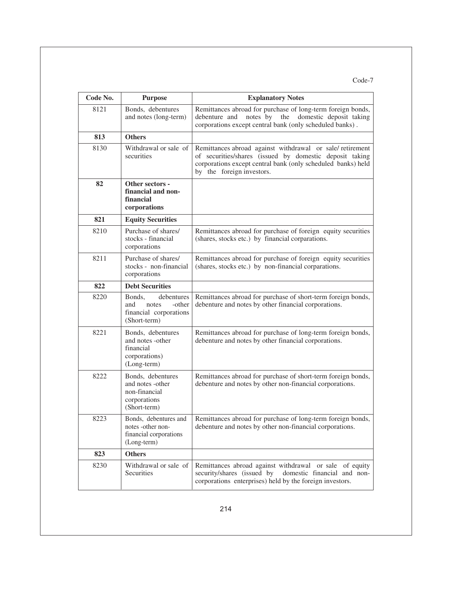| Code No. | <b>Purpose</b>                                                                           | <b>Explanatory Notes</b>                                                                                                                                                                                         |  |
|----------|------------------------------------------------------------------------------------------|------------------------------------------------------------------------------------------------------------------------------------------------------------------------------------------------------------------|--|
| 8121     | Bonds, debentures<br>and notes (long-term)                                               | Remittances abroad for purchase of long-term foreign bonds,<br>debenture and<br>notes by the<br>domestic deposit taking<br>corporations except central bank (only scheduled banks).                              |  |
| 813      | <b>Others</b>                                                                            |                                                                                                                                                                                                                  |  |
| 8130     | Withdrawal or sale of<br>securities                                                      | Remittances abroad against withdrawal or sale/retirement<br>of securities/shares (issued by domestic deposit taking<br>corporations except central bank (only scheduled banks) held<br>by the foreign investors. |  |
| 82       | Other sectors -<br>financial and non-<br>financial<br>corporations                       |                                                                                                                                                                                                                  |  |
| 821      | <b>Equity Securities</b>                                                                 |                                                                                                                                                                                                                  |  |
| 8210     | Purchase of shares/<br>stocks - financial<br>corporations                                | Remittances abroad for purchase of foreign equity securities<br>(shares, stocks etc.) by financial corparations.                                                                                                 |  |
| 8211     | Purchase of shares/<br>stocks - non-financial<br>corporations                            | Remittances abroad for purchase of foreign equity securities<br>(shares, stocks etc.) by non-financial corparations.                                                                                             |  |
| 822      | <b>Debt Securities</b>                                                                   |                                                                                                                                                                                                                  |  |
| 8220     | Bonds,<br>debentures<br>and<br>notes<br>-other<br>financial corporations<br>(Short-term) | Remittances abroad for purchase of short-term foreign bonds,<br>debenture and notes by other financial corporations.                                                                                             |  |
| 8221     | Bonds, debentures<br>and notes -other<br>financial<br>corporations)<br>(Long-term)       | Remittances abroad for purchase of long-term foreign bonds,<br>debenture and notes by other financial corporations.                                                                                              |  |
| 8222     | Bonds, debentures<br>and notes -other<br>non-financial<br>corporations<br>(Short-term)   | Remittances abroad for purchase of short-term foreign bonds,<br>debenture and notes by other non-financial corporations.                                                                                         |  |
| 8223     | Bonds, debentures and<br>notes -other non-<br>financial corporations<br>(Long-term)      | Remittances abroad for purchase of long-term foreign bonds,<br>debenture and notes by other non-financial corporations.                                                                                          |  |
| 823      | <b>Others</b>                                                                            |                                                                                                                                                                                                                  |  |
| 8230     | Withdrawal or sale of<br>Securities                                                      | Remittances abroad against withdrawal or sale of equity<br>security/shares (issued by<br>domestic financial and non-<br>corporations enterprises) held by the foreign investors.                                 |  |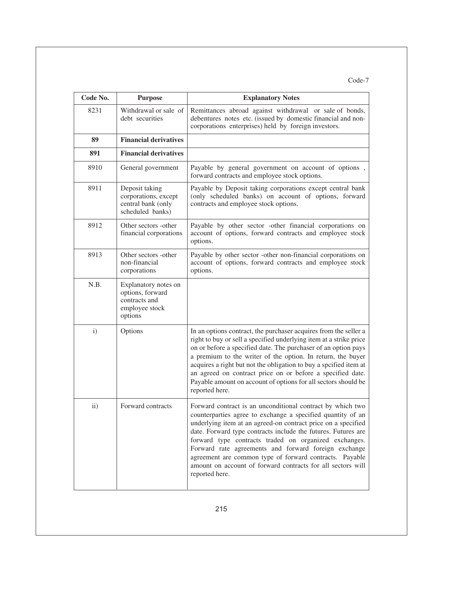| Code No.          | <b>Purpose</b>                                                                         | <b>Explanatory Notes</b>                                                                                                                                                                                                                                                                                                                                                                                                                                                                                                 |
|-------------------|----------------------------------------------------------------------------------------|--------------------------------------------------------------------------------------------------------------------------------------------------------------------------------------------------------------------------------------------------------------------------------------------------------------------------------------------------------------------------------------------------------------------------------------------------------------------------------------------------------------------------|
| 8231              | Withdrawal or sale of<br>debt securities                                               | Remittances abroad against withdrawal or sale of bonds,<br>debentures notes etc. (issued by domestic financial and non-<br>corporations enterprises) held by foreign investors.                                                                                                                                                                                                                                                                                                                                          |
| 89                | <b>Financial derivatives</b>                                                           |                                                                                                                                                                                                                                                                                                                                                                                                                                                                                                                          |
| 891               | <b>Financial derivatives</b>                                                           |                                                                                                                                                                                                                                                                                                                                                                                                                                                                                                                          |
| 8910              | General government                                                                     | Payable by general government on account of options,<br>forward contracts and employee stock options.                                                                                                                                                                                                                                                                                                                                                                                                                    |
| 8911              | Deposit taking<br>corporations, except<br>central bank (only<br>scheduled banks)       | Payable by Deposit taking corporations except central bank<br>(only scheduled banks) on account of options, forward<br>contracts and employee stock options.                                                                                                                                                                                                                                                                                                                                                             |
| 8912              | Other sectors -other<br>financial corporations                                         | Payable by other sector -other financial corporations on<br>account of options, forward contracts and employee stock<br>options.                                                                                                                                                                                                                                                                                                                                                                                         |
| 8913              | Other sectors -other<br>non-financial<br>corporations                                  | Payable by other sector -other non-financial corporations on<br>account of options, forward contracts and employee stock<br>options.                                                                                                                                                                                                                                                                                                                                                                                     |
| N.B.              | Explanatory notes on<br>options, forward<br>contracts and<br>employee stock<br>options |                                                                                                                                                                                                                                                                                                                                                                                                                                                                                                                          |
| $\mathbf{i}$      | Options                                                                                | In an options contract, the purchaser acquires from the seller a<br>right to buy or sell a specified underlying item at a strike price<br>on or before a specified date. The purchaser of an option pays<br>a premium to the writer of the option. In return, the buyer<br>acquires a right but not the obligation to buy a spcified item at<br>an agreed on contract price on or before a specified date.<br>Payable amount on account of options for all sectors should be<br>reported here.                           |
| $\ddot{\text{1}}$ | Forward contracts                                                                      | Forward contract is an unconditional contract by which two<br>counterparties agree to exchange a specified quantity of an<br>underlying item at an agreed-on contract price on a specified<br>date. Forward type contracts include the futures. Futures are<br>forward type contracts traded on organized exchanges.<br>Forward rate agreements and forward foreign exchange<br>agreement are common type of forward contracts. Payable<br>amount on account of forward contracts for all sectors will<br>reported here. |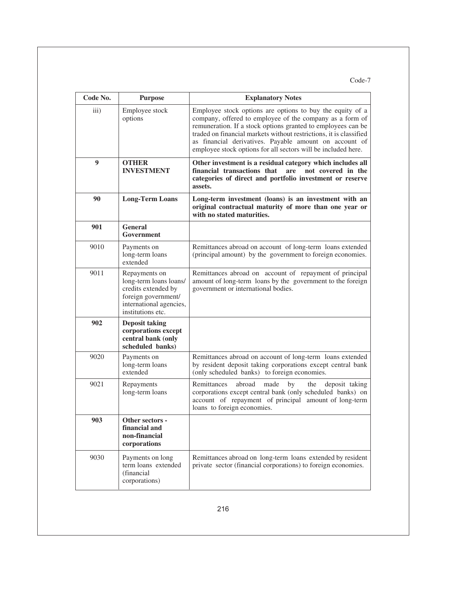| Code No. | <b>Purpose</b>                                                                                                                        | <b>Explanatory Notes</b>                                                                                                                                                                                                                                                                                                                                                               |  |
|----------|---------------------------------------------------------------------------------------------------------------------------------------|----------------------------------------------------------------------------------------------------------------------------------------------------------------------------------------------------------------------------------------------------------------------------------------------------------------------------------------------------------------------------------------|--|
| iii)     | Employee stock<br>options                                                                                                             | Employee stock options are options to buy the equity of a<br>company, offered to employee of the company as a form of<br>remuneration. If a stock options granted to employees can be<br>traded on financial markets without restrictions, it is classified<br>as financial derivatives. Payable amount on account of<br>employee stock options for all sectors will be included here. |  |
| 9        | <b>OTHER</b><br><b>INVESTMENT</b>                                                                                                     | Other investment is a residual category which includes all<br>financial transactions that<br>not covered in the<br>are<br>categories of direct and portfolio investment or reserve<br>assets.                                                                                                                                                                                          |  |
| 90       | <b>Long-Term Loans</b>                                                                                                                | Long-term investment (loans) is an investment with an<br>original contractual maturity of more than one year or<br>with no stated maturities.                                                                                                                                                                                                                                          |  |
| 901      | <b>General</b><br>Government                                                                                                          |                                                                                                                                                                                                                                                                                                                                                                                        |  |
| 9010     | Payments on<br>long-term loans<br>extended                                                                                            | Remittances abroad on account of long-term loans extended<br>(principal amount) by the government to foreign economies.                                                                                                                                                                                                                                                                |  |
| 9011     | Repayments on<br>long-term loans loans/<br>credits extended by<br>foreign government/<br>international agencies,<br>institutions etc. | Remittances abroad on account of repayment of principal<br>amount of long-term loans by the government to the foreign<br>government or international bodies.                                                                                                                                                                                                                           |  |
| 902      | <b>Deposit taking</b><br>corporations except<br>central bank (only<br>scheduled banks)                                                |                                                                                                                                                                                                                                                                                                                                                                                        |  |
| 9020     | Payments on<br>long-term loans<br>extended                                                                                            | Remittances abroad on account of long-term loans extended<br>by resident deposit taking corporations except central bank<br>(only scheduled banks) to foreign economies.                                                                                                                                                                                                               |  |
| 9021     | Repayments<br>long-term loans                                                                                                         | <b>Remittances</b><br>abroad<br>made<br>by<br>deposit taking<br>the<br>corporations except central bank (only scheduled banks) on<br>account of repayment of principal amount of long-term<br>loans to foreign economies.                                                                                                                                                              |  |
| 903      | Other sectors -<br>financial and<br>non-financial<br>corporations                                                                     |                                                                                                                                                                                                                                                                                                                                                                                        |  |
| 9030     | Payments on long<br>term loans extended<br>(financial<br>corporations)                                                                | Remittances abroad on long-term loans extended by resident<br>private sector (financial corporations) to foreign economies.                                                                                                                                                                                                                                                            |  |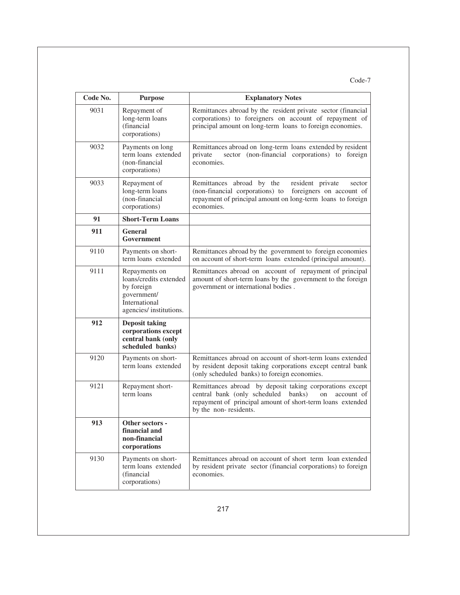| Code No. | <b>Purpose</b>                                                                                                   | <b>Explanatory Notes</b>                                                                                                                                                                                   |  |
|----------|------------------------------------------------------------------------------------------------------------------|------------------------------------------------------------------------------------------------------------------------------------------------------------------------------------------------------------|--|
| 9031     | Repayment of<br>long-term loans<br>(financial<br>corporations)                                                   | Remittances abroad by the resident private sector (financial<br>corporations) to foreigners on account of repayment of<br>principal amount on long-term loans to foreign economies.                        |  |
| 9032     | Payments on long<br>term loans extended<br>(non-financial<br>corporations)                                       | Remittances abroad on long-term loans extended by resident<br>sector (non-financial corporations) to foreign<br>private<br>economies.                                                                      |  |
| 9033     | Repayment of<br>long-term loans<br>(non-financial<br>corporations)                                               | Remittances abroad by the<br>resident private<br>sector<br>(non-financial corporations) to<br>foreigners on account of<br>repayment of principal amount on long-term loans to foreign<br>economies.        |  |
| 91       | <b>Short-Term Loans</b>                                                                                          |                                                                                                                                                                                                            |  |
| 911      | <b>General</b><br>Government                                                                                     |                                                                                                                                                                                                            |  |
| 9110     | Payments on short-<br>term loans extended                                                                        | Remittances abroad by the government to foreign economies<br>on account of short-term loans extended (principal amount).                                                                                   |  |
| 9111     | Repayments on<br>loans/credits extended<br>by foreign<br>government/<br>International<br>agencies/ institutions. | Remittances abroad on account of repayment of principal<br>amount of short-term loans by the government to the foreign<br>government or international bodies.                                              |  |
| 912      | <b>Deposit taking</b><br>corporations except<br>central bank (only<br>scheduled banks)                           |                                                                                                                                                                                                            |  |
| 9120     | Payments on short-<br>term loans extended                                                                        | Remittances abroad on account of short-term loans extended<br>by resident deposit taking corporations except central bank<br>(only scheduled banks) to foreign economies.                                  |  |
| 9121     | Repayment short-<br>term loans                                                                                   | Remittances abroad by deposit taking corporations except<br>central bank (only scheduled banks)<br>on<br>account of<br>repayment of principal amount of short-term loans extended<br>by the non-residents. |  |
| 913      | Other sectors -<br>financial and<br>non-financial<br>corporations                                                |                                                                                                                                                                                                            |  |
| 9130     | Payments on short-<br>term loans extended<br>(financial<br>corporations)                                         | Remittances abroad on account of short term loan extended<br>by resident private sector (financial corporations) to foreign<br>economies.                                                                  |  |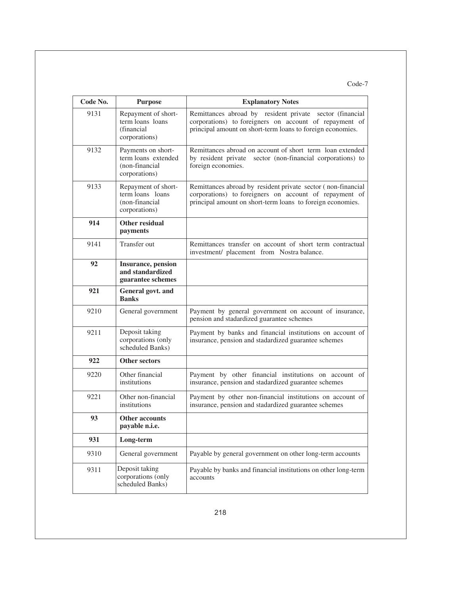| Code No. | <b>Purpose</b>                                                               | <b>Explanatory Notes</b>                                                                                                                                                             |  |
|----------|------------------------------------------------------------------------------|--------------------------------------------------------------------------------------------------------------------------------------------------------------------------------------|--|
| 9131     | Repayment of short-<br>term loans loans<br>(financial<br>corporations)       | Remittances abroad by resident private sector (financial<br>corporations) to foreigners on account of repayment of<br>principal amount on short-term loans to foreign economies.     |  |
| 9132     | Payments on short-<br>term loans extended<br>(non-financial<br>corporations) | Remittances abroad on account of short term loan extended<br>by resident private<br>sector (non-financial corporations) to<br>foreign economies.                                     |  |
| 9133     | Repayment of short-<br>term loans loans<br>(non-financial<br>corporations)   | Remittances abroad by resident private sector (non-financial<br>corporations) to foreigners on account of repayment of<br>principal amount on short-term loans to foreign economies. |  |
| 914      | Other residual<br>payments                                                   |                                                                                                                                                                                      |  |
| 9141     | Transfer out                                                                 | Remittances transfer on account of short term contractual<br>investment/ placement from Nostra balance.                                                                              |  |
| 92       | <b>Insurance</b> , pension<br>and standardized<br>guarantee schemes          |                                                                                                                                                                                      |  |
| 921      | General govt. and<br><b>Banks</b>                                            |                                                                                                                                                                                      |  |
| 9210     | General government                                                           | Payment by general government on account of insurance,<br>pension and stadardized guarantee schemes                                                                                  |  |
| 9211     | Deposit taking<br>corporations (only<br>scheduled Banks)                     | Payment by banks and financial institutions on account of<br>insurance, pension and stadardized guarantee schemes                                                                    |  |
| 922      | Other sectors                                                                |                                                                                                                                                                                      |  |
| 9220     | Other financial<br>institutions                                              | Payment by other financial institutions on account of<br>insurance, pension and stadardized guarantee schemes                                                                        |  |
| 9221     | Other non-financial<br>institutions                                          | Payment by other non-financial institutions on account of<br>insurance, pension and stadardized guarantee schemes                                                                    |  |
| 93       | <b>Other accounts</b><br>payable n.i.e.                                      |                                                                                                                                                                                      |  |
| 931      | Long-term                                                                    |                                                                                                                                                                                      |  |
| 9310     | General government                                                           | Payable by general government on other long-term accounts                                                                                                                            |  |
| 9311     | Deposit taking<br>corporations (only<br>scheduled Banks)                     | Payable by banks and financial institutions on other long-term<br>accounts                                                                                                           |  |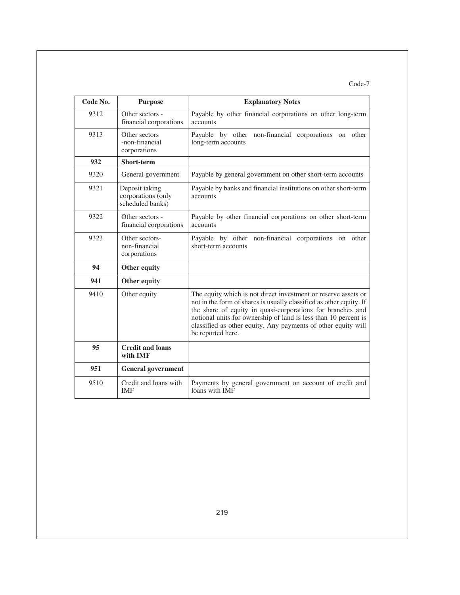| Code No. | <b>Purpose</b>                                           | <b>Explanatory Notes</b>                                                                                                                                                                                                                                                                                                                                     |
|----------|----------------------------------------------------------|--------------------------------------------------------------------------------------------------------------------------------------------------------------------------------------------------------------------------------------------------------------------------------------------------------------------------------------------------------------|
| 9312     | Other sectors -<br>financial corporations                | Payable by other financial corporations on other long-term<br>accounts                                                                                                                                                                                                                                                                                       |
| 9313     | Other sectors<br>-non-financial<br>corporations          | Payable by other non-financial corporations on other<br>long-term accounts                                                                                                                                                                                                                                                                                   |
| 932      | Short-term                                               |                                                                                                                                                                                                                                                                                                                                                              |
| 9320     | General government                                       | Payable by general government on other short-term accounts                                                                                                                                                                                                                                                                                                   |
| 9321     | Deposit taking<br>corporations (only<br>scheduled banks) | Payable by banks and financial institutions on other short-term<br>accounts                                                                                                                                                                                                                                                                                  |
| 9322     | Other sectors -<br>financial corporations                | Payable by other financial corporations on other short-term<br>accounts                                                                                                                                                                                                                                                                                      |
| 9323     | Other sectors-<br>non-financial<br>corporations          | Payable by other non-financial corporations on other<br>short-term accounts                                                                                                                                                                                                                                                                                  |
| 94       | Other equity                                             |                                                                                                                                                                                                                                                                                                                                                              |
| 941      | Other equity                                             |                                                                                                                                                                                                                                                                                                                                                              |
| 9410     | Other equity                                             | The equity which is not direct investment or reserve assets or<br>not in the form of shares is usually classified as other equity. If<br>the share of equity in quasi-corporations for branches and<br>notional units for ownership of land is less than 10 percent is<br>classified as other equity. Any payments of other equity will<br>be reported here. |
| 95       | <b>Credit and loans</b><br>with IMF                      |                                                                                                                                                                                                                                                                                                                                                              |
| 951      | <b>General government</b>                                |                                                                                                                                                                                                                                                                                                                                                              |
| 9510     | Credit and loans with<br><b>IMF</b>                      | Payments by general government on account of credit and<br>loans with IMF                                                                                                                                                                                                                                                                                    |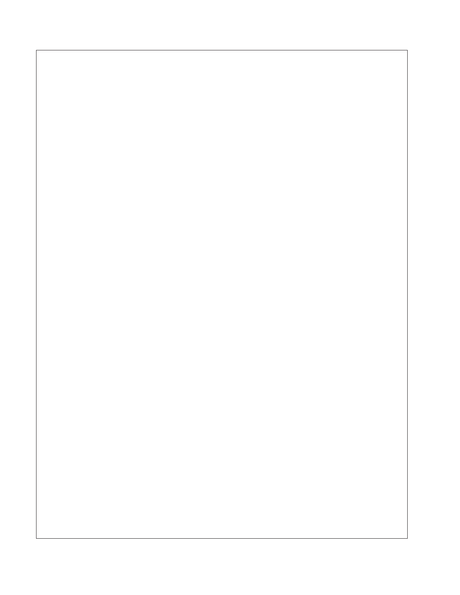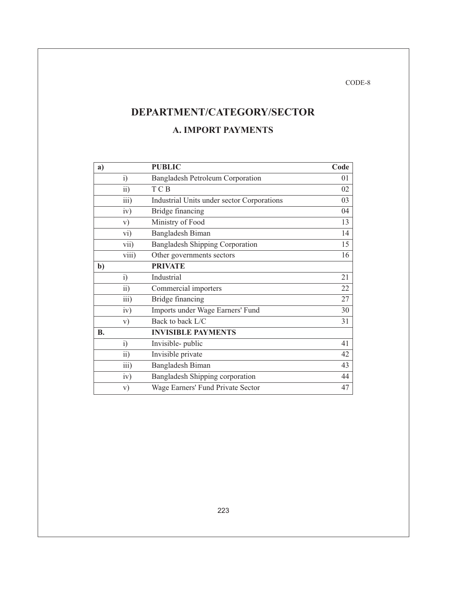CODE-8

# **DEPARTMENT/CATEGORY/SECTOR**

## **A. IMPORT PAYMENTS**

| a)        |                        | <b>PUBLIC</b>                              | Code           |
|-----------|------------------------|--------------------------------------------|----------------|
|           | i)                     | <b>Bangladesh Petroleum Corporation</b>    | 0 <sub>1</sub> |
|           | $\overline{ii}$ )      | <b>TCB</b>                                 | 02             |
|           | iii)                   | Industrial Units under sector Corporations | 03             |
|           | iv)                    | Bridge financing                           | 04             |
|           | $\mathbf{v})$          | Ministry of Food                           | 13             |
|           | $\overline{\text{vi}}$ | Bangladesh Biman                           | 14             |
|           | vii)                   | <b>Bangladesh Shipping Corporation</b>     | 15             |
|           | viii)                  | Other governments sectors                  | 16             |
| b)        |                        | <b>PRIVATE</b>                             |                |
|           | i)                     | Industrial                                 | 21             |
|           | $\overline{11}$        | Commercial importers                       | 22             |
|           | iii)                   | Bridge financing                           | 27             |
|           | iv)                    | Imports under Wage Earners' Fund           | 30             |
|           | V)                     | Back to back L/C                           | 31             |
| <b>B.</b> |                        | <b>INVISIBLE PAYMENTS</b>                  |                |
|           | i)                     | Invisible-public                           | 41             |
|           | $\overline{ii}$ )      | Invisible private                          | 42             |
|           | iii)                   | <b>Bangladesh Biman</b>                    | 43             |
|           | iv)                    | Bangladesh Shipping corporation            | 44             |
|           | V)                     | Wage Earners' Fund Private Sector          | 47             |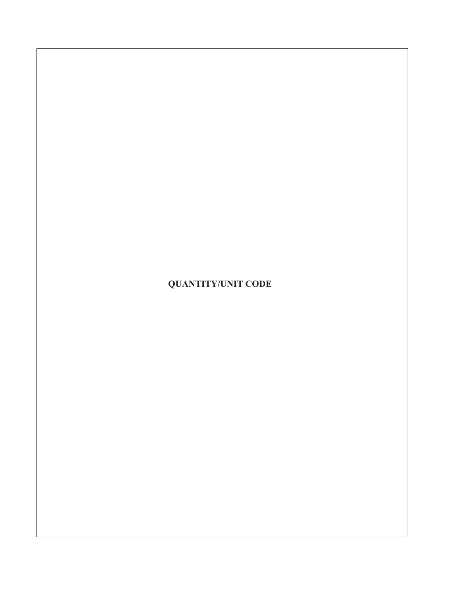# **QUANTITY/UNIT CODE**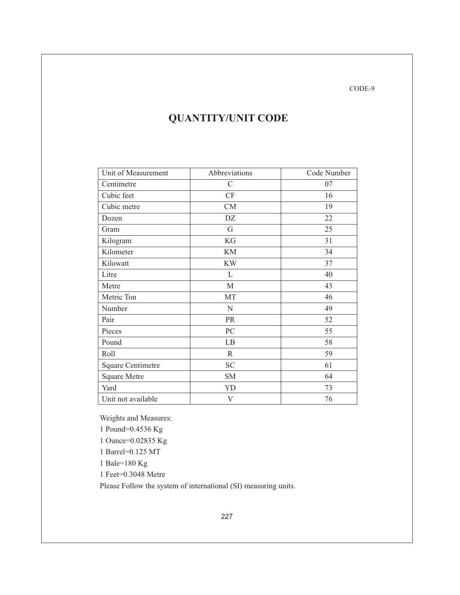CODE-9

# **QUANTITY/UNIT CODE**

| Unit of Measurement      | Abbreviations          | Code Number |
|--------------------------|------------------------|-------------|
| Centimetre               | C                      | 07          |
| Cubic feet               | CF                     | 16          |
| Cubic metre              | CM                     | 19          |
| Dozen                    | $\mathbf{D}\mathbf{Z}$ | 22          |
| Gram                     | G                      | 25          |
| Kilogram                 | KG                     | 31          |
| Kilometer                | KM                     | 34          |
| Kilowatt                 | <b>KW</b>              | 37          |
| Litre                    | L                      | 40          |
| Metre                    | $\mathbf M$            | 43          |
| Metric Ton               | MT                     | 46          |
| Number                   | ${\bf N}$              | 49          |
| Pair                     | PR                     | 52          |
| Pieces                   | PC                     | 55          |
| Pound                    | LB                     | 58          |
| Roll                     | R                      | 59          |
| <b>Square Centimetre</b> | <b>SC</b>              | 61          |
| <b>Square Metre</b>      | <b>SM</b>              | 64          |
| Yard                     | YD                     | 73          |
| Unit not available       | V                      | 76          |

Weights and Measures:

1 Pound=0.4536 Kg

1 Ounce=0.02835 Kg

1 Barrel=0.125 MT

1 Bale=180 Kg

1 Feet=0.3048 Metre

Please Follow the system of international (SI) measuring units.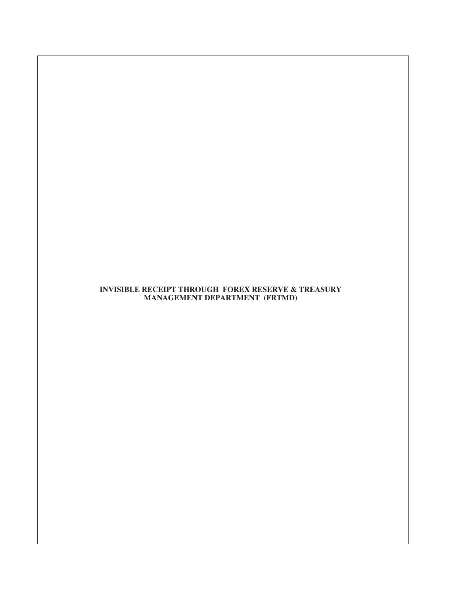#### **INVISIBLE RECEIPT THROUGH FOREX RESERVE & TREASURY MANAGEMENT DEPARTMENT (FRTMD)**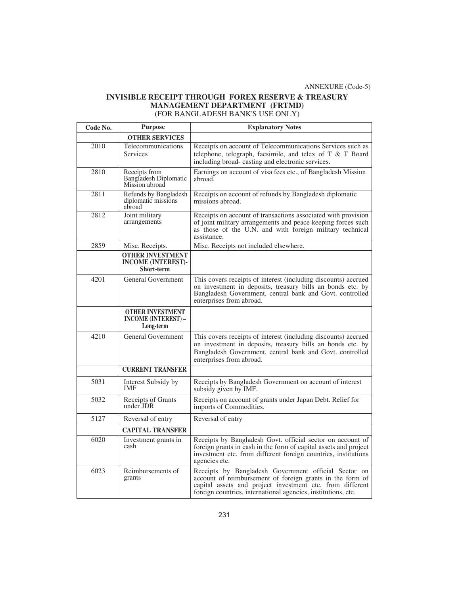#### **INVISIBLE RECEIPT THROUGH FOREX RESERVE & TREASURY MANAGEMENT DEPARTMENT (FRTMD)** (FOR BANGLADESH BANK'S USE ONLY)

| Code No. | <b>Purpose</b>                                                     | <b>Explanatory Notes</b>                                                                                                                                                                                                                        |  |
|----------|--------------------------------------------------------------------|-------------------------------------------------------------------------------------------------------------------------------------------------------------------------------------------------------------------------------------------------|--|
|          | <b>OTHER SERVICES</b>                                              |                                                                                                                                                                                                                                                 |  |
| 2010     | Telecommunications<br>Services                                     | Receipts on account of Telecommunications Services such as<br>telephone, telegraph, facsimile, and telex of T & T Board<br>including broad-casting and electronic services.                                                                     |  |
| 2810     | Receipts from<br><b>Bangladesh Diplomatic</b><br>Mission abroad    | Earnings on account of visa fees etc., of Bangladesh Mission<br>abroad.                                                                                                                                                                         |  |
| 2811     | Refunds by Bangladesh<br>diplomatic missions<br>abroad             | Receipts on account of refunds by Bangladesh diplomatic<br>missions abroad.                                                                                                                                                                     |  |
| 2812     | Joint military<br>arrangements                                     | Receipts on account of transactions associated with provision<br>of joint military arrangements and peace keeping forces such<br>as those of the U.N. and with foreign military technical<br>assistance.                                        |  |
| 2859     | Misc. Receipts.                                                    | Misc. Receipts not included elsewhere.                                                                                                                                                                                                          |  |
|          | <b>OTHER INVESTMENT</b><br><b>INCOME (INTEREST)-</b><br>Short-term |                                                                                                                                                                                                                                                 |  |
| 4201     | <b>General Government</b>                                          | This covers receipts of interest (including discounts) accrued<br>on investment in deposits, treasury bills an bonds etc. by<br>Bangladesh Government, central bank and Govt. controlled<br>enterprises from abroad.                            |  |
|          | <b>OTHER INVESTMENT</b><br><b>INCOME (INTEREST) -</b><br>Long-term |                                                                                                                                                                                                                                                 |  |
| 4210     | <b>General Government</b>                                          | This covers receipts of interest (including discounts) accrued<br>on investment in deposits, treasury bills an bonds etc. by<br>Bangladesh Government, central bank and Govt. controlled<br>enterprises from abroad.                            |  |
|          | <b>CURRENT TRANSFER</b>                                            |                                                                                                                                                                                                                                                 |  |
| 5031     | Interest Subsidy by<br><b>IMF</b>                                  | Receipts by Bangladesh Government on account of interest<br>subsidy given by IMF.                                                                                                                                                               |  |
| 5032     | Receipts of Grants<br>under JDR                                    | Receipts on account of grants under Japan Debt. Relief for<br>imports of Commodities.                                                                                                                                                           |  |
| 5127     | Reversal of entry                                                  | Reversal of entry                                                                                                                                                                                                                               |  |
|          | <b>CAPITAL TRANSFER</b>                                            |                                                                                                                                                                                                                                                 |  |
| 6020     | Investment grants in<br>cash                                       | Receipts by Bangladesh Govt. official sector on account of<br>foreign grants in cash in the form of capital assets and project<br>investment etc. from different foreign countries, institutions<br>agencies etc.                               |  |
| 6023     | Reimbursements of<br>grants                                        | Receipts by Bangladesh Government official Sector on<br>account of reimbursement of foreign grants in the form of<br>capital assets and project investment etc. from different<br>foreign countries, international agencies, institutions, etc. |  |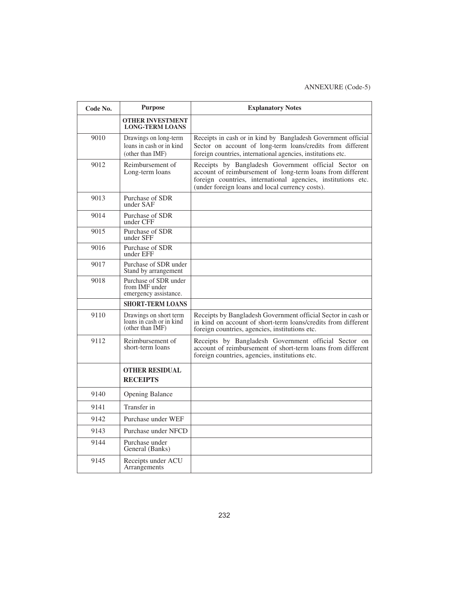#### ANNEXURE (Code-5)

| Code No. | <b>Purpose</b>                                                         | <b>Explanatory Notes</b>                                                                                                                                                                                                              |  |
|----------|------------------------------------------------------------------------|---------------------------------------------------------------------------------------------------------------------------------------------------------------------------------------------------------------------------------------|--|
|          | <b>OTHER INVESTMENT</b><br><b>LONG-TERM LOANS</b>                      |                                                                                                                                                                                                                                       |  |
| 9010     | Drawings on long-term<br>loans in cash or in kind<br>(other than IMF)  | Receipts in cash or in kind by Bangladesh Government official<br>Sector on account of long-term loans/credits from different<br>foreign countries, international agencies, institutions etc.                                          |  |
| 9012     | Reimbursement of<br>Long-term loans                                    | Receipts by Bangladesh Government official Sector on<br>account of reimbursement of long-term loans from different<br>foreign countries, international agencies, institutions etc.<br>(under foreign loans and local currency costs). |  |
| 9013     | Purchase of SDR<br>under SAF                                           |                                                                                                                                                                                                                                       |  |
| 9014     | Purchase of SDR<br>under CFF                                           |                                                                                                                                                                                                                                       |  |
| 9015     | Purchase of SDR<br>under SFF                                           |                                                                                                                                                                                                                                       |  |
| 9016     | Purchase of SDR<br>under EFF                                           |                                                                                                                                                                                                                                       |  |
| 9017     | Purchase of SDR under<br>Stand by arrangement                          |                                                                                                                                                                                                                                       |  |
| 9018     | Purchase of SDR under<br>from IMF under<br>emergency assistance.       |                                                                                                                                                                                                                                       |  |
|          | <b>SHORT-TERM LOANS</b>                                                |                                                                                                                                                                                                                                       |  |
| 9110     | Drawings on short term<br>loans in cash or in kind<br>(other than IMF) | Receipts by Bangladesh Government official Sector in cash or<br>in kind on account of short-term loans/credits from different<br>foreign countries, agencies, institutions etc.                                                       |  |
| 9112     | Reimbursement of<br>short-term loans                                   | Receipts by Bangladesh Government official Sector on<br>account of reimbursement of short-term loans from different<br>foreign countries, agencies, institutions etc.                                                                 |  |
|          | <b>OTHER RESIDUAL</b><br><b>RECEIPTS</b>                               |                                                                                                                                                                                                                                       |  |
| 9140     | <b>Opening Balance</b>                                                 |                                                                                                                                                                                                                                       |  |
| 9141     | Transfer in                                                            |                                                                                                                                                                                                                                       |  |
| 9142     | Purchase under WEF                                                     |                                                                                                                                                                                                                                       |  |
| 9143     | Purchase under NFCD                                                    |                                                                                                                                                                                                                                       |  |
| 9144     | Purchase under<br>General (Banks)                                      |                                                                                                                                                                                                                                       |  |
| 9145     | Receipts under ACU<br>Arrangements                                     |                                                                                                                                                                                                                                       |  |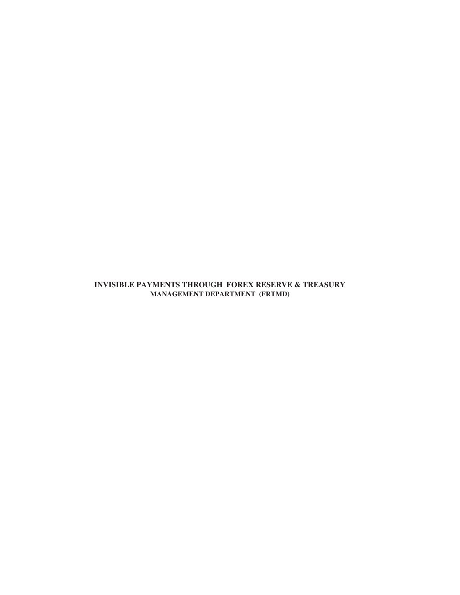## **INVISIBLE PAYMENTS THROUGH FOREX RESERVE & TREASURY MANAGEMENT DEPARTMENT (FRTMD)**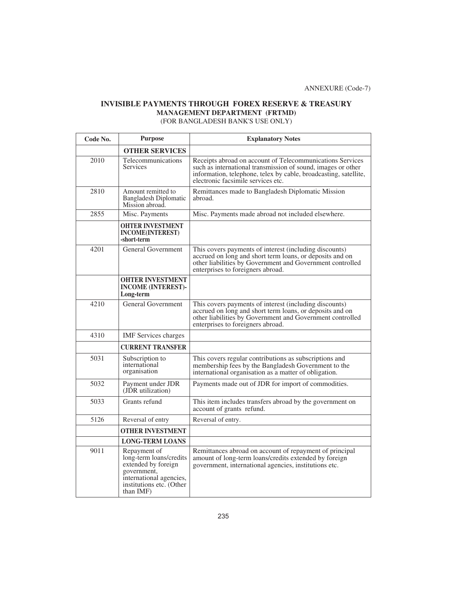## **INVISIBLE PAYMENTS THROUGH FOREX RESERVE & TREASURY MANAGEMENT DEPARTMENT (FRTMD)**

| (FOR BANGLADESH BANK'S USE ONLY) |  |  |  |
|----------------------------------|--|--|--|
|----------------------------------|--|--|--|

| Code No. | <b>Purpose</b>                                                                                                                                    | <b>Explanatory Notes</b>                                                                                                                                                                                                            |  |
|----------|---------------------------------------------------------------------------------------------------------------------------------------------------|-------------------------------------------------------------------------------------------------------------------------------------------------------------------------------------------------------------------------------------|--|
|          | <b>OTHER SERVICES</b>                                                                                                                             |                                                                                                                                                                                                                                     |  |
| 2010     | Telecommunications<br>Services                                                                                                                    | Receipts abroad on account of Telecommunications Services<br>such as international transmission of sound, images or other<br>information, telephone, telex by cable, broadcasting, satellite,<br>electronic facsimile services etc. |  |
| 2810     | Amount remitted to<br><b>Bangladesh Diplomatic</b><br>Mission abroad.                                                                             | Remittances made to Bangladesh Diplomatic Mission<br>abroad.                                                                                                                                                                        |  |
| 2855     | Misc. Payments                                                                                                                                    | Misc. Payments made abroad not included elsewhere.                                                                                                                                                                                  |  |
|          | <b>OHTER INVESTMENT</b><br><b>INCOME(INTEREST)</b><br>-short-term                                                                                 |                                                                                                                                                                                                                                     |  |
| 4201     | <b>General Government</b>                                                                                                                         | This covers payments of interest (including discounts)<br>accrued on long and short term loans, or deposits and on<br>other liabilities by Government and Government controlled<br>enterprises to foreigners abroad.                |  |
|          | <b>OHTER INVESTMENT</b><br><b>INCOME (INTEREST)-</b><br>Long-term                                                                                 |                                                                                                                                                                                                                                     |  |
| 4210     | <b>General Government</b>                                                                                                                         | This covers payments of interest (including discounts)<br>accrued on long and short term loans, or deposits and on<br>other liabilities by Government and Government controlled<br>enterprises to foreigners abroad.                |  |
| 4310     | <b>IMF</b> Services charges                                                                                                                       |                                                                                                                                                                                                                                     |  |
|          | <b>CURRENT TRANSFER</b>                                                                                                                           |                                                                                                                                                                                                                                     |  |
| 5031     | Subscription to<br>international<br>organisation                                                                                                  | This covers regular contributions as subscriptions and<br>membership fees by the Bangladesh Government to the<br>international organisation as a matter of obligation.                                                              |  |
| 5032     | Payment under JDR<br>(JDR utilization)                                                                                                            | Payments made out of JDR for import of commodities.                                                                                                                                                                                 |  |
| 5033     | Grants refund                                                                                                                                     | This item includes transfers abroad by the government on<br>account of grants refund.                                                                                                                                               |  |
| 5126     | Reversal of entry                                                                                                                                 | Reversal of entry.                                                                                                                                                                                                                  |  |
|          | <b>OTHER INVESTMENT</b>                                                                                                                           |                                                                                                                                                                                                                                     |  |
|          | <b>LONG-TERM LOANS</b>                                                                                                                            |                                                                                                                                                                                                                                     |  |
| 9011     | Repayment of<br>long-term loans/credits<br>extended by foreign<br>government,<br>international agencies,<br>institutions etc. (Other<br>than IMF) | Remittances abroad on account of repayment of principal<br>amount of long-term loans/credits extended by foreign<br>government, international agencies, institutions etc.                                                           |  |